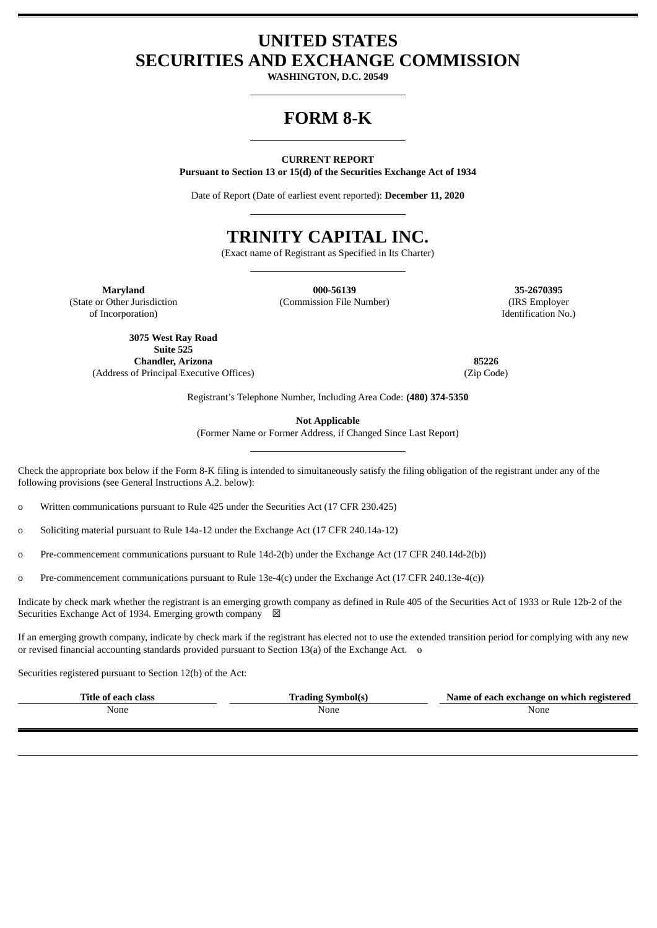# **UNITED STATES SECURITIES AND EXCHANGE COMMISSION**

**WASHINGTON, D.C. 20549**

# **FORM 8-K**

#### **CURRENT REPORT**

**Pursuant to Section 13 or 15(d) of the Securities Exchange Act of 1934**

Date of Report (Date of earliest event reported): **December 11, 2020**

# **TRINITY CAPITAL INC.**

(Exact name of Registrant as Specified in Its Charter)

(State or Other Jurisdiction

of Incorporation)

**Maryland 000-56139 35-2670395** (Commission File Number) (IRS Employer

Identification No.)

**3075 West Ray Road Suite 525 Chandler, Arizona 85226** (Address of Principal Executive Offices) (Zip Code)

Registrant's Telephone Number, Including Area Code: **(480) 374-5350**

**Not Applicable**

(Former Name or Former Address, if Changed Since Last Report)

Check the appropriate box below if the Form 8-K filing is intended to simultaneously satisfy the filing obligation of the registrant under any of the following provisions (see General Instructions A.2. below):

o Written communications pursuant to Rule 425 under the Securities Act (17 CFR 230.425)

o Soliciting material pursuant to Rule 14a-12 under the Exchange Act (17 CFR 240.14a-12)

o Pre-commencement communications pursuant to Rule 14d-2(b) under the Exchange Act (17 CFR 240.14d-2(b))

o Pre-commencement communications pursuant to Rule 13e-4(c) under the Exchange Act (17 CFR 240.13e-4(c))

Indicate by check mark whether the registrant is an emerging growth company as defined in Rule 405 of the Securities Act of 1933 or Rule 12b-2 of the Securities Exchange Act of 1934. Emerging growth company  $\boxtimes$ 

If an emerging growth company, indicate by check mark if the registrant has elected not to use the extended transition period for complying with any new or revised financial accounting standards provided pursuant to Section 13(a) of the Exchange Act. o

Securities registered pursuant to Section 12(b) of the Act:

| Title of each class | <b>Trading Symbol(s)</b> | Name of each exchange on which registered |
|---------------------|--------------------------|-------------------------------------------|
| None                | None                     | None                                      |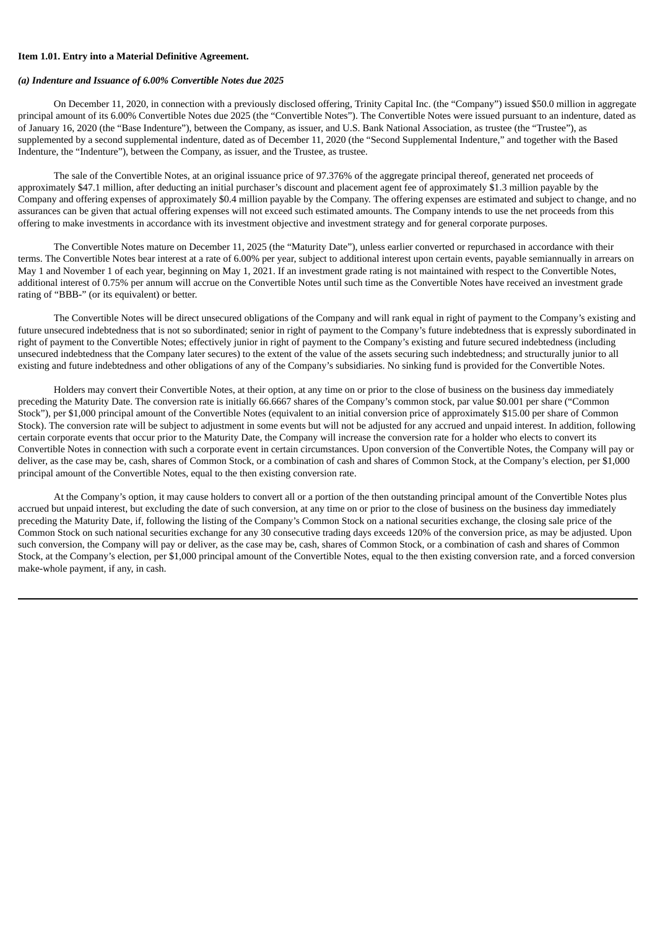#### **Item 1.01. Entry into a Material Definitive Agreement.**

#### *(a) Indenture and Issuance of 6.00% Convertible Notes due 2025*

On December 11, 2020, in connection with a previously disclosed offering, Trinity Capital Inc. (the "Company") issued \$50.0 million in aggregate principal amount of its 6.00% Convertible Notes due 2025 (the "Convertible Notes"). The Convertible Notes were issued pursuant to an indenture, dated as of January 16, 2020 (the "Base Indenture"), between the Company, as issuer, and U.S. Bank National Association, as trustee (the "Trustee"), as supplemented by a second supplemental indenture, dated as of December 11, 2020 (the "Second Supplemental Indenture," and together with the Based Indenture, the "Indenture"), between the Company, as issuer, and the Trustee, as trustee.

The sale of the Convertible Notes, at an original issuance price of 97.376% of the aggregate principal thereof, generated net proceeds of approximately \$47.1 million, after deducting an initial purchaser's discount and placement agent fee of approximately \$1.3 million payable by the Company and offering expenses of approximately \$0.4 million payable by the Company. The offering expenses are estimated and subject to change, and no assurances can be given that actual offering expenses will not exceed such estimated amounts. The Company intends to use the net proceeds from this offering to make investments in accordance with its investment objective and investment strategy and for general corporate purposes.

The Convertible Notes mature on December 11, 2025 (the "Maturity Date"), unless earlier converted or repurchased in accordance with their terms. The Convertible Notes bear interest at a rate of 6.00% per year, subject to additional interest upon certain events, payable semiannually in arrears on May 1 and November 1 of each year, beginning on May 1, 2021. If an investment grade rating is not maintained with respect to the Convertible Notes, additional interest of 0.75% per annum will accrue on the Convertible Notes until such time as the Convertible Notes have received an investment grade rating of "BBB-" (or its equivalent) or better.

The Convertible Notes will be direct unsecured obligations of the Company and will rank equal in right of payment to the Company's existing and future unsecured indebtedness that is not so subordinated; senior in right of payment to the Company's future indebtedness that is expressly subordinated in right of payment to the Convertible Notes; effectively junior in right of payment to the Company's existing and future secured indebtedness (including unsecured indebtedness that the Company later secures) to the extent of the value of the assets securing such indebtedness; and structurally junior to all existing and future indebtedness and other obligations of any of the Company's subsidiaries. No sinking fund is provided for the Convertible Notes.

Holders may convert their Convertible Notes, at their option, at any time on or prior to the close of business on the business day immediately preceding the Maturity Date. The conversion rate is initially 66.6667 shares of the Company's common stock, par value \$0.001 per share ("Common Stock"), per \$1,000 principal amount of the Convertible Notes (equivalent to an initial conversion price of approximately \$15.00 per share of Common Stock). The conversion rate will be subject to adjustment in some events but will not be adjusted for any accrued and unpaid interest. In addition, following certain corporate events that occur prior to the Maturity Date, the Company will increase the conversion rate for a holder who elects to convert its Convertible Notes in connection with such a corporate event in certain circumstances. Upon conversion of the Convertible Notes, the Company will pay or deliver, as the case may be, cash, shares of Common Stock, or a combination of cash and shares of Common Stock, at the Company's election, per \$1,000 principal amount of the Convertible Notes, equal to the then existing conversion rate.

At the Company's option, it may cause holders to convert all or a portion of the then outstanding principal amount of the Convertible Notes plus accrued but unpaid interest, but excluding the date of such conversion, at any time on or prior to the close of business on the business day immediately preceding the Maturity Date, if, following the listing of the Company's Common Stock on a national securities exchange, the closing sale price of the Common Stock on such national securities exchange for any 30 consecutive trading days exceeds 120% of the conversion price, as may be adjusted. Upon such conversion, the Company will pay or deliver, as the case may be, cash, shares of Common Stock, or a combination of cash and shares of Common Stock, at the Company's election, per \$1,000 principal amount of the Convertible Notes, equal to the then existing conversion rate, and a forced conversion make-whole payment, if any, in cash.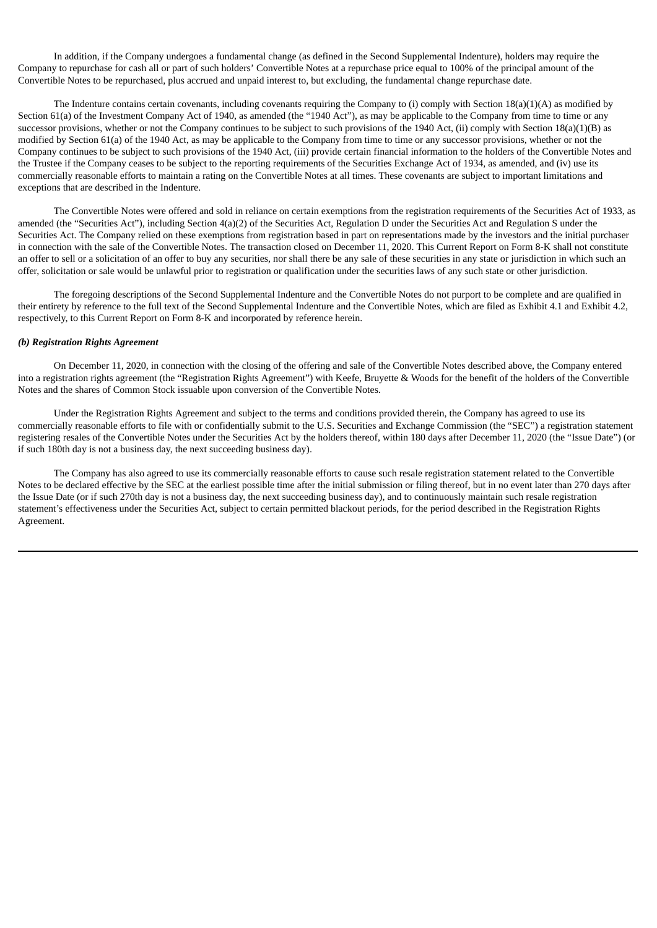In addition, if the Company undergoes a fundamental change (as defined in the Second Supplemental Indenture), holders may require the Company to repurchase for cash all or part of such holders' Convertible Notes at a repurchase price equal to 100% of the principal amount of the Convertible Notes to be repurchased, plus accrued and unpaid interest to, but excluding, the fundamental change repurchase date.

The Indenture contains certain covenants, including covenants requiring the Company to (i) comply with Section 18(a)(1)(A) as modified by Section 61(a) of the Investment Company Act of 1940, as amended (the "1940 Act"), as may be applicable to the Company from time to time or any successor provisions, whether or not the Company continues to be subject to such provisions of the 1940 Act, (ii) comply with Section 18(a)(1)(B) as modified by Section 61(a) of the 1940 Act, as may be applicable to the Company from time to time or any successor provisions, whether or not the Company continues to be subject to such provisions of the 1940 Act, (iii) provide certain financial information to the holders of the Convertible Notes and the Trustee if the Company ceases to be subject to the reporting requirements of the Securities Exchange Act of 1934, as amended, and (iv) use its commercially reasonable efforts to maintain a rating on the Convertible Notes at all times. These covenants are subject to important limitations and exceptions that are described in the Indenture.

The Convertible Notes were offered and sold in reliance on certain exemptions from the registration requirements of the Securities Act of 1933, as amended (the "Securities Act"), including Section 4(a)(2) of the Securities Act, Regulation D under the Securities Act and Regulation S under the Securities Act. The Company relied on these exemptions from registration based in part on representations made by the investors and the initial purchaser in connection with the sale of the Convertible Notes. The transaction closed on December 11, 2020. This Current Report on Form 8-K shall not constitute an offer to sell or a solicitation of an offer to buy any securities, nor shall there be any sale of these securities in any state or jurisdiction in which such an offer, solicitation or sale would be unlawful prior to registration or qualification under the securities laws of any such state or other jurisdiction.

The foregoing descriptions of the Second Supplemental Indenture and the Convertible Notes do not purport to be complete and are qualified in their entirety by reference to the full text of the Second Supplemental Indenture and the Convertible Notes, which are filed as Exhibit 4.1 and Exhibit 4.2, respectively, to this Current Report on Form 8-K and incorporated by reference herein.

#### *(b) Registration Rights Agreement*

On December 11, 2020, in connection with the closing of the offering and sale of the Convertible Notes described above, the Company entered into a registration rights agreement (the "Registration Rights Agreement") with Keefe, Bruyette & Woods for the benefit of the holders of the Convertible Notes and the shares of Common Stock issuable upon conversion of the Convertible Notes.

Under the Registration Rights Agreement and subject to the terms and conditions provided therein, the Company has agreed to use its commercially reasonable efforts to file with or confidentially submit to the U.S. Securities and Exchange Commission (the "SEC") a registration statement registering resales of the Convertible Notes under the Securities Act by the holders thereof, within 180 days after December 11, 2020 (the "Issue Date") (or if such 180th day is not a business day, the next succeeding business day).

The Company has also agreed to use its commercially reasonable efforts to cause such resale registration statement related to the Convertible Notes to be declared effective by the SEC at the earliest possible time after the initial submission or filing thereof, but in no event later than 270 days after the Issue Date (or if such 270th day is not a business day, the next succeeding business day), and to continuously maintain such resale registration statement's effectiveness under the Securities Act, subject to certain permitted blackout periods, for the period described in the Registration Rights Agreement.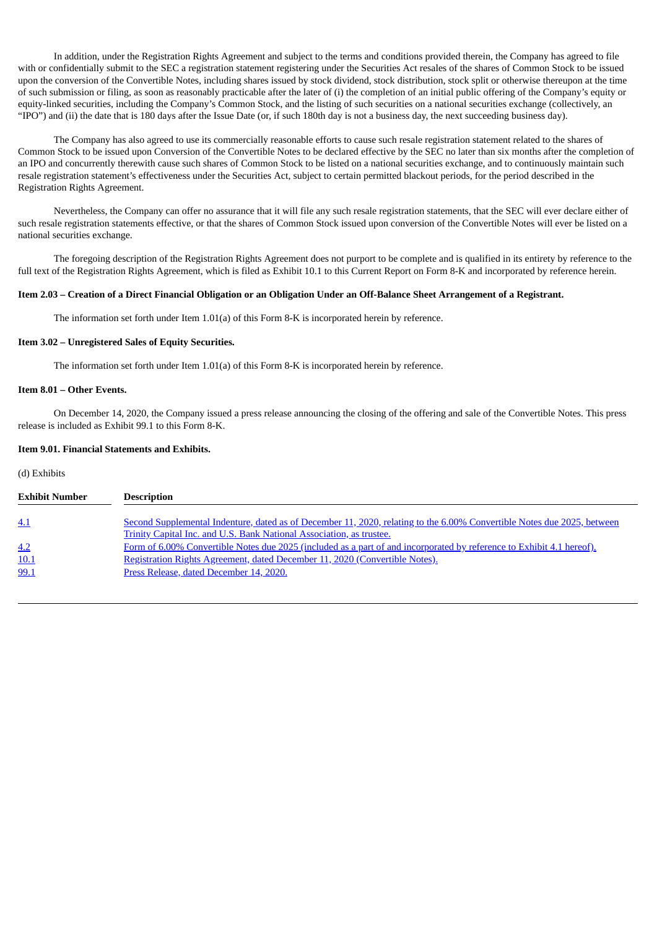In addition, under the Registration Rights Agreement and subject to the terms and conditions provided therein, the Company has agreed to file with or confidentially submit to the SEC a registration statement registering under the Securities Act resales of the shares of Common Stock to be issued upon the conversion of the Convertible Notes, including shares issued by stock dividend, stock distribution, stock split or otherwise thereupon at the time of such submission or filing, as soon as reasonably practicable after the later of (i) the completion of an initial public offering of the Company's equity or equity-linked securities, including the Company's Common Stock, and the listing of such securities on a national securities exchange (collectively, an "IPO") and (ii) the date that is 180 days after the Issue Date (or, if such 180th day is not a business day, the next succeeding business day).

The Company has also agreed to use its commercially reasonable efforts to cause such resale registration statement related to the shares of Common Stock to be issued upon Conversion of the Convertible Notes to be declared effective by the SEC no later than six months after the completion of an IPO and concurrently therewith cause such shares of Common Stock to be listed on a national securities exchange, and to continuously maintain such resale registration statement's effectiveness under the Securities Act, subject to certain permitted blackout periods, for the period described in the Registration Rights Agreement.

Nevertheless, the Company can offer no assurance that it will file any such resale registration statements, that the SEC will ever declare either of such resale registration statements effective, or that the shares of Common Stock issued upon conversion of the Convertible Notes will ever be listed on a national securities exchange.

The foregoing description of the Registration Rights Agreement does not purport to be complete and is qualified in its entirety by reference to the full text of the Registration Rights Agreement, which is filed as Exhibit 10.1 to this Current Report on Form 8-K and incorporated by reference herein.

#### Item 2.03 - Creation of a Direct Financial Obligation or an Obligation Under an Off-Balance Sheet Arrangement of a Registrant.

The information set forth under Item 1.01(a) of this Form 8-K is incorporated herein by reference.

#### **Item 3.02 – Unregistered Sales of Equity Securities.**

The information set forth under Item 1.01(a) of this Form 8-K is incorporated herein by reference.

#### **Item 8.01 – Other Events.**

On December 14, 2020, the Company issued a press release announcing the closing of the offering and sale of the Convertible Notes. This press release is included as Exhibit 99.1 to this Form 8-K.

#### **Item 9.01. Financial Statements and Exhibits.**

#### (d) Exhibits

| <b>Exhibit Number</b> | <b>Description</b>                                                                                                      |
|-----------------------|-------------------------------------------------------------------------------------------------------------------------|
|                       |                                                                                                                         |
| 4.1                   | Second Supplemental Indenture, dated as of December 11, 2020, relating to the 6.00% Convertible Notes due 2025, between |
|                       | Trinity Capital Inc. and U.S. Bank National Association, as trustee.                                                    |
| 4.2                   | Form of 6.00% Convertible Notes due 2025 (included as a part of and incorporated by reference to Exhibit 4.1 hereof).   |
| 10.1                  | Registration Rights Agreement, dated December 11, 2020 (Convertible Notes).                                             |
| 99.1                  | Press Release, dated December 14, 2020.                                                                                 |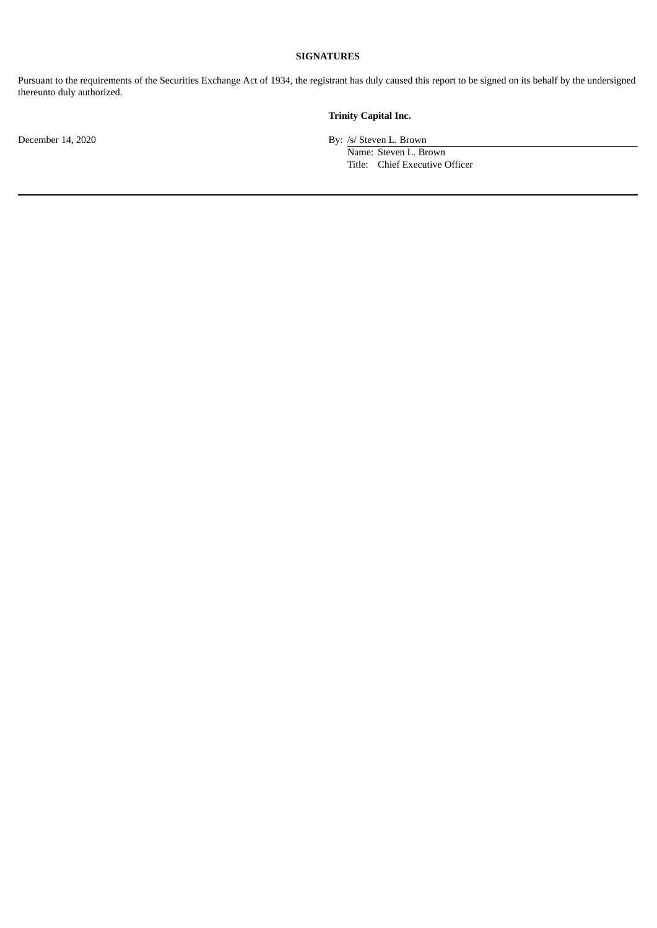### **SIGNATURES**

Pursuant to the requirements of the Securities Exchange Act of 1934, the registrant has duly caused this report to be signed on its behalf by the undersigned thereunto duly authorized.

# **Trinity Capital Inc.**

December 14, 2020 By: /s/ Steven L. Brown

Name: Steven L. Brown Title: Chief Executive Officer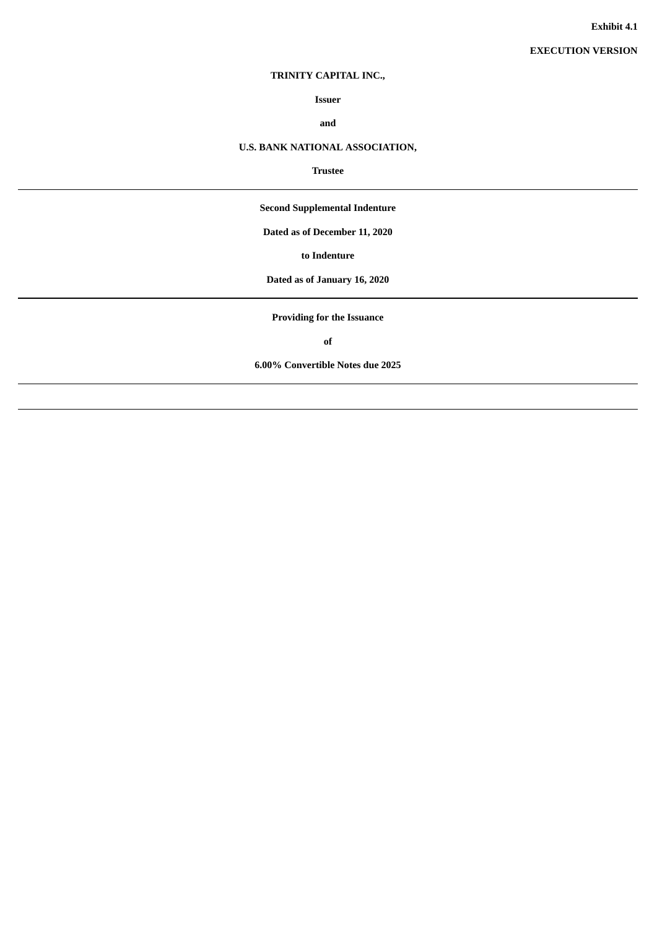# **TRINITY CAPITAL INC.,**

**Issuer**

**and**

# <span id="page-5-0"></span>**U.S. BANK NATIONAL ASSOCIATION,**

#### **Trustee**

**Second Supplemental Indenture**

**Dated as of December 11, 2020**

**to Indenture**

**Dated as of January 16, 2020**

**Providing for the Issuance**

**of**

**6.00% Convertible Notes due 2025**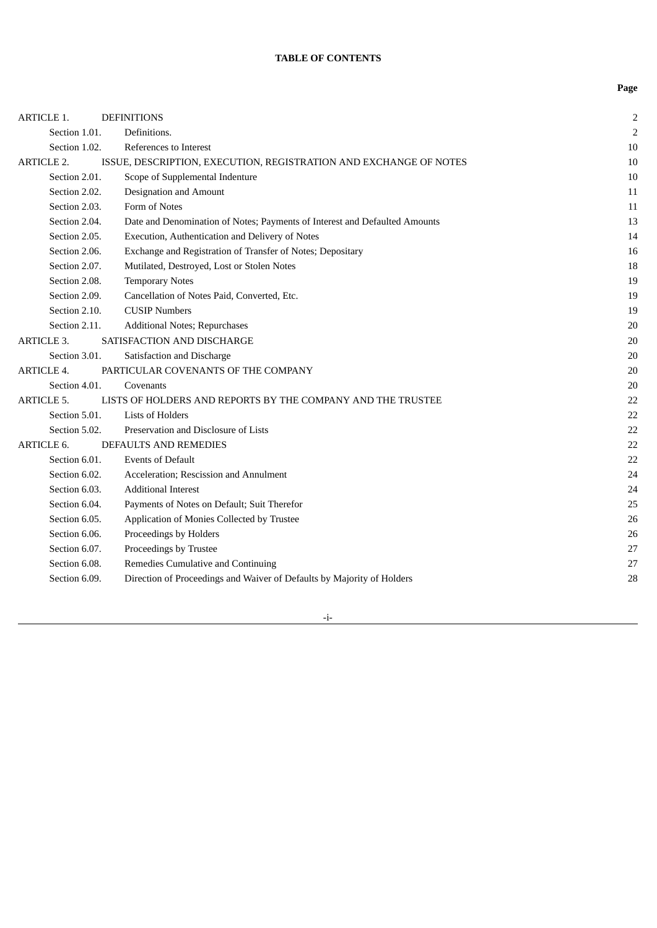**Page**

| <b>ARTICLE 1.</b> | <b>DEFINITIONS</b>                                                         | $\overline{2}$ |
|-------------------|----------------------------------------------------------------------------|----------------|
| Section 1.01.     | Definitions.                                                               | $\overline{2}$ |
| Section 1.02.     | References to Interest                                                     | 10             |
| <b>ARTICLE 2.</b> | ISSUE, DESCRIPTION, EXECUTION, REGISTRATION AND EXCHANGE OF NOTES          | 10             |
| Section 2.01.     | Scope of Supplemental Indenture                                            | 10             |
| Section 2.02.     | Designation and Amount                                                     | 11             |
| Section 2.03.     | Form of Notes                                                              | 11             |
| Section 2.04.     | Date and Denomination of Notes; Payments of Interest and Defaulted Amounts | 13             |
| Section 2.05.     | Execution, Authentication and Delivery of Notes                            | 14             |
| Section 2.06.     | Exchange and Registration of Transfer of Notes; Depositary                 | 16             |
| Section 2.07.     | Mutilated, Destroyed, Lost or Stolen Notes                                 | 18             |
| Section 2.08.     | <b>Temporary Notes</b>                                                     | 19             |
| Section 2.09.     | Cancellation of Notes Paid, Converted, Etc.                                | 19             |
| Section 2.10.     | <b>CUSIP Numbers</b>                                                       | 19             |
| Section 2.11.     | Additional Notes; Repurchases                                              | 20             |
| <b>ARTICLE 3.</b> | SATISFACTION AND DISCHARGE                                                 | 20             |
| Section 3.01.     | Satisfaction and Discharge                                                 | 20             |
| <b>ARTICLE 4.</b> | PARTICULAR COVENANTS OF THE COMPANY                                        | 20             |
| Section 4.01.     | Covenants                                                                  | 20             |
| <b>ARTICLE 5.</b> | LISTS OF HOLDERS AND REPORTS BY THE COMPANY AND THE TRUSTEE                | 22             |
| Section 5.01.     | <b>Lists of Holders</b>                                                    | 22             |
| Section 5.02.     | Preservation and Disclosure of Lists                                       | 22             |
| <b>ARTICLE 6.</b> | <b>DEFAULTS AND REMEDIES</b>                                               | 22             |
| Section 6.01.     | <b>Events of Default</b>                                                   | 22             |
| Section 6.02.     | Acceleration; Rescission and Annulment                                     | 24             |
| Section 6.03.     | <b>Additional Interest</b>                                                 | 24             |
| Section 6.04.     | Payments of Notes on Default; Suit Therefor                                | 25             |
| Section 6.05.     | Application of Monies Collected by Trustee                                 | 26             |
| Section 6.06.     | Proceedings by Holders                                                     | 26             |
| Section 6.07.     | Proceedings by Trustee                                                     | 27             |
| Section 6.08.     | Remedies Cumulative and Continuing                                         | 27             |
| Section 6.09.     | Direction of Proceedings and Waiver of Defaults by Majority of Holders     | 28             |

-i-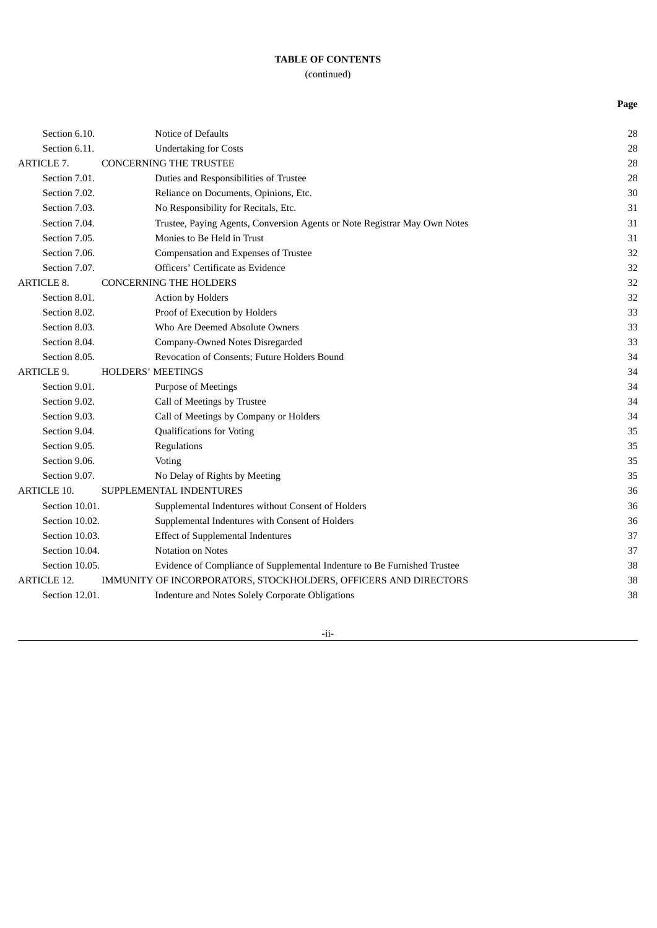(continued)

**Page**

|                   | Section 6.10.      | <b>Notice of Defaults</b>                                                 | 28 |
|-------------------|--------------------|---------------------------------------------------------------------------|----|
|                   | Section 6.11.      | <b>Undertaking for Costs</b>                                              | 28 |
| <b>ARTICLE 7.</b> |                    | <b>CONCERNING THE TRUSTEE</b>                                             | 28 |
|                   | Section 7.01.      | Duties and Responsibilities of Trustee                                    | 28 |
|                   | Section 7.02.      | Reliance on Documents, Opinions, Etc.                                     | 30 |
|                   | Section 7.03.      | No Responsibility for Recitals, Etc.                                      | 31 |
|                   | Section 7.04.      | Trustee, Paying Agents, Conversion Agents or Note Registrar May Own Notes | 31 |
|                   | Section 7.05.      | Monies to Be Held in Trust                                                | 31 |
|                   | Section 7.06.      | Compensation and Expenses of Trustee                                      | 32 |
|                   | Section 7.07.      | Officers' Certificate as Evidence                                         | 32 |
|                   | <b>ARTICLE 8.</b>  | <b>CONCERNING THE HOLDERS</b>                                             | 32 |
|                   | Section 8.01.      | Action by Holders                                                         | 32 |
|                   | Section 8.02.      | Proof of Execution by Holders                                             | 33 |
|                   | Section 8.03.      | Who Are Deemed Absolute Owners                                            | 33 |
|                   | Section 8.04.      | Company-Owned Notes Disregarded                                           | 33 |
|                   | Section 8.05.      | Revocation of Consents; Future Holders Bound                              | 34 |
|                   | <b>ARTICLE 9.</b>  | <b>HOLDERS' MEETINGS</b>                                                  | 34 |
|                   | Section 9.01.      | <b>Purpose of Meetings</b>                                                | 34 |
|                   | Section 9.02.      | Call of Meetings by Trustee                                               | 34 |
|                   | Section 9.03.      | Call of Meetings by Company or Holders                                    | 34 |
|                   | Section 9.04.      | <b>Qualifications for Voting</b>                                          | 35 |
|                   | Section 9.05.      | Regulations                                                               | 35 |
|                   | Section 9.06.      | Voting                                                                    | 35 |
|                   | Section 9.07.      | No Delay of Rights by Meeting                                             | 35 |
|                   | <b>ARTICLE 10.</b> | SUPPLEMENTAL INDENTURES                                                   | 36 |
|                   | Section 10.01.     | Supplemental Indentures without Consent of Holders                        | 36 |
|                   | Section 10.02.     | Supplemental Indentures with Consent of Holders                           | 36 |
|                   | Section 10.03.     | <b>Effect of Supplemental Indentures</b>                                  | 37 |
|                   | Section 10.04.     | <b>Notation on Notes</b>                                                  | 37 |
|                   | Section 10.05.     | Evidence of Compliance of Supplemental Indenture to Be Furnished Trustee  | 38 |
|                   | <b>ARTICLE 12.</b> | IMMUNITY OF INCORPORATORS, STOCKHOLDERS, OFFICERS AND DIRECTORS           | 38 |
|                   | Section 12.01.     | Indenture and Notes Solely Corporate Obligations                          | 38 |
|                   |                    |                                                                           |    |

-ii-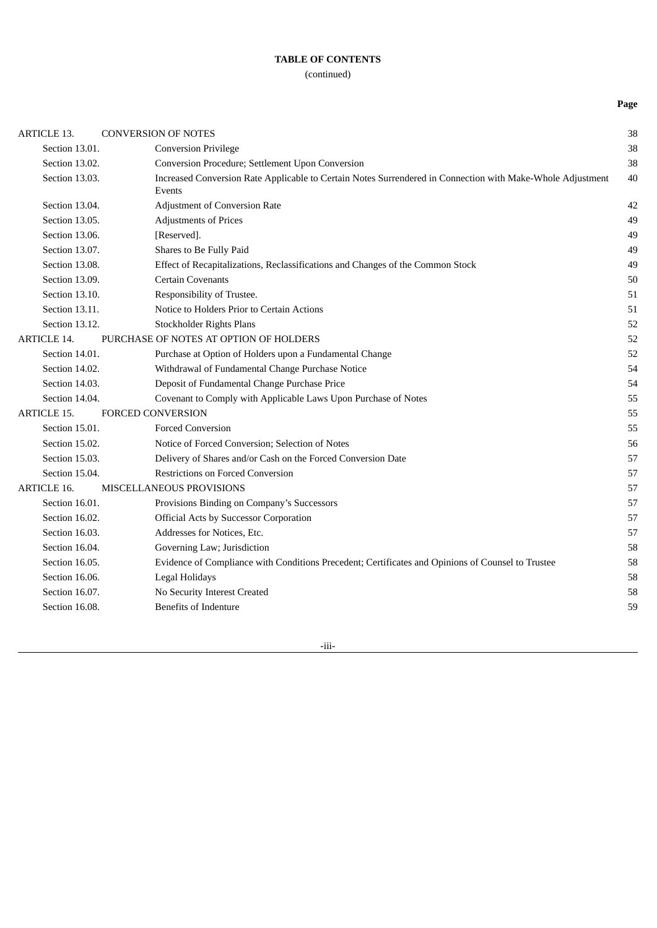(continued)

**Page**

| <b>ARTICLE 13.</b> | <b>CONVERSION OF NOTES</b>                                                                                           | 38 |
|--------------------|----------------------------------------------------------------------------------------------------------------------|----|
| Section 13.01.     | <b>Conversion Privilege</b>                                                                                          | 38 |
| Section 13.02.     | Conversion Procedure; Settlement Upon Conversion                                                                     | 38 |
| Section 13.03.     | Increased Conversion Rate Applicable to Certain Notes Surrendered in Connection with Make-Whole Adjustment<br>Events | 40 |
| Section 13.04.     | <b>Adjustment of Conversion Rate</b>                                                                                 | 42 |
| Section 13.05.     | <b>Adjustments of Prices</b>                                                                                         | 49 |
| Section 13.06.     | [Reserved].                                                                                                          | 49 |
| Section 13.07.     | Shares to Be Fully Paid                                                                                              | 49 |
| Section 13.08.     | Effect of Recapitalizations, Reclassifications and Changes of the Common Stock                                       | 49 |
| Section 13.09.     | <b>Certain Covenants</b>                                                                                             | 50 |
| Section 13.10.     | Responsibility of Trustee.                                                                                           | 51 |
| Section 13.11.     | Notice to Holders Prior to Certain Actions                                                                           | 51 |
| Section 13.12.     | Stockholder Rights Plans                                                                                             | 52 |
| <b>ARTICLE 14.</b> | PURCHASE OF NOTES AT OPTION OF HOLDERS                                                                               | 52 |
| Section 14.01.     | Purchase at Option of Holders upon a Fundamental Change                                                              | 52 |
| Section 14.02.     | Withdrawal of Fundamental Change Purchase Notice                                                                     | 54 |
| Section 14.03.     | Deposit of Fundamental Change Purchase Price                                                                         | 54 |
| Section 14.04.     | Covenant to Comply with Applicable Laws Upon Purchase of Notes                                                       | 55 |
| <b>ARTICLE 15.</b> | <b>FORCED CONVERSION</b>                                                                                             | 55 |
| Section 15.01.     | <b>Forced Conversion</b>                                                                                             | 55 |
| Section 15.02.     | Notice of Forced Conversion; Selection of Notes                                                                      | 56 |
| Section 15.03.     | Delivery of Shares and/or Cash on the Forced Conversion Date                                                         | 57 |
| Section 15.04.     | <b>Restrictions on Forced Conversion</b>                                                                             | 57 |
| <b>ARTICLE 16.</b> | MISCELLANEOUS PROVISIONS                                                                                             | 57 |
| Section 16.01.     | Provisions Binding on Company's Successors                                                                           | 57 |
| Section 16.02.     | <b>Official Acts by Successor Corporation</b>                                                                        | 57 |
| Section 16.03.     | Addresses for Notices, Etc.                                                                                          | 57 |
| Section 16.04.     | Governing Law; Jurisdiction                                                                                          | 58 |
| Section 16.05.     | Evidence of Compliance with Conditions Precedent; Certificates and Opinions of Counsel to Trustee                    | 58 |
| Section 16.06.     | Legal Holidays                                                                                                       | 58 |
| Section 16.07.     | No Security Interest Created                                                                                         | 58 |
| Section 16.08.     | <b>Benefits of Indenture</b>                                                                                         | 59 |
|                    |                                                                                                                      |    |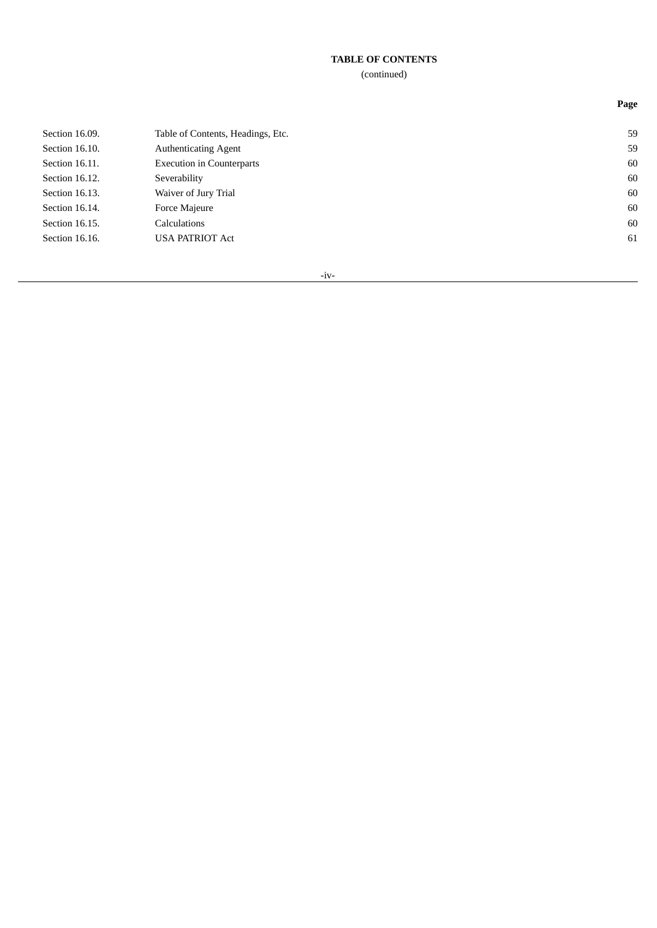# (continued)

| Section 16.09. | Table of Contents, Headings, Etc. | 59 |
|----------------|-----------------------------------|----|
| Section 16.10. | <b>Authenticating Agent</b>       | 59 |
| Section 16.11. | <b>Execution in Counterparts</b>  | 60 |
| Section 16.12. | Severability                      | 60 |
| Section 16.13. | Waiver of Jury Trial              | 60 |
| Section 16.14. | Force Majeure                     | 60 |
| Section 16.15. | Calculations                      | 60 |
| Section 16.16. | <b>USA PATRIOT Act</b>            | 61 |
|                |                                   |    |

-iv-

**Page**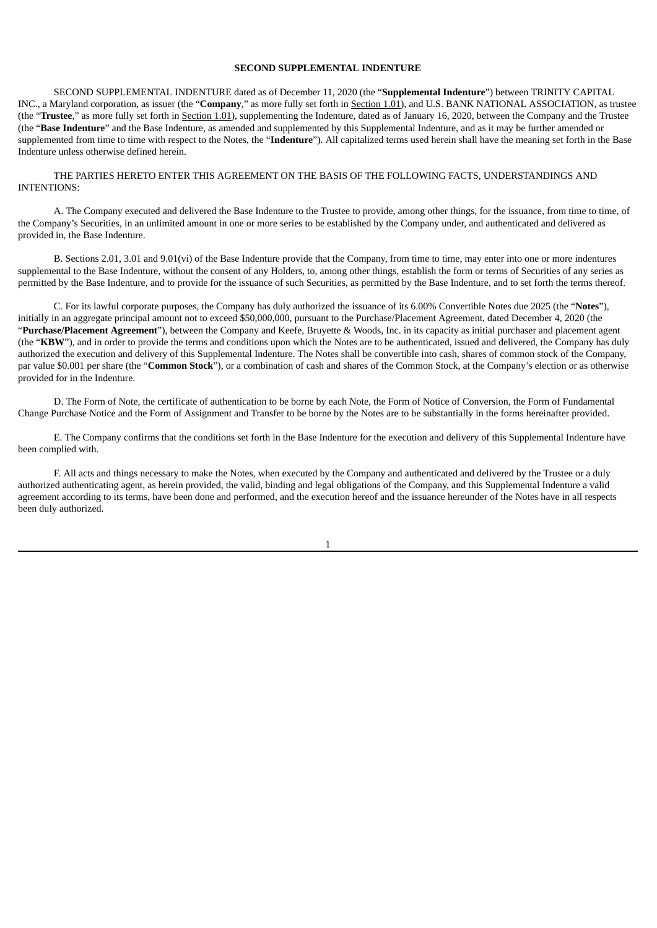#### **SECOND SUPPLEMENTAL INDENTURE**

SECOND SUPPLEMENTAL INDENTURE dated as of December 11, 2020 (the "**Supplemental Indenture**") between TRINITY CAPITAL INC., a Maryland corporation, as issuer (the "**Company**," as more fully set forth in Section 1.01), and U.S. BANK NATIONAL ASSOCIATION, as trustee (the "**Trustee**," as more fully set forth in Section 1.01), supplementing the Indenture, dated as of January 16, 2020, between the Company and the Trustee (the "**Base Indenture**" and the Base Indenture, as amended and supplemented by this Supplemental Indenture, and as it may be further amended or supplemented from time to time with respect to the Notes, the "**Indenture**"). All capitalized terms used herein shall have the meaning set forth in the Base Indenture unless otherwise defined herein.

THE PARTIES HERETO ENTER THIS AGREEMENT ON THE BASIS OF THE FOLLOWING FACTS, UNDERSTANDINGS AND INTENTIONS:

A. The Company executed and delivered the Base Indenture to the Trustee to provide, among other things, for the issuance, from time to time, of the Company's Securities, in an unlimited amount in one or more series to be established by the Company under, and authenticated and delivered as provided in, the Base Indenture.

B. Sections 2.01, 3.01 and 9.01(vi) of the Base Indenture provide that the Company, from time to time, may enter into one or more indentures supplemental to the Base Indenture, without the consent of any Holders, to, among other things, establish the form or terms of Securities of any series as permitted by the Base Indenture, and to provide for the issuance of such Securities, as permitted by the Base Indenture, and to set forth the terms thereof.

C. For its lawful corporate purposes, the Company has duly authorized the issuance of its 6.00% Convertible Notes due 2025 (the "**Notes**"), initially in an aggregate principal amount not to exceed \$50,000,000, pursuant to the Purchase/Placement Agreement, dated December 4, 2020 (the "**Purchase/Placement Agreement**"), between the Company and Keefe, Bruyette & Woods, Inc. in its capacity as initial purchaser and placement agent (the "**KBW**"), and in order to provide the terms and conditions upon which the Notes are to be authenticated, issued and delivered, the Company has duly authorized the execution and delivery of this Supplemental Indenture. The Notes shall be convertible into cash, shares of common stock of the Company, par value \$0.001 per share (the "**Common Stock**"), or a combination of cash and shares of the Common Stock, at the Company's election or as otherwise provided for in the Indenture.

D. The Form of Note, the certificate of authentication to be borne by each Note, the Form of Notice of Conversion, the Form of Fundamental Change Purchase Notice and the Form of Assignment and Transfer to be borne by the Notes are to be substantially in the forms hereinafter provided.

E. The Company confirms that the conditions set forth in the Base Indenture for the execution and delivery of this Supplemental Indenture have been complied with.

F. All acts and things necessary to make the Notes, when executed by the Company and authenticated and delivered by the Trustee or a duly authorized authenticating agent, as herein provided, the valid, binding and legal obligations of the Company, and this Supplemental Indenture a valid agreement according to its terms, have been done and performed, and the execution hereof and the issuance hereunder of the Notes have in all respects been duly authorized.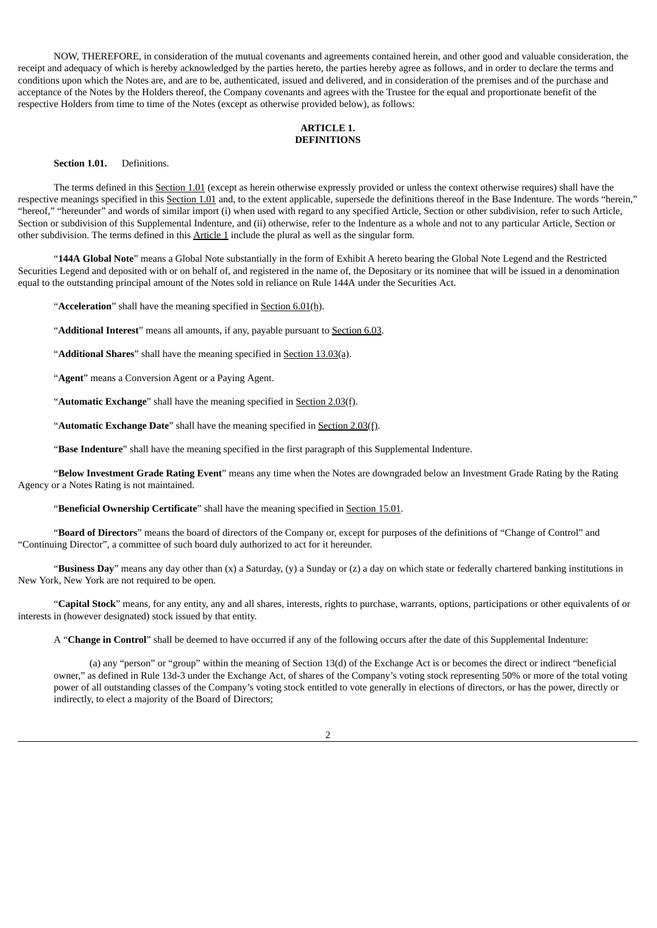NOW, THEREFORE, in consideration of the mutual covenants and agreements contained herein, and other good and valuable consideration, the receipt and adequacy of which is hereby acknowledged by the parties hereto, the parties hereby agree as follows, and in order to declare the terms and conditions upon which the Notes are, and are to be, authenticated, issued and delivered, and in consideration of the premises and of the purchase and acceptance of the Notes by the Holders thereof, the Company covenants and agrees with the Trustee for the equal and proportionate benefit of the respective Holders from time to time of the Notes (except as otherwise provided below), as follows:

#### **ARTICLE 1. DEFINITIONS**

#### **Section 1.01.** Definitions.

The terms defined in this Section 1.01 (except as herein otherwise expressly provided or unless the context otherwise requires) shall have the respective meanings specified in this Section 1.01 and, to the extent applicable, supersede the definitions thereof in the Base Indenture. The words "herein," "hereof," "hereunder" and words of similar import (i) when used with regard to any specified Article, Section or other subdivision, refer to such Article, Section or subdivision of this Supplemental Indenture, and (ii) otherwise, refer to the Indenture as a whole and not to any particular Article, Section or other subdivision. The terms defined in this Article 1 include the plural as well as the singular form.

"**144A Global Note**" means a Global Note substantially in the form of Exhibit A hereto bearing the Global Note Legend and the Restricted Securities Legend and deposited with or on behalf of, and registered in the name of, the Depositary or its nominee that will be issued in a denomination equal to the outstanding principal amount of the Notes sold in reliance on Rule 144A under the Securities Act.

"**Acceleration**" shall have the meaning specified in Section 6.01(h).

"**Additional Interest**" means all amounts, if any, payable pursuant to Section 6.03.

"**Additional Shares**" shall have the meaning specified in Section 13.03(a).

"**Agent**" means a Conversion Agent or a Paying Agent.

"**Automatic Exchange**" shall have the meaning specified in Section 2.03(f).

"**Automatic Exchange Date**" shall have the meaning specified in Section 2.03(f).

"**Base Indenture**" shall have the meaning specified in the first paragraph of this Supplemental Indenture.

"**Below Investment Grade Rating Event**" means any time when the Notes are downgraded below an Investment Grade Rating by the Rating Agency or a Notes Rating is not maintained.

"**Beneficial Ownership Certificate**" shall have the meaning specified in Section 15.01.

"**Board of Directors**" means the board of directors of the Company or, except for purposes of the definitions of "Change of Control" and "Continuing Director", a committee of such board duly authorized to act for it hereunder.

"**Business Day**" means any day other than (x) a Saturday, (y) a Sunday or (z) a day on which state or federally chartered banking institutions in New York, New York are not required to be open.

"**Capital Stock**" means, for any entity, any and all shares, interests, rights to purchase, warrants, options, participations or other equivalents of or interests in (however designated) stock issued by that entity.

A "**Change in Control**" shall be deemed to have occurred if any of the following occurs after the date of this Supplemental Indenture:

(a) any "person" or "group" within the meaning of Section 13(d) of the Exchange Act is or becomes the direct or indirect "beneficial owner," as defined in Rule 13d-3 under the Exchange Act, of shares of the Company's voting stock representing 50% or more of the total voting power of all outstanding classes of the Company's voting stock entitled to vote generally in elections of directors, or has the power, directly or indirectly, to elect a majority of the Board of Directors;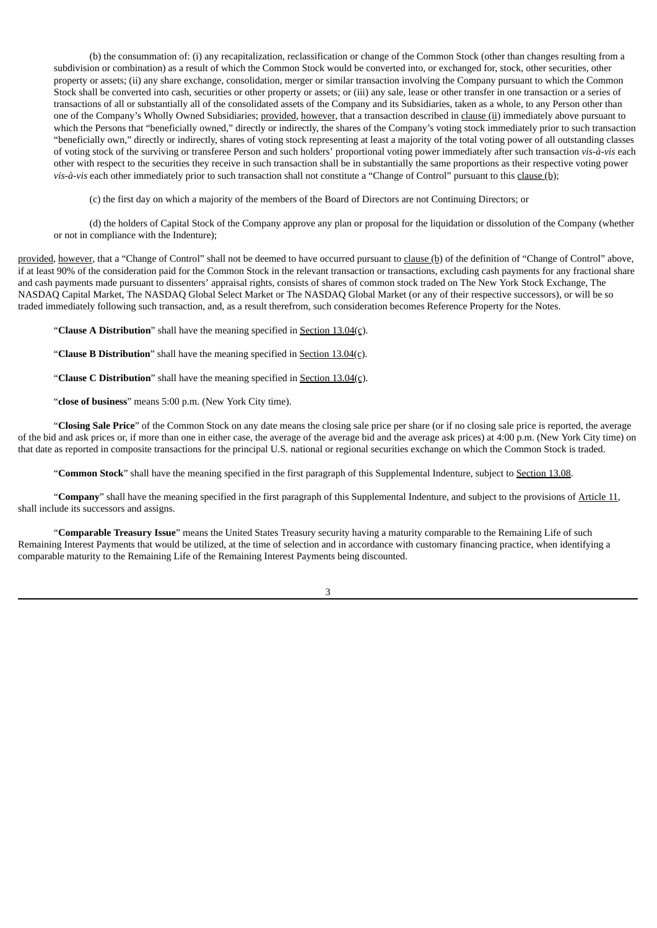(b) the consummation of: (i) any recapitalization, reclassification or change of the Common Stock (other than changes resulting from a subdivision or combination) as a result of which the Common Stock would be converted into, or exchanged for, stock, other securities, other property or assets; (ii) any share exchange, consolidation, merger or similar transaction involving the Company pursuant to which the Common Stock shall be converted into cash, securities or other property or assets; or (iii) any sale, lease or other transfer in one transaction or a series of transactions of all or substantially all of the consolidated assets of the Company and its Subsidiaries, taken as a whole, to any Person other than one of the Company's Wholly Owned Subsidiaries; provided, however, that a transaction described in clause (ii) immediately above pursuant to which the Persons that "beneficially owned," directly or indirectly, the shares of the Company's voting stock immediately prior to such transaction "beneficially own," directly or indirectly, shares of voting stock representing at least a majority of the total voting power of all outstanding classes of voting stock of the surviving or transferee Person and such holders' proportional voting power immediately after such transaction *vis-à-vis* each other with respect to the securities they receive in such transaction shall be in substantially the same proportions as their respective voting power *vis-à-vis* each other immediately prior to such transaction shall not constitute a "Change of Control" pursuant to this clause (b);

(c) the first day on which a majority of the members of the Board of Directors are not Continuing Directors; or

(d) the holders of Capital Stock of the Company approve any plan or proposal for the liquidation or dissolution of the Company (whether or not in compliance with the Indenture);

provided, however, that a "Change of Control" shall not be deemed to have occurred pursuant to clause (b) of the definition of "Change of Control" above, if at least 90% of the consideration paid for the Common Stock in the relevant transaction or transactions, excluding cash payments for any fractional share and cash payments made pursuant to dissenters' appraisal rights, consists of shares of common stock traded on The New York Stock Exchange, The NASDAQ Capital Market, The NASDAQ Global Select Market or The NASDAQ Global Market (or any of their respective successors), or will be so traded immediately following such transaction, and, as a result therefrom, such consideration becomes Reference Property for the Notes.

"**Clause A Distribution**" shall have the meaning specified in Section 13.04(c).

"**Clause B Distribution**" shall have the meaning specified in Section 13.04(c).

"**Clause C Distribution**" shall have the meaning specified in Section 13.04(c).

"**close of business**" means 5:00 p.m. (New York City time).

"**Closing Sale Price**" of the Common Stock on any date means the closing sale price per share (or if no closing sale price is reported, the average of the bid and ask prices or, if more than one in either case, the average of the average bid and the average ask prices) at 4:00 p.m. (New York City time) on that date as reported in composite transactions for the principal U.S. national or regional securities exchange on which the Common Stock is traded.

"**Common Stock**" shall have the meaning specified in the first paragraph of this Supplemental Indenture, subject to Section 13.08.

"**Company**" shall have the meaning specified in the first paragraph of this Supplemental Indenture, and subject to the provisions of Article 11, shall include its successors and assigns.

"**Comparable Treasury Issue**" means the United States Treasury security having a maturity comparable to the Remaining Life of such Remaining Interest Payments that would be utilized, at the time of selection and in accordance with customary financing practice, when identifying a comparable maturity to the Remaining Life of the Remaining Interest Payments being discounted.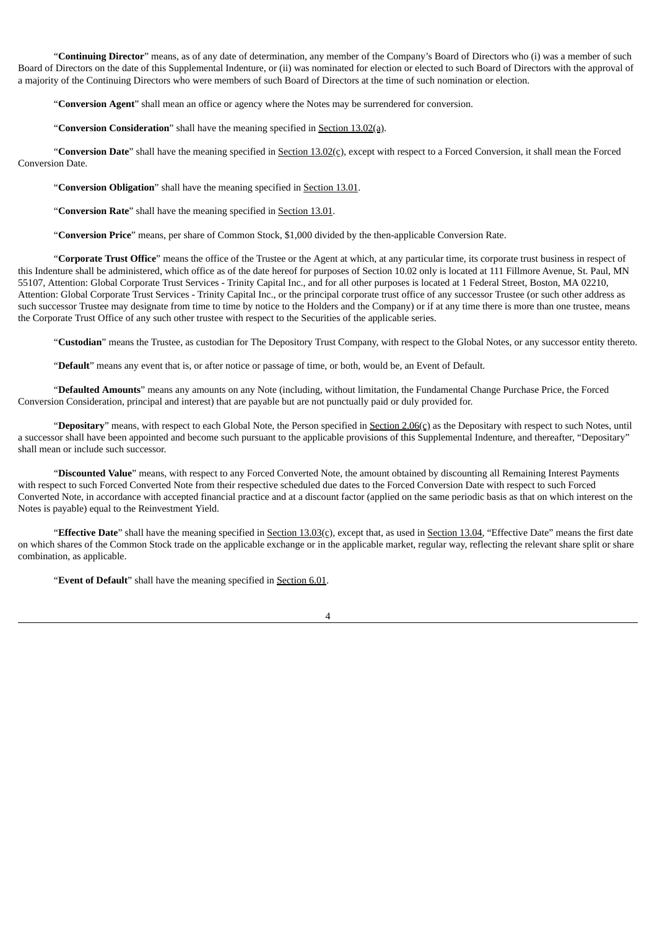"**Continuing Director**" means, as of any date of determination, any member of the Company's Board of Directors who (i) was a member of such Board of Directors on the date of this Supplemental Indenture, or (ii) was nominated for election or elected to such Board of Directors with the approval of a majority of the Continuing Directors who were members of such Board of Directors at the time of such nomination or election.

"**Conversion Agent**" shall mean an office or agency where the Notes may be surrendered for conversion.

"**Conversion Consideration**" shall have the meaning specified in Section 13.02(a).

"**Conversion Date**" shall have the meaning specified in Section 13.02(c), except with respect to a Forced Conversion, it shall mean the Forced Conversion Date.

"**Conversion Obligation**" shall have the meaning specified in Section 13.01.

"**Conversion Rate**" shall have the meaning specified in Section 13.01.

"**Conversion Price**" means, per share of Common Stock, \$1,000 divided by the then-applicable Conversion Rate.

"**Corporate Trust Office**" means the office of the Trustee or the Agent at which, at any particular time, its corporate trust business in respect of this Indenture shall be administered, which office as of the date hereof for purposes of Section 10.02 only is located at 111 Fillmore Avenue, St. Paul, MN 55107, Attention: Global Corporate Trust Services - Trinity Capital Inc., and for all other purposes is located at 1 Federal Street, Boston, MA 02210, Attention: Global Corporate Trust Services - Trinity Capital Inc., or the principal corporate trust office of any successor Trustee (or such other address as such successor Trustee may designate from time to time by notice to the Holders and the Company) or if at any time there is more than one trustee, means the Corporate Trust Office of any such other trustee with respect to the Securities of the applicable series.

"**Custodian**" means the Trustee, as custodian for The Depository Trust Company, with respect to the Global Notes, or any successor entity thereto.

"**Default**" means any event that is, or after notice or passage of time, or both, would be, an Event of Default.

"**Defaulted Amounts**" means any amounts on any Note (including, without limitation, the Fundamental Change Purchase Price, the Forced Conversion Consideration, principal and interest) that are payable but are not punctually paid or duly provided for.

"**Depositary**" means, with respect to each Global Note, the Person specified in Section 2.06(c) as the Depositary with respect to such Notes, until a successor shall have been appointed and become such pursuant to the applicable provisions of this Supplemental Indenture, and thereafter, "Depositary" shall mean or include such successor.

"**Discounted Value**" means, with respect to any Forced Converted Note, the amount obtained by discounting all Remaining Interest Payments with respect to such Forced Converted Note from their respective scheduled due dates to the Forced Conversion Date with respect to such Forced Converted Note, in accordance with accepted financial practice and at a discount factor (applied on the same periodic basis as that on which interest on the Notes is payable) equal to the Reinvestment Yield.

"**Effective Date**" shall have the meaning specified in Section 13.03(c), except that, as used in Section 13.04, "Effective Date" means the first date on which shares of the Common Stock trade on the applicable exchange or in the applicable market, regular way, reflecting the relevant share split or share combination, as applicable.

"**Event of Default**" shall have the meaning specified in Section 6.01.

 $\overline{A}$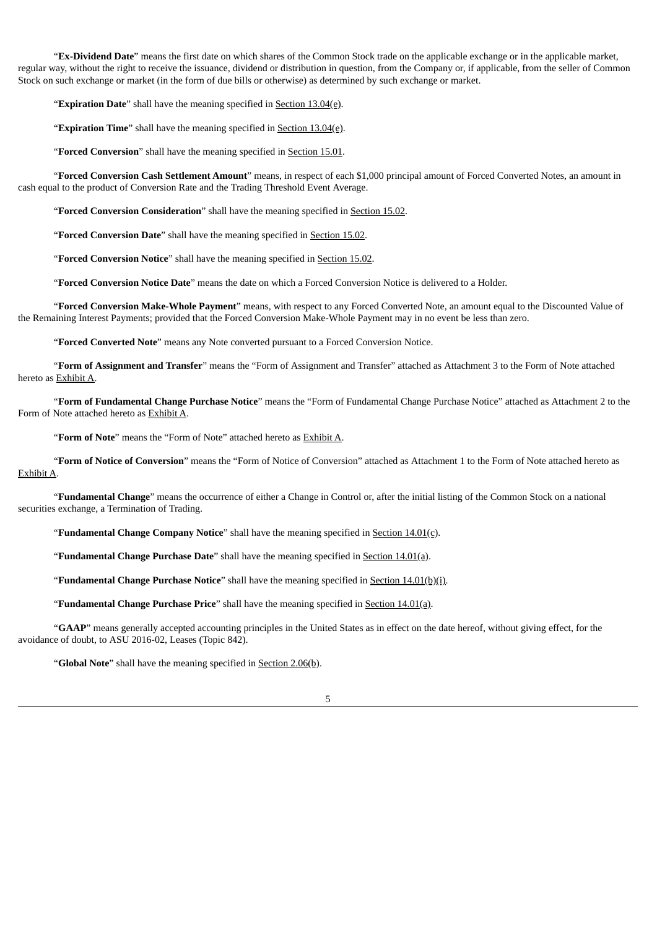"**Ex-Dividend Date**" means the first date on which shares of the Common Stock trade on the applicable exchange or in the applicable market, regular way, without the right to receive the issuance, dividend or distribution in question, from the Company or, if applicable, from the seller of Common Stock on such exchange or market (in the form of due bills or otherwise) as determined by such exchange or market.

"**Expiration Date**" shall have the meaning specified in Section 13.04(e).

"**Expiration Time**" shall have the meaning specified in Section 13.04(e).

"**Forced Conversion**" shall have the meaning specified in Section 15.01.

"**Forced Conversion Cash Settlement Amount**" means, in respect of each \$1,000 principal amount of Forced Converted Notes, an amount in cash equal to the product of Conversion Rate and the Trading Threshold Event Average.

"**Forced Conversion Consideration**" shall have the meaning specified in Section 15.02.

"**Forced Conversion Date**" shall have the meaning specified in Section 15.02.

"**Forced Conversion Notice**" shall have the meaning specified in Section 15.02.

"**Forced Conversion Notice Date**" means the date on which a Forced Conversion Notice is delivered to a Holder.

"**Forced Conversion Make-Whole Payment**" means, with respect to any Forced Converted Note, an amount equal to the Discounted Value of the Remaining Interest Payments; provided that the Forced Conversion Make-Whole Payment may in no event be less than zero.

"**Forced Converted Note**" means any Note converted pursuant to a Forced Conversion Notice.

"**Form of Assignment and Transfer**" means the "Form of Assignment and Transfer" attached as Attachment 3 to the Form of Note attached hereto as Exhibit A.

"**Form of Fundamental Change Purchase Notice**" means the "Form of Fundamental Change Purchase Notice" attached as Attachment 2 to the Form of Note attached hereto as Exhibit A.

"**Form of Note**" means the "Form of Note" attached hereto as Exhibit A.

"**Form of Notice of Conversion**" means the "Form of Notice of Conversion" attached as Attachment 1 to the Form of Note attached hereto as Exhibit A.

"**Fundamental Change**" means the occurrence of either a Change in Control or, after the initial listing of the Common Stock on a national securities exchange, a Termination of Trading.

"**Fundamental Change Company Notice**" shall have the meaning specified in Section 14.01(c).

"**Fundamental Change Purchase Date**" shall have the meaning specified in Section 14.01(a).

"**Fundamental Change Purchase Notice**" shall have the meaning specified in Section 14.01(b)(i).

"**Fundamental Change Purchase Price**" shall have the meaning specified in Section 14.01(a).

"**GAAP**" means generally accepted accounting principles in the United States as in effect on the date hereof, without giving effect, for the avoidance of doubt, to ASU 2016-02, Leases (Topic 842).

"**Global Note**" shall have the meaning specified in **Section 2.06(b)**.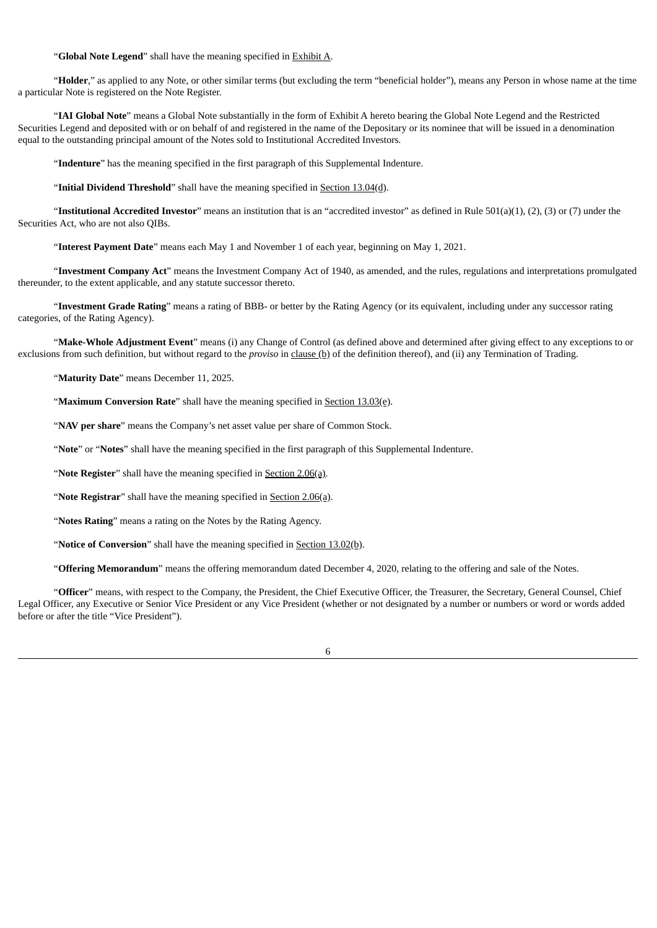#### "**Global Note Legend**" shall have the meaning specified in Exhibit A.

"**Holder**," as applied to any Note, or other similar terms (but excluding the term "beneficial holder"), means any Person in whose name at the time a particular Note is registered on the Note Register.

"**IAI Global Note**" means a Global Note substantially in the form of Exhibit A hereto bearing the Global Note Legend and the Restricted Securities Legend and deposited with or on behalf of and registered in the name of the Depositary or its nominee that will be issued in a denomination equal to the outstanding principal amount of the Notes sold to Institutional Accredited Investors*.*

"**Indenture**" has the meaning specified in the first paragraph of this Supplemental Indenture.

"**Initial Dividend Threshold**" shall have the meaning specified in Section 13.04(d).

"**Institutional Accredited Investor**" means an institution that is an "accredited investor" as defined in Rule 501(a)(1), (2), (3) or (7) under the Securities Act, who are not also QIBs.

"**Interest Payment Date**" means each May 1 and November 1 of each year, beginning on May 1, 2021.

"**Investment Company Act**" means the Investment Company Act of 1940, as amended, and the rules, regulations and interpretations promulgated thereunder, to the extent applicable, and any statute successor thereto.

"**Investment Grade Rating**" means a rating of BBB- or better by the Rating Agency (or its equivalent, including under any successor rating categories, of the Rating Agency).

"**Make-Whole Adjustment Event**" means (i) any Change of Control (as defined above and determined after giving effect to any exceptions to or exclusions from such definition, but without regard to the *proviso* in clause (b) of the definition thereof), and (ii) any Termination of Trading.

"**Maturity Date**" means December 11, 2025.

"**Maximum Conversion Rate**" shall have the meaning specified in **Section 13.03(e)**.

"**NAV per share**" means the Company's net asset value per share of Common Stock.

"**Note**" or "**Notes**" shall have the meaning specified in the first paragraph of this Supplemental Indenture.

"**Note Register**" shall have the meaning specified in **Section 2.06(a)**.

"**Note Registrar**" shall have the meaning specified in Section 2.06(a).

"**Notes Rating**" means a rating on the Notes by the Rating Agency.

"**Notice of Conversion**" shall have the meaning specified in Section 13.02(b).

"**Offering Memorandum**" means the offering memorandum dated December 4, 2020, relating to the offering and sale of the Notes.

"**Officer**" means, with respect to the Company, the President, the Chief Executive Officer, the Treasurer, the Secretary, General Counsel, Chief Legal Officer, any Executive or Senior Vice President or any Vice President (whether or not designated by a number or numbers or word or words added before or after the title "Vice President").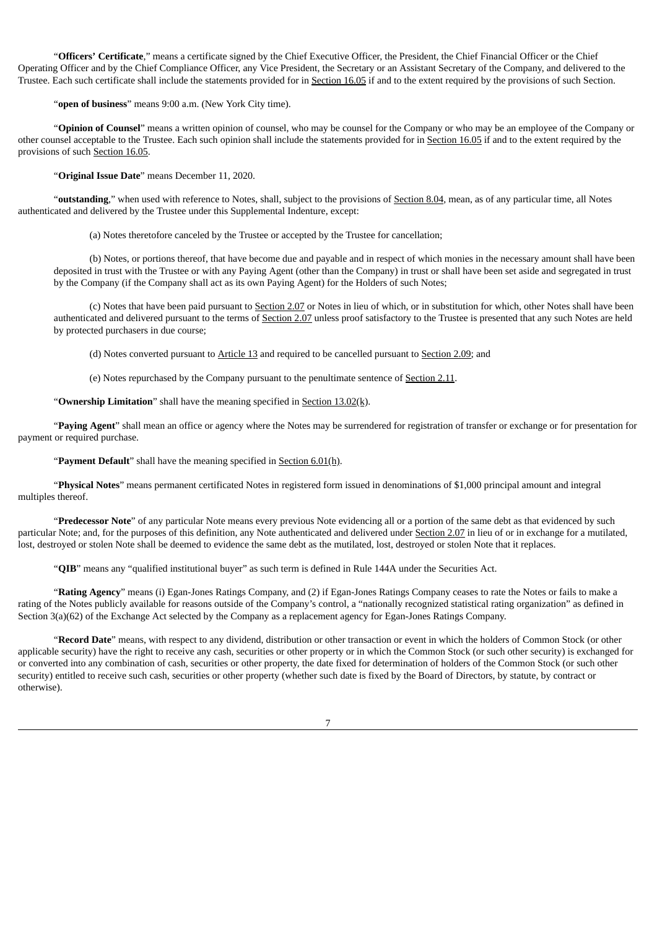"**Officers' Certificate**," means a certificate signed by the Chief Executive Officer, the President, the Chief Financial Officer or the Chief Operating Officer and by the Chief Compliance Officer, any Vice President, the Secretary or an Assistant Secretary of the Company, and delivered to the Trustee. Each such certificate shall include the statements provided for in Section 16.05 if and to the extent required by the provisions of such Section.

"**open of business**" means 9:00 a.m. (New York City time).

"**Opinion of Counsel**" means a written opinion of counsel, who may be counsel for the Company or who may be an employee of the Company or other counsel acceptable to the Trustee. Each such opinion shall include the statements provided for in Section 16.05 if and to the extent required by the provisions of such Section 16.05.

"**Original Issue Date**" means December 11, 2020.

"**outstanding**," when used with reference to Notes, shall, subject to the provisions of Section 8.04, mean, as of any particular time, all Notes authenticated and delivered by the Trustee under this Supplemental Indenture, except:

(a) Notes theretofore canceled by the Trustee or accepted by the Trustee for cancellation;

(b) Notes, or portions thereof, that have become due and payable and in respect of which monies in the necessary amount shall have been deposited in trust with the Trustee or with any Paying Agent (other than the Company) in trust or shall have been set aside and segregated in trust by the Company (if the Company shall act as its own Paying Agent) for the Holders of such Notes;

(c) Notes that have been paid pursuant to Section 2.07 or Notes in lieu of which, or in substitution for which, other Notes shall have been authenticated and delivered pursuant to the terms of Section 2.07 unless proof satisfactory to the Trustee is presented that any such Notes are held by protected purchasers in due course;

(d) Notes converted pursuant to Article 13 and required to be cancelled pursuant to Section 2.09; and

(e) Notes repurchased by the Company pursuant to the penultimate sentence of Section 2.11.

"**Ownership Limitation**" shall have the meaning specified in Section 13.02(k).

"**Paying Agent**" shall mean an office or agency where the Notes may be surrendered for registration of transfer or exchange or for presentation for payment or required purchase.

"**Payment Default**" shall have the meaning specified in Section 6.01(h).

"**Physical Notes**" means permanent certificated Notes in registered form issued in denominations of \$1,000 principal amount and integral multiples thereof.

"**Predecessor Note**" of any particular Note means every previous Note evidencing all or a portion of the same debt as that evidenced by such particular Note; and, for the purposes of this definition, any Note authenticated and delivered under Section 2.07 in lieu of or in exchange for a mutilated, lost, destroyed or stolen Note shall be deemed to evidence the same debt as the mutilated, lost, destroyed or stolen Note that it replaces.

"**QIB**" means any "qualified institutional buyer" as such term is defined in Rule 144A under the Securities Act.

"**Rating Agency**" means (i) Egan-Jones Ratings Company, and (2) if Egan-Jones Ratings Company ceases to rate the Notes or fails to make a rating of the Notes publicly available for reasons outside of the Company's control, a "nationally recognized statistical rating organization" as defined in Section 3(a)(62) of the Exchange Act selected by the Company as a replacement agency for Egan-Jones Ratings Company.

"**Record Date**" means, with respect to any dividend, distribution or other transaction or event in which the holders of Common Stock (or other applicable security) have the right to receive any cash, securities or other property or in which the Common Stock (or such other security) is exchanged for or converted into any combination of cash, securities or other property, the date fixed for determination of holders of the Common Stock (or such other security) entitled to receive such cash, securities or other property (whether such date is fixed by the Board of Directors, by statute, by contract or otherwise).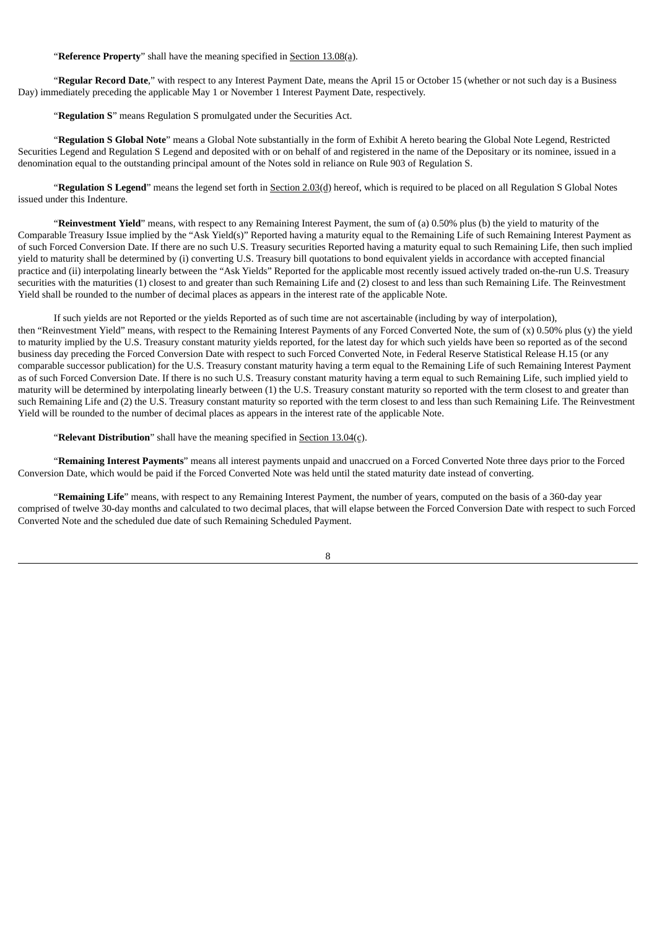"**Reference Property**" shall have the meaning specified in Section 13.08(a).

"**Regular Record Date**," with respect to any Interest Payment Date, means the April 15 or October 15 (whether or not such day is a Business Day) immediately preceding the applicable May 1 or November 1 Interest Payment Date, respectively.

"**Regulation S**" means Regulation S promulgated under the Securities Act.

"**Regulation S Global Note**" means a Global Note substantially in the form of Exhibit A hereto bearing the Global Note Legend, Restricted Securities Legend and Regulation S Legend and deposited with or on behalf of and registered in the name of the Depositary or its nominee, issued in a denomination equal to the outstanding principal amount of the Notes sold in reliance on Rule 903 of Regulation S.

"**Regulation S Legend**" means the legend set forth in Section 2.03(d) hereof, which is required to be placed on all Regulation S Global Notes issued under this Indenture.

"**Reinvestment Yield**" means, with respect to any Remaining Interest Payment, the sum of (a) 0.50% plus (b) the yield to maturity of the Comparable Treasury Issue implied by the "Ask Yield(s)" Reported having a maturity equal to the Remaining Life of such Remaining Interest Payment as of such Forced Conversion Date. If there are no such U.S. Treasury securities Reported having a maturity equal to such Remaining Life, then such implied yield to maturity shall be determined by (i) converting U.S. Treasury bill quotations to bond equivalent yields in accordance with accepted financial practice and (ii) interpolating linearly between the "Ask Yields" Reported for the applicable most recently issued actively traded on-the-run U.S. Treasury securities with the maturities (1) closest to and greater than such Remaining Life and (2) closest to and less than such Remaining Life. The Reinvestment Yield shall be rounded to the number of decimal places as appears in the interest rate of the applicable Note.

If such yields are not Reported or the yields Reported as of such time are not ascertainable (including by way of interpolation), then "Reinvestment Yield" means, with respect to the Remaining Interest Payments of any Forced Converted Note, the sum of (x) 0.50% plus (y) the yield to maturity implied by the U.S. Treasury constant maturity yields reported, for the latest day for which such yields have been so reported as of the second business day preceding the Forced Conversion Date with respect to such Forced Converted Note, in Federal Reserve Statistical Release H.15 (or any comparable successor publication) for the U.S. Treasury constant maturity having a term equal to the Remaining Life of such Remaining Interest Payment as of such Forced Conversion Date. If there is no such U.S. Treasury constant maturity having a term equal to such Remaining Life, such implied yield to maturity will be determined by interpolating linearly between (1) the U.S. Treasury constant maturity so reported with the term closest to and greater than such Remaining Life and (2) the U.S. Treasury constant maturity so reported with the term closest to and less than such Remaining Life. The Reinvestment Yield will be rounded to the number of decimal places as appears in the interest rate of the applicable Note.

"**Relevant Distribution**" shall have the meaning specified in Section 13.04(c).

"**Remaining Interest Payments**" means all interest payments unpaid and unaccrued on a Forced Converted Note three days prior to the Forced Conversion Date, which would be paid if the Forced Converted Note was held until the stated maturity date instead of converting.

"**Remaining Life**" means, with respect to any Remaining Interest Payment, the number of years, computed on the basis of a 360-day year comprised of twelve 30-day months and calculated to two decimal places, that will elapse between the Forced Conversion Date with respect to such Forced Converted Note and the scheduled due date of such Remaining Scheduled Payment.

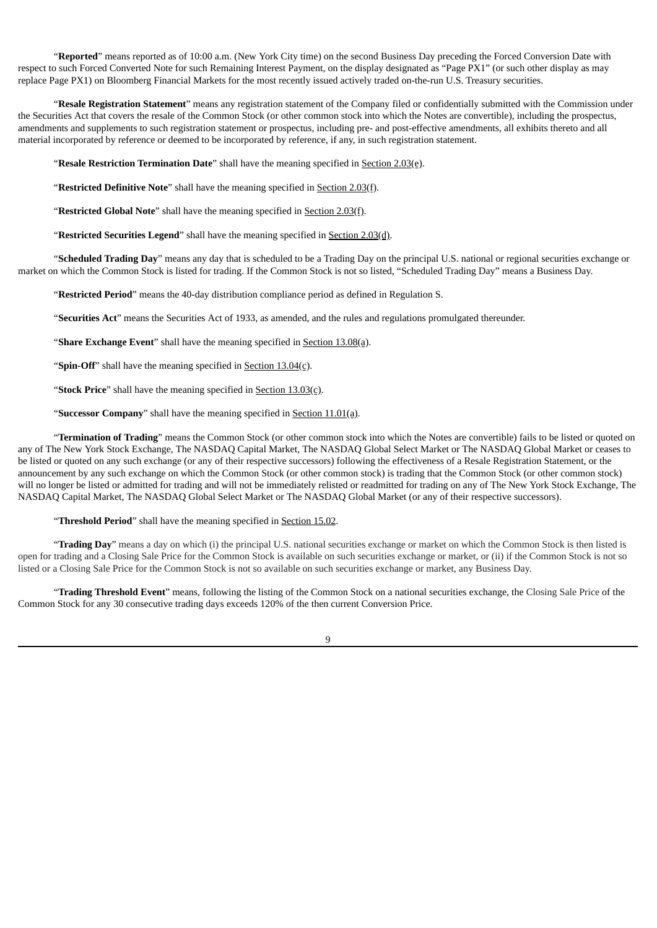"**Reported**" means reported as of 10:00 a.m. (New York City time) on the second Business Day preceding the Forced Conversion Date with respect to such Forced Converted Note for such Remaining Interest Payment, on the display designated as "Page PX1" (or such other display as may replace Page PX1) on Bloomberg Financial Markets for the most recently issued actively traded on-the-run U.S. Treasury securities.

"**Resale Registration Statement**" means any registration statement of the Company filed or confidentially submitted with the Commission under the Securities Act that covers the resale of the Common Stock (or other common stock into which the Notes are convertible), including the prospectus, amendments and supplements to such registration statement or prospectus, including pre- and post-effective amendments, all exhibits thereto and all material incorporated by reference or deemed to be incorporated by reference, if any, in such registration statement.

"**Resale Restriction Termination Date**" shall have the meaning specified in Section 2.03(e).

"**Restricted Definitive Note**" shall have the meaning specified in Section 2.03(f).

"**Restricted Global Note**" shall have the meaning specified in Section 2.03(f).

"**Restricted Securities Legend**" shall have the meaning specified in Section 2.03(d).

"**Scheduled Trading Day**" means any day that is scheduled to be a Trading Day on the principal U.S. national or regional securities exchange or market on which the Common Stock is listed for trading. If the Common Stock is not so listed, "Scheduled Trading Day" means a Business Day.

"**Restricted Period**" means the 40-day distribution compliance period as defined in Regulation S.

"**Securities Act**" means the Securities Act of 1933, as amended, and the rules and regulations promulgated thereunder.

"**Share Exchange Event**" shall have the meaning specified in Section 13.08(a).

"**Spin-Off**" shall have the meaning specified in **Section 13.04(c)**.

"**Stock Price**" shall have the meaning specified in Section 13.03(c).

"**Successor Company**" shall have the meaning specified in Section 11.01(a).

"**Termination of Trading**" means the Common Stock (or other common stock into which the Notes are convertible) fails to be listed or quoted on any of The New York Stock Exchange, The NASDAQ Capital Market, The NASDAQ Global Select Market or The NASDAQ Global Market or ceases to be listed or quoted on any such exchange (or any of their respective successors) following the effectiveness of a Resale Registration Statement, or the announcement by any such exchange on which the Common Stock (or other common stock) is trading that the Common Stock (or other common stock) will no longer be listed or admitted for trading and will not be immediately relisted or readmitted for trading on any of The New York Stock Exchange, The NASDAQ Capital Market, The NASDAQ Global Select Market or The NASDAQ Global Market (or any of their respective successors).

"**Threshold Period**" shall have the meaning specified in Section 15.02.

"**Trading Day**" means a day on which (i) the principal U.S. national securities exchange or market on which the Common Stock is then listed is open for trading and a Closing Sale Price for the Common Stock is available on such securities exchange or market, or (ii) if the Common Stock is not so listed or a Closing Sale Price for the Common Stock is not so available on such securities exchange or market, any Business Day.

"**Trading Threshold Event**" means, following the listing of the Common Stock on a national securities exchange, the Closing Sale Price of the Common Stock for any 30 consecutive trading days exceeds 120% of the then current Conversion Price.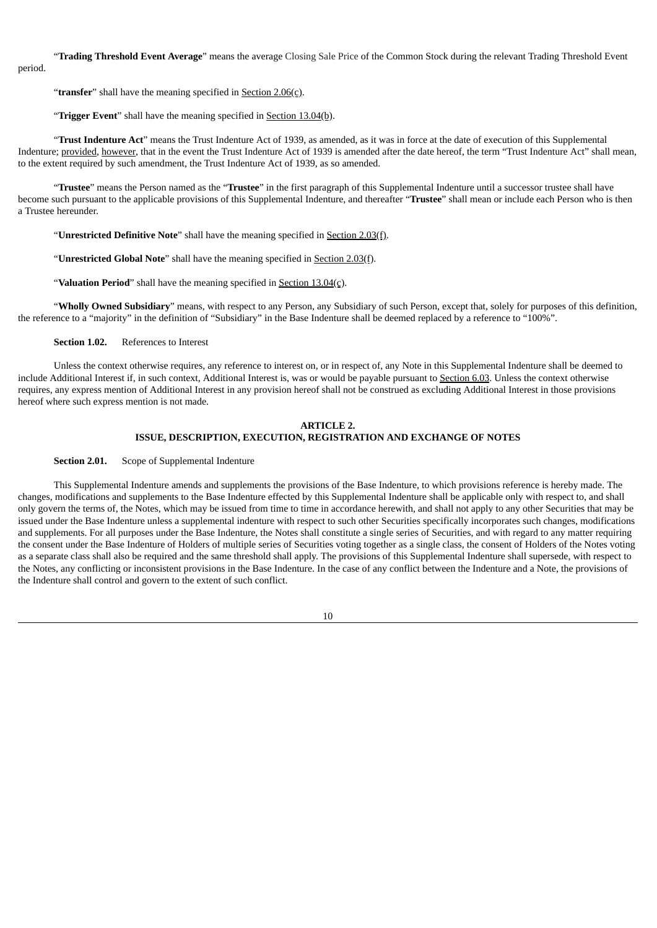"**Trading Threshold Event Average**" means the average Closing Sale Price of the Common Stock during the relevant Trading Threshold Event

period.

"**transfer**" shall have the meaning specified in Section 2.06(c).

"**Trigger Event**" shall have the meaning specified in Section 13.04(b).

"**Trust Indenture Act**" means the Trust Indenture Act of 1939, as amended, as it was in force at the date of execution of this Supplemental Indenture; provided, however, that in the event the Trust Indenture Act of 1939 is amended after the date hereof, the term "Trust Indenture Act" shall mean, to the extent required by such amendment, the Trust Indenture Act of 1939, as so amended.

"**Trustee**" means the Person named as the "**Trustee**" in the first paragraph of this Supplemental Indenture until a successor trustee shall have become such pursuant to the applicable provisions of this Supplemental Indenture, and thereafter "**Trustee**" shall mean or include each Person who is then a Trustee hereunder.

"**Unrestricted Definitive Note**" shall have the meaning specified in Section 2.03(f).

"**Unrestricted Global Note**" shall have the meaning specified in Section 2.03(f).

"Valuation Period" shall have the meaning specified in **Section 13.04(c)**.

"**Wholly Owned Subsidiary**" means, with respect to any Person, any Subsidiary of such Person, except that, solely for purposes of this definition, the reference to a "majority" in the definition of "Subsidiary" in the Base Indenture shall be deemed replaced by a reference to "100%".

**Section 1.02.** References to Interest

Unless the context otherwise requires, any reference to interest on, or in respect of, any Note in this Supplemental Indenture shall be deemed to include Additional Interest if, in such context, Additional Interest is, was or would be payable pursuant to Section 6.03. Unless the context otherwise requires, any express mention of Additional Interest in any provision hereof shall not be construed as excluding Additional Interest in those provisions hereof where such express mention is not made.

#### **ARTICLE 2. ISSUE, DESCRIPTION, EXECUTION, REGISTRATION AND EXCHANGE OF NOTES**

**Section 2.01.** Scope of Supplemental Indenture

This Supplemental Indenture amends and supplements the provisions of the Base Indenture, to which provisions reference is hereby made. The changes, modifications and supplements to the Base Indenture effected by this Supplemental Indenture shall be applicable only with respect to, and shall only govern the terms of, the Notes, which may be issued from time to time in accordance herewith, and shall not apply to any other Securities that may be issued under the Base Indenture unless a supplemental indenture with respect to such other Securities specifically incorporates such changes, modifications and supplements. For all purposes under the Base Indenture, the Notes shall constitute a single series of Securities, and with regard to any matter requiring the consent under the Base Indenture of Holders of multiple series of Securities voting together as a single class, the consent of Holders of the Notes voting as a separate class shall also be required and the same threshold shall apply. The provisions of this Supplemental Indenture shall supersede, with respect to the Notes, any conflicting or inconsistent provisions in the Base Indenture. In the case of any conflict between the Indenture and a Note, the provisions of the Indenture shall control and govern to the extent of such conflict.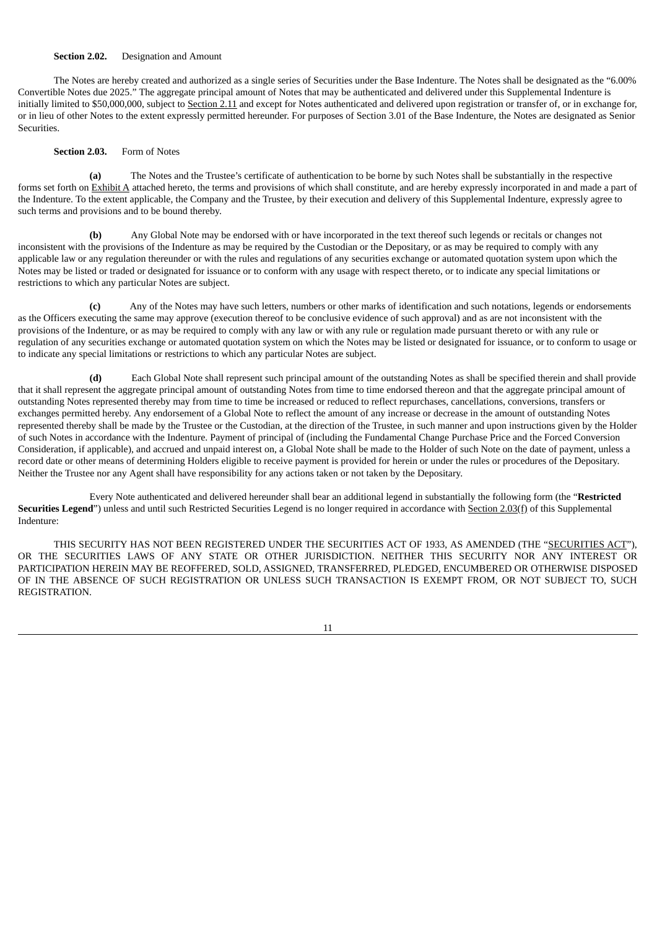#### **Section 2.02.** Designation and Amount

The Notes are hereby created and authorized as a single series of Securities under the Base Indenture. The Notes shall be designated as the "6.00% Convertible Notes due 2025." The aggregate principal amount of Notes that may be authenticated and delivered under this Supplemental Indenture is initially limited to \$50,000,000, subject to Section 2.11 and except for Notes authenticated and delivered upon registration or transfer of, or in exchange for, or in lieu of other Notes to the extent expressly permitted hereunder. For purposes of Section 3.01 of the Base Indenture, the Notes are designated as Senior **Securities** 

### **Section 2.03.** Form of Notes

**(a)** The Notes and the Trustee's certificate of authentication to be borne by such Notes shall be substantially in the respective forms set forth on Exhibit A attached hereto, the terms and provisions of which shall constitute, and are hereby expressly incorporated in and made a part of the Indenture. To the extent applicable, the Company and the Trustee, by their execution and delivery of this Supplemental Indenture, expressly agree to such terms and provisions and to be bound thereby.

**(b)** Any Global Note may be endorsed with or have incorporated in the text thereof such legends or recitals or changes not inconsistent with the provisions of the Indenture as may be required by the Custodian or the Depositary, or as may be required to comply with any applicable law or any regulation thereunder or with the rules and regulations of any securities exchange or automated quotation system upon which the Notes may be listed or traded or designated for issuance or to conform with any usage with respect thereto, or to indicate any special limitations or restrictions to which any particular Notes are subject.

**(c)** Any of the Notes may have such letters, numbers or other marks of identification and such notations, legends or endorsements as the Officers executing the same may approve (execution thereof to be conclusive evidence of such approval) and as are not inconsistent with the provisions of the Indenture, or as may be required to comply with any law or with any rule or regulation made pursuant thereto or with any rule or regulation of any securities exchange or automated quotation system on which the Notes may be listed or designated for issuance, or to conform to usage or to indicate any special limitations or restrictions to which any particular Notes are subject.

**(d)** Each Global Note shall represent such principal amount of the outstanding Notes as shall be specified therein and shall provide that it shall represent the aggregate principal amount of outstanding Notes from time to time endorsed thereon and that the aggregate principal amount of outstanding Notes represented thereby may from time to time be increased or reduced to reflect repurchases, cancellations, conversions, transfers or exchanges permitted hereby. Any endorsement of a Global Note to reflect the amount of any increase or decrease in the amount of outstanding Notes represented thereby shall be made by the Trustee or the Custodian, at the direction of the Trustee, in such manner and upon instructions given by the Holder of such Notes in accordance with the Indenture. Payment of principal of (including the Fundamental Change Purchase Price and the Forced Conversion Consideration, if applicable), and accrued and unpaid interest on, a Global Note shall be made to the Holder of such Note on the date of payment, unless a record date or other means of determining Holders eligible to receive payment is provided for herein or under the rules or procedures of the Depositary. Neither the Trustee nor any Agent shall have responsibility for any actions taken or not taken by the Depositary.

Every Note authenticated and delivered hereunder shall bear an additional legend in substantially the following form (the "**Restricted** Securities Legend") unless and until such Restricted Securities Legend is no longer required in accordance with Section 2.03(f) of this Supplemental Indenture:

THIS SECURITY HAS NOT BEEN REGISTERED UNDER THE SECURITIES ACT OF 1933, AS AMENDED (THE "SECURITIES ACT"), OR THE SECURITIES LAWS OF ANY STATE OR OTHER JURISDICTION. NEITHER THIS SECURITY NOR ANY INTEREST OR PARTICIPATION HEREIN MAY BE REOFFERED, SOLD, ASSIGNED, TRANSFERRED, PLEDGED, ENCUMBERED OR OTHERWISE DISPOSED OF IN THE ABSENCE OF SUCH REGISTRATION OR UNLESS SUCH TRANSACTION IS EXEMPT FROM, OR NOT SUBJECT TO, SUCH REGISTRATION.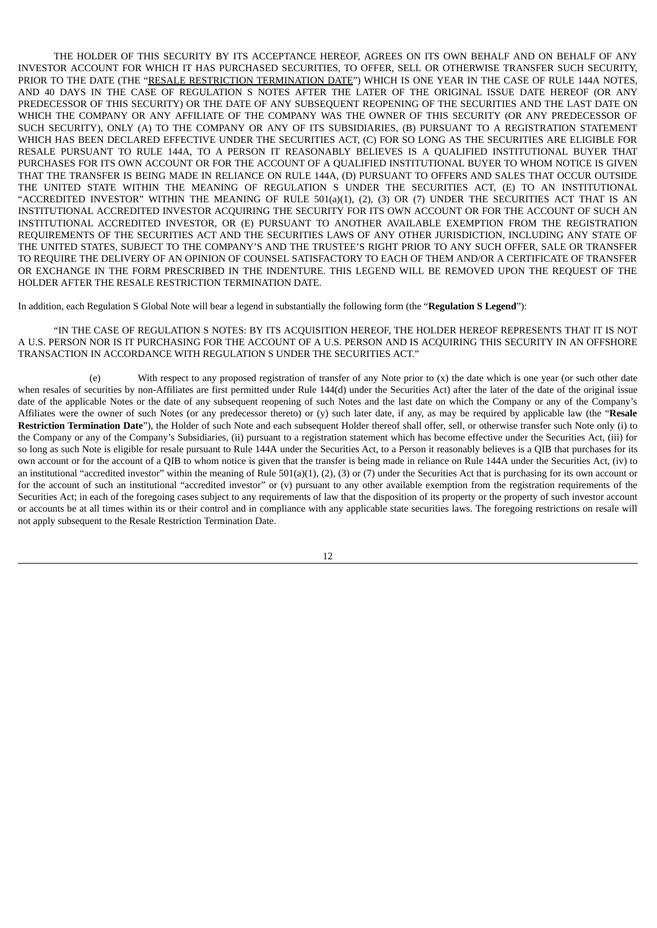THE HOLDER OF THIS SECURITY BY ITS ACCEPTANCE HEREOF, AGREES ON ITS OWN BEHALF AND ON BEHALF OF ANY INVESTOR ACCOUNT FOR WHICH IT HAS PURCHASED SECURITIES, TO OFFER, SELL OR OTHERWISE TRANSFER SUCH SECURITY, PRIOR TO THE DATE (THE "RESALE RESTRICTION TERMINATION DATE") WHICH IS ONE YEAR IN THE CASE OF RULE 144A NOTES, AND 40 DAYS IN THE CASE OF REGULATION S NOTES AFTER THE LATER OF THE ORIGINAL ISSUE DATE HEREOF (OR ANY PREDECESSOR OF THIS SECURITY) OR THE DATE OF ANY SUBSEQUENT REOPENING OF THE SECURITIES AND THE LAST DATE ON WHICH THE COMPANY OR ANY AFFILIATE OF THE COMPANY WAS THE OWNER OF THIS SECURITY (OR ANY PREDECESSOR OF SUCH SECURITY), ONLY (A) TO THE COMPANY OR ANY OF ITS SUBSIDIARIES, (B) PURSUANT TO A REGISTRATION STATEMENT WHICH HAS BEEN DECLARED EFFECTIVE UNDER THE SECURITIES ACT, (C) FOR SO LONG AS THE SECURITIES ARE ELIGIBLE FOR RESALE PURSUANT TO RULE 144A, TO A PERSON IT REASONABLY BELIEVES IS A QUALIFIED INSTITUTIONAL BUYER THAT PURCHASES FOR ITS OWN ACCOUNT OR FOR THE ACCOUNT OF A QUALIFIED INSTITUTIONAL BUYER TO WHOM NOTICE IS GIVEN THAT THE TRANSFER IS BEING MADE IN RELIANCE ON RULE 144A, (D) PURSUANT TO OFFERS AND SALES THAT OCCUR OUTSIDE THE UNITED STATE WITHIN THE MEANING OF REGULATION S UNDER THE SECURITIES ACT, (E) TO AN INSTITUTIONAL "ACCREDITED INVESTOR" WITHIN THE MEANING OF RULE 501(a)(1), (2), (3) OR (7) UNDER THE SECURITIES ACT THAT IS AN INSTITUTIONAL ACCREDITED INVESTOR ACQUIRING THE SECURITY FOR ITS OWN ACCOUNT OR FOR THE ACCOUNT OF SUCH AN INSTITUTIONAL ACCREDITED INVESTOR, OR (E) PURSUANT TO ANOTHER AVAILABLE EXEMPTION FROM THE REGISTRATION REQUIREMENTS OF THE SECURITIES ACT AND THE SECURITIES LAWS OF ANY OTHER JURISDICTION, INCLUDING ANY STATE OF THE UNITED STATES, SUBJECT TO THE COMPANY'S AND THE TRUSTEE'S RIGHT PRIOR TO ANY SUCH OFFER, SALE OR TRANSFER TO REQUIRE THE DELIVERY OF AN OPINION OF COUNSEL SATISFACTORY TO EACH OF THEM AND/OR A CERTIFICATE OF TRANSFER OR EXCHANGE IN THE FORM PRESCRIBED IN THE INDENTURE. THIS LEGEND WILL BE REMOVED UPON THE REQUEST OF THE HOLDER AFTER THE RESALE RESTRICTION TERMINATION DATE.

In addition, each Regulation S Global Note will bear a legend in substantially the following form (the "**Regulation S Legend**"):

"IN THE CASE OF REGULATION S NOTES: BY ITS ACQUISITION HEREOF, THE HOLDER HEREOF REPRESENTS THAT IT IS NOT A U.S. PERSON NOR IS IT PURCHASING FOR THE ACCOUNT OF A U.S. PERSON AND IS ACQUIRING THIS SECURITY IN AN OFFSHORE TRANSACTION IN ACCORDANCE WITH REGULATION S UNDER THE SECURITIES ACT."

(e) With respect to any proposed registration of transfer of any Note prior to (x) the date which is one year (or such other date when resales of securities by non-Affiliates are first permitted under Rule 144(d) under the Securities Act) after the later of the date of the original issue date of the applicable Notes or the date of any subsequent reopening of such Notes and the last date on which the Company or any of the Company's Affiliates were the owner of such Notes (or any predecessor thereto) or (y) such later date, if any, as may be required by applicable law (the "**Resale Restriction Termination Date**"), the Holder of such Note and each subsequent Holder thereof shall offer, sell, or otherwise transfer such Note only (i) to the Company or any of the Company's Subsidiaries, (ii) pursuant to a registration statement which has become effective under the Securities Act, (iii) for so long as such Note is eligible for resale pursuant to Rule 144A under the Securities Act, to a Person it reasonably believes is a QIB that purchases for its own account or for the account of a QIB to whom notice is given that the transfer is being made in reliance on Rule 144A under the Securities Act, (iv) to an institutional "accredited investor" within the meaning of Rule  $501(a)(1)$ ,  $(2)$ ,  $(3)$  or  $(7)$  under the Securities Act that is purchasing for its own account or for the account of such an institutional "accredited investor" or (v) pursuant to any other available exemption from the registration requirements of the Securities Act; in each of the foregoing cases subject to any requirements of law that the disposition of its property or the property of such investor account or accounts be at all times within its or their control and in compliance with any applicable state securities laws. The foregoing restrictions on resale will not apply subsequent to the Resale Restriction Termination Date.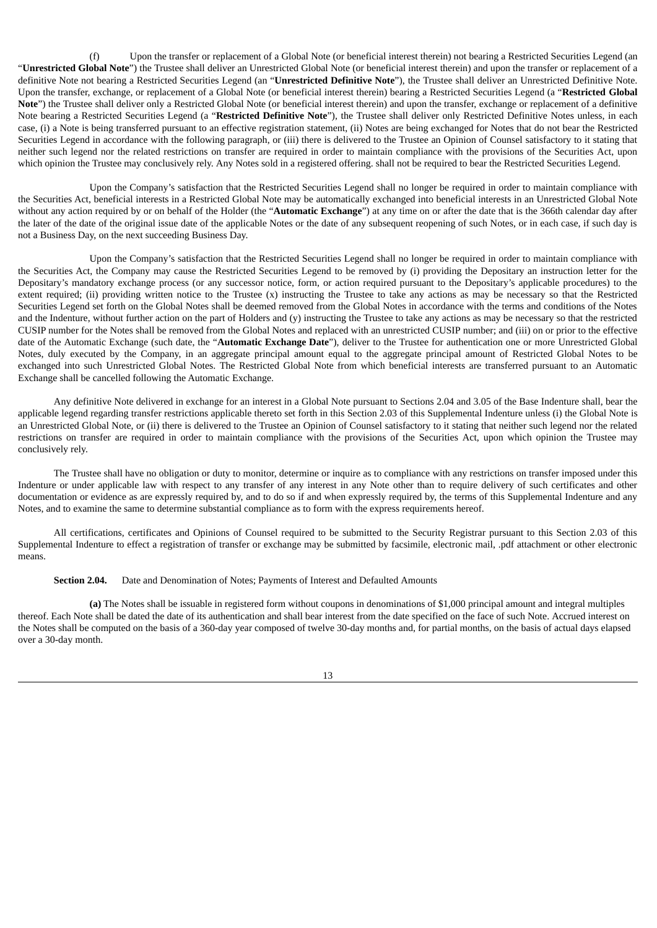(f) Upon the transfer or replacement of a Global Note (or beneficial interest therein) not bearing a Restricted Securities Legend (an "**Unrestricted Global Note**") the Trustee shall deliver an Unrestricted Global Note (or beneficial interest therein) and upon the transfer or replacement of a definitive Note not bearing a Restricted Securities Legend (an "**Unrestricted Definitive Note**"), the Trustee shall deliver an Unrestricted Definitive Note. Upon the transfer, exchange, or replacement of a Global Note (or beneficial interest therein) bearing a Restricted Securities Legend (a "**Restricted Global Note**") the Trustee shall deliver only a Restricted Global Note (or beneficial interest therein) and upon the transfer, exchange or replacement of a definitive Note bearing a Restricted Securities Legend (a "**Restricted Definitive Note**"), the Trustee shall deliver only Restricted Definitive Notes unless, in each case, (i) a Note is being transferred pursuant to an effective registration statement, (ii) Notes are being exchanged for Notes that do not bear the Restricted Securities Legend in accordance with the following paragraph, or (iii) there is delivered to the Trustee an Opinion of Counsel satisfactory to it stating that neither such legend nor the related restrictions on transfer are required in order to maintain compliance with the provisions of the Securities Act, upon which opinion the Trustee may conclusively rely. Any Notes sold in a registered offering. shall not be required to bear the Restricted Securities Legend.

Upon the Company's satisfaction that the Restricted Securities Legend shall no longer be required in order to maintain compliance with the Securities Act, beneficial interests in a Restricted Global Note may be automatically exchanged into beneficial interests in an Unrestricted Global Note without any action required by or on behalf of the Holder (the "**Automatic Exchange**") at any time on or after the date that is the 366th calendar day after the later of the date of the original issue date of the applicable Notes or the date of any subsequent reopening of such Notes, or in each case, if such day is not a Business Day, on the next succeeding Business Day.

Upon the Company's satisfaction that the Restricted Securities Legend shall no longer be required in order to maintain compliance with the Securities Act, the Company may cause the Restricted Securities Legend to be removed by (i) providing the Depositary an instruction letter for the Depositary's mandatory exchange process (or any successor notice, form, or action required pursuant to the Depositary's applicable procedures) to the extent required; (ii) providing written notice to the Trustee (x) instructing the Trustee to take any actions as may be necessary so that the Restricted Securities Legend set forth on the Global Notes shall be deemed removed from the Global Notes in accordance with the terms and conditions of the Notes and the Indenture, without further action on the part of Holders and (y) instructing the Trustee to take any actions as may be necessary so that the restricted CUSIP number for the Notes shall be removed from the Global Notes and replaced with an unrestricted CUSIP number; and (iii) on or prior to the effective date of the Automatic Exchange (such date, the "**Automatic Exchange Date**"), deliver to the Trustee for authentication one or more Unrestricted Global Notes, duly executed by the Company, in an aggregate principal amount equal to the aggregate principal amount of Restricted Global Notes to be exchanged into such Unrestricted Global Notes. The Restricted Global Note from which beneficial interests are transferred pursuant to an Automatic Exchange shall be cancelled following the Automatic Exchange.

Any definitive Note delivered in exchange for an interest in a Global Note pursuant to Sections 2.04 and 3.05 of the Base Indenture shall, bear the applicable legend regarding transfer restrictions applicable thereto set forth in this Section 2.03 of this Supplemental Indenture unless (i) the Global Note is an Unrestricted Global Note, or (ii) there is delivered to the Trustee an Opinion of Counsel satisfactory to it stating that neither such legend nor the related restrictions on transfer are required in order to maintain compliance with the provisions of the Securities Act, upon which opinion the Trustee may conclusively rely.

The Trustee shall have no obligation or duty to monitor, determine or inquire as to compliance with any restrictions on transfer imposed under this Indenture or under applicable law with respect to any transfer of any interest in any Note other than to require delivery of such certificates and other documentation or evidence as are expressly required by, and to do so if and when expressly required by, the terms of this Supplemental Indenture and any Notes, and to examine the same to determine substantial compliance as to form with the express requirements hereof.

All certifications, certificates and Opinions of Counsel required to be submitted to the Security Registrar pursuant to this Section 2.03 of this Supplemental Indenture to effect a registration of transfer or exchange may be submitted by facsimile, electronic mail, .pdf attachment or other electronic means.

#### **Section 2.04.** Date and Denomination of Notes; Payments of Interest and Defaulted Amounts

**(a)** The Notes shall be issuable in registered form without coupons in denominations of \$1,000 principal amount and integral multiples thereof. Each Note shall be dated the date of its authentication and shall bear interest from the date specified on the face of such Note. Accrued interest on the Notes shall be computed on the basis of a 360-day year composed of twelve 30-day months and, for partial months, on the basis of actual days elapsed over a 30-day month.

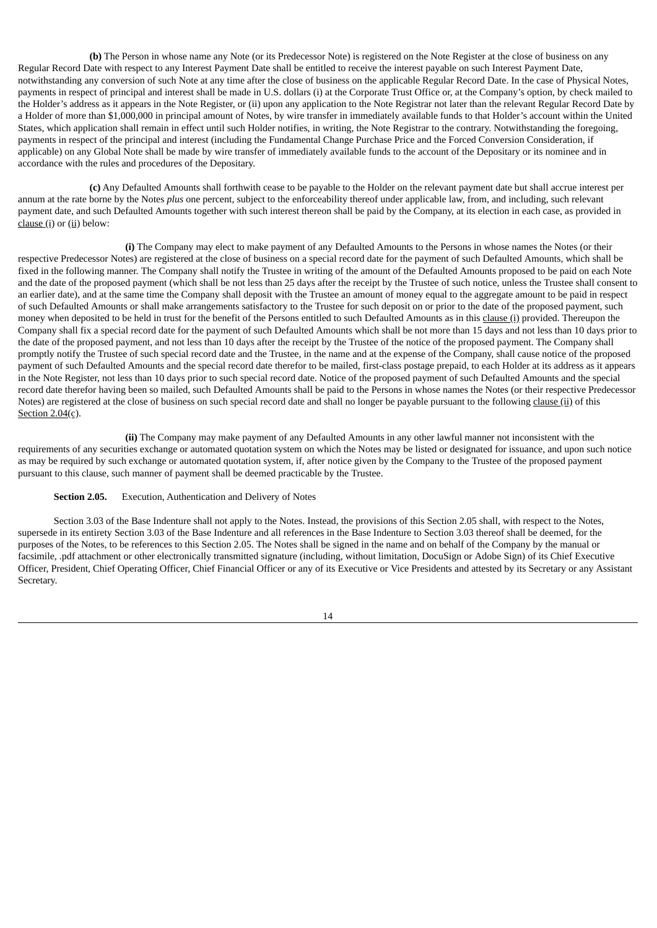**(b)** The Person in whose name any Note (or its Predecessor Note) is registered on the Note Register at the close of business on any Regular Record Date with respect to any Interest Payment Date shall be entitled to receive the interest payable on such Interest Payment Date, notwithstanding any conversion of such Note at any time after the close of business on the applicable Regular Record Date. In the case of Physical Notes, payments in respect of principal and interest shall be made in U.S. dollars (i) at the Corporate Trust Office or, at the Company's option, by check mailed to the Holder's address as it appears in the Note Register, or (ii) upon any application to the Note Registrar not later than the relevant Regular Record Date by a Holder of more than \$1,000,000 in principal amount of Notes, by wire transfer in immediately available funds to that Holder's account within the United States, which application shall remain in effect until such Holder notifies, in writing, the Note Registrar to the contrary. Notwithstanding the foregoing, payments in respect of the principal and interest (including the Fundamental Change Purchase Price and the Forced Conversion Consideration, if applicable) on any Global Note shall be made by wire transfer of immediately available funds to the account of the Depositary or its nominee and in accordance with the rules and procedures of the Depositary.

**(c)** Any Defaulted Amounts shall forthwith cease to be payable to the Holder on the relevant payment date but shall accrue interest per annum at the rate borne by the Notes *plus* one percent, subject to the enforceability thereof under applicable law, from, and including, such relevant payment date, and such Defaulted Amounts together with such interest thereon shall be paid by the Company, at its election in each case, as provided in clause (i) or (ii) below:

**(i)** The Company may elect to make payment of any Defaulted Amounts to the Persons in whose names the Notes (or their respective Predecessor Notes) are registered at the close of business on a special record date for the payment of such Defaulted Amounts, which shall be fixed in the following manner. The Company shall notify the Trustee in writing of the amount of the Defaulted Amounts proposed to be paid on each Note and the date of the proposed payment (which shall be not less than 25 days after the receipt by the Trustee of such notice, unless the Trustee shall consent to an earlier date), and at the same time the Company shall deposit with the Trustee an amount of money equal to the aggregate amount to be paid in respect of such Defaulted Amounts or shall make arrangements satisfactory to the Trustee for such deposit on or prior to the date of the proposed payment, such money when deposited to be held in trust for the benefit of the Persons entitled to such Defaulted Amounts as in this clause (i) provided. Thereupon the Company shall fix a special record date for the payment of such Defaulted Amounts which shall be not more than 15 days and not less than 10 days prior to the date of the proposed payment, and not less than 10 days after the receipt by the Trustee of the notice of the proposed payment. The Company shall promptly notify the Trustee of such special record date and the Trustee, in the name and at the expense of the Company, shall cause notice of the proposed payment of such Defaulted Amounts and the special record date therefor to be mailed, first-class postage prepaid, to each Holder at its address as it appears in the Note Register, not less than 10 days prior to such special record date. Notice of the proposed payment of such Defaulted Amounts and the special record date therefor having been so mailed, such Defaulted Amounts shall be paid to the Persons in whose names the Notes (or their respective Predecessor Notes) are registered at the close of business on such special record date and shall no longer be payable pursuant to the following clause (ii) of this Section 2.04(c).

**(ii)** The Company may make payment of any Defaulted Amounts in any other lawful manner not inconsistent with the requirements of any securities exchange or automated quotation system on which the Notes may be listed or designated for issuance, and upon such notice as may be required by such exchange or automated quotation system, if, after notice given by the Company to the Trustee of the proposed payment pursuant to this clause, such manner of payment shall be deemed practicable by the Trustee.

#### **Section 2.05.** Execution, Authentication and Delivery of Notes

Section 3.03 of the Base Indenture shall not apply to the Notes. Instead, the provisions of this Section 2.05 shall, with respect to the Notes, supersede in its entirety Section 3.03 of the Base Indenture and all references in the Base Indenture to Section 3.03 thereof shall be deemed, for the purposes of the Notes, to be references to this Section 2.05. The Notes shall be signed in the name and on behalf of the Company by the manual or facsimile, .pdf attachment or other electronically transmitted signature (including, without limitation, DocuSign or Adobe Sign) of its Chief Executive Officer, President, Chief Operating Officer, Chief Financial Officer or any of its Executive or Vice Presidents and attested by its Secretary or any Assistant Secretary.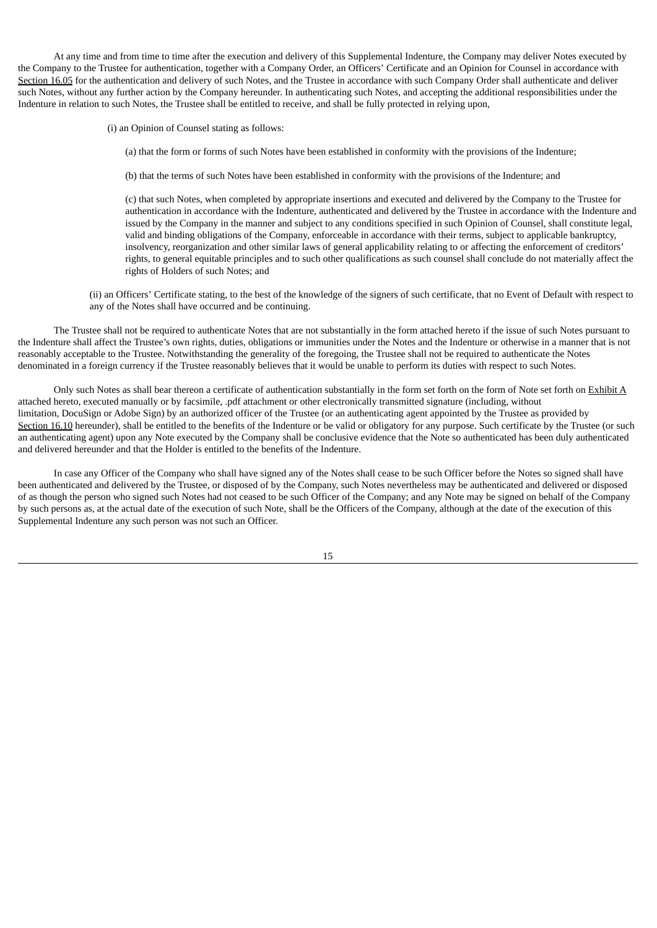At any time and from time to time after the execution and delivery of this Supplemental Indenture, the Company may deliver Notes executed by the Company to the Trustee for authentication, together with a Company Order, an Officers' Certificate and an Opinion for Counsel in accordance with Section 16.05 for the authentication and delivery of such Notes, and the Trustee in accordance with such Company Order shall authenticate and deliver such Notes, without any further action by the Company hereunder. In authenticating such Notes, and accepting the additional responsibilities under the Indenture in relation to such Notes, the Trustee shall be entitled to receive, and shall be fully protected in relying upon,

(i) an Opinion of Counsel stating as follows:

(a) that the form or forms of such Notes have been established in conformity with the provisions of the Indenture;

(b) that the terms of such Notes have been established in conformity with the provisions of the Indenture; and

(c) that such Notes, when completed by appropriate insertions and executed and delivered by the Company to the Trustee for authentication in accordance with the Indenture, authenticated and delivered by the Trustee in accordance with the Indenture and issued by the Company in the manner and subject to any conditions specified in such Opinion of Counsel, shall constitute legal, valid and binding obligations of the Company, enforceable in accordance with their terms, subject to applicable bankruptcy, insolvency, reorganization and other similar laws of general applicability relating to or affecting the enforcement of creditors' rights, to general equitable principles and to such other qualifications as such counsel shall conclude do not materially affect the rights of Holders of such Notes; and

(ii) an Officers' Certificate stating, to the best of the knowledge of the signers of such certificate, that no Event of Default with respect to any of the Notes shall have occurred and be continuing.

The Trustee shall not be required to authenticate Notes that are not substantially in the form attached hereto if the issue of such Notes pursuant to the Indenture shall affect the Trustee's own rights, duties, obligations or immunities under the Notes and the Indenture or otherwise in a manner that is not reasonably acceptable to the Trustee. Notwithstanding the generality of the foregoing, the Trustee shall not be required to authenticate the Notes denominated in a foreign currency if the Trustee reasonably believes that it would be unable to perform its duties with respect to such Notes.

Only such Notes as shall bear thereon a certificate of authentication substantially in the form set forth on the form of Note set forth on Exhibit A attached hereto, executed manually or by facsimile, .pdf attachment or other electronically transmitted signature (including, without limitation, DocuSign or Adobe Sign) by an authorized officer of the Trustee (or an authenticating agent appointed by the Trustee as provided by Section 16.10 hereunder), shall be entitled to the benefits of the Indenture or be valid or obligatory for any purpose. Such certificate by the Trustee (or such an authenticating agent) upon any Note executed by the Company shall be conclusive evidence that the Note so authenticated has been duly authenticated and delivered hereunder and that the Holder is entitled to the benefits of the Indenture.

In case any Officer of the Company who shall have signed any of the Notes shall cease to be such Officer before the Notes so signed shall have been authenticated and delivered by the Trustee, or disposed of by the Company, such Notes nevertheless may be authenticated and delivered or disposed of as though the person who signed such Notes had not ceased to be such Officer of the Company; and any Note may be signed on behalf of the Company by such persons as, at the actual date of the execution of such Note, shall be the Officers of the Company, although at the date of the execution of this Supplemental Indenture any such person was not such an Officer.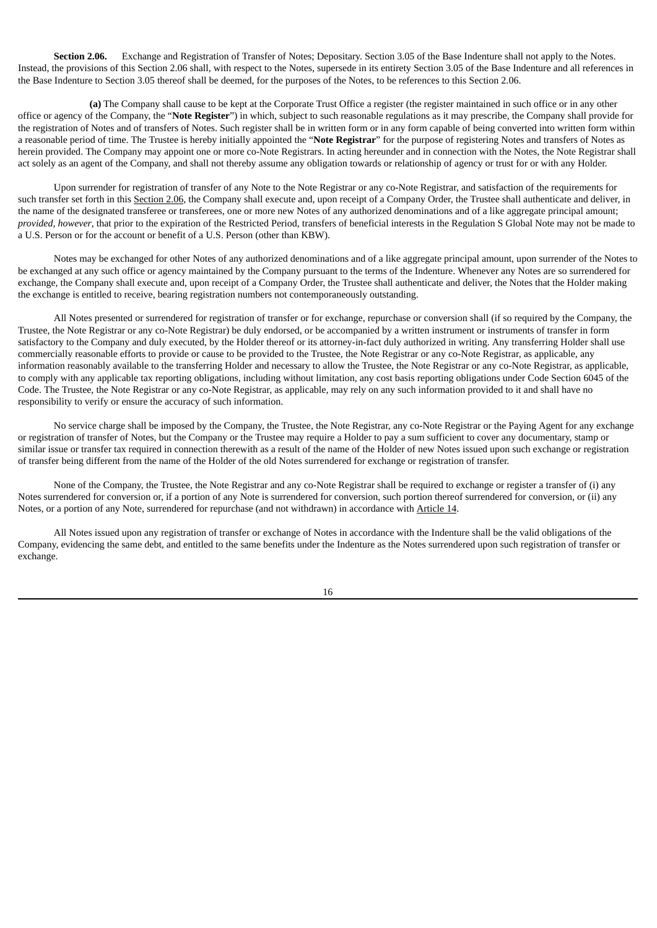**Section 2.06.** Exchange and Registration of Transfer of Notes; Depositary. Section 3.05 of the Base Indenture shall not apply to the Notes. Instead, the provisions of this Section 2.06 shall, with respect to the Notes, supersede in its entirety Section 3.05 of the Base Indenture and all references in the Base Indenture to Section 3.05 thereof shall be deemed, for the purposes of the Notes, to be references to this Section 2.06.

**(a)** The Company shall cause to be kept at the Corporate Trust Office a register (the register maintained in such office or in any other office or agency of the Company, the "**Note Register**") in which, subject to such reasonable regulations as it may prescribe, the Company shall provide for the registration of Notes and of transfers of Notes. Such register shall be in written form or in any form capable of being converted into written form within a reasonable period of time. The Trustee is hereby initially appointed the "**Note Registrar**" for the purpose of registering Notes and transfers of Notes as herein provided. The Company may appoint one or more co-Note Registrars. In acting hereunder and in connection with the Notes, the Note Registrar shall act solely as an agent of the Company, and shall not thereby assume any obligation towards or relationship of agency or trust for or with any Holder.

Upon surrender for registration of transfer of any Note to the Note Registrar or any co-Note Registrar, and satisfaction of the requirements for such transfer set forth in this Section 2.06, the Company shall execute and, upon receipt of a Company Order, the Trustee shall authenticate and deliver, in the name of the designated transferee or transferees, one or more new Notes of any authorized denominations and of a like aggregate principal amount; *provided, however*, that prior to the expiration of the Restricted Period, transfers of beneficial interests in the Regulation S Global Note may not be made to a U.S. Person or for the account or benefit of a U.S. Person (other than KBW).

Notes may be exchanged for other Notes of any authorized denominations and of a like aggregate principal amount, upon surrender of the Notes to be exchanged at any such office or agency maintained by the Company pursuant to the terms of the Indenture. Whenever any Notes are so surrendered for exchange, the Company shall execute and, upon receipt of a Company Order, the Trustee shall authenticate and deliver, the Notes that the Holder making the exchange is entitled to receive, bearing registration numbers not contemporaneously outstanding.

All Notes presented or surrendered for registration of transfer or for exchange, repurchase or conversion shall (if so required by the Company, the Trustee, the Note Registrar or any co-Note Registrar) be duly endorsed, or be accompanied by a written instrument or instruments of transfer in form satisfactory to the Company and duly executed, by the Holder thereof or its attorney-in-fact duly authorized in writing. Any transferring Holder shall use commercially reasonable efforts to provide or cause to be provided to the Trustee, the Note Registrar or any co-Note Registrar, as applicable, any information reasonably available to the transferring Holder and necessary to allow the Trustee, the Note Registrar or any co-Note Registrar, as applicable, to comply with any applicable tax reporting obligations, including without limitation, any cost basis reporting obligations under Code Section 6045 of the Code. The Trustee, the Note Registrar or any co-Note Registrar, as applicable, may rely on any such information provided to it and shall have no responsibility to verify or ensure the accuracy of such information.

No service charge shall be imposed by the Company, the Trustee, the Note Registrar, any co-Note Registrar or the Paying Agent for any exchange or registration of transfer of Notes, but the Company or the Trustee may require a Holder to pay a sum sufficient to cover any documentary, stamp or similar issue or transfer tax required in connection therewith as a result of the name of the Holder of new Notes issued upon such exchange or registration of transfer being different from the name of the Holder of the old Notes surrendered for exchange or registration of transfer.

None of the Company, the Trustee, the Note Registrar and any co-Note Registrar shall be required to exchange or register a transfer of (i) any Notes surrendered for conversion or, if a portion of any Note is surrendered for conversion, such portion thereof surrendered for conversion, or (ii) any Notes, or a portion of any Note, surrendered for repurchase (and not withdrawn) in accordance with Article 14.

All Notes issued upon any registration of transfer or exchange of Notes in accordance with the Indenture shall be the valid obligations of the Company, evidencing the same debt, and entitled to the same benefits under the Indenture as the Notes surrendered upon such registration of transfer or exchange.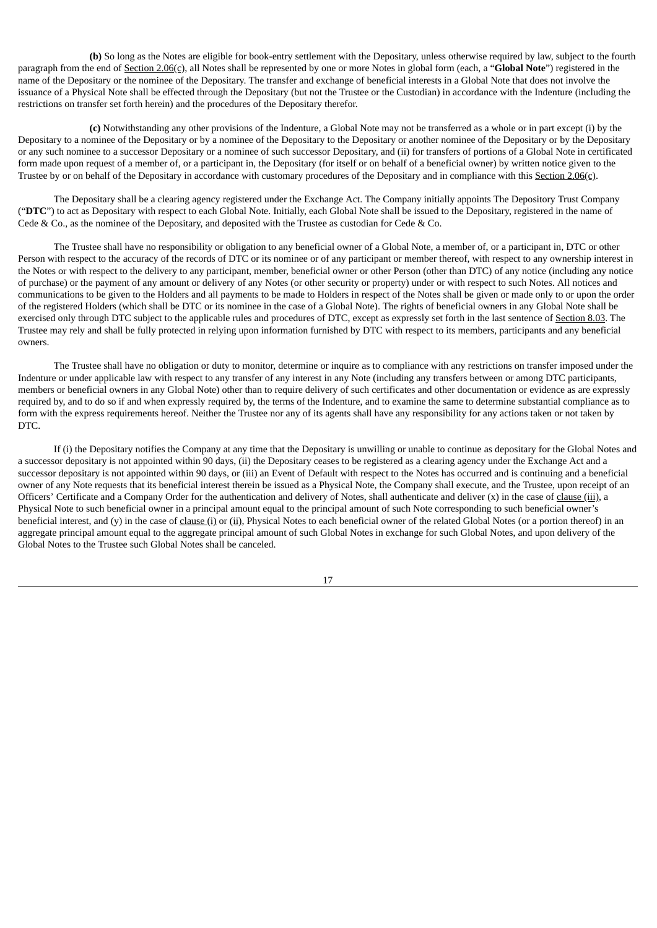**(b)** So long as the Notes are eligible for book-entry settlement with the Depositary, unless otherwise required by law, subject to the fourth paragraph from the end of Section 2.06(c), all Notes shall be represented by one or more Notes in global form (each, a "**Global Note**") registered in the name of the Depositary or the nominee of the Depositary. The transfer and exchange of beneficial interests in a Global Note that does not involve the issuance of a Physical Note shall be effected through the Depositary (but not the Trustee or the Custodian) in accordance with the Indenture (including the restrictions on transfer set forth herein) and the procedures of the Depositary therefor.

**(c)** Notwithstanding any other provisions of the Indenture, a Global Note may not be transferred as a whole or in part except (i) by the Depositary to a nominee of the Depositary or by a nominee of the Depositary to the Depositary or another nominee of the Depositary or by the Depositary or any such nominee to a successor Depositary or a nominee of such successor Depositary, and (ii) for transfers of portions of a Global Note in certificated form made upon request of a member of, or a participant in, the Depositary (for itself or on behalf of a beneficial owner) by written notice given to the Trustee by or on behalf of the Depositary in accordance with customary procedures of the Depositary and in compliance with this Section 2.06(c).

The Depositary shall be a clearing agency registered under the Exchange Act. The Company initially appoints The Depository Trust Company ("**DTC**") to act as Depositary with respect to each Global Note. Initially, each Global Note shall be issued to the Depositary, registered in the name of Cede & Co., as the nominee of the Depositary, and deposited with the Trustee as custodian for Cede & Co.

The Trustee shall have no responsibility or obligation to any beneficial owner of a Global Note, a member of, or a participant in, DTC or other Person with respect to the accuracy of the records of DTC or its nominee or of any participant or member thereof, with respect to any ownership interest in the Notes or with respect to the delivery to any participant, member, beneficial owner or other Person (other than DTC) of any notice (including any notice of purchase) or the payment of any amount or delivery of any Notes (or other security or property) under or with respect to such Notes. All notices and communications to be given to the Holders and all payments to be made to Holders in respect of the Notes shall be given or made only to or upon the order of the registered Holders (which shall be DTC or its nominee in the case of a Global Note). The rights of beneficial owners in any Global Note shall be exercised only through DTC subject to the applicable rules and procedures of DTC, except as expressly set forth in the last sentence of Section 8.03. The Trustee may rely and shall be fully protected in relying upon information furnished by DTC with respect to its members, participants and any beneficial owners.

The Trustee shall have no obligation or duty to monitor, determine or inquire as to compliance with any restrictions on transfer imposed under the Indenture or under applicable law with respect to any transfer of any interest in any Note (including any transfers between or among DTC participants, members or beneficial owners in any Global Note) other than to require delivery of such certificates and other documentation or evidence as are expressly required by, and to do so if and when expressly required by, the terms of the Indenture, and to examine the same to determine substantial compliance as to form with the express requirements hereof. Neither the Trustee nor any of its agents shall have any responsibility for any actions taken or not taken by DTC.

If (i) the Depositary notifies the Company at any time that the Depositary is unwilling or unable to continue as depositary for the Global Notes and a successor depositary is not appointed within 90 days, (ii) the Depositary ceases to be registered as a clearing agency under the Exchange Act and a successor depositary is not appointed within 90 days, or (iii) an Event of Default with respect to the Notes has occurred and is continuing and a beneficial owner of any Note requests that its beneficial interest therein be issued as a Physical Note, the Company shall execute, and the Trustee, upon receipt of an Officers' Certificate and a Company Order for the authentication and delivery of Notes, shall authenticate and deliver  $(x)$  in the case of clause (iii), a Physical Note to such beneficial owner in a principal amount equal to the principal amount of such Note corresponding to such beneficial owner's beneficial interest, and (y) in the case of clause (i) or (ii), Physical Notes to each beneficial owner of the related Global Notes (or a portion thereof) in an aggregate principal amount equal to the aggregate principal amount of such Global Notes in exchange for such Global Notes, and upon delivery of the Global Notes to the Trustee such Global Notes shall be canceled.

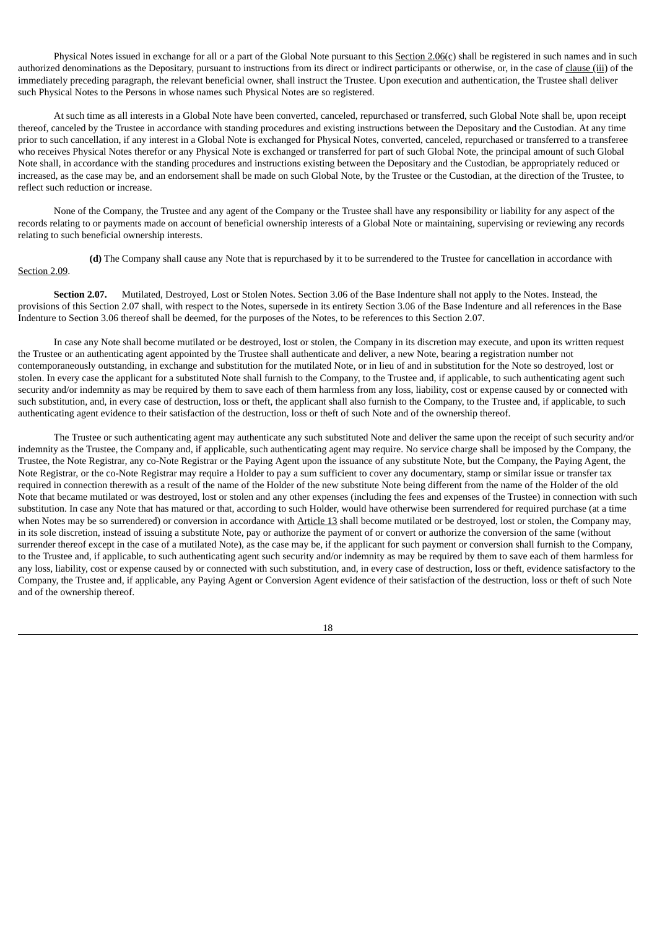Physical Notes issued in exchange for all or a part of the Global Note pursuant to this Section 2.06(c) shall be registered in such names and in such authorized denominations as the Depositary, pursuant to instructions from its direct or indirect participants or otherwise, or, in the case of clause (iii) of the immediately preceding paragraph, the relevant beneficial owner, shall instruct the Trustee. Upon execution and authentication, the Trustee shall deliver such Physical Notes to the Persons in whose names such Physical Notes are so registered.

At such time as all interests in a Global Note have been converted, canceled, repurchased or transferred, such Global Note shall be, upon receipt thereof, canceled by the Trustee in accordance with standing procedures and existing instructions between the Depositary and the Custodian. At any time prior to such cancellation, if any interest in a Global Note is exchanged for Physical Notes, converted, canceled, repurchased or transferred to a transferee who receives Physical Notes therefor or any Physical Note is exchanged or transferred for part of such Global Note, the principal amount of such Global Note shall, in accordance with the standing procedures and instructions existing between the Depositary and the Custodian, be appropriately reduced or increased, as the case may be, and an endorsement shall be made on such Global Note, by the Trustee or the Custodian, at the direction of the Trustee, to reflect such reduction or increase.

None of the Company, the Trustee and any agent of the Company or the Trustee shall have any responsibility or liability for any aspect of the records relating to or payments made on account of beneficial ownership interests of a Global Note or maintaining, supervising or reviewing any records relating to such beneficial ownership interests.

**(d)** The Company shall cause any Note that is repurchased by it to be surrendered to the Trustee for cancellation in accordance with Section 2.09.

**Section 2.07.** Mutilated, Destroyed, Lost or Stolen Notes. Section 3.06 of the Base Indenture shall not apply to the Notes. Instead, the provisions of this Section 2.07 shall, with respect to the Notes, supersede in its entirety Section 3.06 of the Base Indenture and all references in the Base Indenture to Section 3.06 thereof shall be deemed, for the purposes of the Notes, to be references to this Section 2.07.

In case any Note shall become mutilated or be destroyed, lost or stolen, the Company in its discretion may execute, and upon its written request the Trustee or an authenticating agent appointed by the Trustee shall authenticate and deliver, a new Note, bearing a registration number not contemporaneously outstanding, in exchange and substitution for the mutilated Note, or in lieu of and in substitution for the Note so destroyed, lost or stolen. In every case the applicant for a substituted Note shall furnish to the Company, to the Trustee and, if applicable, to such authenticating agent such security and/or indemnity as may be required by them to save each of them harmless from any loss, liability, cost or expense caused by or connected with such substitution, and, in every case of destruction, loss or theft, the applicant shall also furnish to the Company, to the Trustee and, if applicable, to such authenticating agent evidence to their satisfaction of the destruction, loss or theft of such Note and of the ownership thereof.

The Trustee or such authenticating agent may authenticate any such substituted Note and deliver the same upon the receipt of such security and/or indemnity as the Trustee, the Company and, if applicable, such authenticating agent may require. No service charge shall be imposed by the Company, the Trustee, the Note Registrar, any co-Note Registrar or the Paying Agent upon the issuance of any substitute Note, but the Company, the Paying Agent, the Note Registrar, or the co-Note Registrar may require a Holder to pay a sum sufficient to cover any documentary, stamp or similar issue or transfer tax required in connection therewith as a result of the name of the Holder of the new substitute Note being different from the name of the Holder of the old Note that became mutilated or was destroyed, lost or stolen and any other expenses (including the fees and expenses of the Trustee) in connection with such substitution. In case any Note that has matured or that, according to such Holder, would have otherwise been surrendered for required purchase (at a time when Notes may be so surrendered) or conversion in accordance with Article 13 shall become mutilated or be destroyed, lost or stolen, the Company may, in its sole discretion, instead of issuing a substitute Note, pay or authorize the payment of or convert or authorize the conversion of the same (without surrender thereof except in the case of a mutilated Note), as the case may be, if the applicant for such payment or conversion shall furnish to the Company, to the Trustee and, if applicable, to such authenticating agent such security and/or indemnity as may be required by them to save each of them harmless for any loss, liability, cost or expense caused by or connected with such substitution, and, in every case of destruction, loss or theft, evidence satisfactory to the Company, the Trustee and, if applicable, any Paying Agent or Conversion Agent evidence of their satisfaction of the destruction, loss or theft of such Note and of the ownership thereof.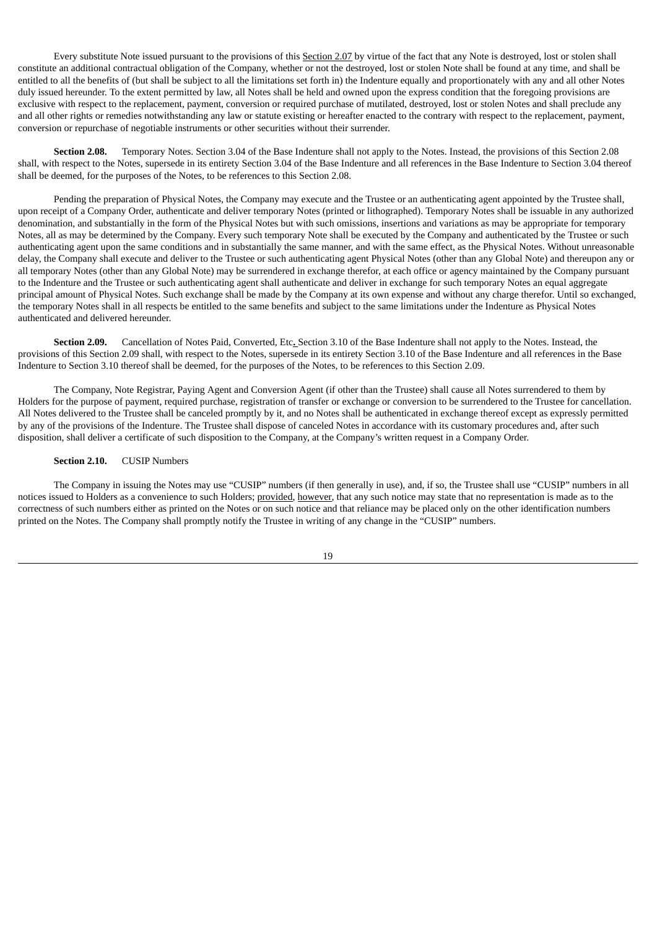Every substitute Note issued pursuant to the provisions of this Section 2.07 by virtue of the fact that any Note is destroyed, lost or stolen shall constitute an additional contractual obligation of the Company, whether or not the destroyed, lost or stolen Note shall be found at any time, and shall be entitled to all the benefits of (but shall be subject to all the limitations set forth in) the Indenture equally and proportionately with any and all other Notes duly issued hereunder. To the extent permitted by law, all Notes shall be held and owned upon the express condition that the foregoing provisions are exclusive with respect to the replacement, payment, conversion or required purchase of mutilated, destroyed, lost or stolen Notes and shall preclude any and all other rights or remedies notwithstanding any law or statute existing or hereafter enacted to the contrary with respect to the replacement, payment, conversion or repurchase of negotiable instruments or other securities without their surrender.

**Section 2.08.** Temporary Notes. Section 3.04 of the Base Indenture shall not apply to the Notes. Instead, the provisions of this Section 2.08 shall, with respect to the Notes, supersede in its entirety Section 3.04 of the Base Indenture and all references in the Base Indenture to Section 3.04 thereof shall be deemed, for the purposes of the Notes, to be references to this Section 2.08.

Pending the preparation of Physical Notes, the Company may execute and the Trustee or an authenticating agent appointed by the Trustee shall, upon receipt of a Company Order, authenticate and deliver temporary Notes (printed or lithographed). Temporary Notes shall be issuable in any authorized denomination, and substantially in the form of the Physical Notes but with such omissions, insertions and variations as may be appropriate for temporary Notes, all as may be determined by the Company. Every such temporary Note shall be executed by the Company and authenticated by the Trustee or such authenticating agent upon the same conditions and in substantially the same manner, and with the same effect, as the Physical Notes. Without unreasonable delay, the Company shall execute and deliver to the Trustee or such authenticating agent Physical Notes (other than any Global Note) and thereupon any or all temporary Notes (other than any Global Note) may be surrendered in exchange therefor, at each office or agency maintained by the Company pursuant to the Indenture and the Trustee or such authenticating agent shall authenticate and deliver in exchange for such temporary Notes an equal aggregate principal amount of Physical Notes. Such exchange shall be made by the Company at its own expense and without any charge therefor. Until so exchanged, the temporary Notes shall in all respects be entitled to the same benefits and subject to the same limitations under the Indenture as Physical Notes authenticated and delivered hereunder.

**Section 2.09.** Cancellation of Notes Paid, Converted, Etc**.** Section 3.10 of the Base Indenture shall not apply to the Notes. Instead, the provisions of this Section 2.09 shall, with respect to the Notes, supersede in its entirety Section 3.10 of the Base Indenture and all references in the Base Indenture to Section 3.10 thereof shall be deemed, for the purposes of the Notes, to be references to this Section 2.09.

The Company, Note Registrar, Paying Agent and Conversion Agent (if other than the Trustee) shall cause all Notes surrendered to them by Holders for the purpose of payment, required purchase, registration of transfer or exchange or conversion to be surrendered to the Trustee for cancellation. All Notes delivered to the Trustee shall be canceled promptly by it, and no Notes shall be authenticated in exchange thereof except as expressly permitted by any of the provisions of the Indenture. The Trustee shall dispose of canceled Notes in accordance with its customary procedures and, after such disposition, shall deliver a certificate of such disposition to the Company, at the Company's written request in a Company Order.

#### **Section 2.10.** CUSIP Numbers

The Company in issuing the Notes may use "CUSIP" numbers (if then generally in use), and, if so, the Trustee shall use "CUSIP" numbers in all notices issued to Holders as a convenience to such Holders; provided, however, that any such notice may state that no representation is made as to the correctness of such numbers either as printed on the Notes or on such notice and that reliance may be placed only on the other identification numbers printed on the Notes. The Company shall promptly notify the Trustee in writing of any change in the "CUSIP" numbers.

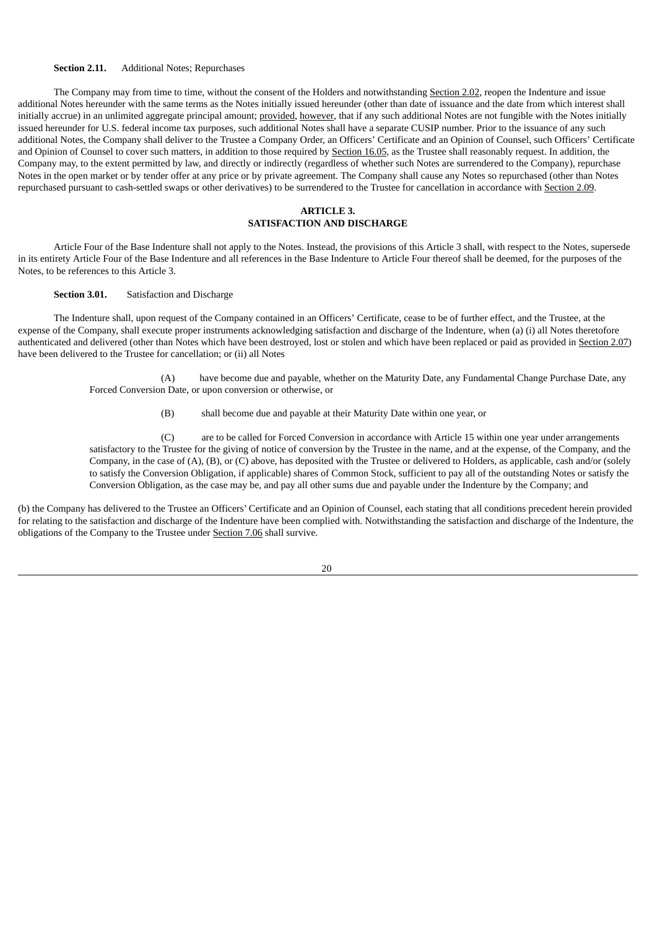#### **Section 2.11.** Additional Notes; Repurchases

The Company may from time to time, without the consent of the Holders and notwithstanding Section 2.02, reopen the Indenture and issue additional Notes hereunder with the same terms as the Notes initially issued hereunder (other than date of issuance and the date from which interest shall initially accrue) in an unlimited aggregate principal amount; provided, however, that if any such additional Notes are not fungible with the Notes initially issued hereunder for U.S. federal income tax purposes, such additional Notes shall have a separate CUSIP number. Prior to the issuance of any such additional Notes, the Company shall deliver to the Trustee a Company Order, an Officers' Certificate and an Opinion of Counsel, such Officers' Certificate and Opinion of Counsel to cover such matters, in addition to those required by Section 16.05, as the Trustee shall reasonably request. In addition, the Company may, to the extent permitted by law, and directly or indirectly (regardless of whether such Notes are surrendered to the Company), repurchase Notes in the open market or by tender offer at any price or by private agreement. The Company shall cause any Notes so repurchased (other than Notes repurchased pursuant to cash-settled swaps or other derivatives) to be surrendered to the Trustee for cancellation in accordance with Section 2.09.

#### **ARTICLE 3. SATISFACTION AND DISCHARGE**

Article Four of the Base Indenture shall not apply to the Notes. Instead, the provisions of this Article 3 shall, with respect to the Notes, supersede in its entirety Article Four of the Base Indenture and all references in the Base Indenture to Article Four thereof shall be deemed, for the purposes of the Notes, to be references to this Article 3.

**Section 3.01.** Satisfaction and Discharge

The Indenture shall, upon request of the Company contained in an Officers' Certificate, cease to be of further effect, and the Trustee, at the expense of the Company, shall execute proper instruments acknowledging satisfaction and discharge of the Indenture, when (a) (i) all Notes theretofore authenticated and delivered (other than Notes which have been destroyed, lost or stolen and which have been replaced or paid as provided in Section 2.07) have been delivered to the Trustee for cancellation; or (ii) all Notes

> (A) have become due and payable, whether on the Maturity Date, any Fundamental Change Purchase Date, any Forced Conversion Date, or upon conversion or otherwise, or

> > (B) shall become due and payable at their Maturity Date within one year, or

(C) are to be called for Forced Conversion in accordance with Article 15 within one year under arrangements satisfactory to the Trustee for the giving of notice of conversion by the Trustee in the name, and at the expense, of the Company, and the Company, in the case of (A), (B), or (C) above, has deposited with the Trustee or delivered to Holders, as applicable, cash and/or (solely to satisfy the Conversion Obligation, if applicable) shares of Common Stock, sufficient to pay all of the outstanding Notes or satisfy the Conversion Obligation, as the case may be, and pay all other sums due and payable under the Indenture by the Company; and

(b) the Company has delivered to the Trustee an Officers' Certificate and an Opinion of Counsel, each stating that all conditions precedent herein provided for relating to the satisfaction and discharge of the Indenture have been complied with. Notwithstanding the satisfaction and discharge of the Indenture, the obligations of the Company to the Trustee under Section 7.06 shall survive.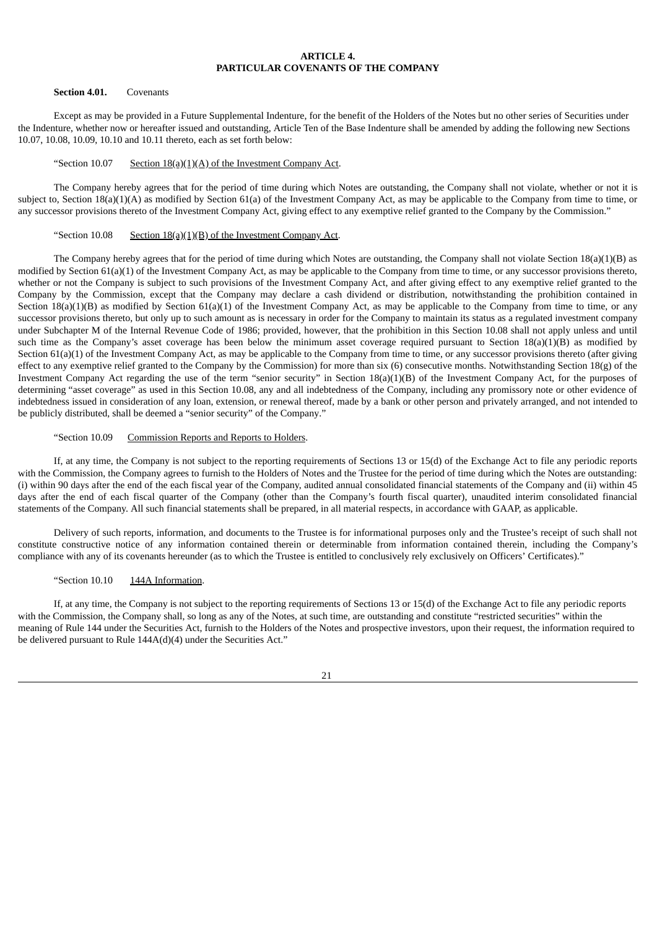#### **ARTICLE 4. PARTICULAR COVENANTS OF THE COMPANY**

#### **Section 4.01.** Covenants

Except as may be provided in a Future Supplemental Indenture, for the benefit of the Holders of the Notes but no other series of Securities under the Indenture, whether now or hereafter issued and outstanding, Article Ten of the Base Indenture shall be amended by adding the following new Sections 10.07, 10.08, 10.09, 10.10 and 10.11 thereto, each as set forth below:

#### "Section 10.07 Section  $18(a)(1)(A)$  of the Investment Company Act.

The Company hereby agrees that for the period of time during which Notes are outstanding, the Company shall not violate, whether or not it is subject to, Section  $18(a)(1)(A)$  as modified by Section 61(a) of the Investment Company Act, as may be applicable to the Company from time to time, or any successor provisions thereto of the Investment Company Act, giving effect to any exemptive relief granted to the Company by the Commission."

#### "Section 10.08 Section  $18(a)(1)(B)$  of the Investment Company Act.

The Company hereby agrees that for the period of time during which Notes are outstanding, the Company shall not violate Section 18(a)(1)(B) as modified by Section 61(a)(1) of the Investment Company Act, as may be applicable to the Company from time to time, or any successor provisions thereto, whether or not the Company is subject to such provisions of the Investment Company Act, and after giving effect to any exemptive relief granted to the Company by the Commission, except that the Company may declare a cash dividend or distribution, notwithstanding the prohibition contained in Section  $18(a)(1)(B)$  as modified by Section  $61(a)(1)$  of the Investment Company Act, as may be applicable to the Company from time to time, or any successor provisions thereto, but only up to such amount as is necessary in order for the Company to maintain its status as a regulated investment company under Subchapter M of the Internal Revenue Code of 1986; provided, however, that the prohibition in this Section 10.08 shall not apply unless and until such time as the Company's asset coverage has been below the minimum asset coverage required pursuant to Section 18(a)(1)(B) as modified by Section 61(a)(1) of the Investment Company Act, as may be applicable to the Company from time to time, or any successor provisions thereto (after giving effect to any exemptive relief granted to the Company by the Commission) for more than six  $(6)$  consecutive months. Notwithstanding Section 18(g) of the Investment Company Act regarding the use of the term "senior security" in Section 18(a)(1)(B) of the Investment Company Act, for the purposes of determining "asset coverage" as used in this Section 10.08, any and all indebtedness of the Company, including any promissory note or other evidence of indebtedness issued in consideration of any loan, extension, or renewal thereof, made by a bank or other person and privately arranged, and not intended to be publicly distributed, shall be deemed a "senior security" of the Company."

#### "Section 10.09 Commission Reports and Reports to Holders.

If, at any time, the Company is not subject to the reporting requirements of Sections 13 or 15(d) of the Exchange Act to file any periodic reports with the Commission, the Company agrees to furnish to the Holders of Notes and the Trustee for the period of time during which the Notes are outstanding: (i) within 90 days after the end of the each fiscal year of the Company, audited annual consolidated financial statements of the Company and (ii) within 45 days after the end of each fiscal quarter of the Company (other than the Company's fourth fiscal quarter), unaudited interim consolidated financial statements of the Company. All such financial statements shall be prepared, in all material respects, in accordance with GAAP, as applicable.

Delivery of such reports, information, and documents to the Trustee is for informational purposes only and the Trustee's receipt of such shall not constitute constructive notice of any information contained therein or determinable from information contained therein, including the Company's compliance with any of its covenants hereunder (as to which the Trustee is entitled to conclusively rely exclusively on Officers' Certificates)."

#### "Section 10.10 144A Information.

If, at any time, the Company is not subject to the reporting requirements of Sections 13 or 15(d) of the Exchange Act to file any periodic reports with the Commission, the Company shall, so long as any of the Notes, at such time, are outstanding and constitute "restricted securities" within the meaning of Rule 144 under the Securities Act, furnish to the Holders of the Notes and prospective investors, upon their request, the information required to be delivered pursuant to Rule 144A(d)(4) under the Securities Act."

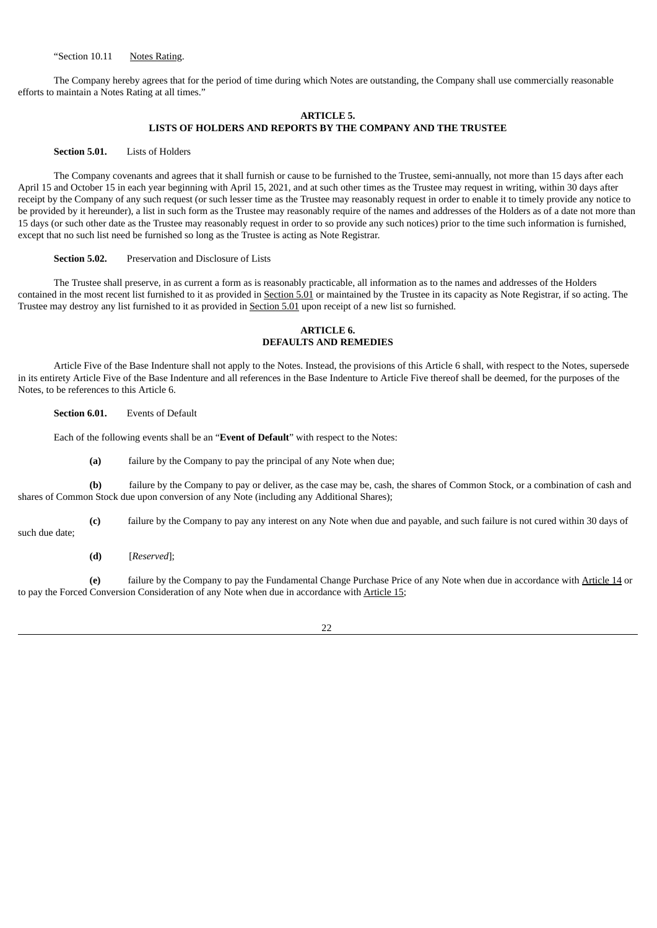"Section 10.11 Notes Rating.

The Company hereby agrees that for the period of time during which Notes are outstanding, the Company shall use commercially reasonable efforts to maintain a Notes Rating at all times."

#### **ARTICLE 5. LISTS OF HOLDERS AND REPORTS BY THE COMPANY AND THE TRUSTEE**

#### **Section 5.01.** Lists of Holders

The Company covenants and agrees that it shall furnish or cause to be furnished to the Trustee, semi-annually, not more than 15 days after each April 15 and October 15 in each year beginning with April 15, 2021, and at such other times as the Trustee may request in writing, within 30 days after receipt by the Company of any such request (or such lesser time as the Trustee may reasonably request in order to enable it to timely provide any notice to be provided by it hereunder), a list in such form as the Trustee may reasonably require of the names and addresses of the Holders as of a date not more than 15 days (or such other date as the Trustee may reasonably request in order to so provide any such notices) prior to the time such information is furnished, except that no such list need be furnished so long as the Trustee is acting as Note Registrar.

#### **Section 5.02.** Preservation and Disclosure of Lists

The Trustee shall preserve, in as current a form as is reasonably practicable, all information as to the names and addresses of the Holders contained in the most recent list furnished to it as provided in Section 5.01 or maintained by the Trustee in its capacity as Note Registrar, if so acting. The Trustee may destroy any list furnished to it as provided in Section 5.01 upon receipt of a new list so furnished.

### **ARTICLE 6. DEFAULTS AND REMEDIES**

Article Five of the Base Indenture shall not apply to the Notes. Instead, the provisions of this Article 6 shall, with respect to the Notes, supersede in its entirety Article Five of the Base Indenture and all references in the Base Indenture to Article Five thereof shall be deemed, for the purposes of the Notes, to be references to this Article 6.

**Section 6.01.** Events of Default

Each of the following events shall be an "**Event of Default**" with respect to the Notes:

**(a)** failure by the Company to pay the principal of any Note when due;

**(b)** failure by the Company to pay or deliver, as the case may be, cash, the shares of Common Stock, or a combination of cash and shares of Common Stock due upon conversion of any Note (including any Additional Shares);

**(c)** failure by the Company to pay any interest on any Note when due and payable, and such failure is not cured within 30 days of

such due date;

**(d)** [*Reserved*];

**(e)** failure by the Company to pay the Fundamental Change Purchase Price of any Note when due in accordance with Article 14 or to pay the Forced Conversion Consideration of any Note when due in accordance with Article 15;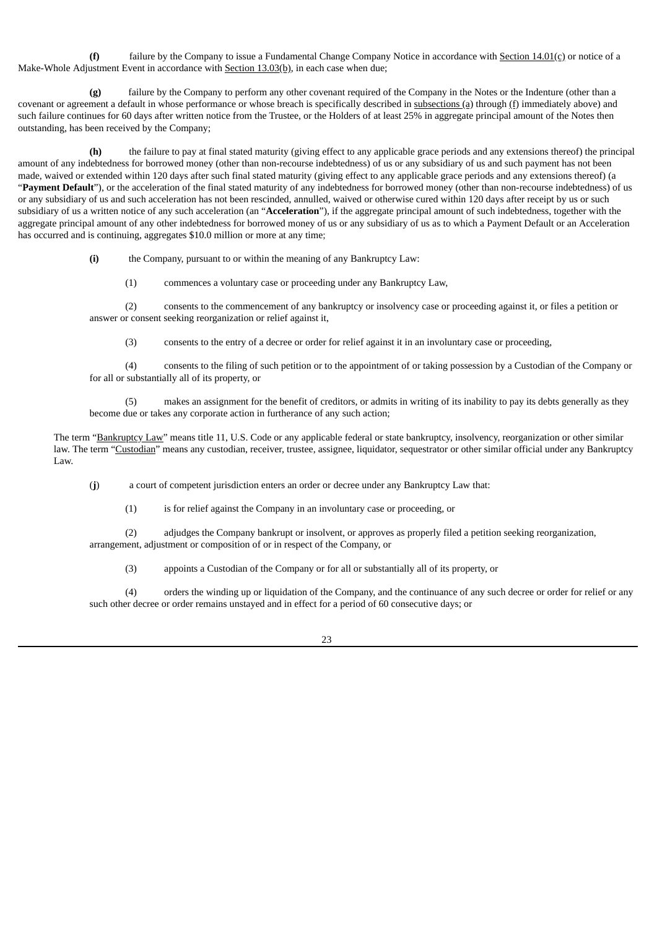**(f)** failure by the Company to issue a Fundamental Change Company Notice in accordance with Section 14.01(c) or notice of a Make-Whole Adjustment Event in accordance with Section 13.03(b), in each case when due;

failure by the Company to perform any other covenant required of the Company in the Notes or the Indenture (other than a covenant or agreement a default in whose performance or whose breach is specifically described in subsections (a) through (f) immediately above) and such failure continues for 60 days after written notice from the Trustee, or the Holders of at least 25% in aggregate principal amount of the Notes then outstanding, has been received by the Company;

**(h)** the failure to pay at final stated maturity (giving effect to any applicable grace periods and any extensions thereof) the principal amount of any indebtedness for borrowed money (other than non-recourse indebtedness) of us or any subsidiary of us and such payment has not been made, waived or extended within 120 days after such final stated maturity (giving effect to any applicable grace periods and any extensions thereof) (a "**Payment Default**"), or the acceleration of the final stated maturity of any indebtedness for borrowed money (other than non-recourse indebtedness) of us or any subsidiary of us and such acceleration has not been rescinded, annulled, waived or otherwise cured within 120 days after receipt by us or such subsidiary of us a written notice of any such acceleration (an "**Acceleration**"), if the aggregate principal amount of such indebtedness, together with the aggregate principal amount of any other indebtedness for borrowed money of us or any subsidiary of us as to which a Payment Default or an Acceleration has occurred and is continuing, aggregates \$10.0 million or more at any time;

**(i)** the Company, pursuant to or within the meaning of any Bankruptcy Law:

(1) commences a voluntary case or proceeding under any Bankruptcy Law,

(2) consents to the commencement of any bankruptcy or insolvency case or proceeding against it, or files a petition or answer or consent seeking reorganization or relief against it,

(3) consents to the entry of a decree or order for relief against it in an involuntary case or proceeding,

(4) consents to the filing of such petition or to the appointment of or taking possession by a Custodian of the Company or for all or substantially all of its property, or

(5) makes an assignment for the benefit of creditors, or admits in writing of its inability to pay its debts generally as they become due or takes any corporate action in furtherance of any such action;

The term "Bankruptcy Law" means title 11, U.S. Code or any applicable federal or state bankruptcy, insolvency, reorganization or other similar law. The term "Custodian" means any custodian, receiver, trustee, assignee, liquidator, sequestrator or other similar official under any Bankruptcy Law.

(**j**) a court of competent jurisdiction enters an order or decree under any Bankruptcy Law that:

(1) is for relief against the Company in an involuntary case or proceeding, or

(2) adjudges the Company bankrupt or insolvent, or approves as properly filed a petition seeking reorganization, arrangement, adjustment or composition of or in respect of the Company, or

(3) appoints a Custodian of the Company or for all or substantially all of its property, or

(4) orders the winding up or liquidation of the Company, and the continuance of any such decree or order for relief or any such other decree or order remains unstayed and in effect for a period of 60 consecutive days; or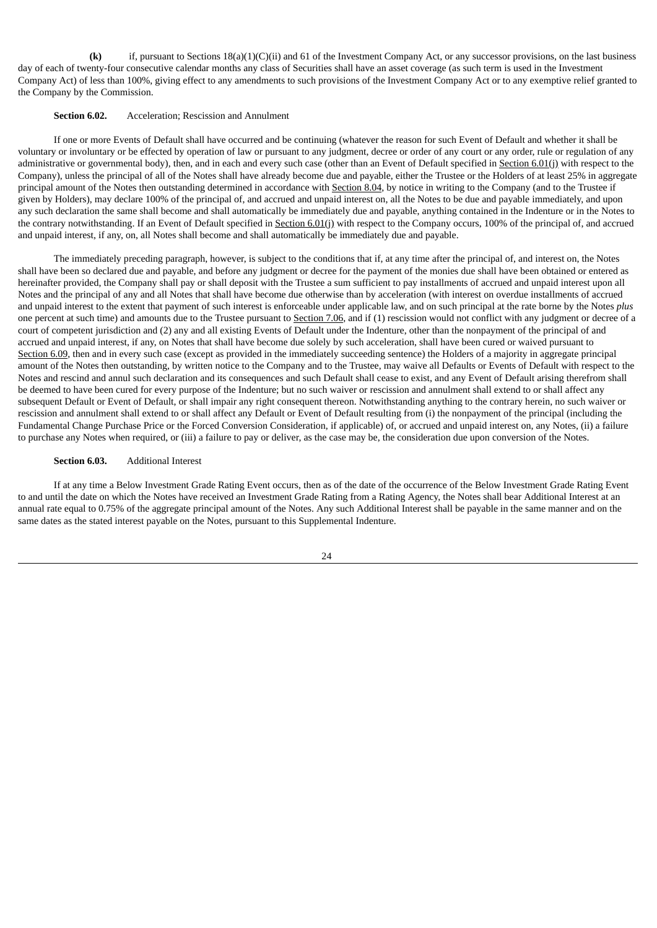**(k)** if, pursuant to Sections 18(a)(1)(C)(ii) and 61 of the Investment Company Act, or any successor provisions, on the last business day of each of twenty-four consecutive calendar months any class of Securities shall have an asset coverage (as such term is used in the Investment Company Act) of less than 100%, giving effect to any amendments to such provisions of the Investment Company Act or to any exemptive relief granted to the Company by the Commission.

#### **Section 6.02.** Acceleration; Rescission and Annulment

If one or more Events of Default shall have occurred and be continuing (whatever the reason for such Event of Default and whether it shall be voluntary or involuntary or be effected by operation of law or pursuant to any judgment, decree or order of any court or any order, rule or regulation of any administrative or governmental body), then, and in each and every such case (other than an Event of Default specified in Section 6.01(j) with respect to the Company), unless the principal of all of the Notes shall have already become due and payable, either the Trustee or the Holders of at least 25% in aggregate principal amount of the Notes then outstanding determined in accordance with Section 8.04, by notice in writing to the Company (and to the Trustee if given by Holders), may declare 100% of the principal of, and accrued and unpaid interest on, all the Notes to be due and payable immediately, and upon any such declaration the same shall become and shall automatically be immediately due and payable, anything contained in the Indenture or in the Notes to the contrary notwithstanding. If an Event of Default specified in Section 6.01(j) with respect to the Company occurs, 100% of the principal of, and accrued and unpaid interest, if any, on, all Notes shall become and shall automatically be immediately due and payable.

The immediately preceding paragraph, however, is subject to the conditions that if, at any time after the principal of, and interest on, the Notes shall have been so declared due and payable, and before any judgment or decree for the payment of the monies due shall have been obtained or entered as hereinafter provided, the Company shall pay or shall deposit with the Trustee a sum sufficient to pay installments of accrued and unpaid interest upon all Notes and the principal of any and all Notes that shall have become due otherwise than by acceleration (with interest on overdue installments of accrued and unpaid interest to the extent that payment of such interest is enforceable under applicable law, and on such principal at the rate borne by the Notes *plus* one percent at such time) and amounts due to the Trustee pursuant to Section 7.06, and if (1) rescission would not conflict with any judgment or decree of a court of competent jurisdiction and (2) any and all existing Events of Default under the Indenture, other than the nonpayment of the principal of and accrued and unpaid interest, if any, on Notes that shall have become due solely by such acceleration, shall have been cured or waived pursuant to Section 6.09, then and in every such case (except as provided in the immediately succeeding sentence) the Holders of a majority in aggregate principal amount of the Notes then outstanding, by written notice to the Company and to the Trustee, may waive all Defaults or Events of Default with respect to the Notes and rescind and annul such declaration and its consequences and such Default shall cease to exist, and any Event of Default arising therefrom shall be deemed to have been cured for every purpose of the Indenture; but no such waiver or rescission and annulment shall extend to or shall affect any subsequent Default or Event of Default, or shall impair any right consequent thereon. Notwithstanding anything to the contrary herein, no such waiver or rescission and annulment shall extend to or shall affect any Default or Event of Default resulting from (i) the nonpayment of the principal (including the Fundamental Change Purchase Price or the Forced Conversion Consideration, if applicable) of, or accrued and unpaid interest on, any Notes, (ii) a failure to purchase any Notes when required, or (iii) a failure to pay or deliver, as the case may be, the consideration due upon conversion of the Notes.

#### **Section 6.03.** Additional Interest

If at any time a Below Investment Grade Rating Event occurs, then as of the date of the occurrence of the Below Investment Grade Rating Event to and until the date on which the Notes have received an Investment Grade Rating from a Rating Agency, the Notes shall bear Additional Interest at an annual rate equal to 0.75% of the aggregate principal amount of the Notes. Any such Additional Interest shall be payable in the same manner and on the same dates as the stated interest payable on the Notes, pursuant to this Supplemental Indenture.

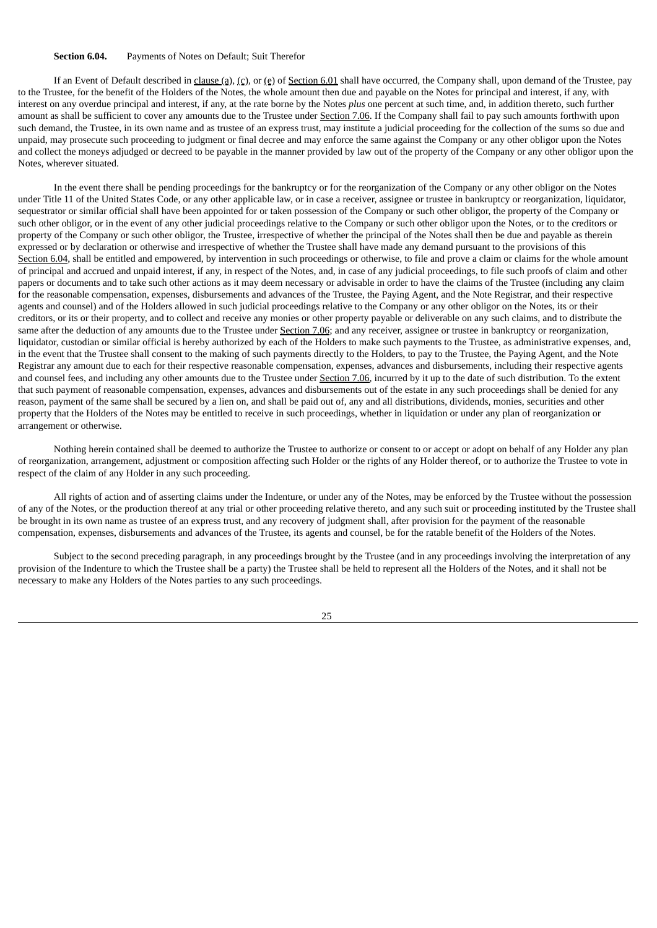#### **Section 6.04.** Payments of Notes on Default; Suit Therefor

If an Event of Default described in clause (a), (c), or (e) of Section 6.01 shall have occurred, the Company shall, upon demand of the Trustee, pay to the Trustee, for the benefit of the Holders of the Notes, the whole amount then due and payable on the Notes for principal and interest, if any, with interest on any overdue principal and interest, if any, at the rate borne by the Notes *plus* one percent at such time, and, in addition thereto, such further amount as shall be sufficient to cover any amounts due to the Trustee under Section 7.06. If the Company shall fail to pay such amounts forthwith upon such demand, the Trustee, in its own name and as trustee of an express trust, may institute a judicial proceeding for the collection of the sums so due and unpaid, may prosecute such proceeding to judgment or final decree and may enforce the same against the Company or any other obligor upon the Notes and collect the moneys adjudged or decreed to be payable in the manner provided by law out of the property of the Company or any other obligor upon the Notes, wherever situated.

In the event there shall be pending proceedings for the bankruptcy or for the reorganization of the Company or any other obligor on the Notes under Title 11 of the United States Code, or any other applicable law, or in case a receiver, assignee or trustee in bankruptcy or reorganization, liquidator, sequestrator or similar official shall have been appointed for or taken possession of the Company or such other obligor, the property of the Company or such other obligor, or in the event of any other judicial proceedings relative to the Company or such other obligor upon the Notes, or to the creditors or property of the Company or such other obligor, the Trustee, irrespective of whether the principal of the Notes shall then be due and payable as therein expressed or by declaration or otherwise and irrespective of whether the Trustee shall have made any demand pursuant to the provisions of this Section 6.04, shall be entitled and empowered, by intervention in such proceedings or otherwise, to file and prove a claim or claims for the whole amount of principal and accrued and unpaid interest, if any, in respect of the Notes, and, in case of any judicial proceedings, to file such proofs of claim and other papers or documents and to take such other actions as it may deem necessary or advisable in order to have the claims of the Trustee (including any claim for the reasonable compensation, expenses, disbursements and advances of the Trustee, the Paying Agent, and the Note Registrar, and their respective agents and counsel) and of the Holders allowed in such judicial proceedings relative to the Company or any other obligor on the Notes, its or their creditors, or its or their property, and to collect and receive any monies or other property payable or deliverable on any such claims, and to distribute the same after the deduction of any amounts due to the Trustee under Section 7.06; and any receiver, assignee or trustee in bankruptcy or reorganization, liquidator, custodian or similar official is hereby authorized by each of the Holders to make such payments to the Trustee, as administrative expenses, and, in the event that the Trustee shall consent to the making of such payments directly to the Holders, to pay to the Trustee, the Paying Agent, and the Note Registrar any amount due to each for their respective reasonable compensation, expenses, advances and disbursements, including their respective agents and counsel fees, and including any other amounts due to the Trustee under Section 7.06, incurred by it up to the date of such distribution. To the extent that such payment of reasonable compensation, expenses, advances and disbursements out of the estate in any such proceedings shall be denied for any reason, payment of the same shall be secured by a lien on, and shall be paid out of, any and all distributions, dividends, monies, securities and other property that the Holders of the Notes may be entitled to receive in such proceedings, whether in liquidation or under any plan of reorganization or arrangement or otherwise.

Nothing herein contained shall be deemed to authorize the Trustee to authorize or consent to or accept or adopt on behalf of any Holder any plan of reorganization, arrangement, adjustment or composition affecting such Holder or the rights of any Holder thereof, or to authorize the Trustee to vote in respect of the claim of any Holder in any such proceeding.

All rights of action and of asserting claims under the Indenture, or under any of the Notes, may be enforced by the Trustee without the possession of any of the Notes, or the production thereof at any trial or other proceeding relative thereto, and any such suit or proceeding instituted by the Trustee shall be brought in its own name as trustee of an express trust, and any recovery of judgment shall, after provision for the payment of the reasonable compensation, expenses, disbursements and advances of the Trustee, its agents and counsel, be for the ratable benefit of the Holders of the Notes.

Subject to the second preceding paragraph, in any proceedings brought by the Trustee (and in any proceedings involving the interpretation of any provision of the Indenture to which the Trustee shall be a party) the Trustee shall be held to represent all the Holders of the Notes, and it shall not be necessary to make any Holders of the Notes parties to any such proceedings.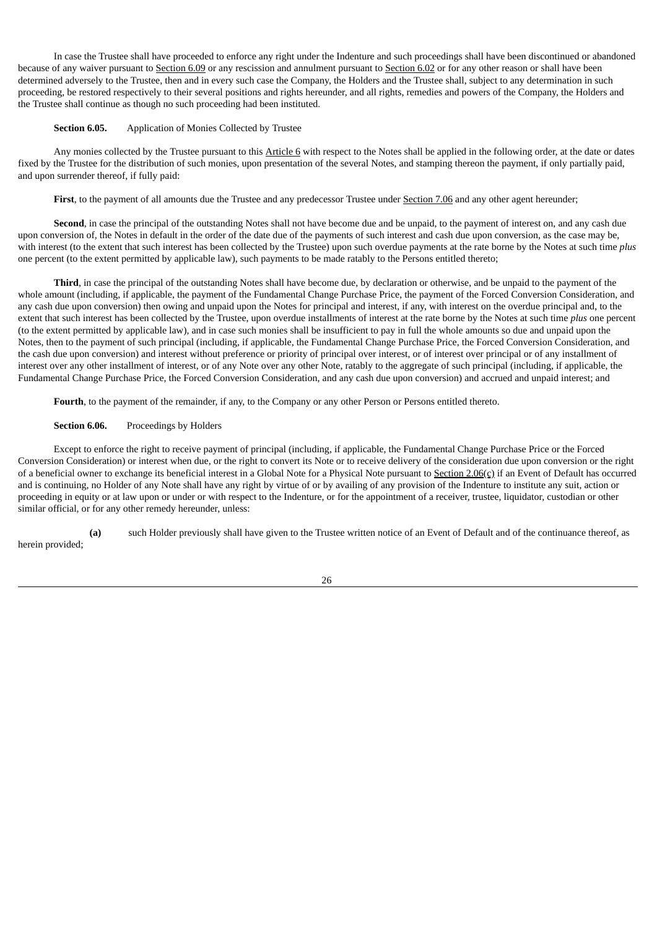In case the Trustee shall have proceeded to enforce any right under the Indenture and such proceedings shall have been discontinued or abandoned because of any waiver pursuant to Section 6.09 or any rescission and annulment pursuant to Section 6.02 or for any other reason or shall have been determined adversely to the Trustee, then and in every such case the Company, the Holders and the Trustee shall, subject to any determination in such proceeding, be restored respectively to their several positions and rights hereunder, and all rights, remedies and powers of the Company, the Holders and the Trustee shall continue as though no such proceeding had been instituted.

### **Section 6.05.** Application of Monies Collected by Trustee

Any monies collected by the Trustee pursuant to this Article 6 with respect to the Notes shall be applied in the following order, at the date or dates fixed by the Trustee for the distribution of such monies, upon presentation of the several Notes, and stamping thereon the payment, if only partially paid, and upon surrender thereof, if fully paid:

First, to the payment of all amounts due the Trustee and any predecessor Trustee under Section 7.06 and any other agent hereunder;

**Second**, in case the principal of the outstanding Notes shall not have become due and be unpaid, to the payment of interest on, and any cash due upon conversion of, the Notes in default in the order of the date due of the payments of such interest and cash due upon conversion, as the case may be, with interest (to the extent that such interest has been collected by the Trustee) upon such overdue payments at the rate borne by the Notes at such time *plus* one percent (to the extent permitted by applicable law), such payments to be made ratably to the Persons entitled thereto;

**Third**, in case the principal of the outstanding Notes shall have become due, by declaration or otherwise, and be unpaid to the payment of the whole amount (including, if applicable, the payment of the Fundamental Change Purchase Price, the payment of the Forced Conversion Consideration, and any cash due upon conversion) then owing and unpaid upon the Notes for principal and interest, if any, with interest on the overdue principal and, to the extent that such interest has been collected by the Trustee, upon overdue installments of interest at the rate borne by the Notes at such time *plus* one percent (to the extent permitted by applicable law), and in case such monies shall be insufficient to pay in full the whole amounts so due and unpaid upon the Notes, then to the payment of such principal (including, if applicable, the Fundamental Change Purchase Price, the Forced Conversion Consideration, and the cash due upon conversion) and interest without preference or priority of principal over interest, or of interest over principal or of any installment of interest over any other installment of interest, or of any Note over any other Note, ratably to the aggregate of such principal (including, if applicable, the Fundamental Change Purchase Price, the Forced Conversion Consideration, and any cash due upon conversion) and accrued and unpaid interest; and

**Fourth**, to the payment of the remainder, if any, to the Company or any other Person or Persons entitled thereto.

#### **Section 6.06.** Proceedings by Holders

Except to enforce the right to receive payment of principal (including, if applicable, the Fundamental Change Purchase Price or the Forced Conversion Consideration) or interest when due, or the right to convert its Note or to receive delivery of the consideration due upon conversion or the right of a beneficial owner to exchange its beneficial interest in a Global Note for a Physical Note pursuant to Section  $2.06(c)$  if an Event of Default has occurred and is continuing, no Holder of any Note shall have any right by virtue of or by availing of any provision of the Indenture to institute any suit, action or proceeding in equity or at law upon or under or with respect to the Indenture, or for the appointment of a receiver, trustee, liquidator, custodian or other similar official, or for any other remedy hereunder, unless:

**(a)** such Holder previously shall have given to the Trustee written notice of an Event of Default and of the continuance thereof, as herein provided;

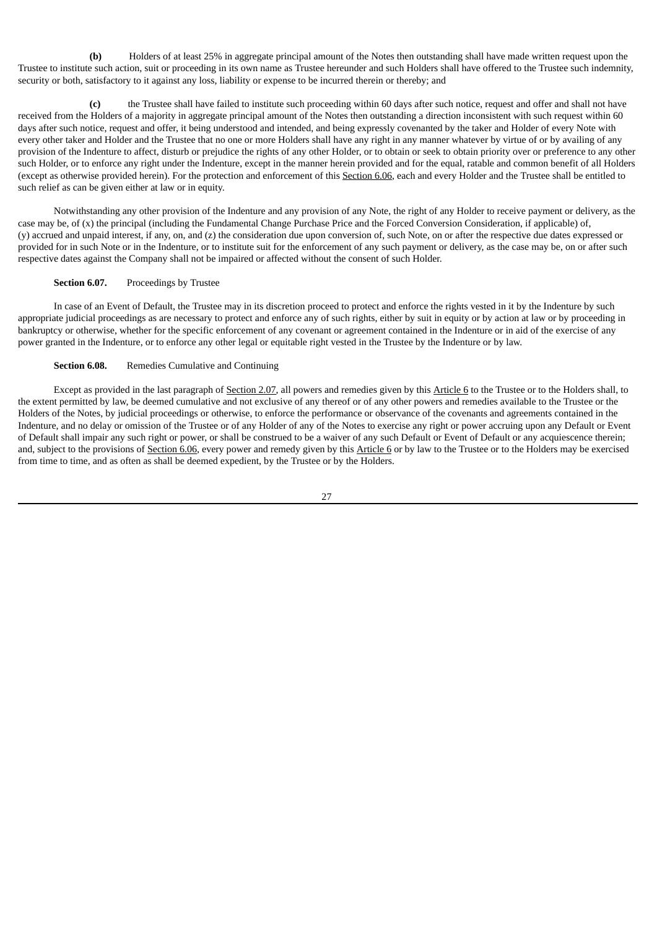**(b)** Holders of at least 25% in aggregate principal amount of the Notes then outstanding shall have made written request upon the Trustee to institute such action, suit or proceeding in its own name as Trustee hereunder and such Holders shall have offered to the Trustee such indemnity, security or both, satisfactory to it against any loss, liability or expense to be incurred therein or thereby; and

**(c)** the Trustee shall have failed to institute such proceeding within 60 days after such notice, request and offer and shall not have received from the Holders of a majority in aggregate principal amount of the Notes then outstanding a direction inconsistent with such request within 60 days after such notice, request and offer, it being understood and intended, and being expressly covenanted by the taker and Holder of every Note with every other taker and Holder and the Trustee that no one or more Holders shall have any right in any manner whatever by virtue of or by availing of any provision of the Indenture to affect, disturb or prejudice the rights of any other Holder, or to obtain or seek to obtain priority over or preference to any other such Holder, or to enforce any right under the Indenture, except in the manner herein provided and for the equal, ratable and common benefit of all Holders (except as otherwise provided herein). For the protection and enforcement of this Section 6.06, each and every Holder and the Trustee shall be entitled to such relief as can be given either at law or in equity.

Notwithstanding any other provision of the Indenture and any provision of any Note, the right of any Holder to receive payment or delivery, as the case may be, of (x) the principal (including the Fundamental Change Purchase Price and the Forced Conversion Consideration, if applicable) of, (y) accrued and unpaid interest, if any, on, and (z) the consideration due upon conversion of, such Note, on or after the respective due dates expressed or provided for in such Note or in the Indenture, or to institute suit for the enforcement of any such payment or delivery, as the case may be, on or after such respective dates against the Company shall not be impaired or affected without the consent of such Holder.

## **Section 6.07.** Proceedings by Trustee

In case of an Event of Default, the Trustee may in its discretion proceed to protect and enforce the rights vested in it by the Indenture by such appropriate judicial proceedings as are necessary to protect and enforce any of such rights, either by suit in equity or by action at law or by proceeding in bankruptcy or otherwise, whether for the specific enforcement of any covenant or agreement contained in the Indenture or in aid of the exercise of any power granted in the Indenture, or to enforce any other legal or equitable right vested in the Trustee by the Indenture or by law.

## **Section 6.08.** Remedies Cumulative and Continuing

Except as provided in the last paragraph of Section 2.07, all powers and remedies given by this Article 6 to the Trustee or to the Holders shall, to the extent permitted by law, be deemed cumulative and not exclusive of any thereof or of any other powers and remedies available to the Trustee or the Holders of the Notes, by judicial proceedings or otherwise, to enforce the performance or observance of the covenants and agreements contained in the Indenture, and no delay or omission of the Trustee or of any Holder of any of the Notes to exercise any right or power accruing upon any Default or Event of Default shall impair any such right or power, or shall be construed to be a waiver of any such Default or Event of Default or any acquiescence therein; and, subject to the provisions of Section 6.06, every power and remedy given by this Article 6 or by law to the Trustee or to the Holders may be exercised from time to time, and as often as shall be deemed expedient, by the Trustee or by the Holders.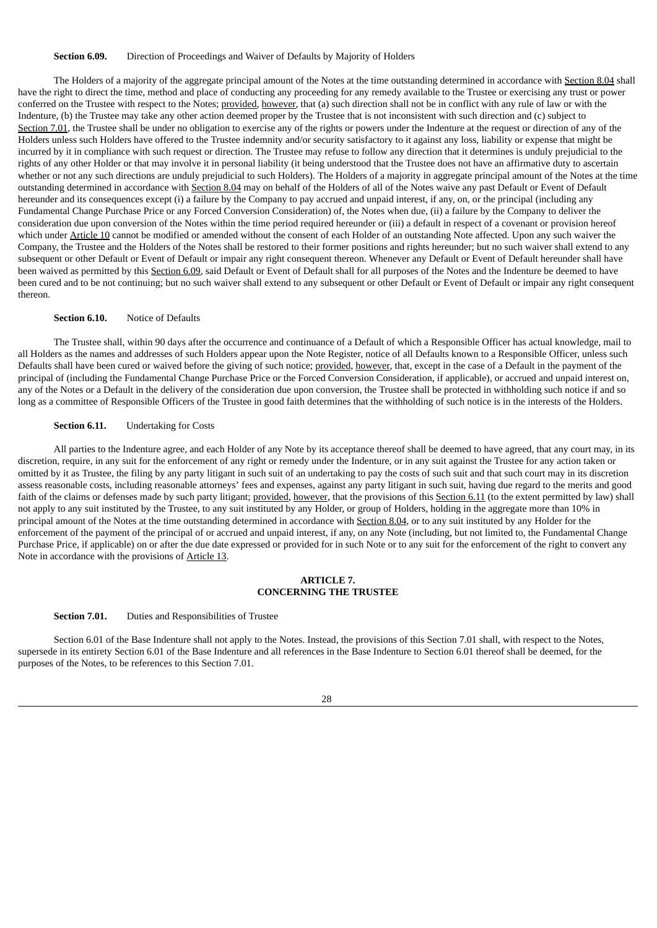#### **Section 6.09.** Direction of Proceedings and Waiver of Defaults by Majority of Holders

The Holders of a majority of the aggregate principal amount of the Notes at the time outstanding determined in accordance with Section 8.04 shall have the right to direct the time, method and place of conducting any proceeding for any remedy available to the Trustee or exercising any trust or power conferred on the Trustee with respect to the Notes; provided, however, that (a) such direction shall not be in conflict with any rule of law or with the Indenture, (b) the Trustee may take any other action deemed proper by the Trustee that is not inconsistent with such direction and (c) subject to Section 7.01, the Trustee shall be under no obligation to exercise any of the rights or powers under the Indenture at the request or direction of any of the Holders unless such Holders have offered to the Trustee indemnity and/or security satisfactory to it against any loss, liability or expense that might be incurred by it in compliance with such request or direction. The Trustee may refuse to follow any direction that it determines is unduly prejudicial to the rights of any other Holder or that may involve it in personal liability (it being understood that the Trustee does not have an affirmative duty to ascertain whether or not any such directions are unduly prejudicial to such Holders). The Holders of a majority in aggregate principal amount of the Notes at the time outstanding determined in accordance with Section 8.04 may on behalf of the Holders of all of the Notes waive any past Default or Event of Default hereunder and its consequences except (i) a failure by the Company to pay accrued and unpaid interest, if any, on, or the principal (including any Fundamental Change Purchase Price or any Forced Conversion Consideration) of, the Notes when due, (ii) a failure by the Company to deliver the consideration due upon conversion of the Notes within the time period required hereunder or (iii) a default in respect of a covenant or provision hereof which under Article 10 cannot be modified or amended without the consent of each Holder of an outstanding Note affected. Upon any such waiver the Company, the Trustee and the Holders of the Notes shall be restored to their former positions and rights hereunder; but no such waiver shall extend to any subsequent or other Default or Event of Default or impair any right consequent thereon. Whenever any Default or Event of Default hereunder shall have been waived as permitted by this Section 6.09, said Default or Event of Default shall for all purposes of the Notes and the Indenture be deemed to have been cured and to be not continuing; but no such waiver shall extend to any subsequent or other Default or Event of Default or impair any right consequent thereon.

#### **Section 6.10.** Notice of Defaults

The Trustee shall, within 90 days after the occurrence and continuance of a Default of which a Responsible Officer has actual knowledge, mail to all Holders as the names and addresses of such Holders appear upon the Note Register, notice of all Defaults known to a Responsible Officer, unless such Defaults shall have been cured or waived before the giving of such notice; provided, however, that, except in the case of a Default in the payment of the principal of (including the Fundamental Change Purchase Price or the Forced Conversion Consideration, if applicable), or accrued and unpaid interest on, any of the Notes or a Default in the delivery of the consideration due upon conversion, the Trustee shall be protected in withholding such notice if and so long as a committee of Responsible Officers of the Trustee in good faith determines that the withholding of such notice is in the interests of the Holders.

#### **Section 6.11.** Undertaking for Costs

All parties to the Indenture agree, and each Holder of any Note by its acceptance thereof shall be deemed to have agreed, that any court may, in its discretion, require, in any suit for the enforcement of any right or remedy under the Indenture, or in any suit against the Trustee for any action taken or omitted by it as Trustee, the filing by any party litigant in such suit of an undertaking to pay the costs of such suit and that such court may in its discretion assess reasonable costs, including reasonable attorneys' fees and expenses, against any party litigant in such suit, having due regard to the merits and good faith of the claims or defenses made by such party litigant; provided, however, that the provisions of this Section 6.11 (to the extent permitted by law) shall not apply to any suit instituted by the Trustee, to any suit instituted by any Holder, or group of Holders, holding in the aggregate more than 10% in principal amount of the Notes at the time outstanding determined in accordance with Section 8.04, or to any suit instituted by any Holder for the enforcement of the payment of the principal of or accrued and unpaid interest, if any, on any Note (including, but not limited to, the Fundamental Change Purchase Price, if applicable) on or after the due date expressed or provided for in such Note or to any suit for the enforcement of the right to convert any Note in accordance with the provisions of Article 13.

#### **ARTICLE 7. CONCERNING THE TRUSTEE**

## **Section 7.01.** Duties and Responsibilities of Trustee

Section 6.01 of the Base Indenture shall not apply to the Notes. Instead, the provisions of this Section 7.01 shall, with respect to the Notes, supersede in its entirety Section 6.01 of the Base Indenture and all references in the Base Indenture to Section 6.01 thereof shall be deemed, for the purposes of the Notes, to be references to this Section 7.01.

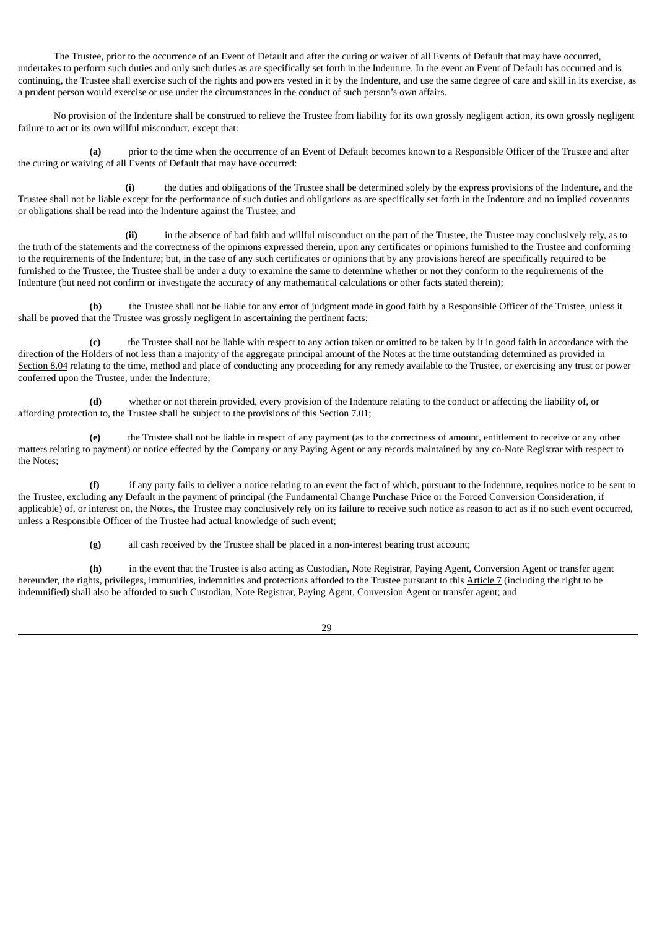The Trustee, prior to the occurrence of an Event of Default and after the curing or waiver of all Events of Default that may have occurred, undertakes to perform such duties and only such duties as are specifically set forth in the Indenture. In the event an Event of Default has occurred and is continuing, the Trustee shall exercise such of the rights and powers vested in it by the Indenture, and use the same degree of care and skill in its exercise, as a prudent person would exercise or use under the circumstances in the conduct of such person's own affairs.

No provision of the Indenture shall be construed to relieve the Trustee from liability for its own grossly negligent action, its own grossly negligent failure to act or its own willful misconduct, except that:

**(a)** prior to the time when the occurrence of an Event of Default becomes known to a Responsible Officer of the Trustee and after the curing or waiving of all Events of Default that may have occurred:

**(i)** the duties and obligations of the Trustee shall be determined solely by the express provisions of the Indenture, and the Trustee shall not be liable except for the performance of such duties and obligations as are specifically set forth in the Indenture and no implied covenants or obligations shall be read into the Indenture against the Trustee; and

**(ii)** in the absence of bad faith and willful misconduct on the part of the Trustee, the Trustee may conclusively rely, as to the truth of the statements and the correctness of the opinions expressed therein, upon any certificates or opinions furnished to the Trustee and conforming to the requirements of the Indenture; but, in the case of any such certificates or opinions that by any provisions hereof are specifically required to be furnished to the Trustee, the Trustee shall be under a duty to examine the same to determine whether or not they conform to the requirements of the Indenture (but need not confirm or investigate the accuracy of any mathematical calculations or other facts stated therein);

**(b)** the Trustee shall not be liable for any error of judgment made in good faith by a Responsible Officer of the Trustee, unless it shall be proved that the Trustee was grossly negligent in ascertaining the pertinent facts;

**(c)** the Trustee shall not be liable with respect to any action taken or omitted to be taken by it in good faith in accordance with the direction of the Holders of not less than a majority of the aggregate principal amount of the Notes at the time outstanding determined as provided in Section 8.04 relating to the time, method and place of conducting any proceeding for any remedy available to the Trustee, or exercising any trust or power conferred upon the Trustee, under the Indenture;

**(d)** whether or not therein provided, every provision of the Indenture relating to the conduct or affecting the liability of, or affording protection to, the Trustee shall be subject to the provisions of this Section 7.01;

**(e)** the Trustee shall not be liable in respect of any payment (as to the correctness of amount, entitlement to receive or any other matters relating to payment) or notice effected by the Company or any Paying Agent or any records maintained by any co-Note Registrar with respect to the Notes;

**(f)** if any party fails to deliver a notice relating to an event the fact of which, pursuant to the Indenture, requires notice to be sent to the Trustee, excluding any Default in the payment of principal (the Fundamental Change Purchase Price or the Forced Conversion Consideration, if applicable) of, or interest on, the Notes, the Trustee may conclusively rely on its failure to receive such notice as reason to act as if no such event occurred, unless a Responsible Officer of the Trustee had actual knowledge of such event;

**(g)** all cash received by the Trustee shall be placed in a non-interest bearing trust account;

**(h)** in the event that the Trustee is also acting as Custodian, Note Registrar, Paying Agent, Conversion Agent or transfer agent hereunder, the rights, privileges, immunities, indemnities and protections afforded to the Trustee pursuant to this Article 7 (including the right to be indemnified) shall also be afforded to such Custodian, Note Registrar, Paying Agent, Conversion Agent or transfer agent; and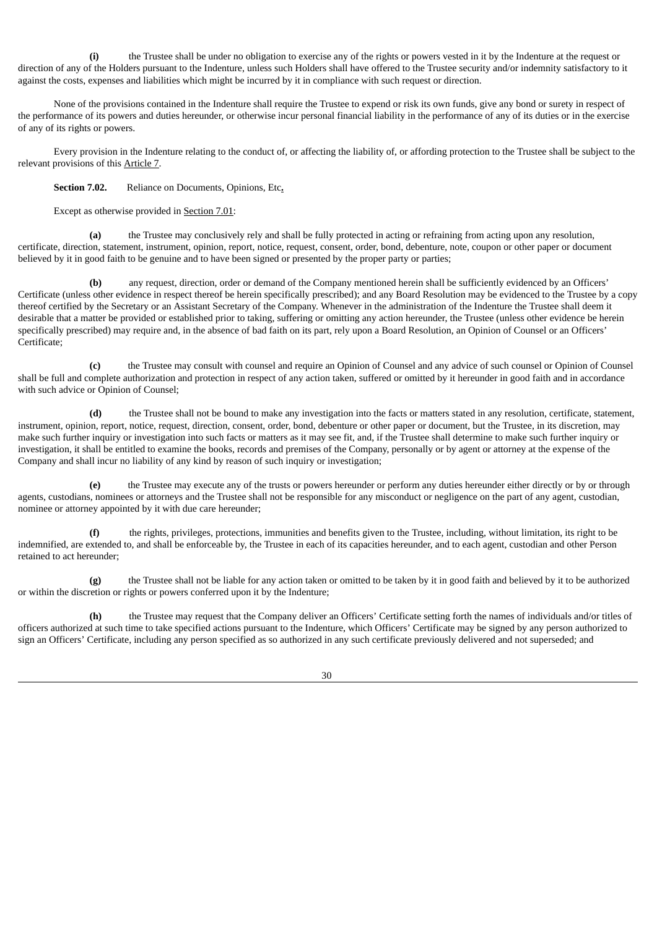**(i)** the Trustee shall be under no obligation to exercise any of the rights or powers vested in it by the Indenture at the request or direction of any of the Holders pursuant to the Indenture, unless such Holders shall have offered to the Trustee security and/or indemnity satisfactory to it against the costs, expenses and liabilities which might be incurred by it in compliance with such request or direction.

None of the provisions contained in the Indenture shall require the Trustee to expend or risk its own funds, give any bond or surety in respect of the performance of its powers and duties hereunder, or otherwise incur personal financial liability in the performance of any of its duties or in the exercise of any of its rights or powers.

Every provision in the Indenture relating to the conduct of, or affecting the liability of, or affording protection to the Trustee shall be subject to the relevant provisions of this Article 7.

**Section 7.02.** Reliance on Documents, Opinions, Etc**.**

Except as otherwise provided in Section 7.01:

**(a)** the Trustee may conclusively rely and shall be fully protected in acting or refraining from acting upon any resolution, certificate, direction, statement, instrument, opinion, report, notice, request, consent, order, bond, debenture, note, coupon or other paper or document believed by it in good faith to be genuine and to have been signed or presented by the proper party or parties;

**(b)** any request, direction, order or demand of the Company mentioned herein shall be sufficiently evidenced by an Officers' Certificate (unless other evidence in respect thereof be herein specifically prescribed); and any Board Resolution may be evidenced to the Trustee by a copy thereof certified by the Secretary or an Assistant Secretary of the Company. Whenever in the administration of the Indenture the Trustee shall deem it desirable that a matter be provided or established prior to taking, suffering or omitting any action hereunder, the Trustee (unless other evidence be herein specifically prescribed) may require and, in the absence of bad faith on its part, rely upon a Board Resolution, an Opinion of Counsel or an Officers' Certificate;

**(c)** the Trustee may consult with counsel and require an Opinion of Counsel and any advice of such counsel or Opinion of Counsel shall be full and complete authorization and protection in respect of any action taken, suffered or omitted by it hereunder in good faith and in accordance with such advice or Opinion of Counsel;

**(d)** the Trustee shall not be bound to make any investigation into the facts or matters stated in any resolution, certificate, statement, instrument, opinion, report, notice, request, direction, consent, order, bond, debenture or other paper or document, but the Trustee, in its discretion, may make such further inquiry or investigation into such facts or matters as it may see fit, and, if the Trustee shall determine to make such further inquiry or investigation, it shall be entitled to examine the books, records and premises of the Company, personally or by agent or attorney at the expense of the Company and shall incur no liability of any kind by reason of such inquiry or investigation;

**(e)** the Trustee may execute any of the trusts or powers hereunder or perform any duties hereunder either directly or by or through agents, custodians, nominees or attorneys and the Trustee shall not be responsible for any misconduct or negligence on the part of any agent, custodian, nominee or attorney appointed by it with due care hereunder;

**(f)** the rights, privileges, protections, immunities and benefits given to the Trustee, including, without limitation, its right to be indemnified, are extended to, and shall be enforceable by, the Trustee in each of its capacities hereunder, and to each agent, custodian and other Person retained to act hereunder;

**(g)** the Trustee shall not be liable for any action taken or omitted to be taken by it in good faith and believed by it to be authorized or within the discretion or rights or powers conferred upon it by the Indenture;

**(h)** the Trustee may request that the Company deliver an Officers' Certificate setting forth the names of individuals and/or titles of officers authorized at such time to take specified actions pursuant to the Indenture, which Officers' Certificate may be signed by any person authorized to sign an Officers' Certificate, including any person specified as so authorized in any such certificate previously delivered and not superseded; and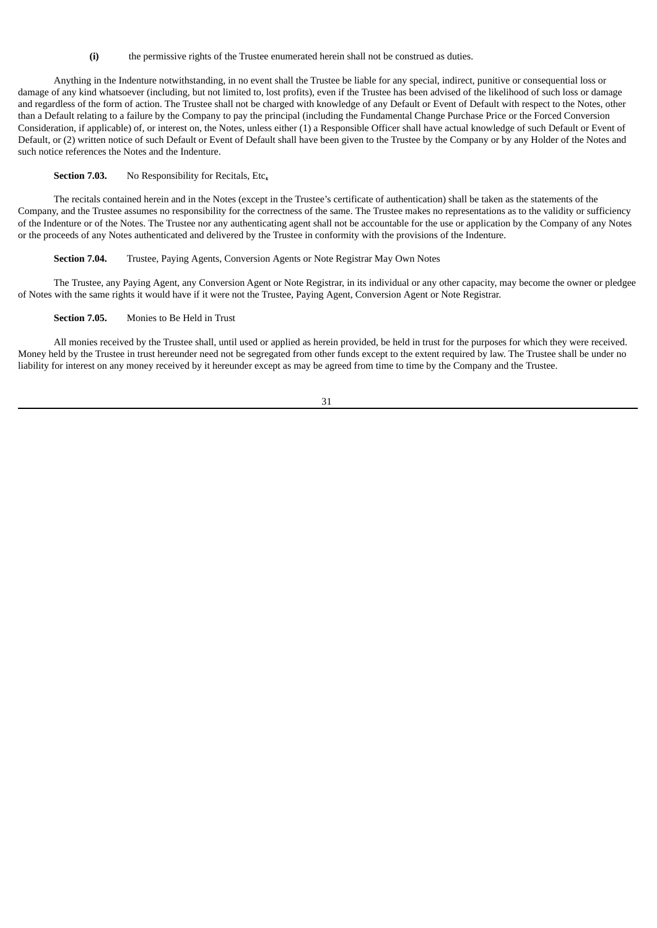**(i)** the permissive rights of the Trustee enumerated herein shall not be construed as duties.

Anything in the Indenture notwithstanding, in no event shall the Trustee be liable for any special, indirect, punitive or consequential loss or damage of any kind whatsoever (including, but not limited to, lost profits), even if the Trustee has been advised of the likelihood of such loss or damage and regardless of the form of action. The Trustee shall not be charged with knowledge of any Default or Event of Default with respect to the Notes, other than a Default relating to a failure by the Company to pay the principal (including the Fundamental Change Purchase Price or the Forced Conversion Consideration, if applicable) of, or interest on, the Notes, unless either (1) a Responsible Officer shall have actual knowledge of such Default or Event of Default, or (2) written notice of such Default or Event of Default shall have been given to the Trustee by the Company or by any Holder of the Notes and such notice references the Notes and the Indenture.

## **Section 7.03.** No Responsibility for Recitals, Etc**.**

The recitals contained herein and in the Notes (except in the Trustee's certificate of authentication) shall be taken as the statements of the Company, and the Trustee assumes no responsibility for the correctness of the same. The Trustee makes no representations as to the validity or sufficiency of the Indenture or of the Notes. The Trustee nor any authenticating agent shall not be accountable for the use or application by the Company of any Notes or the proceeds of any Notes authenticated and delivered by the Trustee in conformity with the provisions of the Indenture.

## **Section 7.04.** Trustee, Paying Agents, Conversion Agents or Note Registrar May Own Notes

The Trustee, any Paying Agent, any Conversion Agent or Note Registrar, in its individual or any other capacity, may become the owner or pledgee of Notes with the same rights it would have if it were not the Trustee, Paying Agent, Conversion Agent or Note Registrar.

## **Section 7.05.** Monies to Be Held in Trust

All monies received by the Trustee shall, until used or applied as herein provided, be held in trust for the purposes for which they were received. Money held by the Trustee in trust hereunder need not be segregated from other funds except to the extent required by law. The Trustee shall be under no liability for interest on any money received by it hereunder except as may be agreed from time to time by the Company and the Trustee.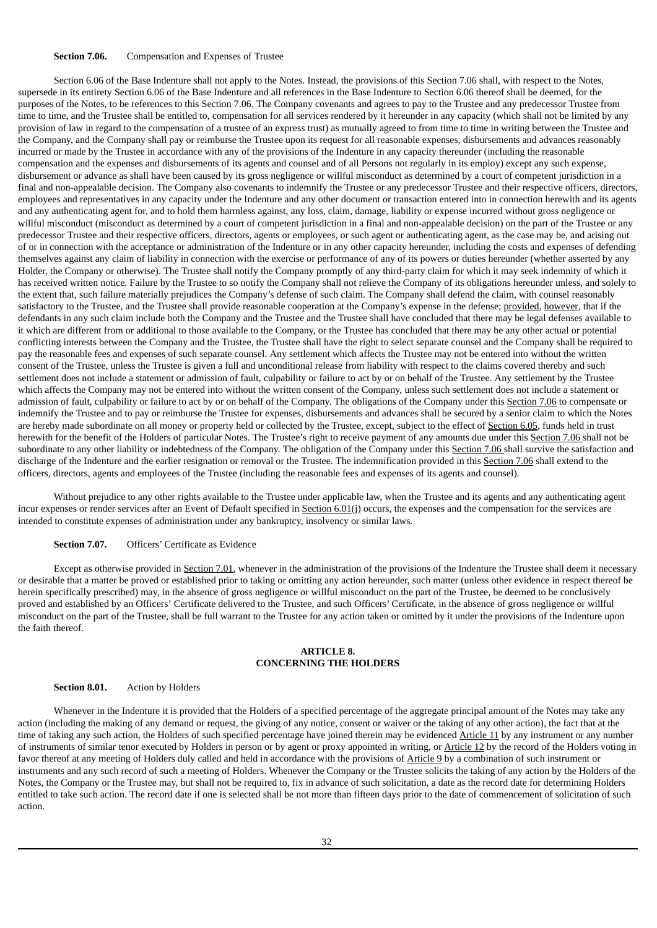## **Section 7.06.** Compensation and Expenses of Trustee

Section 6.06 of the Base Indenture shall not apply to the Notes. Instead, the provisions of this Section 7.06 shall, with respect to the Notes, supersede in its entirety Section 6.06 of the Base Indenture and all references in the Base Indenture to Section 6.06 thereof shall be deemed, for the purposes of the Notes, to be references to this Section 7.06. The Company covenants and agrees to pay to the Trustee and any predecessor Trustee from time to time, and the Trustee shall be entitled to, compensation for all services rendered by it hereunder in any capacity (which shall not be limited by any provision of law in regard to the compensation of a trustee of an express trust) as mutually agreed to from time to time in writing between the Trustee and the Company, and the Company shall pay or reimburse the Trustee upon its request for all reasonable expenses, disbursements and advances reasonably incurred or made by the Trustee in accordance with any of the provisions of the Indenture in any capacity thereunder (including the reasonable compensation and the expenses and disbursements of its agents and counsel and of all Persons not regularly in its employ) except any such expense, disbursement or advance as shall have been caused by its gross negligence or willful misconduct as determined by a court of competent jurisdiction in a final and non-appealable decision. The Company also covenants to indemnify the Trustee or any predecessor Trustee and their respective officers, directors, employees and representatives in any capacity under the Indenture and any other document or transaction entered into in connection herewith and its agents and any authenticating agent for, and to hold them harmless against, any loss, claim, damage, liability or expense incurred without gross negligence or willful misconduct (misconduct as determined by a court of competent jurisdiction in a final and non-appealable decision) on the part of the Trustee or any predecessor Trustee and their respective officers, directors, agents or employees, or such agent or authenticating agent, as the case may be, and arising out of or in connection with the acceptance or administration of the Indenture or in any other capacity hereunder, including the costs and expenses of defending themselves against any claim of liability in connection with the exercise or performance of any of its powers or duties hereunder (whether asserted by any Holder, the Company or otherwise). The Trustee shall notify the Company promptly of any third-party claim for which it may seek indemnity of which it has received written notice. Failure by the Trustee to so notify the Company shall not relieve the Company of its obligations hereunder unless, and solely to the extent that, such failure materially prejudices the Company's defense of such claim. The Company shall defend the claim, with counsel reasonably satisfactory to the Trustee, and the Trustee shall provide reasonable cooperation at the Company's expense in the defense; provided, however, that if the defendants in any such claim include both the Company and the Trustee and the Trustee shall have concluded that there may be legal defenses available to it which are different from or additional to those available to the Company, or the Trustee has concluded that there may be any other actual or potential conflicting interests between the Company and the Trustee, the Trustee shall have the right to select separate counsel and the Company shall be required to pay the reasonable fees and expenses of such separate counsel. Any settlement which affects the Trustee may not be entered into without the written consent of the Trustee, unless the Trustee is given a full and unconditional release from liability with respect to the claims covered thereby and such settlement does not include a statement or admission of fault, culpability or failure to act by or on behalf of the Trustee. Any settlement by the Trustee which affects the Company may not be entered into without the written consent of the Company, unless such settlement does not include a statement or admission of fault, culpability or failure to act by or on behalf of the Company. The obligations of the Company under this Section 7.06 to compensate or indemnify the Trustee and to pay or reimburse the Trustee for expenses, disbursements and advances shall be secured by a senior claim to which the Notes are hereby made subordinate on all money or property held or collected by the Trustee, except, subject to the effect of Section 6.05, funds held in trust herewith for the benefit of the Holders of particular Notes. The Trustee's right to receive payment of any amounts due under this Section 7.06 shall not be subordinate to any other liability or indebtedness of the Company. The obligation of the Company under this Section 7.06 shall survive the satisfaction and discharge of the Indenture and the earlier resignation or removal or the Trustee. The indemnification provided in this Section 7.06 shall extend to the officers, directors, agents and employees of the Trustee (including the reasonable fees and expenses of its agents and counsel).

Without prejudice to any other rights available to the Trustee under applicable law, when the Trustee and its agents and any authenticating agent incur expenses or render services after an Event of Default specified in Section 6.01(j) occurs, the expenses and the compensation for the services are intended to constitute expenses of administration under any bankruptcy, insolvency or similar laws.

## **Section 7.07.** Officers' Certificate as Evidence

Except as otherwise provided in Section 7.01, whenever in the administration of the provisions of the Indenture the Trustee shall deem it necessary or desirable that a matter be proved or established prior to taking or omitting any action hereunder, such matter (unless other evidence in respect thereof be herein specifically prescribed) may, in the absence of gross negligence or willful misconduct on the part of the Trustee, be deemed to be conclusively proved and established by an Officers' Certificate delivered to the Trustee, and such Officers' Certificate, in the absence of gross negligence or willful misconduct on the part of the Trustee, shall be full warrant to the Trustee for any action taken or omitted by it under the provisions of the Indenture upon the faith thereof.

## **ARTICLE 8. CONCERNING THE HOLDERS**

#### **Section 8.01.** Action by Holders

Whenever in the Indenture it is provided that the Holders of a specified percentage of the aggregate principal amount of the Notes may take any action (including the making of any demand or request, the giving of any notice, consent or waiver or the taking of any other action), the fact that at the time of taking any such action, the Holders of such specified percentage have joined therein may be evidenced Article 11 by any instrument or any number of instruments of similar tenor executed by Holders in person or by agent or proxy appointed in writing, or Article 12 by the record of the Holders voting in favor thereof at any meeting of Holders duly called and held in accordance with the provisions of Article 9 by a combination of such instrument or instruments and any such record of such a meeting of Holders. Whenever the Company or the Trustee solicits the taking of any action by the Holders of the Notes, the Company or the Trustee may, but shall not be required to, fix in advance of such solicitation, a date as the record date for determining Holders entitled to take such action. The record date if one is selected shall be not more than fifteen days prior to the date of commencement of solicitation of such action.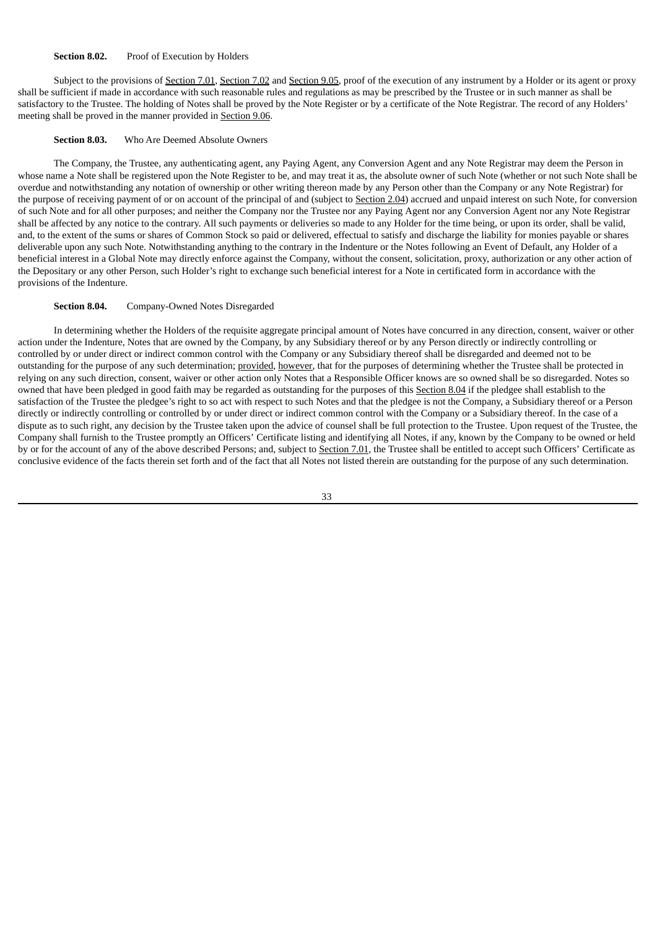#### **Section 8.02.** Proof of Execution by Holders

Subject to the provisions of Section 7.01, Section 7.02 and Section 9.05, proof of the execution of any instrument by a Holder or its agent or proxy shall be sufficient if made in accordance with such reasonable rules and regulations as may be prescribed by the Trustee or in such manner as shall be satisfactory to the Trustee. The holding of Notes shall be proved by the Note Register or by a certificate of the Note Registrar. The record of any Holders' meeting shall be proved in the manner provided in Section 9.06.

## **Section 8.03.** Who Are Deemed Absolute Owners

The Company, the Trustee, any authenticating agent, any Paying Agent, any Conversion Agent and any Note Registrar may deem the Person in whose name a Note shall be registered upon the Note Register to be, and may treat it as, the absolute owner of such Note (whether or not such Note shall be overdue and notwithstanding any notation of ownership or other writing thereon made by any Person other than the Company or any Note Registrar) for the purpose of receiving payment of or on account of the principal of and (subject to Section 2.04) accrued and unpaid interest on such Note, for conversion of such Note and for all other purposes; and neither the Company nor the Trustee nor any Paying Agent nor any Conversion Agent nor any Note Registrar shall be affected by any notice to the contrary. All such payments or deliveries so made to any Holder for the time being, or upon its order, shall be valid, and, to the extent of the sums or shares of Common Stock so paid or delivered, effectual to satisfy and discharge the liability for monies payable or shares deliverable upon any such Note. Notwithstanding anything to the contrary in the Indenture or the Notes following an Event of Default, any Holder of a beneficial interest in a Global Note may directly enforce against the Company, without the consent, solicitation, proxy, authorization or any other action of the Depositary or any other Person, such Holder's right to exchange such beneficial interest for a Note in certificated form in accordance with the provisions of the Indenture.

## **Section 8.04.** Company-Owned Notes Disregarded

In determining whether the Holders of the requisite aggregate principal amount of Notes have concurred in any direction, consent, waiver or other action under the Indenture, Notes that are owned by the Company, by any Subsidiary thereof or by any Person directly or indirectly controlling or controlled by or under direct or indirect common control with the Company or any Subsidiary thereof shall be disregarded and deemed not to be outstanding for the purpose of any such determination; provided, however, that for the purposes of determining whether the Trustee shall be protected in relying on any such direction, consent, waiver or other action only Notes that a Responsible Officer knows are so owned shall be so disregarded. Notes so owned that have been pledged in good faith may be regarded as outstanding for the purposes of this Section 8.04 if the pledgee shall establish to the satisfaction of the Trustee the pledgee's right to so act with respect to such Notes and that the pledgee is not the Company, a Subsidiary thereof or a Person directly or indirectly controlling or controlled by or under direct or indirect common control with the Company or a Subsidiary thereof. In the case of a dispute as to such right, any decision by the Trustee taken upon the advice of counsel shall be full protection to the Trustee. Upon request of the Trustee, the Company shall furnish to the Trustee promptly an Officers' Certificate listing and identifying all Notes, if any, known by the Company to be owned or held by or for the account of any of the above described Persons; and, subject to Section 7.01, the Trustee shall be entitled to accept such Officers' Certificate as conclusive evidence of the facts therein set forth and of the fact that all Notes not listed therein are outstanding for the purpose of any such determination.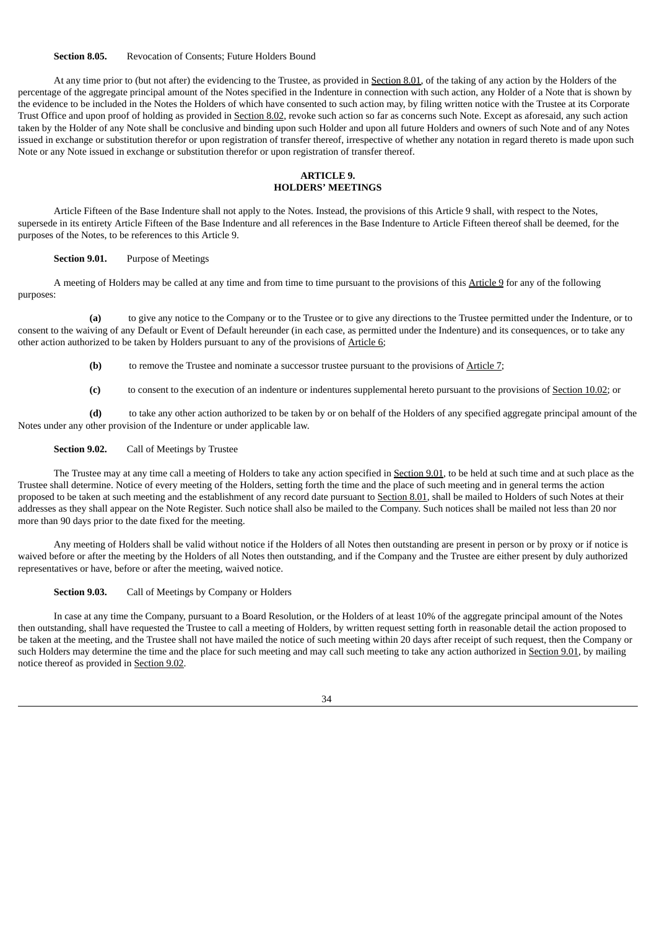#### **Section 8.05.** Revocation of Consents; Future Holders Bound

At any time prior to (but not after) the evidencing to the Trustee, as provided in Section 8.01, of the taking of any action by the Holders of the percentage of the aggregate principal amount of the Notes specified in the Indenture in connection with such action, any Holder of a Note that is shown by the evidence to be included in the Notes the Holders of which have consented to such action may, by filing written notice with the Trustee at its Corporate Trust Office and upon proof of holding as provided in Section 8.02, revoke such action so far as concerns such Note. Except as aforesaid, any such action taken by the Holder of any Note shall be conclusive and binding upon such Holder and upon all future Holders and owners of such Note and of any Notes issued in exchange or substitution therefor or upon registration of transfer thereof, irrespective of whether any notation in regard thereto is made upon such Note or any Note issued in exchange or substitution therefor or upon registration of transfer thereof.

## **ARTICLE 9. HOLDERS' MEETINGS**

Article Fifteen of the Base Indenture shall not apply to the Notes. Instead, the provisions of this Article 9 shall, with respect to the Notes, supersede in its entirety Article Fifteen of the Base Indenture and all references in the Base Indenture to Article Fifteen thereof shall be deemed, for the purposes of the Notes, to be references to this Article 9.

## **Section 9.01.** Purpose of Meetings

A meeting of Holders may be called at any time and from time to time pursuant to the provisions of this Article 9 for any of the following purposes:

**(a)** to give any notice to the Company or to the Trustee or to give any directions to the Trustee permitted under the Indenture, or to consent to the waiving of any Default or Event of Default hereunder (in each case, as permitted under the Indenture) and its consequences, or to take any other action authorized to be taken by Holders pursuant to any of the provisions of Article 6;

- **(b)** to remove the Trustee and nominate a successor trustee pursuant to the provisions of Article 7;
- **(c)** to consent to the execution of an indenture or indentures supplemental hereto pursuant to the provisions of Section 10.02; or

**(d)** to take any other action authorized to be taken by or on behalf of the Holders of any specified aggregate principal amount of the Notes under any other provision of the Indenture or under applicable law.

## **Section 9.02.** Call of Meetings by Trustee

The Trustee may at any time call a meeting of Holders to take any action specified in Section 9.01, to be held at such time and at such place as the Trustee shall determine. Notice of every meeting of the Holders, setting forth the time and the place of such meeting and in general terms the action proposed to be taken at such meeting and the establishment of any record date pursuant to Section 8.01, shall be mailed to Holders of such Notes at their addresses as they shall appear on the Note Register. Such notice shall also be mailed to the Company. Such notices shall be mailed not less than 20 nor more than 90 days prior to the date fixed for the meeting.

Any meeting of Holders shall be valid without notice if the Holders of all Notes then outstanding are present in person or by proxy or if notice is waived before or after the meeting by the Holders of all Notes then outstanding, and if the Company and the Trustee are either present by duly authorized representatives or have, before or after the meeting, waived notice.

**Section 9.03.** Call of Meetings by Company or Holders

In case at any time the Company, pursuant to a Board Resolution, or the Holders of at least 10% of the aggregate principal amount of the Notes then outstanding, shall have requested the Trustee to call a meeting of Holders, by written request setting forth in reasonable detail the action proposed to be taken at the meeting, and the Trustee shall not have mailed the notice of such meeting within 20 days after receipt of such request, then the Company or such Holders may determine the time and the place for such meeting and may call such meeting to take any action authorized in Section 9.01, by mailing notice thereof as provided in Section 9.02.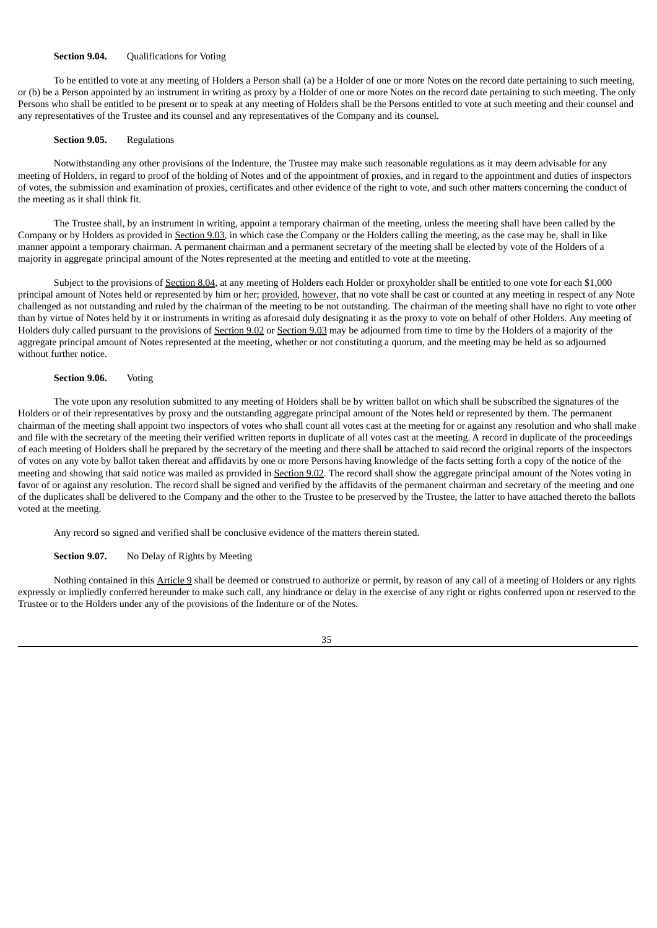## **Section 9.04. Qualifications for Voting**

To be entitled to vote at any meeting of Holders a Person shall (a) be a Holder of one or more Notes on the record date pertaining to such meeting, or (b) be a Person appointed by an instrument in writing as proxy by a Holder of one or more Notes on the record date pertaining to such meeting. The only Persons who shall be entitled to be present or to speak at any meeting of Holders shall be the Persons entitled to vote at such meeting and their counsel and any representatives of the Trustee and its counsel and any representatives of the Company and its counsel.

#### **Section 9.05.** Regulations

Notwithstanding any other provisions of the Indenture, the Trustee may make such reasonable regulations as it may deem advisable for any meeting of Holders, in regard to proof of the holding of Notes and of the appointment of proxies, and in regard to the appointment and duties of inspectors of votes, the submission and examination of proxies, certificates and other evidence of the right to vote, and such other matters concerning the conduct of the meeting as it shall think fit.

The Trustee shall, by an instrument in writing, appoint a temporary chairman of the meeting, unless the meeting shall have been called by the Company or by Holders as provided in Section 9.03, in which case the Company or the Holders calling the meeting, as the case may be, shall in like manner appoint a temporary chairman. A permanent chairman and a permanent secretary of the meeting shall be elected by vote of the Holders of a majority in aggregate principal amount of the Notes represented at the meeting and entitled to vote at the meeting.

Subject to the provisions of Section 8.04, at any meeting of Holders each Holder or proxyholder shall be entitled to one vote for each \$1,000 principal amount of Notes held or represented by him or her; provided, however, that no vote shall be cast or counted at any meeting in respect of any Note challenged as not outstanding and ruled by the chairman of the meeting to be not outstanding. The chairman of the meeting shall have no right to vote other than by virtue of Notes held by it or instruments in writing as aforesaid duly designating it as the proxy to vote on behalf of other Holders. Any meeting of Holders duly called pursuant to the provisions of Section 9.02 or Section 9.03 may be adjourned from time to time by the Holders of a majority of the aggregate principal amount of Notes represented at the meeting, whether or not constituting a quorum, and the meeting may be held as so adjourned without further notice.

## **Section 9.06.** Voting

The vote upon any resolution submitted to any meeting of Holders shall be by written ballot on which shall be subscribed the signatures of the Holders or of their representatives by proxy and the outstanding aggregate principal amount of the Notes held or represented by them. The permanent chairman of the meeting shall appoint two inspectors of votes who shall count all votes cast at the meeting for or against any resolution and who shall make and file with the secretary of the meeting their verified written reports in duplicate of all votes cast at the meeting. A record in duplicate of the proceedings of each meeting of Holders shall be prepared by the secretary of the meeting and there shall be attached to said record the original reports of the inspectors of votes on any vote by ballot taken thereat and affidavits by one or more Persons having knowledge of the facts setting forth a copy of the notice of the meeting and showing that said notice was mailed as provided in Section 9.02. The record shall show the aggregate principal amount of the Notes voting in favor of or against any resolution. The record shall be signed and verified by the affidavits of the permanent chairman and secretary of the meeting and one of the duplicates shall be delivered to the Company and the other to the Trustee to be preserved by the Trustee, the latter to have attached thereto the ballots voted at the meeting.

Any record so signed and verified shall be conclusive evidence of the matters therein stated.

#### **Section 9.07.** No Delay of Rights by Meeting

Nothing contained in this Article 9 shall be deemed or construed to authorize or permit, by reason of any call of a meeting of Holders or any rights expressly or impliedly conferred hereunder to make such call, any hindrance or delay in the exercise of any right or rights conferred upon or reserved to the Trustee or to the Holders under any of the provisions of the Indenture or of the Notes.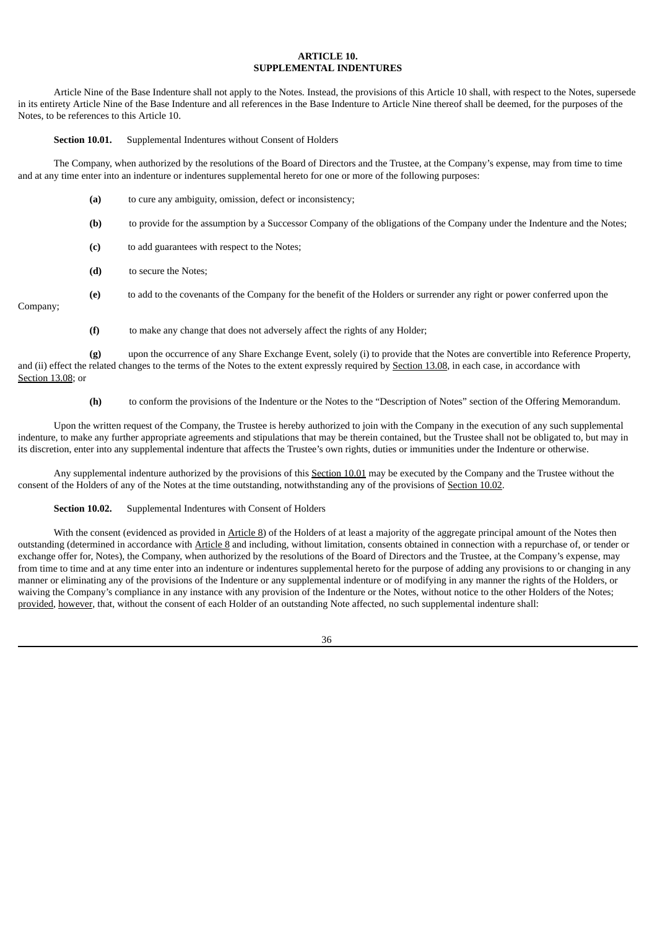## **ARTICLE 10. SUPPLEMENTAL INDENTURES**

Article Nine of the Base Indenture shall not apply to the Notes. Instead, the provisions of this Article 10 shall, with respect to the Notes, supersede in its entirety Article Nine of the Base Indenture and all references in the Base Indenture to Article Nine thereof shall be deemed, for the purposes of the Notes, to be references to this Article 10.

**Section 10.01.** Supplemental Indentures without Consent of Holders

The Company, when authorized by the resolutions of the Board of Directors and the Trustee, at the Company's expense, may from time to time and at any time enter into an indenture or indentures supplemental hereto for one or more of the following purposes:

- **(a)** to cure any ambiguity, omission, defect or inconsistency;
- **(b)** to provide for the assumption by a Successor Company of the obligations of the Company under the Indenture and the Notes;
- **(c)** to add guarantees with respect to the Notes;
- **(d)** to secure the Notes;
- **(e)** to add to the covenants of the Company for the benefit of the Holders or surrender any right or power conferred upon the Company;

**(f)** to make any change that does not adversely affect the rights of any Holder;

**(g)** upon the occurrence of any Share Exchange Event, solely (i) to provide that the Notes are convertible into Reference Property, and (ii) effect the related changes to the terms of the Notes to the extent expressly required by Section 13.08, in each case, in accordance with Section 13.08; or

**(h)** to conform the provisions of the Indenture or the Notes to the "Description of Notes" section of the Offering Memorandum.

Upon the written request of the Company, the Trustee is hereby authorized to join with the Company in the execution of any such supplemental indenture, to make any further appropriate agreements and stipulations that may be therein contained, but the Trustee shall not be obligated to, but may in its discretion, enter into any supplemental indenture that affects the Trustee's own rights, duties or immunities under the Indenture or otherwise.

Any supplemental indenture authorized by the provisions of this Section 10.01 may be executed by the Company and the Trustee without the consent of the Holders of any of the Notes at the time outstanding, notwithstanding any of the provisions of Section 10.02.

#### **Section 10.02.** Supplemental Indentures with Consent of Holders

With the consent (evidenced as provided in Article 8) of the Holders of at least a majority of the aggregate principal amount of the Notes then outstanding (determined in accordance with Article 8 and including, without limitation, consents obtained in connection with a repurchase of, or tender or exchange offer for, Notes), the Company, when authorized by the resolutions of the Board of Directors and the Trustee, at the Company's expense, may from time to time and at any time enter into an indenture or indentures supplemental hereto for the purpose of adding any provisions to or changing in any manner or eliminating any of the provisions of the Indenture or any supplemental indenture or of modifying in any manner the rights of the Holders, or waiving the Company's compliance in any instance with any provision of the Indenture or the Notes, without notice to the other Holders of the Notes; provided, however, that, without the consent of each Holder of an outstanding Note affected, no such supplemental indenture shall: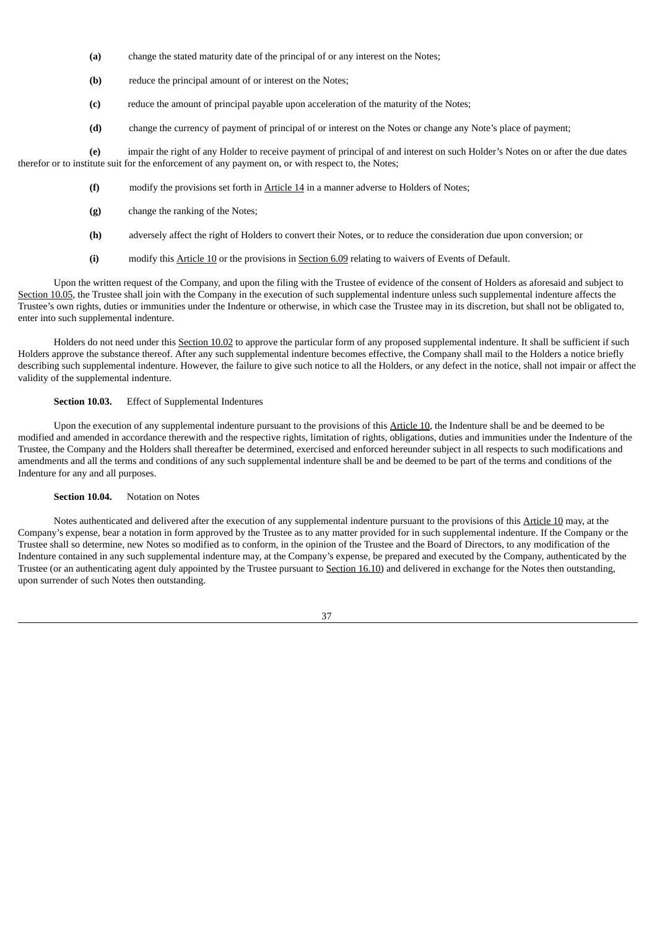- **(a)** change the stated maturity date of the principal of or any interest on the Notes;
- **(b)** reduce the principal amount of or interest on the Notes;
- **(c)** reduce the amount of principal payable upon acceleration of the maturity of the Notes;
- **(d)** change the currency of payment of principal of or interest on the Notes or change any Note's place of payment;

**(e)** impair the right of any Holder to receive payment of principal of and interest on such Holder's Notes on or after the due dates therefor or to institute suit for the enforcement of any payment on, or with respect to, the Notes;

- **(f)** modify the provisions set forth in Article 14 in a manner adverse to Holders of Notes;
- **(g)** change the ranking of the Notes;
- **(h)** adversely affect the right of Holders to convert their Notes, or to reduce the consideration due upon conversion; or
- **(i)** modify this Article 10 or the provisions in Section 6.09 relating to waivers of Events of Default.

Upon the written request of the Company, and upon the filing with the Trustee of evidence of the consent of Holders as aforesaid and subject to Section 10.05, the Trustee shall join with the Company in the execution of such supplemental indenture unless such supplemental indenture affects the Trustee's own rights, duties or immunities under the Indenture or otherwise, in which case the Trustee may in its discretion, but shall not be obligated to, enter into such supplemental indenture.

Holders do not need under this Section 10.02 to approve the particular form of any proposed supplemental indenture. It shall be sufficient if such Holders approve the substance thereof. After any such supplemental indenture becomes effective, the Company shall mail to the Holders a notice briefly describing such supplemental indenture. However, the failure to give such notice to all the Holders, or any defect in the notice, shall not impair or affect the validity of the supplemental indenture.

## **Section 10.03.** Effect of Supplemental Indentures

Upon the execution of any supplemental indenture pursuant to the provisions of this Article 10, the Indenture shall be and be deemed to be modified and amended in accordance therewith and the respective rights, limitation of rights, obligations, duties and immunities under the Indenture of the Trustee, the Company and the Holders shall thereafter be determined, exercised and enforced hereunder subject in all respects to such modifications and amendments and all the terms and conditions of any such supplemental indenture shall be and be deemed to be part of the terms and conditions of the Indenture for any and all purposes.

#### **Section 10.04.** Notation on Notes

Notes authenticated and delivered after the execution of any supplemental indenture pursuant to the provisions of this Article 10 may, at the Company's expense, bear a notation in form approved by the Trustee as to any matter provided for in such supplemental indenture. If the Company or the Trustee shall so determine, new Notes so modified as to conform, in the opinion of the Trustee and the Board of Directors, to any modification of the Indenture contained in any such supplemental indenture may, at the Company's expense, be prepared and executed by the Company, authenticated by the Trustee (or an authenticating agent duly appointed by the Trustee pursuant to Section 16.10) and delivered in exchange for the Notes then outstanding, upon surrender of such Notes then outstanding.

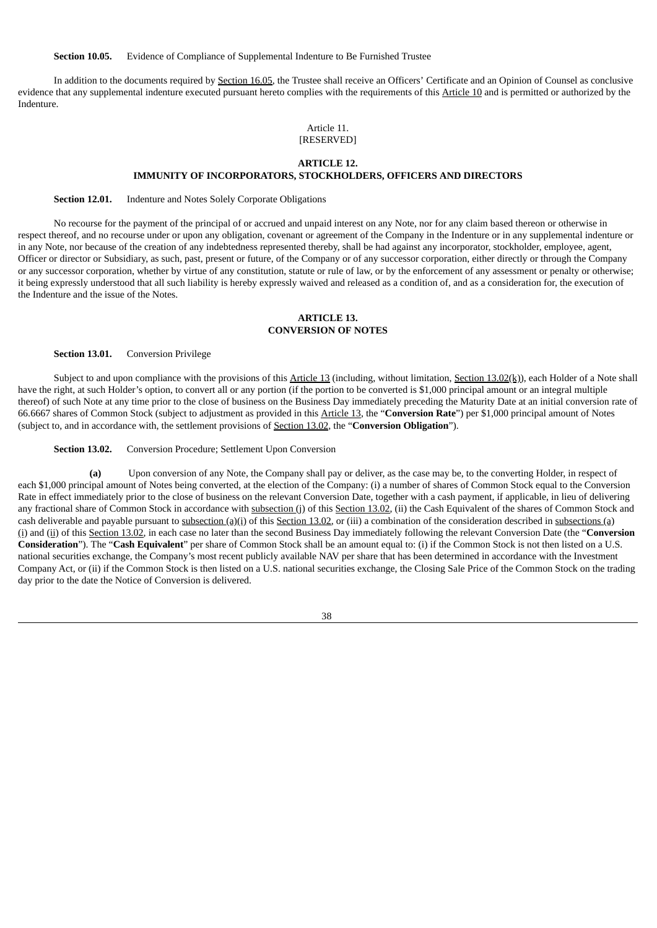**Section 10.05.** Evidence of Compliance of Supplemental Indenture to Be Furnished Trustee

In addition to the documents required by Section 16.05, the Trustee shall receive an Officers' Certificate and an Opinion of Counsel as conclusive evidence that any supplemental indenture executed pursuant hereto complies with the requirements of this Article 10 and is permitted or authorized by the Indenture.

## Article 11. [RESERVED]

## **ARTICLE 12.**

## **IMMUNITY OF INCORPORATORS, STOCKHOLDERS, OFFICERS AND DIRECTORS**

**Section 12.01.** Indenture and Notes Solely Corporate Obligations

No recourse for the payment of the principal of or accrued and unpaid interest on any Note, nor for any claim based thereon or otherwise in respect thereof, and no recourse under or upon any obligation, covenant or agreement of the Company in the Indenture or in any supplemental indenture or in any Note, nor because of the creation of any indebtedness represented thereby, shall be had against any incorporator, stockholder, employee, agent, Officer or director or Subsidiary, as such, past, present or future, of the Company or of any successor corporation, either directly or through the Company or any successor corporation, whether by virtue of any constitution, statute or rule of law, or by the enforcement of any assessment or penalty or otherwise; it being expressly understood that all such liability is hereby expressly waived and released as a condition of, and as a consideration for, the execution of the Indenture and the issue of the Notes.

## **ARTICLE 13. CONVERSION OF NOTES**

**Section 13.01.** Conversion Privilege

Subject to and upon compliance with the provisions of this Article 13 (including, without limitation, Section 13.02( $(k)$ ), each Holder of a Note shall have the right, at such Holder's option, to convert all or any portion (if the portion to be converted is \$1,000 principal amount or an integral multiple thereof) of such Note at any time prior to the close of business on the Business Day immediately preceding the Maturity Date at an initial conversion rate of 66.6667 shares of Common Stock (subject to adjustment as provided in this Article 13, the "**Conversion Rate**") per \$1,000 principal amount of Notes (subject to, and in accordance with, the settlement provisions of Section 13.02, the "**Conversion Obligation**").

**Section 13.02.** Conversion Procedure; Settlement Upon Conversion

**(a)** Upon conversion of any Note, the Company shall pay or deliver, as the case may be, to the converting Holder, in respect of each \$1,000 principal amount of Notes being converted, at the election of the Company: (i) a number of shares of Common Stock equal to the Conversion Rate in effect immediately prior to the close of business on the relevant Conversion Date, together with a cash payment, if applicable, in lieu of delivering any fractional share of Common Stock in accordance with subsection (j) of this Section 13.02, (ii) the Cash Equivalent of the shares of Common Stock and cash deliverable and payable pursuant to  $\frac{\text{subsection}(a)(i)}{\text{min}}$  of this  $\frac{\text{Section 13.02}}{\text{Section 13.02}}$ , or (iii) a combination of the consideration described in  $\frac{\text{subsections}(a)}{\text{subsections}}$ (i) and (ii) of this Section 13.02, in each case no later than the second Business Day immediately following the relevant Conversion Date (the "**Conversion Consideration**"). The "**Cash Equivalent**" per share of Common Stock shall be an amount equal to: (i) if the Common Stock is not then listed on a U.S. national securities exchange, the Company's most recent publicly available NAV per share that has been determined in accordance with the Investment Company Act, or (ii) if the Common Stock is then listed on a U.S. national securities exchange, the Closing Sale Price of the Common Stock on the trading day prior to the date the Notice of Conversion is delivered.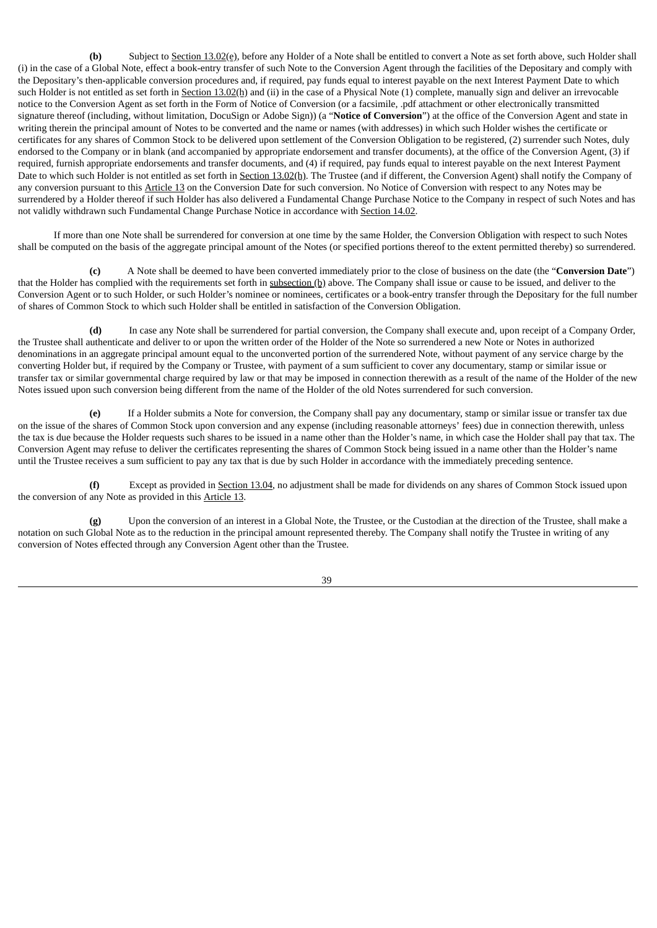**(b)** Subject to Section 13.02(e), before any Holder of a Note shall be entitled to convert a Note as set forth above, such Holder shall (i) in the case of a Global Note, effect a book-entry transfer of such Note to the Conversion Agent through the facilities of the Depositary and comply with the Depositary's then-applicable conversion procedures and, if required, pay funds equal to interest payable on the next Interest Payment Date to which such Holder is not entitled as set forth in Section 13.02(h) and (ii) in the case of a Physical Note (1) complete, manually sign and deliver an irrevocable notice to the Conversion Agent as set forth in the Form of Notice of Conversion (or a facsimile, .pdf attachment or other electronically transmitted signature thereof (including, without limitation, DocuSign or Adobe Sign)) (a "**Notice of Conversion**") at the office of the Conversion Agent and state in writing therein the principal amount of Notes to be converted and the name or names (with addresses) in which such Holder wishes the certificate or certificates for any shares of Common Stock to be delivered upon settlement of the Conversion Obligation to be registered, (2) surrender such Notes, duly endorsed to the Company or in blank (and accompanied by appropriate endorsement and transfer documents), at the office of the Conversion Agent, (3) if required, furnish appropriate endorsements and transfer documents, and (4) if required, pay funds equal to interest payable on the next Interest Payment Date to which such Holder is not entitled as set forth in Section 13.02(h). The Trustee (and if different, the Conversion Agent) shall notify the Company of any conversion pursuant to this Article 13 on the Conversion Date for such conversion. No Notice of Conversion with respect to any Notes may be surrendered by a Holder thereof if such Holder has also delivered a Fundamental Change Purchase Notice to the Company in respect of such Notes and has not validly withdrawn such Fundamental Change Purchase Notice in accordance with Section 14.02.

If more than one Note shall be surrendered for conversion at one time by the same Holder, the Conversion Obligation with respect to such Notes shall be computed on the basis of the aggregate principal amount of the Notes (or specified portions thereof to the extent permitted thereby) so surrendered.

**(c)** A Note shall be deemed to have been converted immediately prior to the close of business on the date (the "**Conversion Date**") that the Holder has complied with the requirements set forth in subsection (b) above. The Company shall issue or cause to be issued, and deliver to the Conversion Agent or to such Holder, or such Holder's nominee or nominees, certificates or a book-entry transfer through the Depositary for the full number of shares of Common Stock to which such Holder shall be entitled in satisfaction of the Conversion Obligation.

**(d)** In case any Note shall be surrendered for partial conversion, the Company shall execute and, upon receipt of a Company Order, the Trustee shall authenticate and deliver to or upon the written order of the Holder of the Note so surrendered a new Note or Notes in authorized denominations in an aggregate principal amount equal to the unconverted portion of the surrendered Note, without payment of any service charge by the converting Holder but, if required by the Company or Trustee, with payment of a sum sufficient to cover any documentary, stamp or similar issue or transfer tax or similar governmental charge required by law or that may be imposed in connection therewith as a result of the name of the Holder of the new Notes issued upon such conversion being different from the name of the Holder of the old Notes surrendered for such conversion.

**(e)** If a Holder submits a Note for conversion, the Company shall pay any documentary, stamp or similar issue or transfer tax due on the issue of the shares of Common Stock upon conversion and any expense (including reasonable attorneys' fees) due in connection therewith, unless the tax is due because the Holder requests such shares to be issued in a name other than the Holder's name, in which case the Holder shall pay that tax. The Conversion Agent may refuse to deliver the certificates representing the shares of Common Stock being issued in a name other than the Holder's name until the Trustee receives a sum sufficient to pay any tax that is due by such Holder in accordance with the immediately preceding sentence.

**(f)** Except as provided in Section 13.04, no adjustment shall be made for dividends on any shares of Common Stock issued upon the conversion of any Note as provided in this Article 13.

**(g)** Upon the conversion of an interest in a Global Note, the Trustee, or the Custodian at the direction of the Trustee, shall make a notation on such Global Note as to the reduction in the principal amount represented thereby. The Company shall notify the Trustee in writing of any conversion of Notes effected through any Conversion Agent other than the Trustee.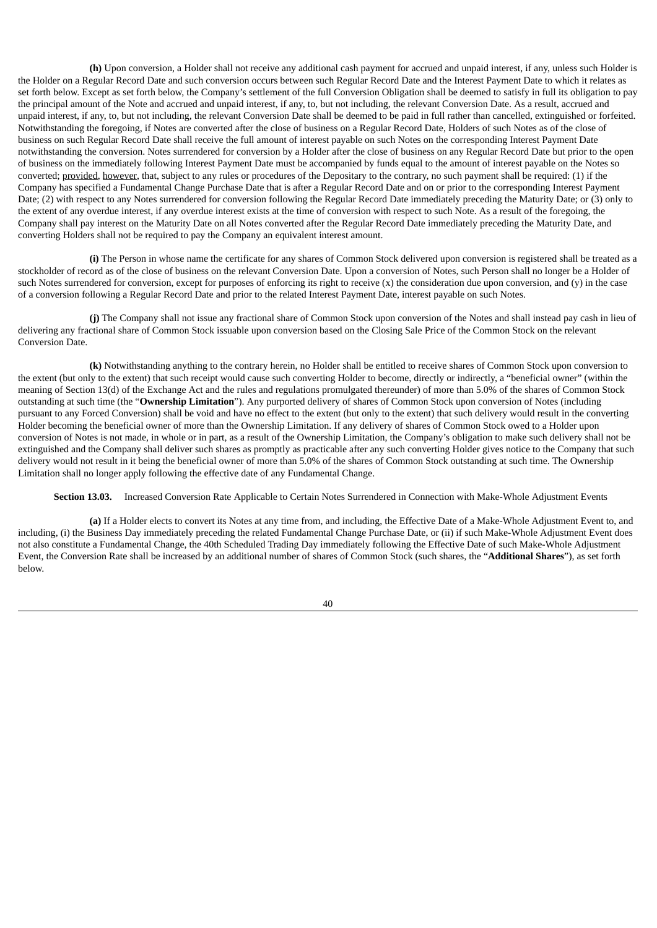**(h)** Upon conversion, a Holder shall not receive any additional cash payment for accrued and unpaid interest, if any, unless such Holder is the Holder on a Regular Record Date and such conversion occurs between such Regular Record Date and the Interest Payment Date to which it relates as set forth below. Except as set forth below, the Company's settlement of the full Conversion Obligation shall be deemed to satisfy in full its obligation to pay the principal amount of the Note and accrued and unpaid interest, if any, to, but not including, the relevant Conversion Date. As a result, accrued and unpaid interest, if any, to, but not including, the relevant Conversion Date shall be deemed to be paid in full rather than cancelled, extinguished or forfeited. Notwithstanding the foregoing, if Notes are converted after the close of business on a Regular Record Date, Holders of such Notes as of the close of business on such Regular Record Date shall receive the full amount of interest payable on such Notes on the corresponding Interest Payment Date notwithstanding the conversion. Notes surrendered for conversion by a Holder after the close of business on any Regular Record Date but prior to the open of business on the immediately following Interest Payment Date must be accompanied by funds equal to the amount of interest payable on the Notes so converted; provided, however, that, subject to any rules or procedures of the Depositary to the contrary, no such payment shall be required: (1) if the Company has specified a Fundamental Change Purchase Date that is after a Regular Record Date and on or prior to the corresponding Interest Payment Date; (2) with respect to any Notes surrendered for conversion following the Regular Record Date immediately preceding the Maturity Date; or (3) only to the extent of any overdue interest, if any overdue interest exists at the time of conversion with respect to such Note. As a result of the foregoing, the Company shall pay interest on the Maturity Date on all Notes converted after the Regular Record Date immediately preceding the Maturity Date, and converting Holders shall not be required to pay the Company an equivalent interest amount.

**(i)** The Person in whose name the certificate for any shares of Common Stock delivered upon conversion is registered shall be treated as a stockholder of record as of the close of business on the relevant Conversion Date. Upon a conversion of Notes, such Person shall no longer be a Holder of such Notes surrendered for conversion, except for purposes of enforcing its right to receive (x) the consideration due upon conversion, and (y) in the case of a conversion following a Regular Record Date and prior to the related Interest Payment Date, interest payable on such Notes.

**(j)** The Company shall not issue any fractional share of Common Stock upon conversion of the Notes and shall instead pay cash in lieu of delivering any fractional share of Common Stock issuable upon conversion based on the Closing Sale Price of the Common Stock on the relevant Conversion Date.

**(k)** Notwithstanding anything to the contrary herein, no Holder shall be entitled to receive shares of Common Stock upon conversion to the extent (but only to the extent) that such receipt would cause such converting Holder to become, directly or indirectly, a "beneficial owner" (within the meaning of Section 13(d) of the Exchange Act and the rules and regulations promulgated thereunder) of more than 5.0% of the shares of Common Stock outstanding at such time (the "**Ownership Limitation**"). Any purported delivery of shares of Common Stock upon conversion of Notes (including pursuant to any Forced Conversion) shall be void and have no effect to the extent (but only to the extent) that such delivery would result in the converting Holder becoming the beneficial owner of more than the Ownership Limitation. If any delivery of shares of Common Stock owed to a Holder upon conversion of Notes is not made, in whole or in part, as a result of the Ownership Limitation, the Company's obligation to make such delivery shall not be extinguished and the Company shall deliver such shares as promptly as practicable after any such converting Holder gives notice to the Company that such delivery would not result in it being the beneficial owner of more than 5.0% of the shares of Common Stock outstanding at such time. The Ownership Limitation shall no longer apply following the effective date of any Fundamental Change.

**Section 13.03.** Increased Conversion Rate Applicable to Certain Notes Surrendered in Connection with Make-Whole Adjustment Events

**(a)** If a Holder elects to convert its Notes at any time from, and including, the Effective Date of a Make-Whole Adjustment Event to, and including, (i) the Business Day immediately preceding the related Fundamental Change Purchase Date, or (ii) if such Make-Whole Adjustment Event does not also constitute a Fundamental Change, the 40th Scheduled Trading Day immediately following the Effective Date of such Make-Whole Adjustment Event, the Conversion Rate shall be increased by an additional number of shares of Common Stock (such shares, the "**Additional Shares**"), as set forth below.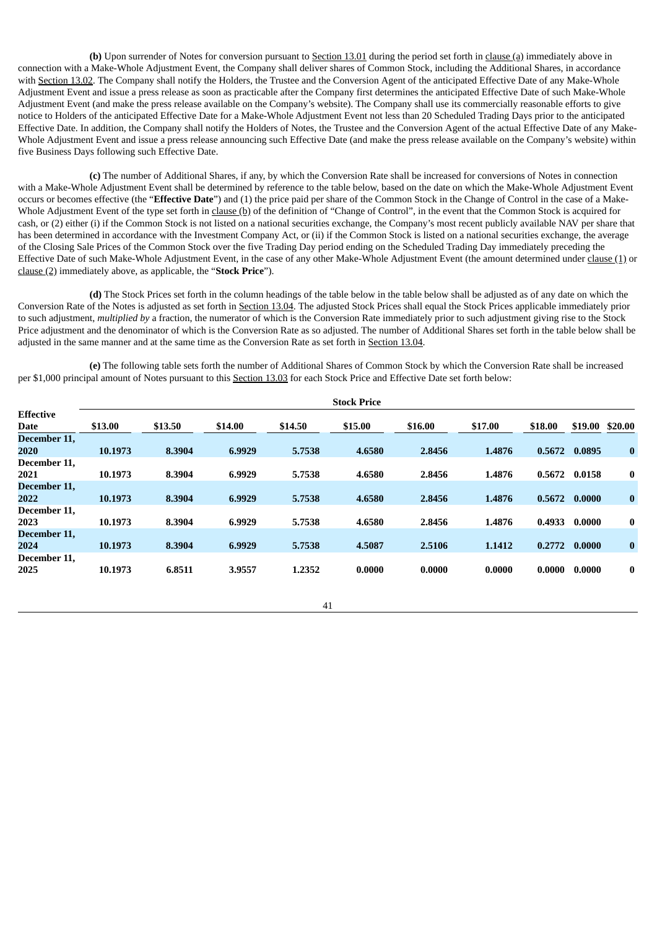**(b)** Upon surrender of Notes for conversion pursuant to Section 13.01 during the period set forth in clause (a) immediately above in connection with a Make-Whole Adjustment Event, the Company shall deliver shares of Common Stock, including the Additional Shares, in accordance with Section 13.02. The Company shall notify the Holders, the Trustee and the Conversion Agent of the anticipated Effective Date of any Make-Whole Adjustment Event and issue a press release as soon as practicable after the Company first determines the anticipated Effective Date of such Make-Whole Adjustment Event (and make the press release available on the Company's website). The Company shall use its commercially reasonable efforts to give notice to Holders of the anticipated Effective Date for a Make-Whole Adjustment Event not less than 20 Scheduled Trading Days prior to the anticipated Effective Date. In addition, the Company shall notify the Holders of Notes, the Trustee and the Conversion Agent of the actual Effective Date of any Make-Whole Adjustment Event and issue a press release announcing such Effective Date (and make the press release available on the Company's website) within five Business Days following such Effective Date.

**(c)** The number of Additional Shares, if any, by which the Conversion Rate shall be increased for conversions of Notes in connection with a Make-Whole Adjustment Event shall be determined by reference to the table below, based on the date on which the Make-Whole Adjustment Event occurs or becomes effective (the "**Effective Date**") and (1) the price paid per share of the Common Stock in the Change of Control in the case of a Make-Whole Adjustment Event of the type set forth in clause (b) of the definition of "Change of Control", in the event that the Common Stock is acquired for cash, or (2) either (i) if the Common Stock is not listed on a national securities exchange, the Company's most recent publicly available NAV per share that has been determined in accordance with the Investment Company Act, or (ii) if the Common Stock is listed on a national securities exchange, the average of the Closing Sale Prices of the Common Stock over the five Trading Day period ending on the Scheduled Trading Day immediately preceding the Effective Date of such Make-Whole Adjustment Event, in the case of any other Make-Whole Adjustment Event (the amount determined under clause (1) or clause (2) immediately above, as applicable, the "**Stock Price**").

**(d)** The Stock Prices set forth in the column headings of the table below in the table below shall be adjusted as of any date on which the Conversion Rate of the Notes is adjusted as set forth in Section 13.04. The adjusted Stock Prices shall equal the Stock Prices applicable immediately prior to such adjustment, *multiplied by* a fraction, the numerator of which is the Conversion Rate immediately prior to such adjustment giving rise to the Stock Price adjustment and the denominator of which is the Conversion Rate as so adjusted. The number of Additional Shares set forth in the table below shall be adjusted in the same manner and at the same time as the Conversion Rate as set forth in Section 13.04.

**(e)** The following table sets forth the number of Additional Shares of Common Stock by which the Conversion Rate shall be increased per \$1,000 principal amount of Notes pursuant to this Section 13.03 for each Stock Price and Effective Date set forth below:

|                  | <b>Stock Price</b> |         |         |         |         |         |         |         |         |          |
|------------------|--------------------|---------|---------|---------|---------|---------|---------|---------|---------|----------|
| <b>Effective</b> |                    |         |         |         |         |         |         |         |         |          |
| <b>Date</b>      | \$13.00            | \$13.50 | \$14.00 | \$14.50 | \$15.00 | \$16.00 | \$17.00 | \$18.00 | \$19.00 | \$20.00  |
| December 11,     |                    |         |         |         |         |         |         |         |         |          |
| 2020             | 10.1973            | 8.3904  | 6.9929  | 5.7538  | 4.6580  | 2.8456  | 1.4876  | 0.5672  | 0.0895  | $\bf{0}$ |
| December 11,     |                    |         |         |         |         |         |         |         |         |          |
| 2021             | 10.1973            | 8.3904  | 6.9929  | 5.7538  | 4.6580  | 2.8456  | 1.4876  | 0.5672  | 0.0158  | $\bf{0}$ |
| December 11,     |                    |         |         |         |         |         |         |         |         |          |
| 2022             | 10.1973            | 8.3904  | 6.9929  | 5.7538  | 4.6580  | 2.8456  | 1.4876  | 0.5672  | 0.0000  | $\bf{0}$ |
| December 11,     |                    |         |         |         |         |         |         |         |         |          |
| 2023             | 10.1973            | 8.3904  | 6.9929  | 5.7538  | 4.6580  | 2.8456  | 1.4876  | 0.4933  | 0.0000  | $\bf{0}$ |
| December 11,     |                    |         |         |         |         |         |         |         |         |          |
| 2024             | 10.1973            | 8.3904  | 6.9929  | 5.7538  | 4.5087  | 2.5106  | 1.1412  | 0.2772  | 0.0000  | $\bf{0}$ |
| December 11,     |                    |         |         |         |         |         |         |         |         |          |
| 2025             | 10.1973            | 6.8511  | 3.9557  | 1.2352  | 0.0000  | 0.0000  | 0.0000  | 0.0000  | 0.0000  | $\bf{0}$ |
|                  |                    |         |         |         |         |         |         |         |         |          |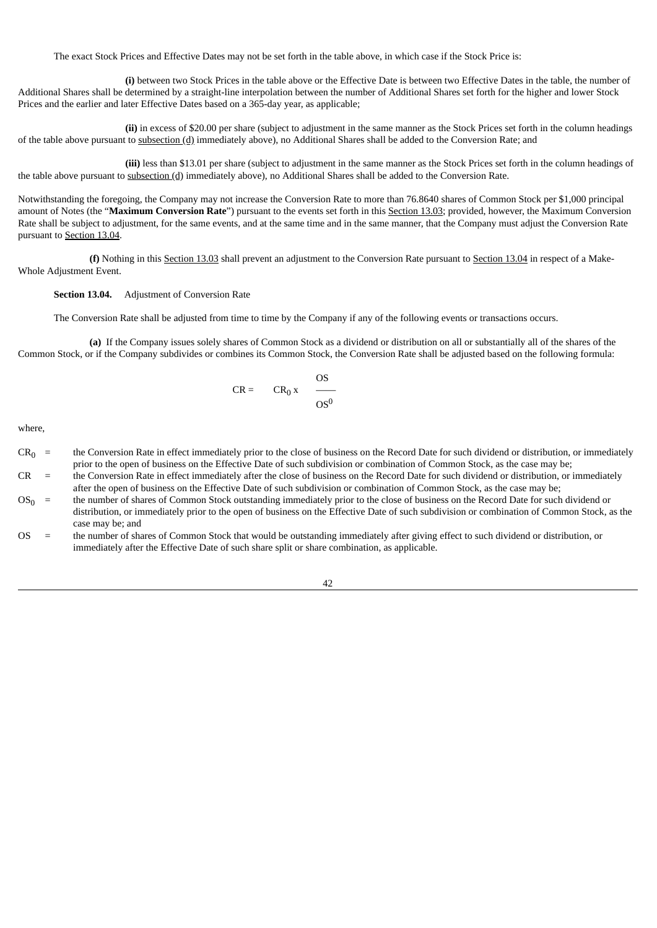The exact Stock Prices and Effective Dates may not be set forth in the table above, in which case if the Stock Price is:

**(i)** between two Stock Prices in the table above or the Effective Date is between two Effective Dates in the table, the number of Additional Shares shall be determined by a straight-line interpolation between the number of Additional Shares set forth for the higher and lower Stock Prices and the earlier and later Effective Dates based on a 365-day year, as applicable;

**(ii)** in excess of \$20.00 per share (subject to adjustment in the same manner as the Stock Prices set forth in the column headings of the table above pursuant to subsection (d) immediately above), no Additional Shares shall be added to the Conversion Rate; and

**(iii)** less than \$13.01 per share (subject to adjustment in the same manner as the Stock Prices set forth in the column headings of the table above pursuant to subsection (d) immediately above), no Additional Shares shall be added to the Conversion Rate.

Notwithstanding the foregoing, the Company may not increase the Conversion Rate to more than 76.8640 shares of Common Stock per \$1,000 principal amount of Notes (the "**Maximum Conversion Rate**") pursuant to the events set forth in this Section 13.03; provided, however, the Maximum Conversion Rate shall be subject to adjustment, for the same events, and at the same time and in the same manner, that the Company must adjust the Conversion Rate pursuant to Section 13.04.

**(f)** Nothing in this Section 13.03 shall prevent an adjustment to the Conversion Rate pursuant to Section 13.04 in respect of a Make-Whole Adjustment Event.

## **Section 13.04.** Adjustment of Conversion Rate

The Conversion Rate shall be adjusted from time to time by the Company if any of the following events or transactions occurs.

**(a)** If the Company issues solely shares of Common Stock as a dividend or distribution on all or substantially all of the shares of the Common Stock, or if the Company subdivides or combines its Common Stock, the Conversion Rate shall be adjusted based on the following formula:

$$
CR = CR_0 x \quad \frac{OS}{OS^0}
$$

where,

- $CR<sub>0</sub>$  = the Conversion Rate in effect immediately prior to the close of business on the Record Date for such dividend or distribution, or immediately prior to the open of business on the Effective Date of such subdivision or combination of Common Stock, as the case may be;
- CR = the Conversion Rate in effect immediately after the close of business on the Record Date for such dividend or distribution, or immediately after the open of business on the Effective Date of such subdivision or combination of Common Stock, as the case may be;
- $OS<sub>0</sub> =$  the number of shares of Common Stock outstanding immediately prior to the close of business on the Record Date for such dividend or distribution, or immediately prior to the open of business on the Effective Date of such subdivision or combination of Common Stock, as the case may be; and
- OS = the number of shares of Common Stock that would be outstanding immediately after giving effect to such dividend or distribution, or immediately after the Effective Date of such share split or share combination, as applicable.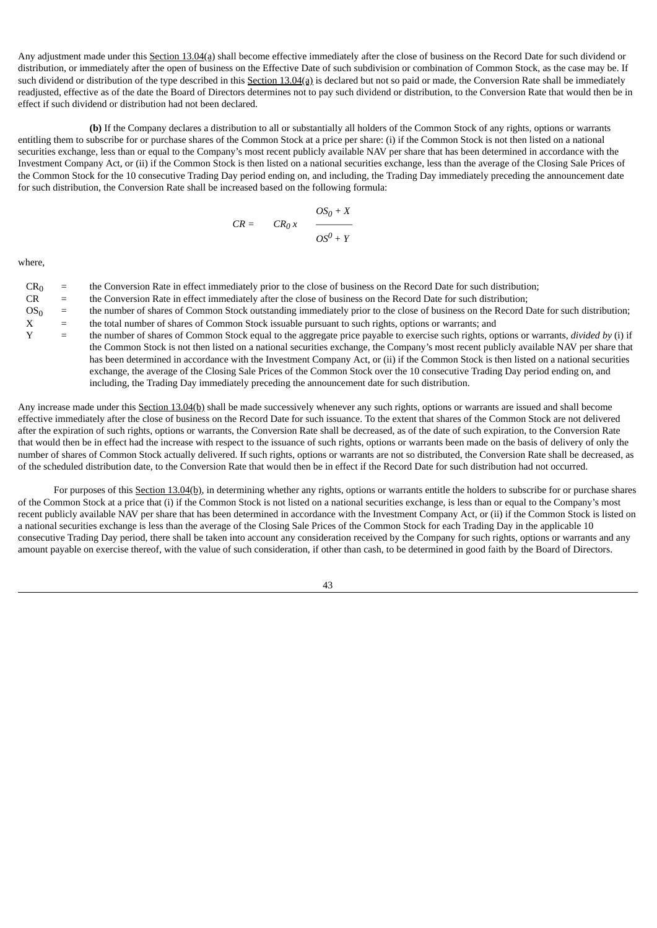Any adjustment made under this Section 13.04(a) shall become effective immediately after the close of business on the Record Date for such dividend or distribution, or immediately after the open of business on the Effective Date of such subdivision or combination of Common Stock, as the case may be. If such dividend or distribution of the type described in this Section 13.04(a) is declared but not so paid or made, the Conversion Rate shall be immediately readjusted, effective as of the date the Board of Directors determines not to pay such dividend or distribution, to the Conversion Rate that would then be in effect if such dividend or distribution had not been declared.

**(b)** If the Company declares a distribution to all or substantially all holders of the Common Stock of any rights, options or warrants entitling them to subscribe for or purchase shares of the Common Stock at a price per share: (i) if the Common Stock is not then listed on a national securities exchange, less than or equal to the Company's most recent publicly available NAV per share that has been determined in accordance with the Investment Company Act, or (ii) if the Common Stock is then listed on a national securities exchange, less than the average of the Closing Sale Prices of the Common Stock for the 10 consecutive Trading Day period ending on, and including, the Trading Day immediately preceding the announcement date for such distribution, the Conversion Rate shall be increased based on the following formula:

$$
CR = CR_0 x \frac{OS_0 + X}{OS^0 + Y}
$$

where,

- $CR<sub>0</sub>$  = the Conversion Rate in effect immediately prior to the close of business on the Record Date for such distribution;
- CR = the Conversion Rate in effect immediately after the close of business on the Record Date for such distribution;
- $OS<sub>0</sub>$  = the number of shares of Common Stock outstanding immediately prior to the close of business on the Record Date for such distribution;
- $X =$  the total number of shares of Common Stock issuable pursuant to such rights, options or warrants; and  $Y =$  the number of shares of Common Stock equal to the aggregate price payable to exercise such rights or
- Y = the number of shares of Common Stock equal to the aggregate price payable to exercise such rights, options or warrants, *divided by* (i) if the Common Stock is not then listed on a national securities exchange, the Company's most recent publicly available NAV per share that has been determined in accordance with the Investment Company Act, or (ii) if the Common Stock is then listed on a national securities exchange, the average of the Closing Sale Prices of the Common Stock over the 10 consecutive Trading Day period ending on, and including, the Trading Day immediately preceding the announcement date for such distribution.

Any increase made under this Section 13.04(b) shall be made successively whenever any such rights, options or warrants are issued and shall become effective immediately after the close of business on the Record Date for such issuance. To the extent that shares of the Common Stock are not delivered after the expiration of such rights, options or warrants, the Conversion Rate shall be decreased, as of the date of such expiration, to the Conversion Rate that would then be in effect had the increase with respect to the issuance of such rights, options or warrants been made on the basis of delivery of only the number of shares of Common Stock actually delivered. If such rights, options or warrants are not so distributed, the Conversion Rate shall be decreased, as of the scheduled distribution date, to the Conversion Rate that would then be in effect if the Record Date for such distribution had not occurred.

For purposes of this Section 13.04(b), in determining whether any rights, options or warrants entitle the holders to subscribe for or purchase shares of the Common Stock at a price that (i) if the Common Stock is not listed on a national securities exchange, is less than or equal to the Company's most recent publicly available NAV per share that has been determined in accordance with the Investment Company Act, or (ii) if the Common Stock is listed on a national securities exchange is less than the average of the Closing Sale Prices of the Common Stock for each Trading Day in the applicable 10 consecutive Trading Day period, there shall be taken into account any consideration received by the Company for such rights, options or warrants and any amount payable on exercise thereof, with the value of such consideration, if other than cash, to be determined in good faith by the Board of Directors.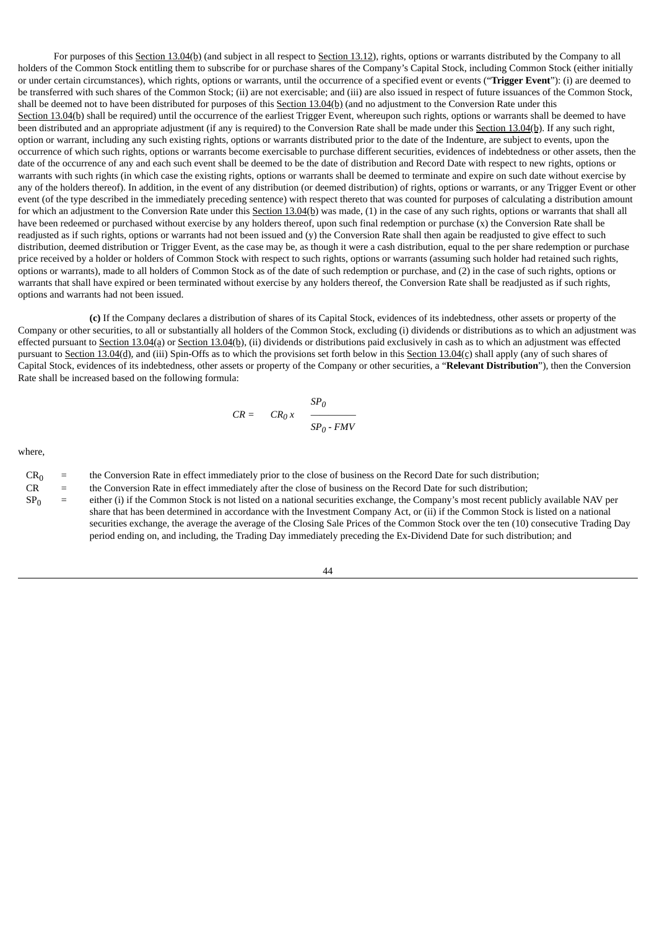For purposes of this Section 13.04(b) (and subject in all respect to Section 13.12), rights, options or warrants distributed by the Company to all holders of the Common Stock entitling them to subscribe for or purchase shares of the Company's Capital Stock, including Common Stock (either initially or under certain circumstances), which rights, options or warrants, until the occurrence of a specified event or events ("**Trigger Event**"): (i) are deemed to be transferred with such shares of the Common Stock; (ii) are not exercisable; and (iii) are also issued in respect of future issuances of the Common Stock, shall be deemed not to have been distributed for purposes of this Section 13.04(b) (and no adjustment to the Conversion Rate under this Section 13.04(b) shall be required) until the occurrence of the earliest Trigger Event, whereupon such rights, options or warrants shall be deemed to have been distributed and an appropriate adjustment (if any is required) to the Conversion Rate shall be made under this Section 13.04(b). If any such right, option or warrant, including any such existing rights, options or warrants distributed prior to the date of the Indenture, are subject to events, upon the occurrence of which such rights, options or warrants become exercisable to purchase different securities, evidences of indebtedness or other assets, then the date of the occurrence of any and each such event shall be deemed to be the date of distribution and Record Date with respect to new rights, options or warrants with such rights (in which case the existing rights, options or warrants shall be deemed to terminate and expire on such date without exercise by any of the holders thereof). In addition, in the event of any distribution (or deemed distribution) of rights, options or warrants, or any Trigger Event or other event (of the type described in the immediately preceding sentence) with respect thereto that was counted for purposes of calculating a distribution amount for which an adjustment to the Conversion Rate under this Section 13.04(b) was made, (1) in the case of any such rights, options or warrants that shall all have been redeemed or purchased without exercise by any holders thereof, upon such final redemption or purchase (x) the Conversion Rate shall be readjusted as if such rights, options or warrants had not been issued and (y) the Conversion Rate shall then again be readjusted to give effect to such distribution, deemed distribution or Trigger Event, as the case may be, as though it were a cash distribution, equal to the per share redemption or purchase price received by a holder or holders of Common Stock with respect to such rights, options or warrants (assuming such holder had retained such rights, options or warrants), made to all holders of Common Stock as of the date of such redemption or purchase, and (2) in the case of such rights, options or warrants that shall have expired or been terminated without exercise by any holders thereof, the Conversion Rate shall be readjusted as if such rights, options and warrants had not been issued.

**(c)** If the Company declares a distribution of shares of its Capital Stock, evidences of its indebtedness, other assets or property of the Company or other securities, to all or substantially all holders of the Common Stock, excluding (i) dividends or distributions as to which an adjustment was effected pursuant to Section 13.04(a) or Section 13.04(b), (ii) dividends or distributions paid exclusively in cash as to which an adjustment was effected pursuant to Section 13.04(d), and (iii) Spin-Offs as to which the provisions set forth below in this Section 13.04(c) shall apply (any of such shares of Capital Stock, evidences of its indebtedness, other assets or property of the Company or other securities, a "**Relevant Distribution**"), then the Conversion Rate shall be increased based on the following formula:

$$
CR = CR_0 x \frac{SP_0}{SP_0 - FMV}
$$

where,

| CR <sub>0</sub> | $_0$ = the Conversion Rate in effect immediately prior to the close of business on the Record Date for such distribution; |
|-----------------|---------------------------------------------------------------------------------------------------------------------------|
|-----------------|---------------------------------------------------------------------------------------------------------------------------|

- CR = the Conversion Rate in effect immediately after the close of business on the Record Date for such distribution;
- $SP<sub>0</sub>$  = either (i) if the Common Stock is not listed on a national securities exchange, the Company's most recent publicly available NAV per share that has been determined in accordance with the Investment Company Act, or (ii) if the Common Stock is listed on a national securities exchange, the average the average of the Closing Sale Prices of the Common Stock over the ten (10) consecutive Trading Day period ending on, and including, the Trading Day immediately preceding the Ex-Dividend Date for such distribution; and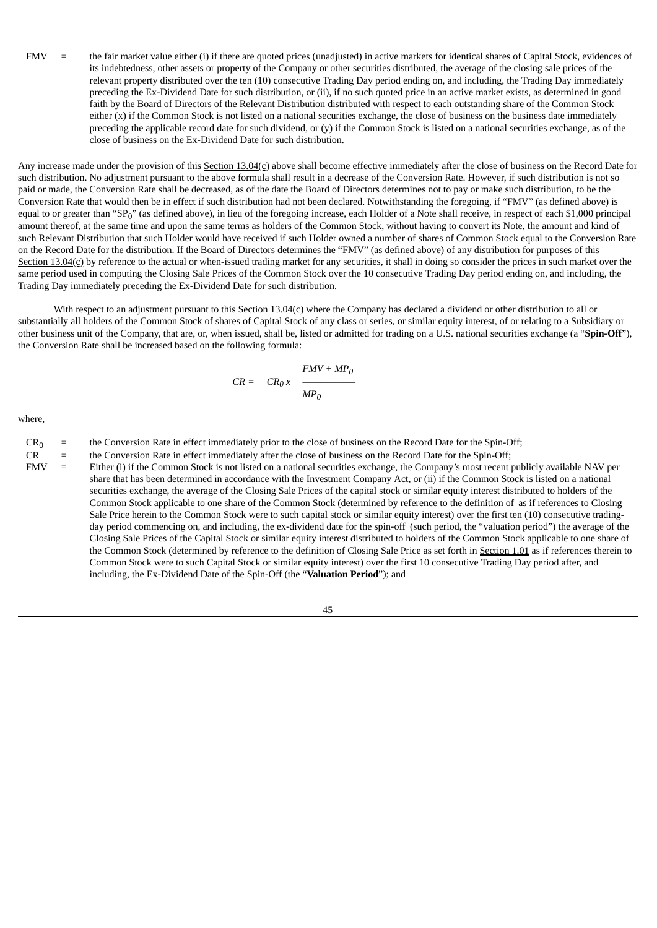FMV = the fair market value either (i) if there are quoted prices (unadjusted) in active markets for identical shares of Capital Stock, evidences of its indebtedness, other assets or property of the Company or other securities distributed, the average of the closing sale prices of the relevant property distributed over the ten (10) consecutive Trading Day period ending on, and including, the Trading Day immediately preceding the Ex-Dividend Date for such distribution, or (ii), if no such quoted price in an active market exists, as determined in good faith by the Board of Directors of the Relevant Distribution distributed with respect to each outstanding share of the Common Stock either (x) if the Common Stock is not listed on a national securities exchange, the close of business on the business date immediately preceding the applicable record date for such dividend, or (y) if the Common Stock is listed on a national securities exchange, as of the close of business on the Ex-Dividend Date for such distribution.

Any increase made under the provision of this Section 13.04(c) above shall become effective immediately after the close of business on the Record Date for such distribution. No adjustment pursuant to the above formula shall result in a decrease of the Conversion Rate. However, if such distribution is not so paid or made, the Conversion Rate shall be decreased, as of the date the Board of Directors determines not to pay or make such distribution, to be the Conversion Rate that would then be in effect if such distribution had not been declared. Notwithstanding the foregoing, if "FMV" (as defined above) is equal to or greater than "SP<sub>0</sub>" (as defined above), in lieu of the foregoing increase, each Holder of a Note shall receive, in respect of each \$1,000 principal amount thereof, at the same time and upon the same terms as holders of the Common Stock, without having to convert its Note, the amount and kind of such Relevant Distribution that such Holder would have received if such Holder owned a number of shares of Common Stock equal to the Conversion Rate on the Record Date for the distribution. If the Board of Directors determines the "FMV" (as defined above) of any distribution for purposes of this Section  $13.04(c)$  by reference to the actual or when-issued trading market for any securities, it shall in doing so consider the prices in such market over the same period used in computing the Closing Sale Prices of the Common Stock over the 10 consecutive Trading Day period ending on, and including, the Trading Day immediately preceding the Ex-Dividend Date for such distribution.

With respect to an adjustment pursuant to this Section 13.04(c) where the Company has declared a dividend or other distribution to all or substantially all holders of the Common Stock of shares of Capital Stock of any class or series, or similar equity interest, of or relating to a Subsidiary or other business unit of the Company, that are, or, when issued, shall be, listed or admitted for trading on a U.S. national securities exchange (a "**Spin-Off**"), the Conversion Rate shall be increased based on the following formula:

$$
CR = CR_0 \times \frac{FMV + MP_0}{MP_0}
$$

where,

 $CR_0$  = the Conversion Rate in effect immediately prior to the close of business on the Record Date for the Spin-Off;<br>CR = the Conversion Rate in effect immediately after the close of business on the Record Date for the S

the Conversion Rate in effect immediately after the close of business on the Record Date for the Spin-Off;

FMV = Either (i) if the Common Stock is not listed on a national securities exchange, the Company's most recent publicly available NAV per share that has been determined in accordance with the Investment Company Act, or (ii) if the Common Stock is listed on a national securities exchange, the average of the Closing Sale Prices of the capital stock or similar equity interest distributed to holders of the Common Stock applicable to one share of the Common Stock (determined by reference to the definition of as if references to Closing Sale Price herein to the Common Stock were to such capital stock or similar equity interest) over the first ten (10) consecutive tradingday period commencing on, and including, the ex-dividend date for the spin-off (such period, the "valuation period") the average of the Closing Sale Prices of the Capital Stock or similar equity interest distributed to holders of the Common Stock applicable to one share of the Common Stock (determined by reference to the definition of Closing Sale Price as set forth in Section 1.01 as if references therein to Common Stock were to such Capital Stock or similar equity interest) over the first 10 consecutive Trading Day period after, and including, the Ex-Dividend Date of the Spin-Off (the "**Valuation Period**"); and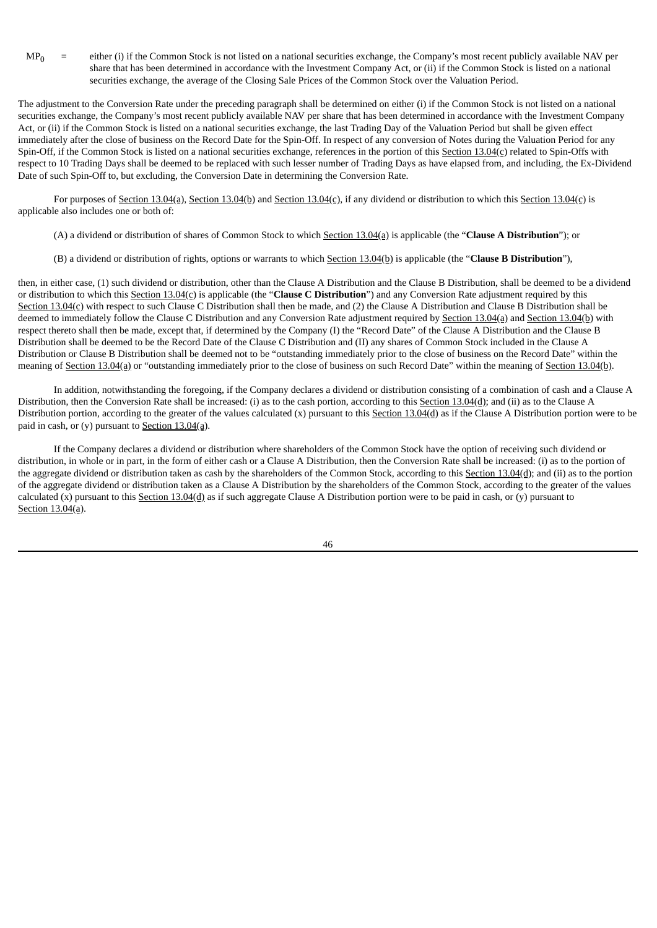$MP<sub>0</sub>$  = either (i) if the Common Stock is not listed on a national securities exchange, the Company's most recent publicly available NAV per share that has been determined in accordance with the Investment Company Act, or (ii) if the Common Stock is listed on a national securities exchange, the average of the Closing Sale Prices of the Common Stock over the Valuation Period.

The adjustment to the Conversion Rate under the preceding paragraph shall be determined on either (i) if the Common Stock is not listed on a national securities exchange, the Company's most recent publicly available NAV per share that has been determined in accordance with the Investment Company Act, or (ii) if the Common Stock is listed on a national securities exchange, the last Trading Day of the Valuation Period but shall be given effect immediately after the close of business on the Record Date for the Spin-Off. In respect of any conversion of Notes during the Valuation Period for any Spin-Off, if the Common Stock is listed on a national securities exchange, references in the portion of this Section 13.04(c) related to Spin-Offs with respect to 10 Trading Days shall be deemed to be replaced with such lesser number of Trading Days as have elapsed from, and including, the Ex-Dividend Date of such Spin-Off to, but excluding, the Conversion Date in determining the Conversion Rate.

For purposes of Section 13.04(a), Section 13.04(b) and Section 13.04(c), if any dividend or distribution to which this Section 13.04(c) is applicable also includes one or both of:

- (A) a dividend or distribution of shares of Common Stock to which Section 13.04(a) is applicable (the "**Clause A Distribution**"); or
- (B) a dividend or distribution of rights, options or warrants to which Section 13.04(b) is applicable (the "**Clause B Distribution**"),

then, in either case, (1) such dividend or distribution, other than the Clause A Distribution and the Clause B Distribution, shall be deemed to be a dividend or distribution to which this Section 13.04(c) is applicable (the "**Clause C Distribution**") and any Conversion Rate adjustment required by this Section  $13.04(c)$  with respect to such Clause C Distribution shall then be made, and (2) the Clause A Distribution and Clause B Distribution shall be deemed to immediately follow the Clause C Distribution and any Conversion Rate adjustment required by Section 13.04(a) and Section 13.04(b) with respect thereto shall then be made, except that, if determined by the Company (I) the "Record Date" of the Clause A Distribution and the Clause B Distribution shall be deemed to be the Record Date of the Clause C Distribution and (II) any shares of Common Stock included in the Clause A Distribution or Clause B Distribution shall be deemed not to be "outstanding immediately prior to the close of business on the Record Date" within the meaning of Section 13.04(a) or "outstanding immediately prior to the close of business on such Record Date" within the meaning of Section 13.04(b).

In addition, notwithstanding the foregoing, if the Company declares a dividend or distribution consisting of a combination of cash and a Clause A Distribution, then the Conversion Rate shall be increased: (i) as to the cash portion, according to this Section 13.04(d); and (ii) as to the Clause A Distribution portion, according to the greater of the values calculated (x) pursuant to this  $Section 13.04(d)$  as if the Clause A Distribution portion were to be</u> paid in cash, or (y) pursuant to Section  $13.04(a)$ .

If the Company declares a dividend or distribution where shareholders of the Common Stock have the option of receiving such dividend or distribution, in whole or in part, in the form of either cash or a Clause A Distribution, then the Conversion Rate shall be increased: (i) as to the portion of the aggregate dividend or distribution taken as cash by the shareholders of the Common Stock, according to this Section 13.04(d); and (ii) as to the portion of the aggregate dividend or distribution taken as a Clause A Distribution by the shareholders of the Common Stock, according to the greater of the values calculated  $(x)$  pursuant to this Section 13.04(d) as if such aggregate Clause A Distribution portion were to be paid in cash, or  $(y)$  pursuant to Section 13.04(a).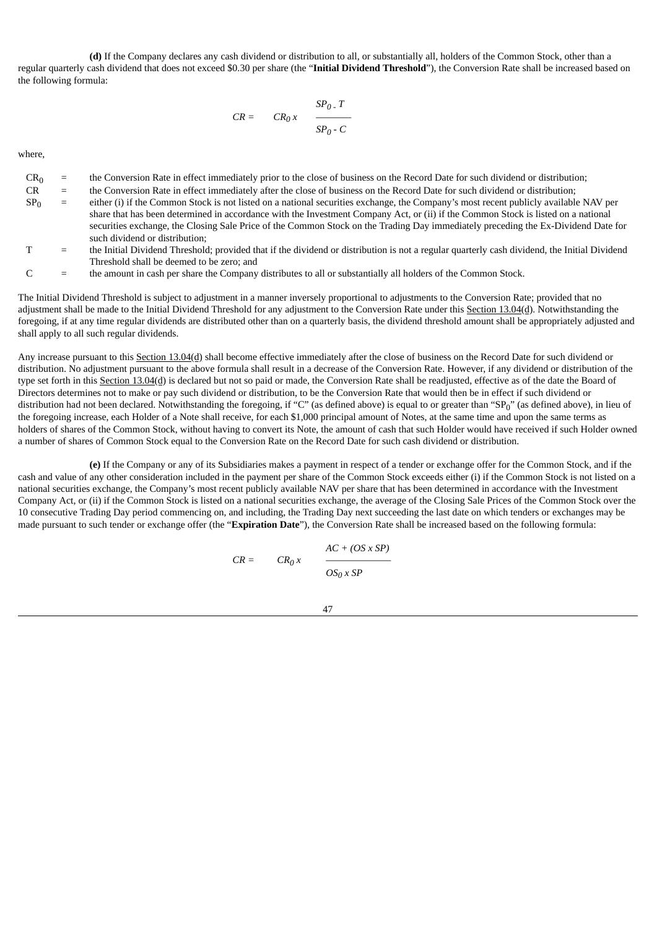**(d)** If the Company declares any cash dividend or distribution to all, or substantially all, holders of the Common Stock, other than a regular quarterly cash dividend that does not exceed \$0.30 per share (the "**Initial Dividend Threshold**"), the Conversion Rate shall be increased based on the following formula:

$$
CR = CR_0 x \frac{SP_0 \cdot T}{SP_0 \cdot C}
$$

where,

- $CR_0$  = the Conversion Rate in effect immediately prior to the close of business on the Record Date for such dividend or distribution;<br> $CR$  = the Conversion Rate in effect immediately after the close of business on the Rec
- the Conversion Rate in effect immediately after the close of business on the Record Date for such dividend or distribution;
- $SP<sub>0</sub>$  = either (i) if the Common Stock is not listed on a national securities exchange, the Company's most recent publicly available NAV per share that has been determined in accordance with the Investment Company Act, or (ii) if the Common Stock is listed on a national securities exchange, the Closing Sale Price of the Common Stock on the Trading Day immediately preceding the Ex-Dividend Date for such dividend or distribution;
- T = the Initial Dividend Threshold; provided that if the dividend or distribution is not a regular quarterly cash dividend, the Initial Dividend Threshold shall be deemed to be zero; and
- C = the amount in cash per share the Company distributes to all or substantially all holders of the Common Stock.

The Initial Dividend Threshold is subject to adjustment in a manner inversely proportional to adjustments to the Conversion Rate; provided that no adjustment shall be made to the Initial Dividend Threshold for any adjustment to the Conversion Rate under this Section 13.04(d). Notwithstanding the foregoing, if at any time regular dividends are distributed other than on a quarterly basis, the dividend threshold amount shall be appropriately adjusted and shall apply to all such regular dividends.

Any increase pursuant to this Section 13.04(d) shall become effective immediately after the close of business on the Record Date for such dividend or distribution. No adjustment pursuant to the above formula shall result in a decrease of the Conversion Rate. However, if any dividend or distribution of the type set forth in this Section 13.04(d) is declared but not so paid or made, the Conversion Rate shall be readjusted, effective as of the date the Board of Directors determines not to make or pay such dividend or distribution, to be the Conversion Rate that would then be in effect if such dividend or distribution had not been declared. Notwithstanding the foregoing, if "C" (as defined above) is equal to or greater than "SP<sub>0</sub>" (as defined above), in lieu of the foregoing increase, each Holder of a Note shall receive, for each \$1,000 principal amount of Notes, at the same time and upon the same terms as holders of shares of the Common Stock, without having to convert its Note, the amount of cash that such Holder would have received if such Holder owned a number of shares of Common Stock equal to the Conversion Rate on the Record Date for such cash dividend or distribution.

**(e)** If the Company or any of its Subsidiaries makes a payment in respect of a tender or exchange offer for the Common Stock, and if the cash and value of any other consideration included in the payment per share of the Common Stock exceeds either (i) if the Common Stock is not listed on a national securities exchange, the Company's most recent publicly available NAV per share that has been determined in accordance with the Investment Company Act, or (ii) if the Common Stock is listed on a national securities exchange, the average of the Closing Sale Prices of the Common Stock over the 10 consecutive Trading Day period commencing on, and including, the Trading Day next succeeding the last date on which tenders or exchanges may be made pursuant to such tender or exchange offer (the "**Expiration Date**"), the Conversion Rate shall be increased based on the following formula:

$$
CR = CR_0 x \t\t \t \cfrac{AC + (OS \times SP)}{OS_0 \times SP}
$$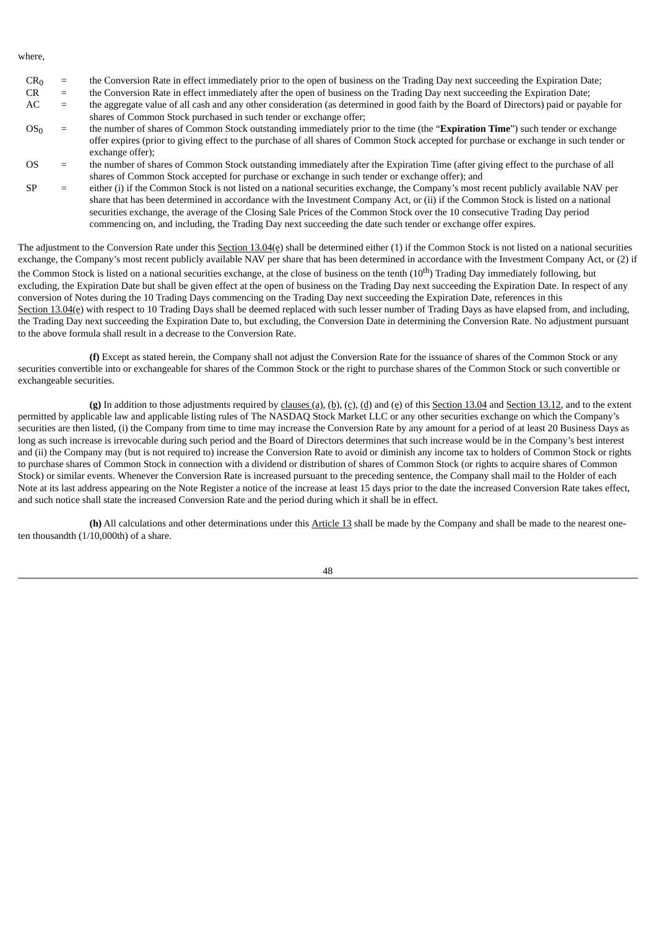where,

- $CR_0$  = the Conversion Rate in effect immediately prior to the open of business on the Trading Day next succeeding the Expiration Date;<br> $CR$  = the Conversion Rate in effect immediately after the open of business on the Tra
- the Conversion Rate in effect immediately after the open of business on the Trading Day next succeeding the Expiration Date;
- AC = the aggregate value of all cash and any other consideration (as determined in good faith by the Board of Directors) paid or payable for shares of Common Stock purchased in such tender or exchange offer;
- OS<sup>0</sup> = the number of shares of Common Stock outstanding immediately prior to the time (the "**Expiration Time**") such tender or exchange offer expires (prior to giving effect to the purchase of all shares of Common Stock accepted for purchase or exchange in such tender or exchange offer);
- OS = the number of shares of Common Stock outstanding immediately after the Expiration Time (after giving effect to the purchase of all shares of Common Stock accepted for purchase or exchange in such tender or exchange offer); and
- $SP =$  either (i) if the Common Stock is not listed on a national securities exchange, the Company's most recent publicly available NAV per share that has been determined in accordance with the Investment Company Act, or (ii) if the Common Stock is listed on a national securities exchange, the average of the Closing Sale Prices of the Common Stock over the 10 consecutive Trading Day period commencing on, and including, the Trading Day next succeeding the date such tender or exchange offer expires.

The adjustment to the Conversion Rate under this Section 13.04(e) shall be determined either (1) if the Common Stock is not listed on a national securities exchange, the Company's most recent publicly available NAV per share that has been determined in accordance with the Investment Company Act, or (2) if the Common Stock is listed on a national securities exchange, at the close of business on the tenth (10<sup>th</sup>) Trading Day immediately following, but excluding, the Expiration Date but shall be given effect at the open of business on the Trading Day next succeeding the Expiration Date. In respect of any conversion of Notes during the 10 Trading Days commencing on the Trading Day next succeeding the Expiration Date, references in this Section 13.04(e) with respect to 10 Trading Days shall be deemed replaced with such lesser number of Trading Days as have elapsed from, and including, the Trading Day next succeeding the Expiration Date to, but excluding, the Conversion Date in determining the Conversion Rate. No adjustment pursuant to the above formula shall result in a decrease to the Conversion Rate.

**(f)** Except as stated herein, the Company shall not adjust the Conversion Rate for the issuance of shares of the Common Stock or any securities convertible into or exchangeable for shares of the Common Stock or the right to purchase shares of the Common Stock or such convertible or exchangeable securities.

**(g)** In addition to those adjustments required by clauses (a), (b), (c), (d) and (e) of this Section 13.04 and Section 13.12, and to the extent permitted by applicable law and applicable listing rules of The NASDAQ Stock Market LLC or any other securities exchange on which the Company's securities are then listed, (i) the Company from time to time may increase the Conversion Rate by any amount for a period of at least 20 Business Days as long as such increase is irrevocable during such period and the Board of Directors determines that such increase would be in the Company's best interest and (ii) the Company may (but is not required to) increase the Conversion Rate to avoid or diminish any income tax to holders of Common Stock or rights to purchase shares of Common Stock in connection with a dividend or distribution of shares of Common Stock (or rights to acquire shares of Common Stock) or similar events. Whenever the Conversion Rate is increased pursuant to the preceding sentence, the Company shall mail to the Holder of each Note at its last address appearing on the Note Register a notice of the increase at least 15 days prior to the date the increased Conversion Rate takes effect, and such notice shall state the increased Conversion Rate and the period during which it shall be in effect.

**(h)** All calculations and other determinations under this Article 13 shall be made by the Company and shall be made to the nearest oneten thousandth  $(1/10,000$ th) of a share.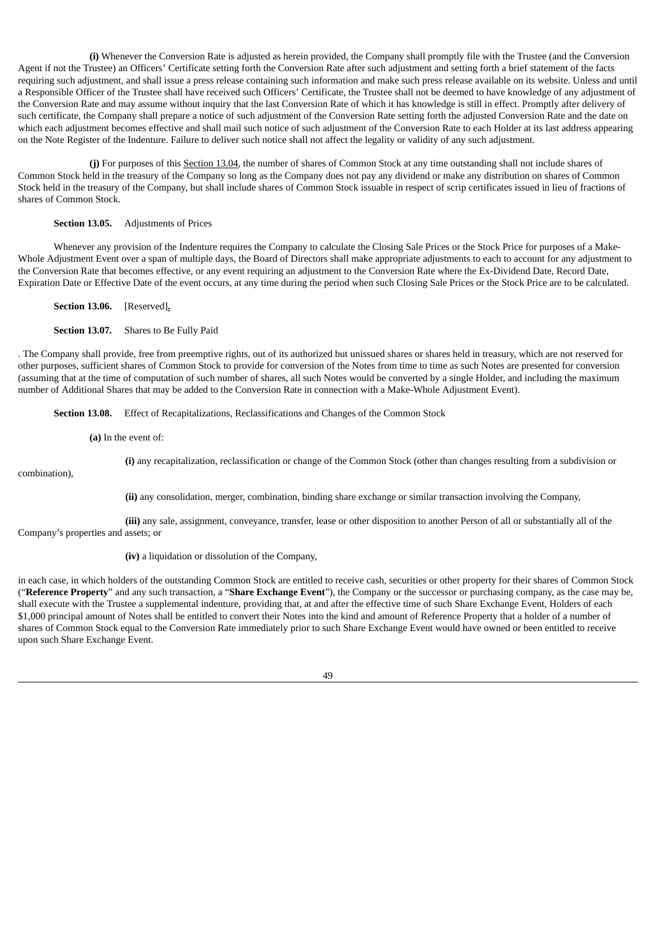**(i)** Whenever the Conversion Rate is adjusted as herein provided, the Company shall promptly file with the Trustee (and the Conversion Agent if not the Trustee) an Officers' Certificate setting forth the Conversion Rate after such adjustment and setting forth a brief statement of the facts requiring such adjustment, and shall issue a press release containing such information and make such press release available on its website. Unless and until a Responsible Officer of the Trustee shall have received such Officers' Certificate, the Trustee shall not be deemed to have knowledge of any adjustment of the Conversion Rate and may assume without inquiry that the last Conversion Rate of which it has knowledge is still in effect. Promptly after delivery of such certificate, the Company shall prepare a notice of such adjustment of the Conversion Rate setting forth the adjusted Conversion Rate and the date on which each adjustment becomes effective and shall mail such notice of such adjustment of the Conversion Rate to each Holder at its last address appearing on the Note Register of the Indenture. Failure to deliver such notice shall not affect the legality or validity of any such adjustment.

**(j)** For purposes of this Section 13.04, the number of shares of Common Stock at any time outstanding shall not include shares of Common Stock held in the treasury of the Company so long as the Company does not pay any dividend or make any distribution on shares of Common Stock held in the treasury of the Company, but shall include shares of Common Stock issuable in respect of scrip certificates issued in lieu of fractions of shares of Common Stock.

## **Section 13.05.** Adjustments of Prices

Whenever any provision of the Indenture requires the Company to calculate the Closing Sale Prices or the Stock Price for purposes of a Make-Whole Adjustment Event over a span of multiple days, the Board of Directors shall make appropriate adjustments to each to account for any adjustment to the Conversion Rate that becomes effective, or any event requiring an adjustment to the Conversion Rate where the Ex-Dividend Date, Record Date, Expiration Date or Effective Date of the event occurs, at any time during the period when such Closing Sale Prices or the Stock Price are to be calculated.

**Section 13.06.** [Reserved]**.**

**Section 13.07.** Shares to Be Fully Paid

. The Company shall provide, free from preemptive rights, out of its authorized but unissued shares or shares held in treasury, which are not reserved for other purposes, sufficient shares of Common Stock to provide for conversion of the Notes from time to time as such Notes are presented for conversion (assuming that at the time of computation of such number of shares, all such Notes would be converted by a single Holder, and including the maximum number of Additional Shares that may be added to the Conversion Rate in connection with a Make-Whole Adjustment Event).

**Section 13.08.** Effect of Recapitalizations, Reclassifications and Changes of the Common Stock

**(a)** In the event of:

**(i)** any recapitalization, reclassification or change of the Common Stock (other than changes resulting from a subdivision or

combination),

**(ii)** any consolidation, merger, combination, binding share exchange or similar transaction involving the Company,

**(iii)** any sale, assignment, conveyance, transfer, lease or other disposition to another Person of all or substantially all of the Company's properties and assets; or

**(iv)** a liquidation or dissolution of the Company,

in each case, in which holders of the outstanding Common Stock are entitled to receive cash, securities or other property for their shares of Common Stock ("**Reference Property**" and any such transaction, a "**Share Exchange Event**"), the Company or the successor or purchasing company, as the case may be, shall execute with the Trustee a supplemental indenture, providing that, at and after the effective time of such Share Exchange Event, Holders of each \$1,000 principal amount of Notes shall be entitled to convert their Notes into the kind and amount of Reference Property that a holder of a number of shares of Common Stock equal to the Conversion Rate immediately prior to such Share Exchange Event would have owned or been entitled to receive upon such Share Exchange Event.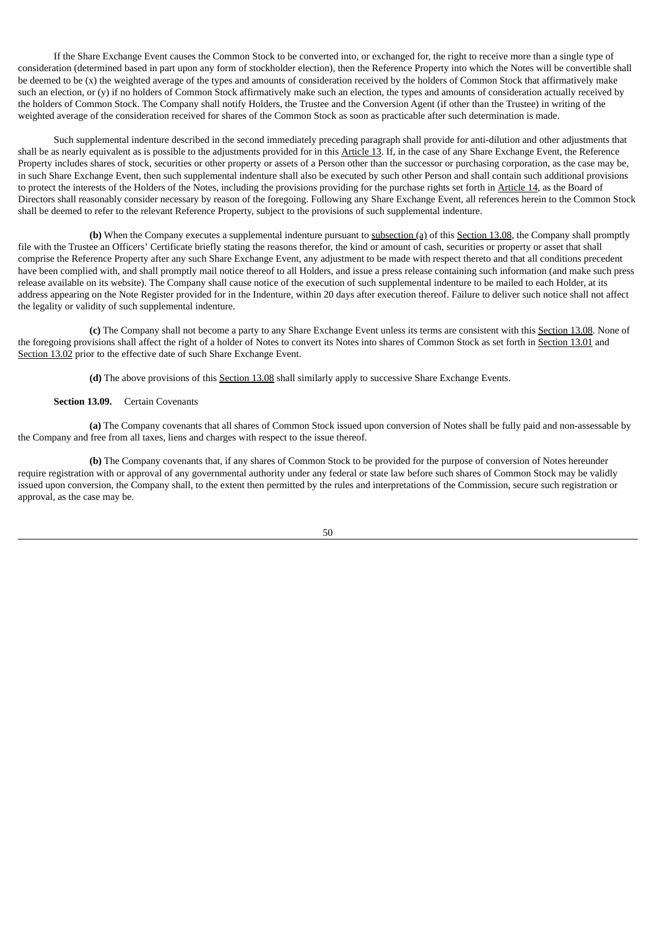If the Share Exchange Event causes the Common Stock to be converted into, or exchanged for, the right to receive more than a single type of consideration (determined based in part upon any form of stockholder election), then the Reference Property into which the Notes will be convertible shall be deemed to be (x) the weighted average of the types and amounts of consideration received by the holders of Common Stock that affirmatively make such an election, or (y) if no holders of Common Stock affirmatively make such an election, the types and amounts of consideration actually received by the holders of Common Stock. The Company shall notify Holders, the Trustee and the Conversion Agent (if other than the Trustee) in writing of the weighted average of the consideration received for shares of the Common Stock as soon as practicable after such determination is made.

Such supplemental indenture described in the second immediately preceding paragraph shall provide for anti-dilution and other adjustments that shall be as nearly equivalent as is possible to the adjustments provided for in this Article 13. If, in the case of any Share Exchange Event, the Reference Property includes shares of stock, securities or other property or assets of a Person other than the successor or purchasing corporation, as the case may be, in such Share Exchange Event, then such supplemental indenture shall also be executed by such other Person and shall contain such additional provisions to protect the interests of the Holders of the Notes, including the provisions providing for the purchase rights set forth in Article 14, as the Board of Directors shall reasonably consider necessary by reason of the foregoing. Following any Share Exchange Event, all references herein to the Common Stock shall be deemed to refer to the relevant Reference Property, subject to the provisions of such supplemental indenture.

**(b)** When the Company executes a supplemental indenture pursuant to subsection (a) of this Section 13.08, the Company shall promptly file with the Trustee an Officers' Certificate briefly stating the reasons therefor, the kind or amount of cash, securities or property or asset that shall comprise the Reference Property after any such Share Exchange Event, any adjustment to be made with respect thereto and that all conditions precedent have been complied with, and shall promptly mail notice thereof to all Holders, and issue a press release containing such information (and make such press release available on its website). The Company shall cause notice of the execution of such supplemental indenture to be mailed to each Holder, at its address appearing on the Note Register provided for in the Indenture, within 20 days after execution thereof. Failure to deliver such notice shall not affect the legality or validity of such supplemental indenture.

**(c)** The Company shall not become a party to any Share Exchange Event unless its terms are consistent with this Section 13.08. None of the foregoing provisions shall affect the right of a holder of Notes to convert its Notes into shares of Common Stock as set forth in Section 13.01 and Section 13.02 prior to the effective date of such Share Exchange Event.

**(d)** The above provisions of this Section 13.08 shall similarly apply to successive Share Exchange Events.

## **Section 13.09.** Certain Covenants

**(a)** The Company covenants that all shares of Common Stock issued upon conversion of Notes shall be fully paid and non-assessable by the Company and free from all taxes, liens and charges with respect to the issue thereof.

**(b)** The Company covenants that, if any shares of Common Stock to be provided for the purpose of conversion of Notes hereunder require registration with or approval of any governmental authority under any federal or state law before such shares of Common Stock may be validly issued upon conversion, the Company shall, to the extent then permitted by the rules and interpretations of the Commission, secure such registration or approval, as the case may be.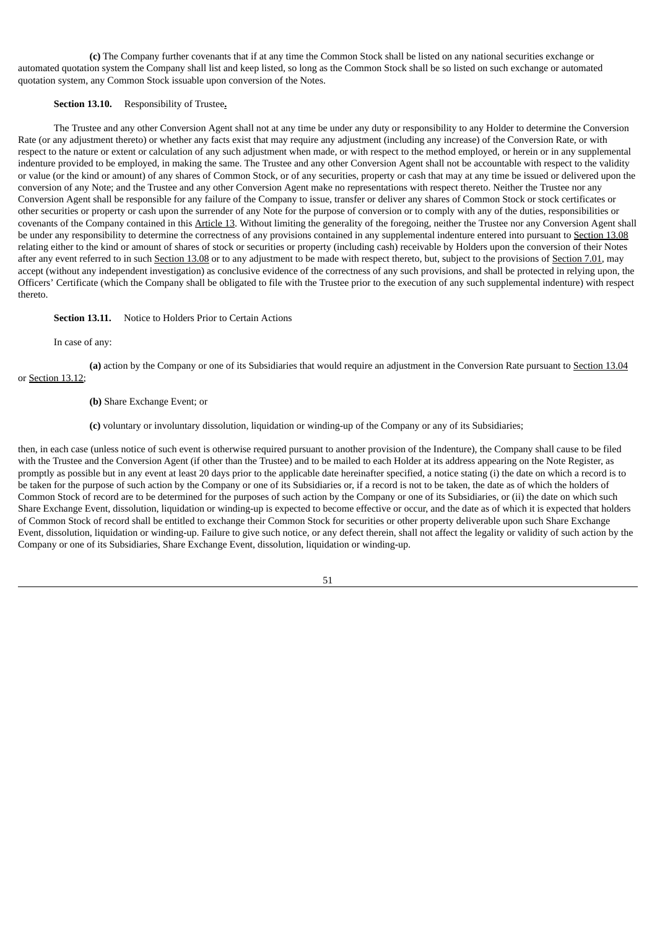**(c)** The Company further covenants that if at any time the Common Stock shall be listed on any national securities exchange or automated quotation system the Company shall list and keep listed, so long as the Common Stock shall be so listed on such exchange or automated quotation system, any Common Stock issuable upon conversion of the Notes.

## **Section 13.10.** Responsibility of Trustee**.**

The Trustee and any other Conversion Agent shall not at any time be under any duty or responsibility to any Holder to determine the Conversion Rate (or any adjustment thereto) or whether any facts exist that may require any adjustment (including any increase) of the Conversion Rate, or with respect to the nature or extent or calculation of any such adjustment when made, or with respect to the method employed, or herein or in any supplemental indenture provided to be employed, in making the same. The Trustee and any other Conversion Agent shall not be accountable with respect to the validity or value (or the kind or amount) of any shares of Common Stock, or of any securities, property or cash that may at any time be issued or delivered upon the conversion of any Note; and the Trustee and any other Conversion Agent make no representations with respect thereto. Neither the Trustee nor any Conversion Agent shall be responsible for any failure of the Company to issue, transfer or deliver any shares of Common Stock or stock certificates or other securities or property or cash upon the surrender of any Note for the purpose of conversion or to comply with any of the duties, responsibilities or covenants of the Company contained in this Article 13. Without limiting the generality of the foregoing, neither the Trustee nor any Conversion Agent shall be under any responsibility to determine the correctness of any provisions contained in any supplemental indenture entered into pursuant to Section 13.08 relating either to the kind or amount of shares of stock or securities or property (including cash) receivable by Holders upon the conversion of their Notes after any event referred to in such Section 13.08 or to any adjustment to be made with respect thereto, but, subject to the provisions of Section 7.01, may accept (without any independent investigation) as conclusive evidence of the correctness of any such provisions, and shall be protected in relying upon, the Officers' Certificate (which the Company shall be obligated to file with the Trustee prior to the execution of any such supplemental indenture) with respect thereto.

## **Section 13.11.** Notice to Holders Prior to Certain Actions

In case of any:

**(a)** action by the Company or one of its Subsidiaries that would require an adjustment in the Conversion Rate pursuant to Section 13.04 or Section 13.12;

- **(b)** Share Exchange Event; or
- **(c)** voluntary or involuntary dissolution, liquidation or winding-up of the Company or any of its Subsidiaries;

then, in each case (unless notice of such event is otherwise required pursuant to another provision of the Indenture), the Company shall cause to be filed with the Trustee and the Conversion Agent (if other than the Trustee) and to be mailed to each Holder at its address appearing on the Note Register, as promptly as possible but in any event at least 20 days prior to the applicable date hereinafter specified, a notice stating (i) the date on which a record is to be taken for the purpose of such action by the Company or one of its Subsidiaries or, if a record is not to be taken, the date as of which the holders of Common Stock of record are to be determined for the purposes of such action by the Company or one of its Subsidiaries, or (ii) the date on which such Share Exchange Event, dissolution, liquidation or winding-up is expected to become effective or occur, and the date as of which it is expected that holders of Common Stock of record shall be entitled to exchange their Common Stock for securities or other property deliverable upon such Share Exchange Event, dissolution, liquidation or winding-up. Failure to give such notice, or any defect therein, shall not affect the legality or validity of such action by the Company or one of its Subsidiaries, Share Exchange Event, dissolution, liquidation or winding-up.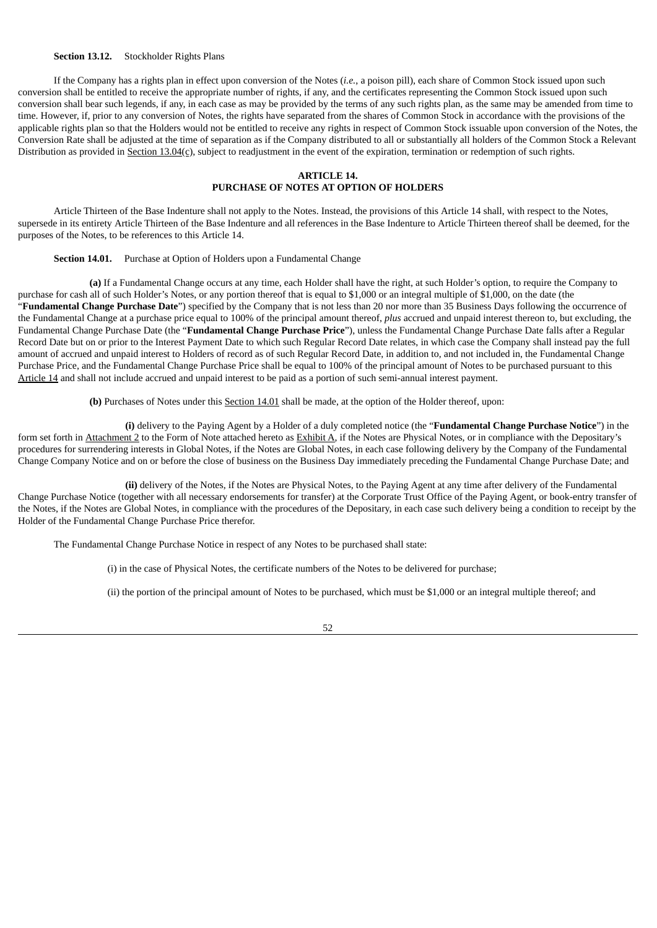## **Section 13.12.** Stockholder Rights Plans

If the Company has a rights plan in effect upon conversion of the Notes (*i.e.*, a poison pill), each share of Common Stock issued upon such conversion shall be entitled to receive the appropriate number of rights, if any, and the certificates representing the Common Stock issued upon such conversion shall bear such legends, if any, in each case as may be provided by the terms of any such rights plan, as the same may be amended from time to time. However, if, prior to any conversion of Notes, the rights have separated from the shares of Common Stock in accordance with the provisions of the applicable rights plan so that the Holders would not be entitled to receive any rights in respect of Common Stock issuable upon conversion of the Notes, the Conversion Rate shall be adjusted at the time of separation as if the Company distributed to all or substantially all holders of the Common Stock a Relevant Distribution as provided in Section 13.04(c), subject to readjustment in the event of the expiration, termination or redemption of such rights.

## **ARTICLE 14. PURCHASE OF NOTES AT OPTION OF HOLDERS**

Article Thirteen of the Base Indenture shall not apply to the Notes. Instead, the provisions of this Article 14 shall, with respect to the Notes, supersede in its entirety Article Thirteen of the Base Indenture and all references in the Base Indenture to Article Thirteen thereof shall be deemed, for the purposes of the Notes, to be references to this Article 14.

## **Section 14.01.** Purchase at Option of Holders upon a Fundamental Change

**(a)** If a Fundamental Change occurs at any time, each Holder shall have the right, at such Holder's option, to require the Company to purchase for cash all of such Holder's Notes, or any portion thereof that is equal to \$1,000 or an integral multiple of \$1,000, on the date (the "**Fundamental Change Purchase Date**") specified by the Company that is not less than 20 nor more than 35 Business Days following the occurrence of the Fundamental Change at a purchase price equal to 100% of the principal amount thereof, *plus* accrued and unpaid interest thereon to, but excluding, the Fundamental Change Purchase Date (the "**Fundamental Change Purchase Price**"), unless the Fundamental Change Purchase Date falls after a Regular Record Date but on or prior to the Interest Payment Date to which such Regular Record Date relates, in which case the Company shall instead pay the full amount of accrued and unpaid interest to Holders of record as of such Regular Record Date, in addition to, and not included in, the Fundamental Change Purchase Price, and the Fundamental Change Purchase Price shall be equal to 100% of the principal amount of Notes to be purchased pursuant to this Article 14 and shall not include accrued and unpaid interest to be paid as a portion of such semi-annual interest payment.

**(b)** Purchases of Notes under this Section 14.01 shall be made, at the option of the Holder thereof, upon:

**(i)** delivery to the Paying Agent by a Holder of a duly completed notice (the "**Fundamental Change Purchase Notice**") in the form set forth in Attachment 2 to the Form of Note attached hereto as Exhibit A, if the Notes are Physical Notes, or in compliance with the Depositary's procedures for surrendering interests in Global Notes, if the Notes are Global Notes, in each case following delivery by the Company of the Fundamental Change Company Notice and on or before the close of business on the Business Day immediately preceding the Fundamental Change Purchase Date; and

**(ii)** delivery of the Notes, if the Notes are Physical Notes, to the Paying Agent at any time after delivery of the Fundamental Change Purchase Notice (together with all necessary endorsements for transfer) at the Corporate Trust Office of the Paying Agent, or book-entry transfer of the Notes, if the Notes are Global Notes, in compliance with the procedures of the Depositary, in each case such delivery being a condition to receipt by the Holder of the Fundamental Change Purchase Price therefor.

The Fundamental Change Purchase Notice in respect of any Notes to be purchased shall state:

(i) in the case of Physical Notes, the certificate numbers of the Notes to be delivered for purchase;

(ii) the portion of the principal amount of Notes to be purchased, which must be \$1,000 or an integral multiple thereof; and

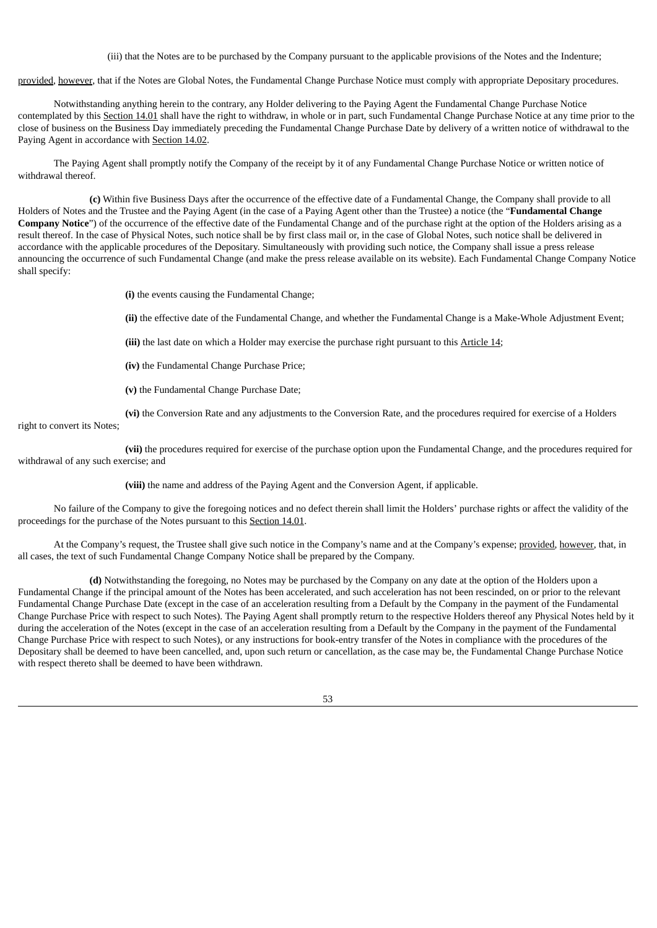(iii) that the Notes are to be purchased by the Company pursuant to the applicable provisions of the Notes and the Indenture;

provided, however, that if the Notes are Global Notes, the Fundamental Change Purchase Notice must comply with appropriate Depositary procedures.

Notwithstanding anything herein to the contrary, any Holder delivering to the Paying Agent the Fundamental Change Purchase Notice contemplated by this Section 14.01 shall have the right to withdraw, in whole or in part, such Fundamental Change Purchase Notice at any time prior to the close of business on the Business Day immediately preceding the Fundamental Change Purchase Date by delivery of a written notice of withdrawal to the Paying Agent in accordance with Section 14.02.

The Paying Agent shall promptly notify the Company of the receipt by it of any Fundamental Change Purchase Notice or written notice of withdrawal thereof.

**(c)** Within five Business Days after the occurrence of the effective date of a Fundamental Change, the Company shall provide to all Holders of Notes and the Trustee and the Paying Agent (in the case of a Paying Agent other than the Trustee) a notice (the "**Fundamental Change Company Notice**") of the occurrence of the effective date of the Fundamental Change and of the purchase right at the option of the Holders arising as a result thereof. In the case of Physical Notes, such notice shall be by first class mail or, in the case of Global Notes, such notice shall be delivered in accordance with the applicable procedures of the Depositary. Simultaneously with providing such notice, the Company shall issue a press release announcing the occurrence of such Fundamental Change (and make the press release available on its website). Each Fundamental Change Company Notice shall specify:

**(i)** the events causing the Fundamental Change;

**(ii)** the effective date of the Fundamental Change, and whether the Fundamental Change is a Make-Whole Adjustment Event;

**(iii)** the last date on which a Holder may exercise the purchase right pursuant to this Article 14;

**(iv)** the Fundamental Change Purchase Price;

**(v)** the Fundamental Change Purchase Date;

**(vi)** the Conversion Rate and any adjustments to the Conversion Rate, and the procedures required for exercise of a Holders

right to convert its Notes;

**(vii)** the procedures required for exercise of the purchase option upon the Fundamental Change, and the procedures required for withdrawal of any such exercise; and

**(viii)** the name and address of the Paying Agent and the Conversion Agent, if applicable.

No failure of the Company to give the foregoing notices and no defect therein shall limit the Holders' purchase rights or affect the validity of the proceedings for the purchase of the Notes pursuant to this Section 14.01.

At the Company's request, the Trustee shall give such notice in the Company's name and at the Company's expense; provided, however, that, in all cases, the text of such Fundamental Change Company Notice shall be prepared by the Company.

**(d)** Notwithstanding the foregoing, no Notes may be purchased by the Company on any date at the option of the Holders upon a Fundamental Change if the principal amount of the Notes has been accelerated, and such acceleration has not been rescinded, on or prior to the relevant Fundamental Change Purchase Date (except in the case of an acceleration resulting from a Default by the Company in the payment of the Fundamental Change Purchase Price with respect to such Notes). The Paying Agent shall promptly return to the respective Holders thereof any Physical Notes held by it during the acceleration of the Notes (except in the case of an acceleration resulting from a Default by the Company in the payment of the Fundamental Change Purchase Price with respect to such Notes), or any instructions for book-entry transfer of the Notes in compliance with the procedures of the Depositary shall be deemed to have been cancelled, and, upon such return or cancellation, as the case may be, the Fundamental Change Purchase Notice with respect thereto shall be deemed to have been withdrawn.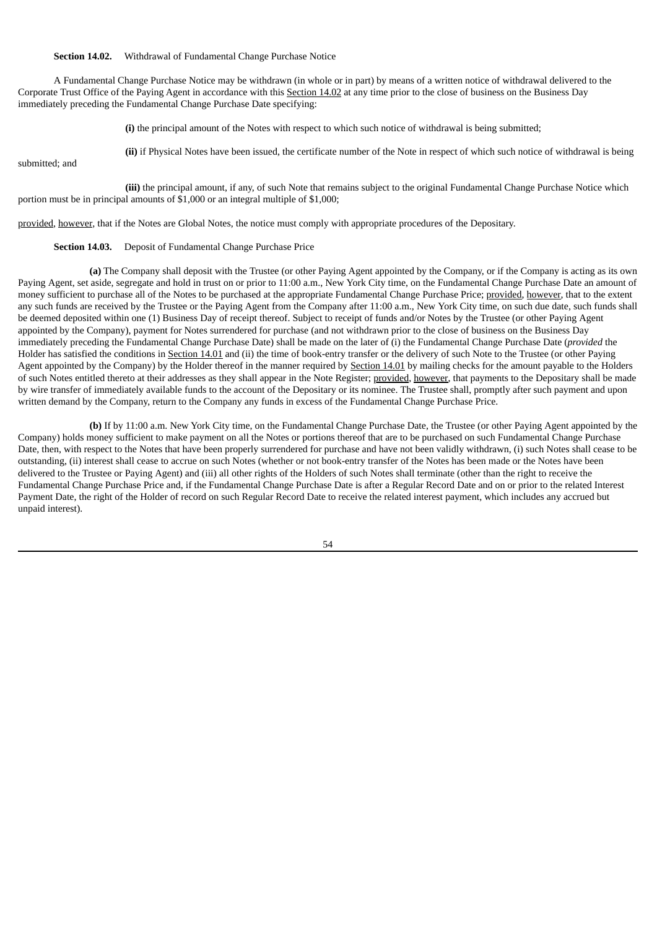**Section 14.02.** Withdrawal of Fundamental Change Purchase Notice

A Fundamental Change Purchase Notice may be withdrawn (in whole or in part) by means of a written notice of withdrawal delivered to the Corporate Trust Office of the Paying Agent in accordance with this Section 14.02 at any time prior to the close of business on the Business Day immediately preceding the Fundamental Change Purchase Date specifying:

**(i)** the principal amount of the Notes with respect to which such notice of withdrawal is being submitted;

submitted; and

**(ii)** if Physical Notes have been issued, the certificate number of the Note in respect of which such notice of withdrawal is being

**(iii)** the principal amount, if any, of such Note that remains subject to the original Fundamental Change Purchase Notice which portion must be in principal amounts of \$1,000 or an integral multiple of \$1,000;

provided, however, that if the Notes are Global Notes, the notice must comply with appropriate procedures of the Depositary.

#### **Section 14.03.** Deposit of Fundamental Change Purchase Price

**(a)** The Company shall deposit with the Trustee (or other Paying Agent appointed by the Company, or if the Company is acting as its own Paying Agent, set aside, segregate and hold in trust on or prior to 11:00 a.m., New York City time, on the Fundamental Change Purchase Date an amount of money sufficient to purchase all of the Notes to be purchased at the appropriate Fundamental Change Purchase Price; provided, however, that to the extent any such funds are received by the Trustee or the Paying Agent from the Company after 11:00 a.m., New York City time, on such due date, such funds shall be deemed deposited within one (1) Business Day of receipt thereof. Subject to receipt of funds and/or Notes by the Trustee (or other Paying Agent appointed by the Company), payment for Notes surrendered for purchase (and not withdrawn prior to the close of business on the Business Day immediately preceding the Fundamental Change Purchase Date) shall be made on the later of (i) the Fundamental Change Purchase Date (*provided* the Holder has satisfied the conditions in Section 14.01 and (ii) the time of book-entry transfer or the delivery of such Note to the Trustee (or other Paying Agent appointed by the Company) by the Holder thereof in the manner required by Section 14.01 by mailing checks for the amount payable to the Holders of such Notes entitled thereto at their addresses as they shall appear in the Note Register; provided, however, that payments to the Depositary shall be made by wire transfer of immediately available funds to the account of the Depositary or its nominee. The Trustee shall, promptly after such payment and upon written demand by the Company, return to the Company any funds in excess of the Fundamental Change Purchase Price.

**(b)** If by 11:00 a.m. New York City time, on the Fundamental Change Purchase Date, the Trustee (or other Paying Agent appointed by the Company) holds money sufficient to make payment on all the Notes or portions thereof that are to be purchased on such Fundamental Change Purchase Date, then, with respect to the Notes that have been properly surrendered for purchase and have not been validly withdrawn, (i) such Notes shall cease to be outstanding, (ii) interest shall cease to accrue on such Notes (whether or not book-entry transfer of the Notes has been made or the Notes have been delivered to the Trustee or Paying Agent) and (iii) all other rights of the Holders of such Notes shall terminate (other than the right to receive the Fundamental Change Purchase Price and, if the Fundamental Change Purchase Date is after a Regular Record Date and on or prior to the related Interest Payment Date, the right of the Holder of record on such Regular Record Date to receive the related interest payment, which includes any accrued but unpaid interest).

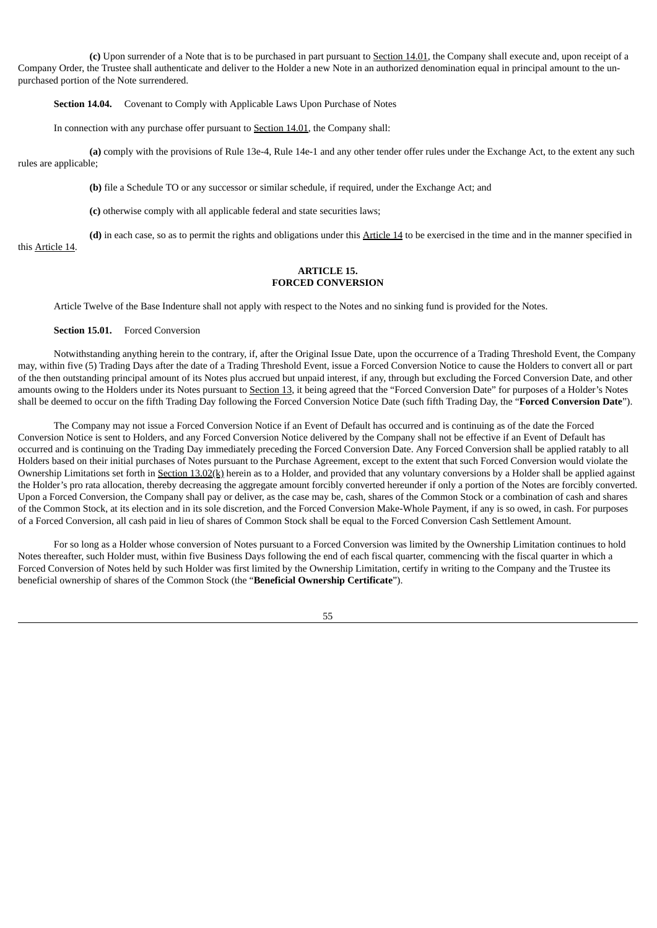**(c)** Upon surrender of a Note that is to be purchased in part pursuant to Section 14.01, the Company shall execute and, upon receipt of a Company Order, the Trustee shall authenticate and deliver to the Holder a new Note in an authorized denomination equal in principal amount to the unpurchased portion of the Note surrendered.

**Section 14.04.** Covenant to Comply with Applicable Laws Upon Purchase of Notes

In connection with any purchase offer pursuant to Section 14.01, the Company shall:

**(a)** comply with the provisions of Rule 13e-4, Rule 14e-1 and any other tender offer rules under the Exchange Act, to the extent any such rules are applicable;

**(b)** file a Schedule TO or any successor or similar schedule, if required, under the Exchange Act; and

**(c)** otherwise comply with all applicable federal and state securities laws;

**(d)** in each case, so as to permit the rights and obligations under this Article 14 to be exercised in the time and in the manner specified in this Article 14.

## **ARTICLE 15. FORCED CONVERSION**

Article Twelve of the Base Indenture shall not apply with respect to the Notes and no sinking fund is provided for the Notes.

## **Section 15.01.** Forced Conversion

Notwithstanding anything herein to the contrary, if, after the Original Issue Date, upon the occurrence of a Trading Threshold Event, the Company may, within five (5) Trading Days after the date of a Trading Threshold Event, issue a Forced Conversion Notice to cause the Holders to convert all or part of the then outstanding principal amount of its Notes plus accrued but unpaid interest, if any, through but excluding the Forced Conversion Date, and other amounts owing to the Holders under its Notes pursuant to Section 13, it being agreed that the "Forced Conversion Date" for purposes of a Holder's Notes shall be deemed to occur on the fifth Trading Day following the Forced Conversion Notice Date (such fifth Trading Day, the "**Forced Conversion Date**").

The Company may not issue a Forced Conversion Notice if an Event of Default has occurred and is continuing as of the date the Forced Conversion Notice is sent to Holders, and any Forced Conversion Notice delivered by the Company shall not be effective if an Event of Default has occurred and is continuing on the Trading Day immediately preceding the Forced Conversion Date. Any Forced Conversion shall be applied ratably to all Holders based on their initial purchases of Notes pursuant to the Purchase Agreement, except to the extent that such Forced Conversion would violate the Ownership Limitations set forth in Section  $13.02(k)$  herein as to a Holder, and provided that any voluntary conversions by a Holder shall be applied against the Holder's pro rata allocation, thereby decreasing the aggregate amount forcibly converted hereunder if only a portion of the Notes are forcibly converted. Upon a Forced Conversion, the Company shall pay or deliver, as the case may be, cash, shares of the Common Stock or a combination of cash and shares of the Common Stock, at its election and in its sole discretion, and the Forced Conversion Make-Whole Payment, if any is so owed, in cash. For purposes of a Forced Conversion, all cash paid in lieu of shares of Common Stock shall be equal to the Forced Conversion Cash Settlement Amount.

For so long as a Holder whose conversion of Notes pursuant to a Forced Conversion was limited by the Ownership Limitation continues to hold Notes thereafter, such Holder must, within five Business Days following the end of each fiscal quarter, commencing with the fiscal quarter in which a Forced Conversion of Notes held by such Holder was first limited by the Ownership Limitation, certify in writing to the Company and the Trustee its beneficial ownership of shares of the Common Stock (the "**Beneficial Ownership Certificate**").

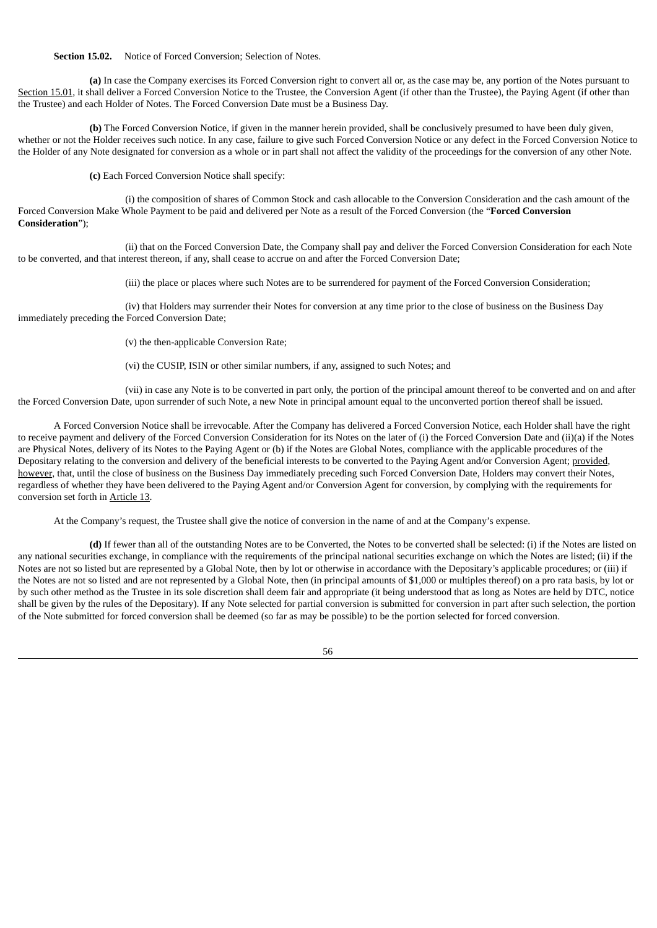**Section 15.02.** Notice of Forced Conversion; Selection of Notes.

**(a)** In case the Company exercises its Forced Conversion right to convert all or, as the case may be, any portion of the Notes pursuant to Section 15.01, it shall deliver a Forced Conversion Notice to the Trustee, the Conversion Agent (if other than the Trustee), the Paying Agent (if other than the Trustee) and each Holder of Notes. The Forced Conversion Date must be a Business Day.

**(b)** The Forced Conversion Notice, if given in the manner herein provided, shall be conclusively presumed to have been duly given, whether or not the Holder receives such notice. In any case, failure to give such Forced Conversion Notice or any defect in the Forced Conversion Notice to the Holder of any Note designated for conversion as a whole or in part shall not affect the validity of the proceedings for the conversion of any other Note.

**(c)** Each Forced Conversion Notice shall specify:

(i) the composition of shares of Common Stock and cash allocable to the Conversion Consideration and the cash amount of the Forced Conversion Make Whole Payment to be paid and delivered per Note as a result of the Forced Conversion (the "**Forced Conversion Consideration**");

(ii) that on the Forced Conversion Date, the Company shall pay and deliver the Forced Conversion Consideration for each Note to be converted, and that interest thereon, if any, shall cease to accrue on and after the Forced Conversion Date;

(iii) the place or places where such Notes are to be surrendered for payment of the Forced Conversion Consideration;

(iv) that Holders may surrender their Notes for conversion at any time prior to the close of business on the Business Day immediately preceding the Forced Conversion Date;

(v) the then-applicable Conversion Rate;

(vi) the CUSIP, ISIN or other similar numbers, if any, assigned to such Notes; and

(vii) in case any Note is to be converted in part only, the portion of the principal amount thereof to be converted and on and after the Forced Conversion Date, upon surrender of such Note, a new Note in principal amount equal to the unconverted portion thereof shall be issued.

A Forced Conversion Notice shall be irrevocable. After the Company has delivered a Forced Conversion Notice, each Holder shall have the right to receive payment and delivery of the Forced Conversion Consideration for its Notes on the later of (i) the Forced Conversion Date and (ii)(a) if the Notes are Physical Notes, delivery of its Notes to the Paying Agent or (b) if the Notes are Global Notes, compliance with the applicable procedures of the Depositary relating to the conversion and delivery of the beneficial interests to be converted to the Paying Agent and/or Conversion Agent; provided, however, that, until the close of business on the Business Day immediately preceding such Forced Conversion Date, Holders may convert their Notes, regardless of whether they have been delivered to the Paying Agent and/or Conversion Agent for conversion, by complying with the requirements for conversion set forth in Article 13.

At the Company's request, the Trustee shall give the notice of conversion in the name of and at the Company's expense.

**(d)** If fewer than all of the outstanding Notes are to be Converted, the Notes to be converted shall be selected: (i) if the Notes are listed on any national securities exchange, in compliance with the requirements of the principal national securities exchange on which the Notes are listed; (ii) if the Notes are not so listed but are represented by a Global Note, then by lot or otherwise in accordance with the Depositary's applicable procedures; or (iii) if the Notes are not so listed and are not represented by a Global Note, then (in principal amounts of \$1,000 or multiples thereof) on a pro rata basis, by lot or by such other method as the Trustee in its sole discretion shall deem fair and appropriate (it being understood that as long as Notes are held by DTC, notice shall be given by the rules of the Depositary). If any Note selected for partial conversion is submitted for conversion in part after such selection, the portion of the Note submitted for forced conversion shall be deemed (so far as may be possible) to be the portion selected for forced conversion.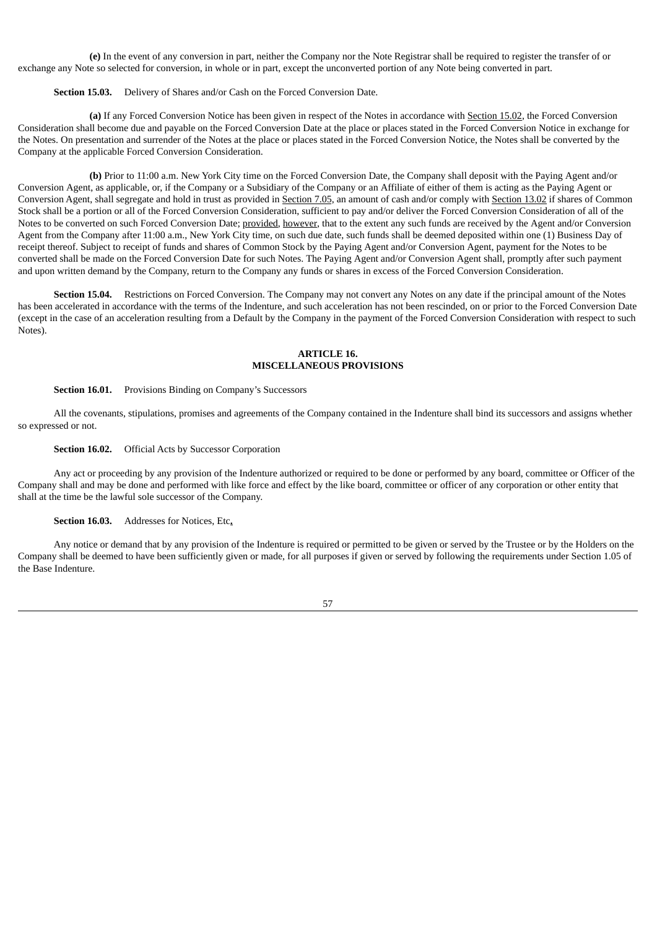**(e)** In the event of any conversion in part, neither the Company nor the Note Registrar shall be required to register the transfer of or exchange any Note so selected for conversion, in whole or in part, except the unconverted portion of any Note being converted in part.

**Section 15.03.** Delivery of Shares and/or Cash on the Forced Conversion Date.

**(a)** If any Forced Conversion Notice has been given in respect of the Notes in accordance with Section 15.02, the Forced Conversion Consideration shall become due and payable on the Forced Conversion Date at the place or places stated in the Forced Conversion Notice in exchange for the Notes. On presentation and surrender of the Notes at the place or places stated in the Forced Conversion Notice, the Notes shall be converted by the Company at the applicable Forced Conversion Consideration.

**(b)** Prior to 11:00 a.m. New York City time on the Forced Conversion Date, the Company shall deposit with the Paying Agent and/or Conversion Agent, as applicable, or, if the Company or a Subsidiary of the Company or an Affiliate of either of them is acting as the Paying Agent or Conversion Agent, shall segregate and hold in trust as provided in Section 7.05, an amount of cash and/or comply with Section 13.02 if shares of Common Stock shall be a portion or all of the Forced Conversion Consideration, sufficient to pay and/or deliver the Forced Conversion Consideration of all of the Notes to be converted on such Forced Conversion Date; provided, however, that to the extent any such funds are received by the Agent and/or Conversion Agent from the Company after 11:00 a.m., New York City time, on such due date, such funds shall be deemed deposited within one (1) Business Day of receipt thereof. Subject to receipt of funds and shares of Common Stock by the Paying Agent and/or Conversion Agent, payment for the Notes to be converted shall be made on the Forced Conversion Date for such Notes. The Paying Agent and/or Conversion Agent shall, promptly after such payment and upon written demand by the Company, return to the Company any funds or shares in excess of the Forced Conversion Consideration.

**Section 15.04.** Restrictions on Forced Conversion. The Company may not convert any Notes on any date if the principal amount of the Notes has been accelerated in accordance with the terms of the Indenture, and such acceleration has not been rescinded, on or prior to the Forced Conversion Date (except in the case of an acceleration resulting from a Default by the Company in the payment of the Forced Conversion Consideration with respect to such Notes).

#### **ARTICLE 16. MISCELLANEOUS PROVISIONS**

## **Section 16.01.** Provisions Binding on Company's Successors

All the covenants, stipulations, promises and agreements of the Company contained in the Indenture shall bind its successors and assigns whether so expressed or not.

## **Section 16.02.** Official Acts by Successor Corporation

Any act or proceeding by any provision of the Indenture authorized or required to be done or performed by any board, committee or Officer of the Company shall and may be done and performed with like force and effect by the like board, committee or officer of any corporation or other entity that shall at the time be the lawful sole successor of the Company.

## **Section 16.03.** Addresses for Notices, Etc**.**

Any notice or demand that by any provision of the Indenture is required or permitted to be given or served by the Trustee or by the Holders on the Company shall be deemed to have been sufficiently given or made, for all purposes if given or served by following the requirements under Section 1.05 of the Base Indenture.

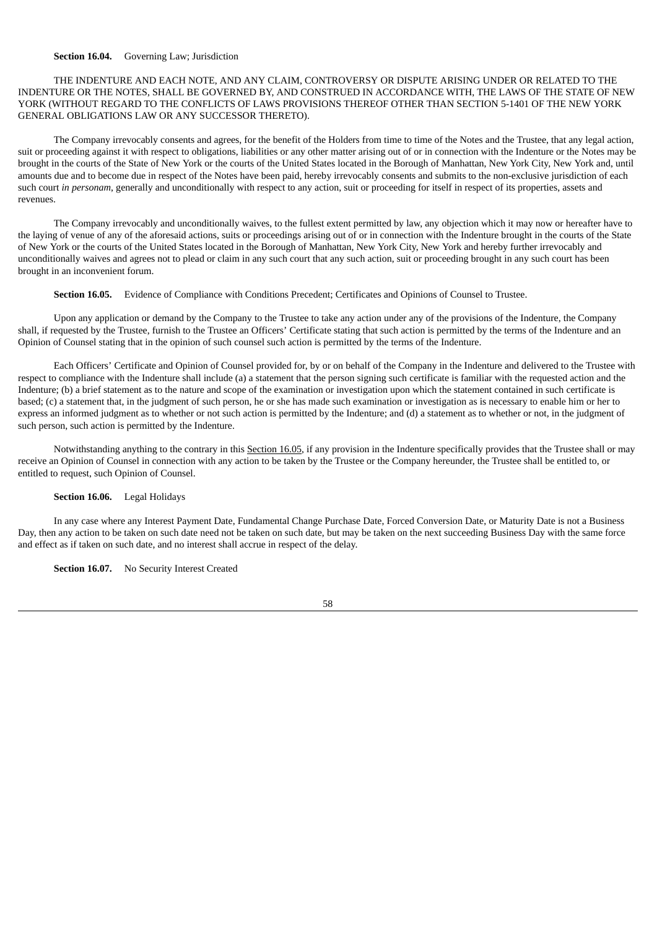#### **Section 16.04.** Governing Law; Jurisdiction

THE INDENTURE AND EACH NOTE, AND ANY CLAIM, CONTROVERSY OR DISPUTE ARISING UNDER OR RELATED TO THE INDENTURE OR THE NOTES, SHALL BE GOVERNED BY, AND CONSTRUED IN ACCORDANCE WITH, THE LAWS OF THE STATE OF NEW YORK (WITHOUT REGARD TO THE CONFLICTS OF LAWS PROVISIONS THEREOF OTHER THAN SECTION 5-1401 OF THE NEW YORK GENERAL OBLIGATIONS LAW OR ANY SUCCESSOR THERETO).

The Company irrevocably consents and agrees, for the benefit of the Holders from time to time of the Notes and the Trustee, that any legal action, suit or proceeding against it with respect to obligations, liabilities or any other matter arising out of or in connection with the Indenture or the Notes may be brought in the courts of the State of New York or the courts of the United States located in the Borough of Manhattan, New York City, New York and, until amounts due and to become due in respect of the Notes have been paid, hereby irrevocably consents and submits to the non-exclusive jurisdiction of each such court *in personam*, generally and unconditionally with respect to any action, suit or proceeding for itself in respect of its properties, assets and revenues.

The Company irrevocably and unconditionally waives, to the fullest extent permitted by law, any objection which it may now or hereafter have to the laying of venue of any of the aforesaid actions, suits or proceedings arising out of or in connection with the Indenture brought in the courts of the State of New York or the courts of the United States located in the Borough of Manhattan, New York City, New York and hereby further irrevocably and unconditionally waives and agrees not to plead or claim in any such court that any such action, suit or proceeding brought in any such court has been brought in an inconvenient forum.

**Section 16.05.** Evidence of Compliance with Conditions Precedent; Certificates and Opinions of Counsel to Trustee.

Upon any application or demand by the Company to the Trustee to take any action under any of the provisions of the Indenture, the Company shall, if requested by the Trustee, furnish to the Trustee an Officers' Certificate stating that such action is permitted by the terms of the Indenture and an Opinion of Counsel stating that in the opinion of such counsel such action is permitted by the terms of the Indenture.

Each Officers' Certificate and Opinion of Counsel provided for, by or on behalf of the Company in the Indenture and delivered to the Trustee with respect to compliance with the Indenture shall include (a) a statement that the person signing such certificate is familiar with the requested action and the Indenture; (b) a brief statement as to the nature and scope of the examination or investigation upon which the statement contained in such certificate is based; (c) a statement that, in the judgment of such person, he or she has made such examination or investigation as is necessary to enable him or her to express an informed judgment as to whether or not such action is permitted by the Indenture; and (d) a statement as to whether or not, in the judgment of such person, such action is permitted by the Indenture.

Notwithstanding anything to the contrary in this Section 16.05, if any provision in the Indenture specifically provides that the Trustee shall or may receive an Opinion of Counsel in connection with any action to be taken by the Trustee or the Company hereunder, the Trustee shall be entitled to, or entitled to request, such Opinion of Counsel.

#### **Section 16.06.** Legal Holidays

In any case where any Interest Payment Date, Fundamental Change Purchase Date, Forced Conversion Date, or Maturity Date is not a Business Day, then any action to be taken on such date need not be taken on such date, but may be taken on the next succeeding Business Day with the same force and effect as if taken on such date, and no interest shall accrue in respect of the delay.

**Section 16.07.** No Security Interest Created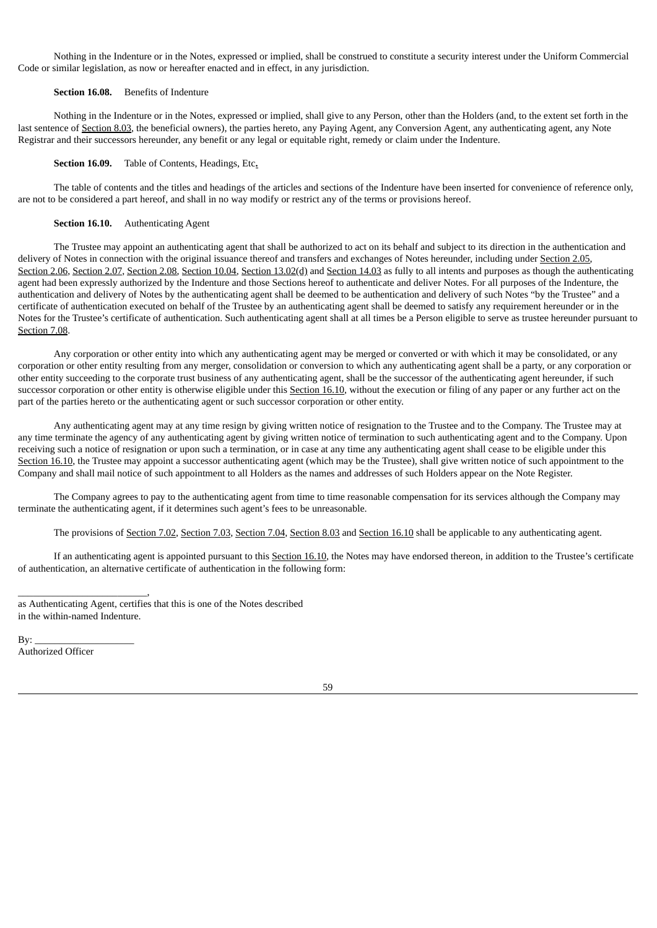Nothing in the Indenture or in the Notes, expressed or implied, shall be construed to constitute a security interest under the Uniform Commercial Code or similar legislation, as now or hereafter enacted and in effect, in any jurisdiction.

#### **Section 16.08.** Benefits of Indenture

Nothing in the Indenture or in the Notes, expressed or implied, shall give to any Person, other than the Holders (and, to the extent set forth in the last sentence of Section 8.03, the beneficial owners), the parties hereto, any Paying Agent, any Conversion Agent, any authenticating agent, any Note Registrar and their successors hereunder, any benefit or any legal or equitable right, remedy or claim under the Indenture.

## **Section 16.09.** Table of Contents, Headings, Etc**.**

The table of contents and the titles and headings of the articles and sections of the Indenture have been inserted for convenience of reference only, are not to be considered a part hereof, and shall in no way modify or restrict any of the terms or provisions hereof.

## **Section 16.10.** Authenticating Agent

The Trustee may appoint an authenticating agent that shall be authorized to act on its behalf and subject to its direction in the authentication and delivery of Notes in connection with the original issuance thereof and transfers and exchanges of Notes hereunder, including under Section 2.05, Section 2.06, Section 2.07, Section 2.08, Section 10.04, Section 13.02(d) and Section 14.03 as fully to all intents and purposes as though the authenticating agent had been expressly authorized by the Indenture and those Sections hereof to authenticate and deliver Notes. For all purposes of the Indenture, the authentication and delivery of Notes by the authenticating agent shall be deemed to be authentication and delivery of such Notes "by the Trustee" and a certificate of authentication executed on behalf of the Trustee by an authenticating agent shall be deemed to satisfy any requirement hereunder or in the Notes for the Trustee's certificate of authentication. Such authenticating agent shall at all times be a Person eligible to serve as trustee hereunder pursuant to Section 7.08.

Any corporation or other entity into which any authenticating agent may be merged or converted or with which it may be consolidated, or any corporation or other entity resulting from any merger, consolidation or conversion to which any authenticating agent shall be a party, or any corporation or other entity succeeding to the corporate trust business of any authenticating agent, shall be the successor of the authenticating agent hereunder, if such successor corporation or other entity is otherwise eligible under this Section 16.10, without the execution or filing of any paper or any further act on the part of the parties hereto or the authenticating agent or such successor corporation or other entity.

Any authenticating agent may at any time resign by giving written notice of resignation to the Trustee and to the Company. The Trustee may at any time terminate the agency of any authenticating agent by giving written notice of termination to such authenticating agent and to the Company. Upon receiving such a notice of resignation or upon such a termination, or in case at any time any authenticating agent shall cease to be eligible under this Section 16.10, the Trustee may appoint a successor authenticating agent (which may be the Trustee), shall give written notice of such appointment to the Company and shall mail notice of such appointment to all Holders as the names and addresses of such Holders appear on the Note Register.

The Company agrees to pay to the authenticating agent from time to time reasonable compensation for its services although the Company may terminate the authenticating agent, if it determines such agent's fees to be unreasonable.

The provisions of Section 7.02, Section 7.03, Section 7.04, Section 8.03 and Section 16.10 shall be applicable to any authenticating agent.

If an authenticating agent is appointed pursuant to this Section 16.10, the Notes may have endorsed thereon, in addition to the Trustee's certificate of authentication, an alternative certificate of authentication in the following form:

By: Authorized Officer

\_\_\_\_\_\_\_\_\_\_\_\_\_\_\_\_\_\_\_\_\_\_\_\_\_\_,

as Authenticating Agent, certifies that this is one of the Notes described in the within-named Indenture.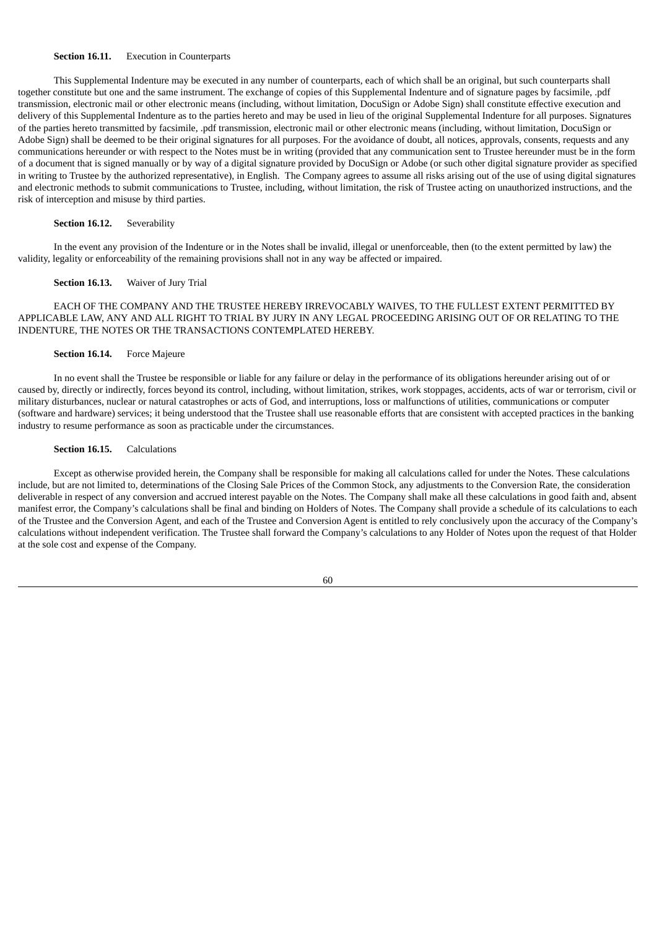## **Section 16.11.** Execution in Counterparts

This Supplemental Indenture may be executed in any number of counterparts, each of which shall be an original, but such counterparts shall together constitute but one and the same instrument. The exchange of copies of this Supplemental Indenture and of signature pages by facsimile, .pdf transmission, electronic mail or other electronic means (including, without limitation, DocuSign or Adobe Sign) shall constitute effective execution and delivery of this Supplemental Indenture as to the parties hereto and may be used in lieu of the original Supplemental Indenture for all purposes. Signatures of the parties hereto transmitted by facsimile, .pdf transmission, electronic mail or other electronic means (including, without limitation, DocuSign or Adobe Sign) shall be deemed to be their original signatures for all purposes. For the avoidance of doubt, all notices, approvals, consents, requests and any communications hereunder or with respect to the Notes must be in writing (provided that any communication sent to Trustee hereunder must be in the form of a document that is signed manually or by way of a digital signature provided by DocuSign or Adobe (or such other digital signature provider as specified in writing to Trustee by the authorized representative), in English. The Company agrees to assume all risks arising out of the use of using digital signatures and electronic methods to submit communications to Trustee, including, without limitation, the risk of Trustee acting on unauthorized instructions, and the risk of interception and misuse by third parties.

#### **Section 16.12.** Severability

In the event any provision of the Indenture or in the Notes shall be invalid, illegal or unenforceable, then (to the extent permitted by law) the validity, legality or enforceability of the remaining provisions shall not in any way be affected or impaired.

## **Section 16.13.** Waiver of Jury Trial

EACH OF THE COMPANY AND THE TRUSTEE HEREBY IRREVOCABLY WAIVES, TO THE FULLEST EXTENT PERMITTED BY APPLICABLE LAW, ANY AND ALL RIGHT TO TRIAL BY JURY IN ANY LEGAL PROCEEDING ARISING OUT OF OR RELATING TO THE INDENTURE, THE NOTES OR THE TRANSACTIONS CONTEMPLATED HEREBY.

## **Section 16.14.** Force Majeure

In no event shall the Trustee be responsible or liable for any failure or delay in the performance of its obligations hereunder arising out of or caused by, directly or indirectly, forces beyond its control, including, without limitation, strikes, work stoppages, accidents, acts of war or terrorism, civil or military disturbances, nuclear or natural catastrophes or acts of God, and interruptions, loss or malfunctions of utilities, communications or computer (software and hardware) services; it being understood that the Trustee shall use reasonable efforts that are consistent with accepted practices in the banking industry to resume performance as soon as practicable under the circumstances.

## **Section 16.15.** Calculations

Except as otherwise provided herein, the Company shall be responsible for making all calculations called for under the Notes. These calculations include, but are not limited to, determinations of the Closing Sale Prices of the Common Stock, any adjustments to the Conversion Rate, the consideration deliverable in respect of any conversion and accrued interest payable on the Notes. The Company shall make all these calculations in good faith and, absent manifest error, the Company's calculations shall be final and binding on Holders of Notes. The Company shall provide a schedule of its calculations to each of the Trustee and the Conversion Agent, and each of the Trustee and Conversion Agent is entitled to rely conclusively upon the accuracy of the Company's calculations without independent verification. The Trustee shall forward the Company's calculations to any Holder of Notes upon the request of that Holder at the sole cost and expense of the Company.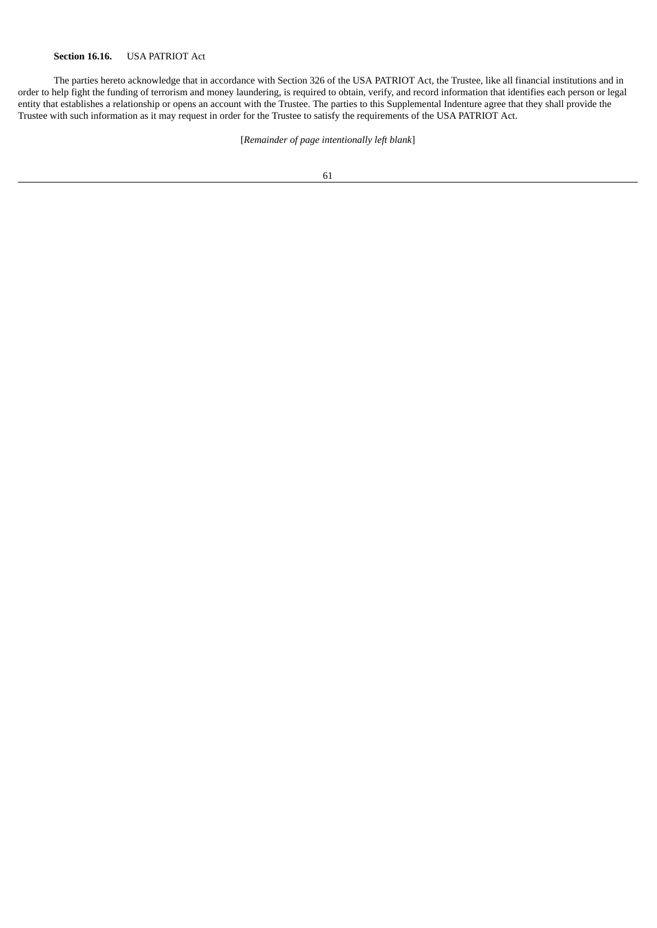The parties hereto acknowledge that in accordance with Section 326 of the USA PATRIOT Act, the Trustee, like all financial institutions and in order to help fight the funding of terrorism and money laundering, is required to obtain, verify, and record information that identifies each person or legal entity that establishes a relationship or opens an account with the Trustee. The parties to this Supplemental Indenture agree that they shall provide the Trustee with such information as it may request in order for the Trustee to satisfy the requirements of the USA PATRIOT Act.

[*Remainder of page intentionally left blank*]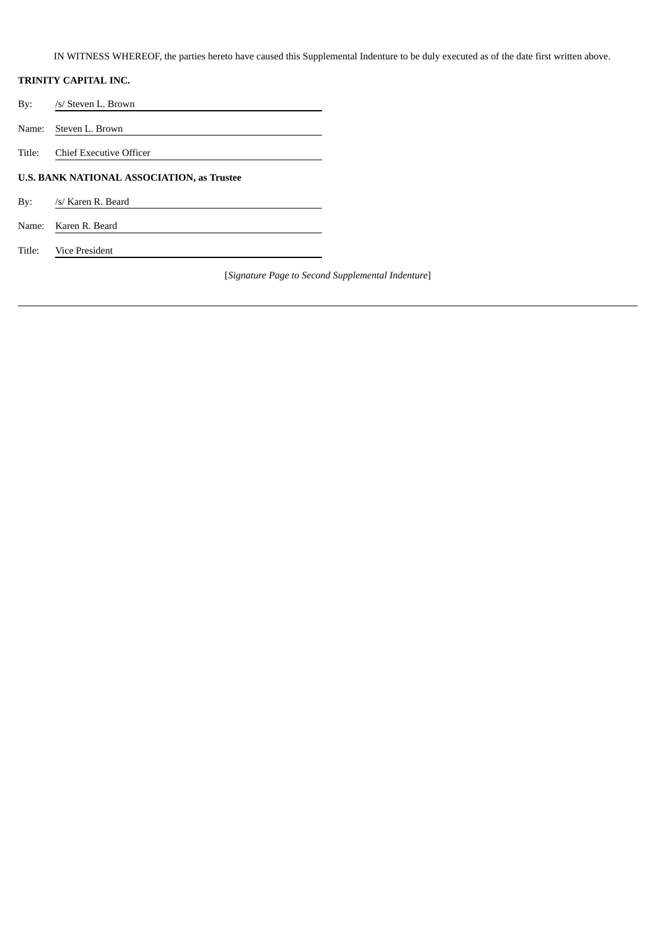IN WITNESS WHEREOF, the parties hereto have caused this Supplemental Indenture to be duly executed as of the date first written above.

# **TRINITY CAPITAL INC.**

By: /s/ Steven L. Brown

Name: Steven L. Brown

Title: Chief Executive Officer

# **U.S. BANK NATIONAL ASSOCIATION, as Trustee**

- By: /s/ Karen R. Beard
- Name: Karen R. Beard

Title: Vice President

[*Signature Page to Second Supplemental Indenture*]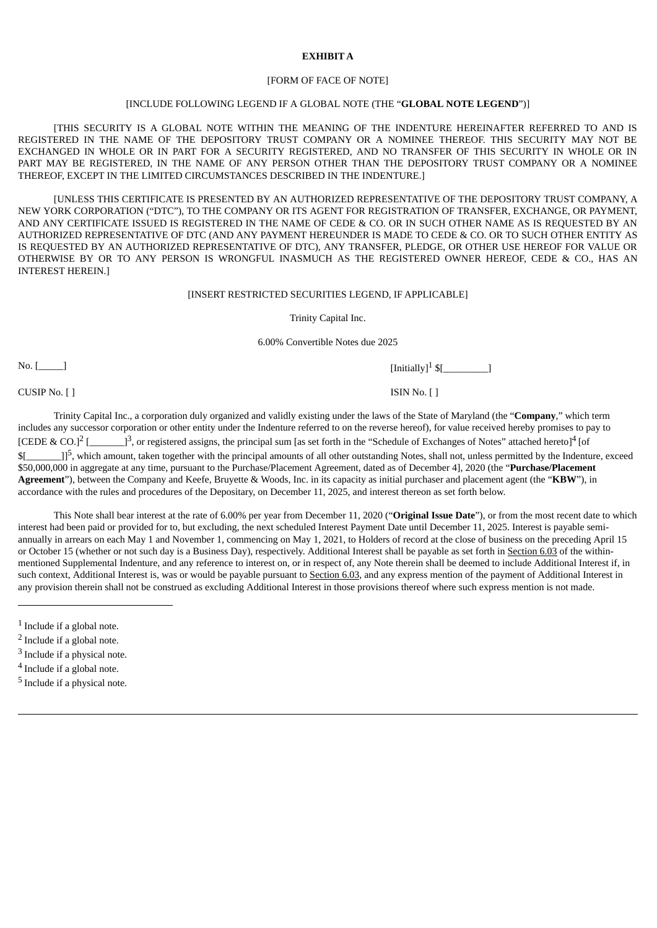## **EXHIBIT A**

#### [FORM OF FACE OF NOTE]

### [INCLUDE FOLLOWING LEGEND IF A GLOBAL NOTE (THE "**GLOBAL NOTE LEGEND**")]

[THIS SECURITY IS A GLOBAL NOTE WITHIN THE MEANING OF THE INDENTURE HEREINAFTER REFERRED TO AND IS REGISTERED IN THE NAME OF THE DEPOSITORY TRUST COMPANY OR A NOMINEE THEREOF. THIS SECURITY MAY NOT BE EXCHANGED IN WHOLE OR IN PART FOR A SECURITY REGISTERED, AND NO TRANSFER OF THIS SECURITY IN WHOLE OR IN PART MAY BE REGISTERED, IN THE NAME OF ANY PERSON OTHER THAN THE DEPOSITORY TRUST COMPANY OR A NOMINEE THEREOF, EXCEPT IN THE LIMITED CIRCUMSTANCES DESCRIBED IN THE INDENTURE.]

[UNLESS THIS CERTIFICATE IS PRESENTED BY AN AUTHORIZED REPRESENTATIVE OF THE DEPOSITORY TRUST COMPANY, A NEW YORK CORPORATION ("DTC"), TO THE COMPANY OR ITS AGENT FOR REGISTRATION OF TRANSFER, EXCHANGE, OR PAYMENT, AND ANY CERTIFICATE ISSUED IS REGISTERED IN THE NAME OF CEDE & CO. OR IN SUCH OTHER NAME AS IS REQUESTED BY AN AUTHORIZED REPRESENTATIVE OF DTC (AND ANY PAYMENT HEREUNDER IS MADE TO CEDE & CO. OR TO SUCH OTHER ENTITY AS IS REQUESTED BY AN AUTHORIZED REPRESENTATIVE OF DTC), ANY TRANSFER, PLEDGE, OR OTHER USE HEREOF FOR VALUE OR OTHERWISE BY OR TO ANY PERSON IS WRONGFUL INASMUCH AS THE REGISTERED OWNER HEREOF, CEDE & CO., HAS AN INTEREST HEREIN.]

#### [INSERT RESTRICTED SECURITIES LEGEND, IF APPLICABLE]

Trinity Capital Inc.

6.00% Convertible Notes due 2025

 $\begin{bmatrix} \text{Initially} \end{bmatrix}$ 

[Initially]<sup>1</sup>  $\frac{1}{2}$ [

Trinity Capital Inc., a corporation duly organized and validly existing under the laws of the State of Maryland (the "**Company**," which term includes any successor corporation or other entity under the Indenture referred to on the reverse hereof), for value received hereby promises to pay to [CEDE & CO.] $<sup>2</sup>$ </sup>  $[$   $]$ <sup>3</sup>, or registered assigns, the principal sum [as set forth in the "Schedule of Exchanges of Notes" attached hereto]<sup>4</sup> [of  $\mathsf{S}$ [ <sup>5</sup>, which amount, taken together with the principal amounts of all other outstanding Notes, shall not, unless permitted by the Indenture, exceed \$50,000,000 in aggregate at any time, pursuant to the Purchase/Placement Agreement, dated as of December 4], 2020 (the "**Purchase/Placement Agreement**"), between the Company and Keefe, Bruyette & Woods, Inc. in its capacity as initial purchaser and placement agent (the "**KBW**"), in accordance with the rules and procedures of the Depositary, on December 11, 2025, and interest thereon as set forth below.

This Note shall bear interest at the rate of 6.00% per year from December 11, 2020 ("**Original Issue Date**"), or from the most recent date to which interest had been paid or provided for to, but excluding, the next scheduled Interest Payment Date until December 11, 2025. Interest is payable semiannually in arrears on each May 1 and November 1, commencing on May 1, 2021, to Holders of record at the close of business on the preceding April 15 or October 15 (whether or not such day is a Business Day), respectively. Additional Interest shall be payable as set forth in Section 6.03 of the withinmentioned Supplemental Indenture, and any reference to interest on, or in respect of, any Note therein shall be deemed to include Additional Interest if, in such context, Additional Interest is, was or would be payable pursuant to Section 6.03, and any express mention of the payment of Additional Interest in any provision therein shall not be construed as excluding Additional Interest in those provisions thereof where such express mention is not made.

- <sup>4</sup> Include if a global note.
- <sup>5</sup> Include if a physical note.

CUSIP No. [ ] ISIN No. [ ]

<sup>&</sup>lt;sup>1</sup> Include if a global note.

<sup>&</sup>lt;sup>2</sup> Include if a global note.

 $3$  Include if a physical note.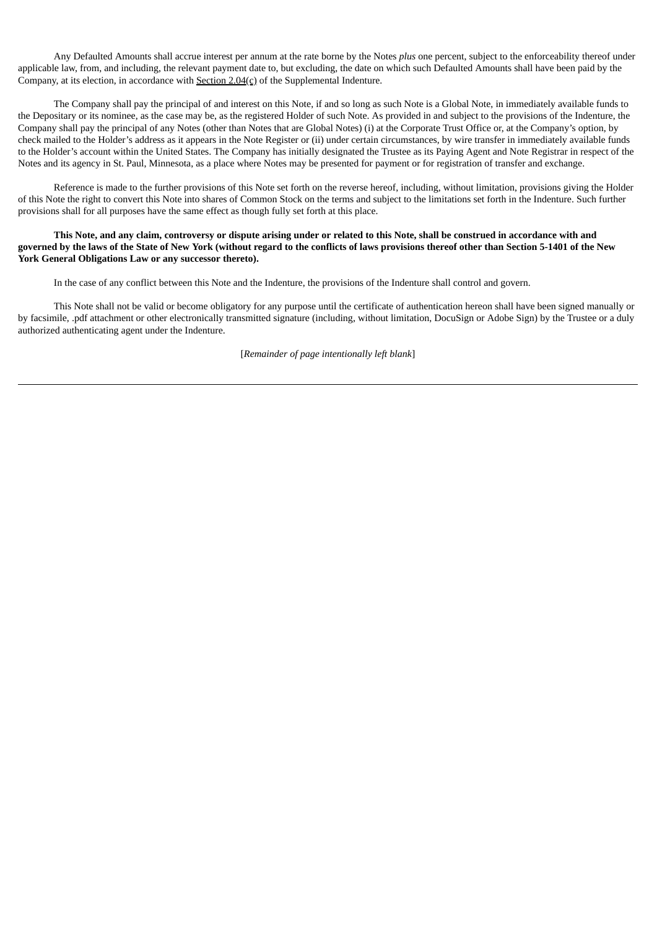Any Defaulted Amounts shall accrue interest per annum at the rate borne by the Notes *plus* one percent, subject to the enforceability thereof under applicable law, from, and including, the relevant payment date to, but excluding, the date on which such Defaulted Amounts shall have been paid by the Company, at its election, in accordance with Section 2.04(c) of the Supplemental Indenture.

The Company shall pay the principal of and interest on this Note, if and so long as such Note is a Global Note, in immediately available funds to the Depositary or its nominee, as the case may be, as the registered Holder of such Note. As provided in and subject to the provisions of the Indenture, the Company shall pay the principal of any Notes (other than Notes that are Global Notes) (i) at the Corporate Trust Office or, at the Company's option, by check mailed to the Holder's address as it appears in the Note Register or (ii) under certain circumstances, by wire transfer in immediately available funds to the Holder's account within the United States. The Company has initially designated the Trustee as its Paying Agent and Note Registrar in respect of the Notes and its agency in St. Paul, Minnesota, as a place where Notes may be presented for payment or for registration of transfer and exchange.

Reference is made to the further provisions of this Note set forth on the reverse hereof, including, without limitation, provisions giving the Holder of this Note the right to convert this Note into shares of Common Stock on the terms and subject to the limitations set forth in the Indenture. Such further provisions shall for all purposes have the same effect as though fully set forth at this place.

This Note, and any claim, controversy or dispute arising under or related to this Note, shall be construed in accordance with and governed by the laws of the State of New York (without regard to the conflicts of laws provisions thereof other than Section 5-1401 of the New **York General Obligations Law or any successor thereto).**

In the case of any conflict between this Note and the Indenture, the provisions of the Indenture shall control and govern.

This Note shall not be valid or become obligatory for any purpose until the certificate of authentication hereon shall have been signed manually or by facsimile, .pdf attachment or other electronically transmitted signature (including, without limitation, DocuSign or Adobe Sign) by the Trustee or a duly authorized authenticating agent under the Indenture.

[*Remainder of page intentionally left blank*]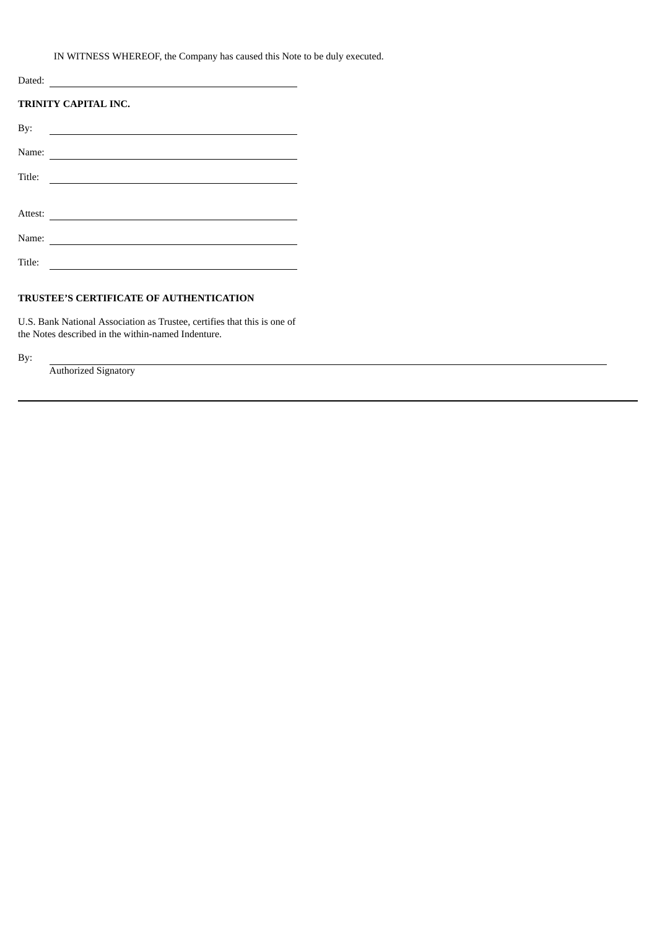IN WITNESS WHEREOF, the Company has caused this Note to be duly executed.

| Dated:                      |                                                                                                                      |  |  |  |  |
|-----------------------------|----------------------------------------------------------------------------------------------------------------------|--|--|--|--|
| <b>TRINITY CAPITAL INC.</b> |                                                                                                                      |  |  |  |  |
| By:                         |                                                                                                                      |  |  |  |  |
| Name:                       | <u> 1980 - Jan Samuel Barbara, martin da shekara 1980 - An tsara 1980 - An tsara 1980 - An tsara 1980 - An tsara</u> |  |  |  |  |
| Title:                      |                                                                                                                      |  |  |  |  |
|                             |                                                                                                                      |  |  |  |  |
| Attest:                     |                                                                                                                      |  |  |  |  |
| Name:                       |                                                                                                                      |  |  |  |  |
| Title:                      |                                                                                                                      |  |  |  |  |

# **TRUSTEE'S CERTIFICATE OF AUTHENTICATION**

U.S. Bank National Association as Trustee, certifies that this is one of the Notes described in the within-named Indenture.

By:

Authorized Signatory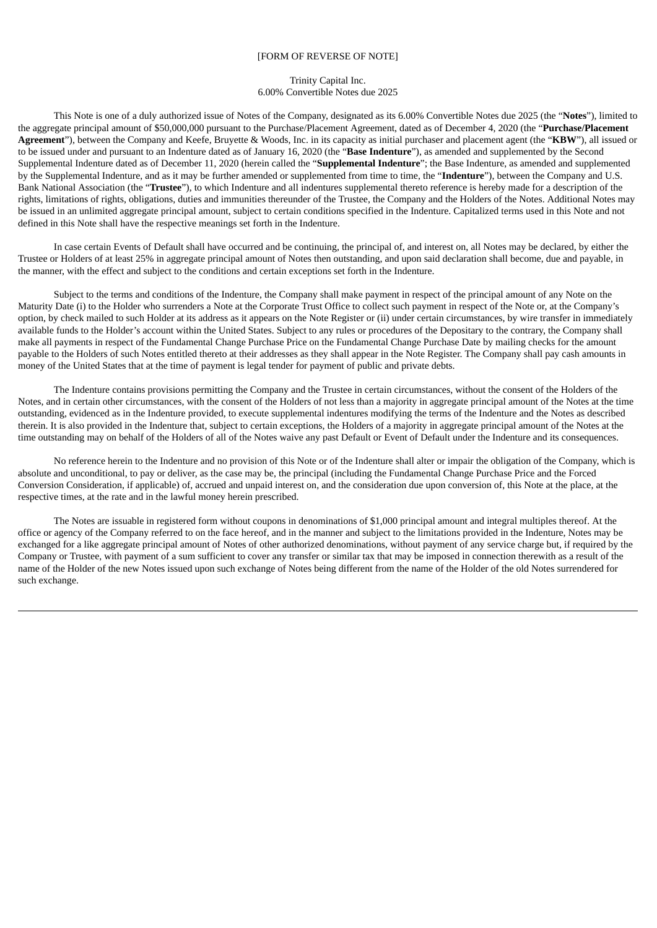## [FORM OF REVERSE OF NOTE]

### Trinity Capital Inc. 6.00% Convertible Notes due 2025

This Note is one of a duly authorized issue of Notes of the Company, designated as its 6.00% Convertible Notes due 2025 (the "**Notes**"), limited to the aggregate principal amount of \$50,000,000 pursuant to the Purchase/Placement Agreement, dated as of December 4, 2020 (the "**Purchase/Placement Agreement**"), between the Company and Keefe, Bruyette & Woods, Inc. in its capacity as initial purchaser and placement agent (the "**KBW**"), all issued or to be issued under and pursuant to an Indenture dated as of January 16, 2020 (the "**Base Indenture**"), as amended and supplemented by the Second Supplemental Indenture dated as of December 11, 2020 (herein called the "**Supplemental Indenture**"; the Base Indenture, as amended and supplemented by the Supplemental Indenture, and as it may be further amended or supplemented from time to time, the "**Indenture**"), between the Company and U.S. Bank National Association (the "**Trustee**"), to which Indenture and all indentures supplemental thereto reference is hereby made for a description of the rights, limitations of rights, obligations, duties and immunities thereunder of the Trustee, the Company and the Holders of the Notes. Additional Notes may be issued in an unlimited aggregate principal amount, subject to certain conditions specified in the Indenture. Capitalized terms used in this Note and not defined in this Note shall have the respective meanings set forth in the Indenture.

In case certain Events of Default shall have occurred and be continuing, the principal of, and interest on, all Notes may be declared, by either the Trustee or Holders of at least 25% in aggregate principal amount of Notes then outstanding, and upon said declaration shall become, due and payable, in the manner, with the effect and subject to the conditions and certain exceptions set forth in the Indenture.

Subject to the terms and conditions of the Indenture, the Company shall make payment in respect of the principal amount of any Note on the Maturity Date (i) to the Holder who surrenders a Note at the Corporate Trust Office to collect such payment in respect of the Note or, at the Company's option, by check mailed to such Holder at its address as it appears on the Note Register or (ii) under certain circumstances, by wire transfer in immediately available funds to the Holder's account within the United States. Subject to any rules or procedures of the Depositary to the contrary, the Company shall make all payments in respect of the Fundamental Change Purchase Price on the Fundamental Change Purchase Date by mailing checks for the amount payable to the Holders of such Notes entitled thereto at their addresses as they shall appear in the Note Register. The Company shall pay cash amounts in money of the United States that at the time of payment is legal tender for payment of public and private debts.

The Indenture contains provisions permitting the Company and the Trustee in certain circumstances, without the consent of the Holders of the Notes, and in certain other circumstances, with the consent of the Holders of not less than a majority in aggregate principal amount of the Notes at the time outstanding, evidenced as in the Indenture provided, to execute supplemental indentures modifying the terms of the Indenture and the Notes as described therein. It is also provided in the Indenture that, subject to certain exceptions, the Holders of a majority in aggregate principal amount of the Notes at the time outstanding may on behalf of the Holders of all of the Notes waive any past Default or Event of Default under the Indenture and its consequences.

No reference herein to the Indenture and no provision of this Note or of the Indenture shall alter or impair the obligation of the Company, which is absolute and unconditional, to pay or deliver, as the case may be, the principal (including the Fundamental Change Purchase Price and the Forced Conversion Consideration, if applicable) of, accrued and unpaid interest on, and the consideration due upon conversion of, this Note at the place, at the respective times, at the rate and in the lawful money herein prescribed.

The Notes are issuable in registered form without coupons in denominations of \$1,000 principal amount and integral multiples thereof. At the office or agency of the Company referred to on the face hereof, and in the manner and subject to the limitations provided in the Indenture, Notes may be exchanged for a like aggregate principal amount of Notes of other authorized denominations, without payment of any service charge but, if required by the Company or Trustee, with payment of a sum sufficient to cover any transfer or similar tax that may be imposed in connection therewith as a result of the name of the Holder of the new Notes issued upon such exchange of Notes being different from the name of the Holder of the old Notes surrendered for such exchange.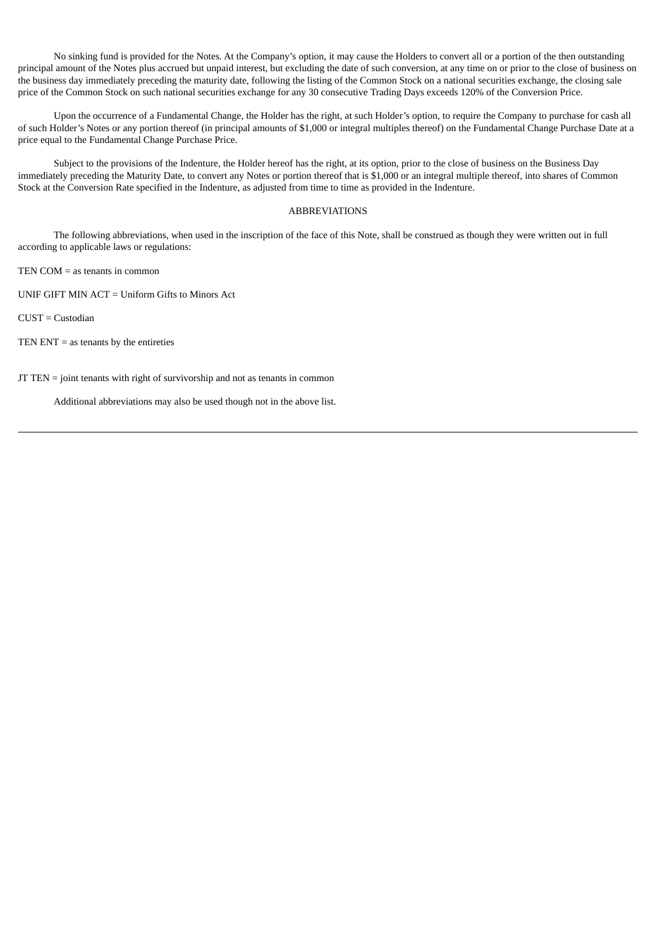No sinking fund is provided for the Notes. At the Company's option, it may cause the Holders to convert all or a portion of the then outstanding principal amount of the Notes plus accrued but unpaid interest, but excluding the date of such conversion, at any time on or prior to the close of business on the business day immediately preceding the maturity date, following the listing of the Common Stock on a national securities exchange, the closing sale price of the Common Stock on such national securities exchange for any 30 consecutive Trading Days exceeds 120% of the Conversion Price.

Upon the occurrence of a Fundamental Change, the Holder has the right, at such Holder's option, to require the Company to purchase for cash all of such Holder's Notes or any portion thereof (in principal amounts of \$1,000 or integral multiples thereof) on the Fundamental Change Purchase Date at a price equal to the Fundamental Change Purchase Price.

Subject to the provisions of the Indenture, the Holder hereof has the right, at its option, prior to the close of business on the Business Day immediately preceding the Maturity Date, to convert any Notes or portion thereof that is \$1,000 or an integral multiple thereof, into shares of Common Stock at the Conversion Rate specified in the Indenture, as adjusted from time to time as provided in the Indenture.

## ABBREVIATIONS

The following abbreviations, when used in the inscription of the face of this Note, shall be construed as though they were written out in full according to applicable laws or regulations:

TEN COM = as tenants in common

UNIF GIFT MIN ACT = Uniform Gifts to Minors Act

CUST = Custodian

TEN  $ENT =$  as tenants by the entireties

JT TEN = joint tenants with right of survivorship and not as tenants in common

Additional abbreviations may also be used though not in the above list.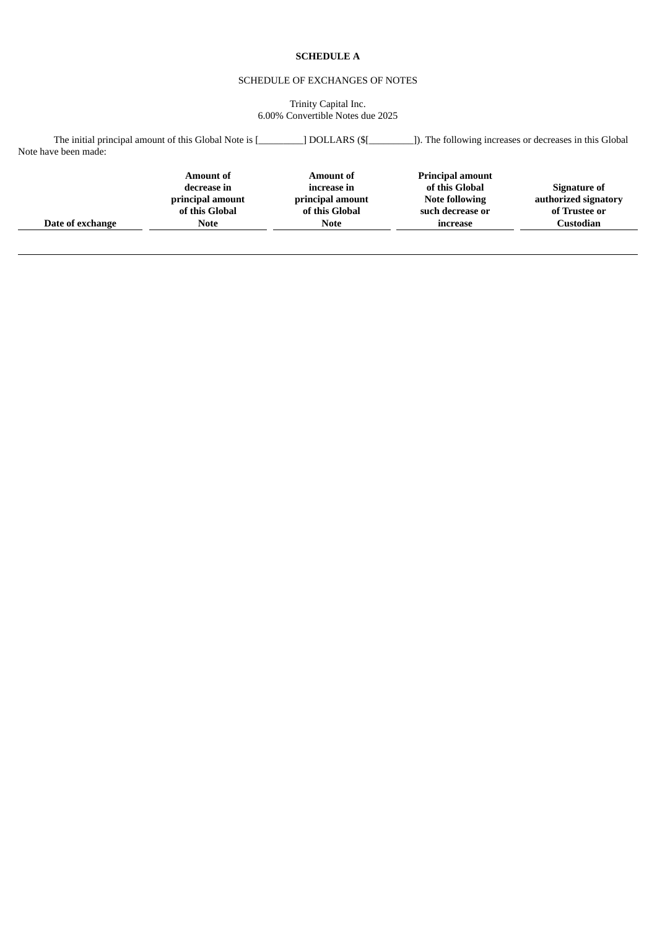## **SCHEDULE A**

# SCHEDULE OF EXCHANGES OF NOTES

Trinity Capital Inc. 6.00% Convertible Notes due 2025

| Note have been made: | The initial principal amount of this Global Note is [                                | DOLLARS (\$[                                                                         |                                                                                                    |                                                                           |
|----------------------|--------------------------------------------------------------------------------------|--------------------------------------------------------------------------------------|----------------------------------------------------------------------------------------------------|---------------------------------------------------------------------------|
| Date of exchange     | <b>Amount of</b><br>decrease in<br>principal amount<br>of this Global<br><b>Note</b> | <b>Amount of</b><br>increase in<br>principal amount<br>of this Global<br><b>Note</b> | <b>Principal amount</b><br>of this Global<br><b>Note following</b><br>such decrease or<br>increase | Signature of<br>authorized signatory<br>of Trustee or<br><b>Custodian</b> |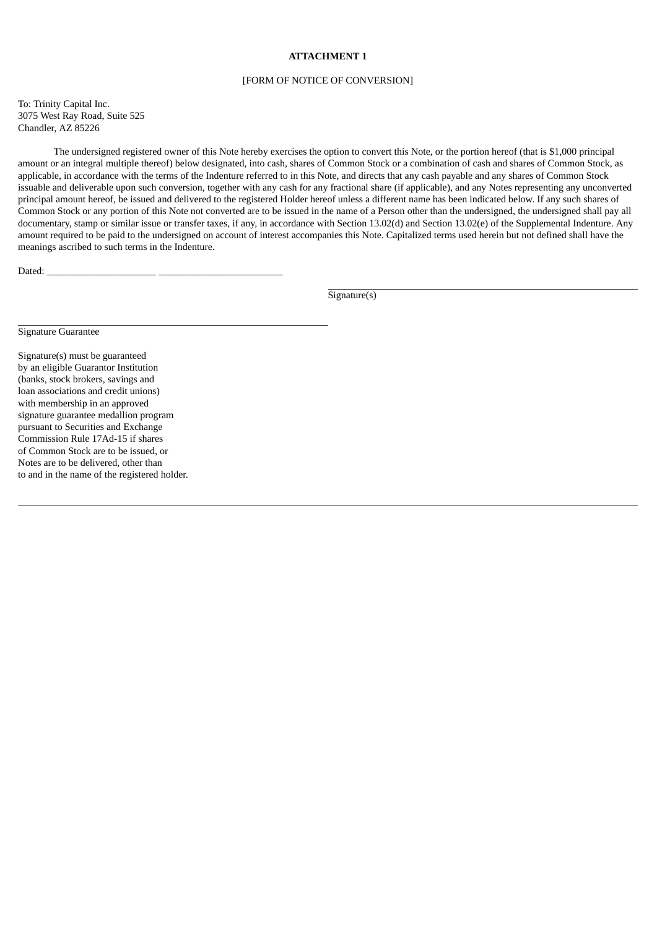## **ATTACHMENT 1**

#### [FORM OF NOTICE OF CONVERSION]

To: Trinity Capital Inc. 3075 West Ray Road, Suite 525 Chandler, AZ 85226

The undersigned registered owner of this Note hereby exercises the option to convert this Note, or the portion hereof (that is \$1,000 principal amount or an integral multiple thereof) below designated, into cash, shares of Common Stock or a combination of cash and shares of Common Stock, as applicable, in accordance with the terms of the Indenture referred to in this Note, and directs that any cash payable and any shares of Common Stock issuable and deliverable upon such conversion, together with any cash for any fractional share (if applicable), and any Notes representing any unconverted principal amount hereof, be issued and delivered to the registered Holder hereof unless a different name has been indicated below. If any such shares of Common Stock or any portion of this Note not converted are to be issued in the name of a Person other than the undersigned, the undersigned shall pay all documentary, stamp or similar issue or transfer taxes, if any, in accordance with Section 13.02(d) and Section 13.02(e) of the Supplemental Indenture. Any amount required to be paid to the undersigned on account of interest accompanies this Note. Capitalized terms used herein but not defined shall have the meanings ascribed to such terms in the Indenture.

Dated:

Signature(s)

Signature Guarantee

Signature(s) must be guaranteed by an eligible Guarantor Institution (banks, stock brokers, savings and loan associations and credit unions) with membership in an approved signature guarantee medallion program pursuant to Securities and Exchange Commission Rule 17Ad-15 if shares of Common Stock are to be issued, or Notes are to be delivered, other than to and in the name of the registered holder.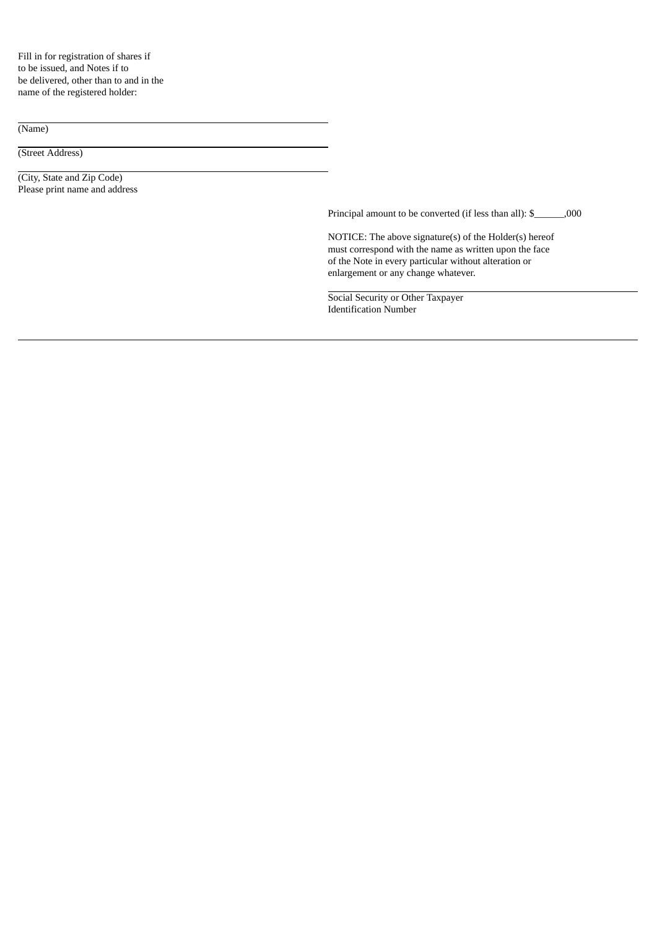Fill in for registration of shares if to be issued, and Notes if to be delivered, other than to and in the name of the registered holder:

(Name)

(Street Address)

(City, State and Zip Code) Please print name and address

Principal amount to be converted (if less than all): \$\_\_\_\_\_\_,000

NOTICE: The above signature(s) of the Holder(s) hereof must correspond with the name as written upon the face of the Note in every particular without alteration or enlargement or any change whatever.

Social Security or Other Taxpayer Identification Number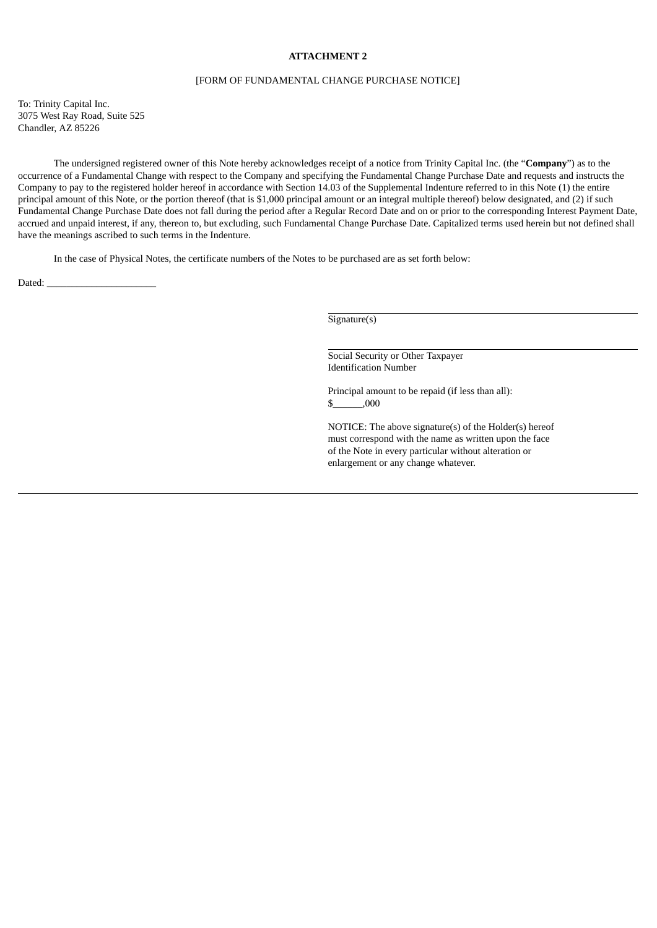## **ATTACHMENT 2**

#### [FORM OF FUNDAMENTAL CHANGE PURCHASE NOTICE]

To: Trinity Capital Inc. 3075 West Ray Road, Suite 525 Chandler, AZ 85226

The undersigned registered owner of this Note hereby acknowledges receipt of a notice from Trinity Capital Inc. (the "**Company**") as to the occurrence of a Fundamental Change with respect to the Company and specifying the Fundamental Change Purchase Date and requests and instructs the Company to pay to the registered holder hereof in accordance with Section 14.03 of the Supplemental Indenture referred to in this Note (1) the entire principal amount of this Note, or the portion thereof (that is \$1,000 principal amount or an integral multiple thereof) below designated, and (2) if such Fundamental Change Purchase Date does not fall during the period after a Regular Record Date and on or prior to the corresponding Interest Payment Date, accrued and unpaid interest, if any, thereon to, but excluding, such Fundamental Change Purchase Date. Capitalized terms used herein but not defined shall have the meanings ascribed to such terms in the Indenture.

In the case of Physical Notes, the certificate numbers of the Notes to be purchased are as set forth below:

Dated:

Signature(s)

Social Security or Other Taxpayer Identification Number

Principal amount to be repaid (if less than all):  $$$   $,000$ 

NOTICE: The above signature(s) of the Holder(s) hereof must correspond with the name as written upon the face of the Note in every particular without alteration or enlargement or any change whatever.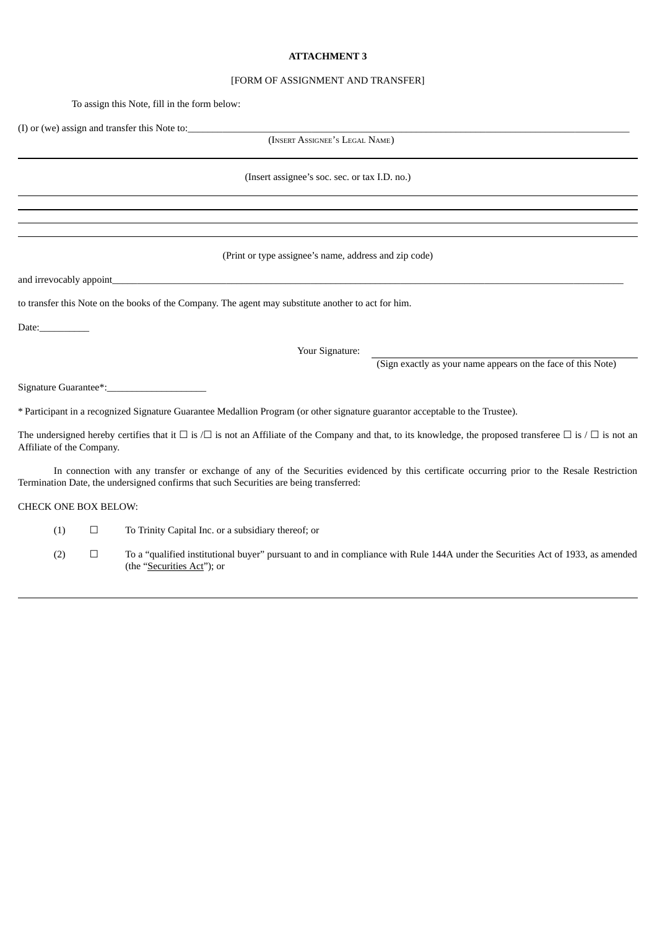### **ATTACHMENT 3**

#### [FORM OF ASSIGNMENT AND TRANSFER]

To assign this Note, fill in the form below:

(I) or (we) assign and transfer this Note to:

(INSERT ASSIGNEE'<sup>S</sup> LEGAL NAME)

(Insert assignee's soc. sec. or tax I.D. no.)

(Print or type assignee's name, address and zip code)

and irrevocably appoint

to transfer this Note on the books of the Company. The agent may substitute another to act for him.

Date:\_\_\_\_\_\_\_\_\_\_

Your Signature:

(Sign exactly as your name appears on the face of this Note)

Signature Guarantee\*:

\* Participant in a recognized Signature Guarantee Medallion Program (or other signature guarantor acceptable to the Trustee).

The undersigned hereby certifies that it  $\Box$  is  $\Box$  is not an Affiliate of the Company and that, to its knowledge, the proposed transferee  $\Box$  is  $\Box$  is not an Affiliate of the Company.

In connection with any transfer or exchange of any of the Securities evidenced by this certificate occurring prior to the Resale Restriction Termination Date, the undersigned confirms that such Securities are being transferred:

CHECK ONE BOX BELOW:

(1)  $\Box$  To Trinity Capital Inc. or a subsidiary thereof; or

(2)  $\Box$  To a "qualified institutional buyer" pursuant to and in compliance with Rule 144A under the Securities Act of 1933, as amended (the "Securities Act"); or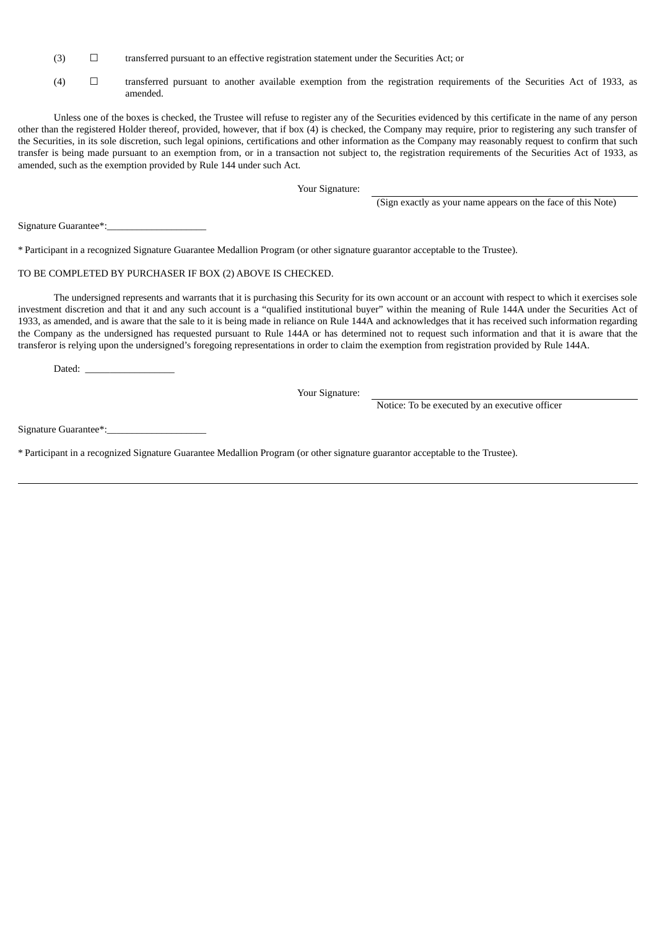- $(3)$   $\Box$  transferred pursuant to an effective registration statement under the Securities Act; or
- (4) ☐ transferred pursuant to another available exemption from the registration requirements of the Securities Act of 1933, as amended.

Unless one of the boxes is checked, the Trustee will refuse to register any of the Securities evidenced by this certificate in the name of any person other than the registered Holder thereof, provided, however, that if box (4) is checked, the Company may require, prior to registering any such transfer of the Securities, in its sole discretion, such legal opinions, certifications and other information as the Company may reasonably request to confirm that such transfer is being made pursuant to an exemption from, or in a transaction not subject to, the registration requirements of the Securities Act of 1933, as amended, such as the exemption provided by Rule 144 under such Act.

Your Signature:

(Sign exactly as your name appears on the face of this Note)

Signature Guarantee\*:

\* Participant in a recognized Signature Guarantee Medallion Program (or other signature guarantor acceptable to the Trustee).

## TO BE COMPLETED BY PURCHASER IF BOX (2) ABOVE IS CHECKED.

The undersigned represents and warrants that it is purchasing this Security for its own account or an account with respect to which it exercises sole investment discretion and that it and any such account is a "qualified institutional buyer" within the meaning of Rule 144A under the Securities Act of 1933, as amended, and is aware that the sale to it is being made in reliance on Rule 144A and acknowledges that it has received such information regarding the Company as the undersigned has requested pursuant to Rule 144A or has determined not to request such information and that it is aware that the transferor is relying upon the undersigned's foregoing representations in order to claim the exemption from registration provided by Rule 144A.

Dated:

Your Signature:

Notice: To be executed by an executive officer

Signature Guarantee\*:

\* Participant in a recognized Signature Guarantee Medallion Program (or other signature guarantor acceptable to the Trustee).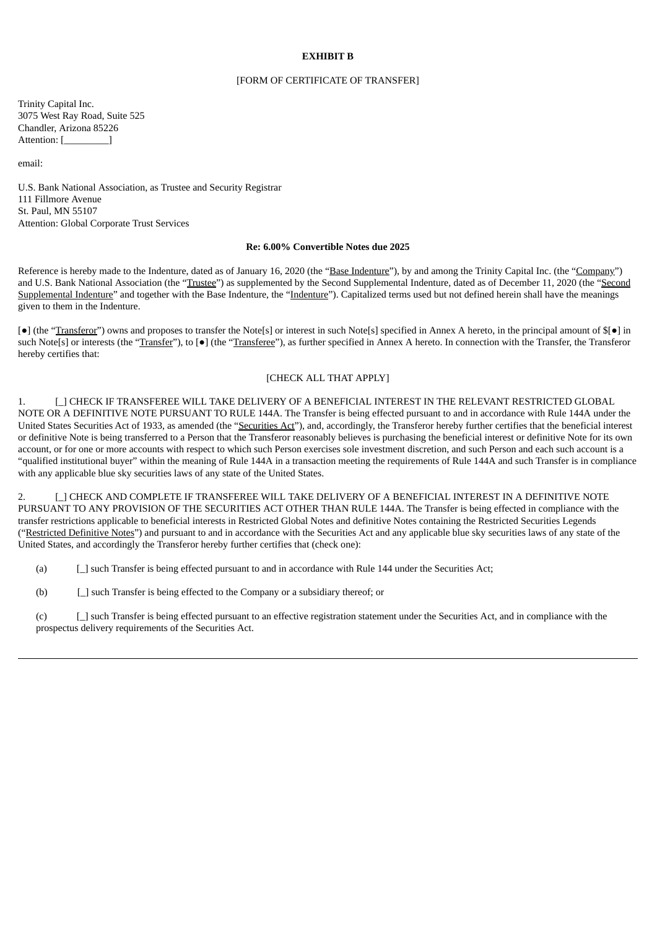### **EXHIBIT B**

#### [FORM OF CERTIFICATE OF TRANSFER]

Trinity Capital Inc. 3075 West Ray Road, Suite 525 Chandler, Arizona 85226 Attention: [\_\_\_\_\_\_\_\_\_\_]

email:

U.S. Bank National Association, as Trustee and Security Registrar 111 Fillmore Avenue St. Paul, MN 55107 Attention: Global Corporate Trust Services

#### **Re: 6.00% Convertible Notes due 2025**

Reference is hereby made to the Indenture, dated as of January 16, 2020 (the "Base Indenture"), by and among the Trinity Capital Inc. (the "Company") and U.S. Bank National Association (the "Trustee") as supplemented by the Second Supplemental Indenture, dated as of December 11, 2020 (the "Second Supplemental Indenture" and together with the Base Indenture, the "Indenture"). Capitalized terms used but not defined herein shall have the meanings given to them in the Indenture.

[●] (the "Transferor") owns and proposes to transfer the Note[s] or interest in such Note[s] specified in Annex A hereto, in the principal amount of \$[●] in such Note[s] or interests (the "Transfer"), to [ $\bullet$ ] (the "Transferee"), as further specified in Annex A hereto. In connection with the Transfer, the Transferor hereby certifies that:

## [CHECK ALL THAT APPLY]

1. [\_] CHECK IF TRANSFEREE WILL TAKE DELIVERY OF A BENEFICIAL INTEREST IN THE RELEVANT RESTRICTED GLOBAL NOTE OR A DEFINITIVE NOTE PURSUANT TO RULE 144A. The Transfer is being effected pursuant to and in accordance with Rule 144A under the United States Securities Act of 1933, as amended (the "Securities Act"), and, accordingly, the Transferor hereby further certifies that the beneficial interest or definitive Note is being transferred to a Person that the Transferor reasonably believes is purchasing the beneficial interest or definitive Note for its own account, or for one or more accounts with respect to which such Person exercises sole investment discretion, and such Person and each such account is a "qualified institutional buyer" within the meaning of Rule 144A in a transaction meeting the requirements of Rule 144A and such Transfer is in compliance with any applicable blue sky securities laws of any state of the United States.

2. [\_] CHECK AND COMPLETE IF TRANSFEREE WILL TAKE DELIVERY OF A BENEFICIAL INTEREST IN A DEFINITIVE NOTE PURSUANT TO ANY PROVISION OF THE SECURITIES ACT OTHER THAN RULE 144A. The Transfer is being effected in compliance with the transfer restrictions applicable to beneficial interests in Restricted Global Notes and definitive Notes containing the Restricted Securities Legends ("Restricted Definitive Notes") and pursuant to and in accordance with the Securities Act and any applicable blue sky securities laws of any state of the United States, and accordingly the Transferor hereby further certifies that (check one):

(a) [\_] such Transfer is being effected pursuant to and in accordance with Rule 144 under the Securities Act;

(b) [\_] such Transfer is being effected to the Company or a subsidiary thereof; or

(c) [\_] such Transfer is being effected pursuant to an effective registration statement under the Securities Act, and in compliance with the prospectus delivery requirements of the Securities Act.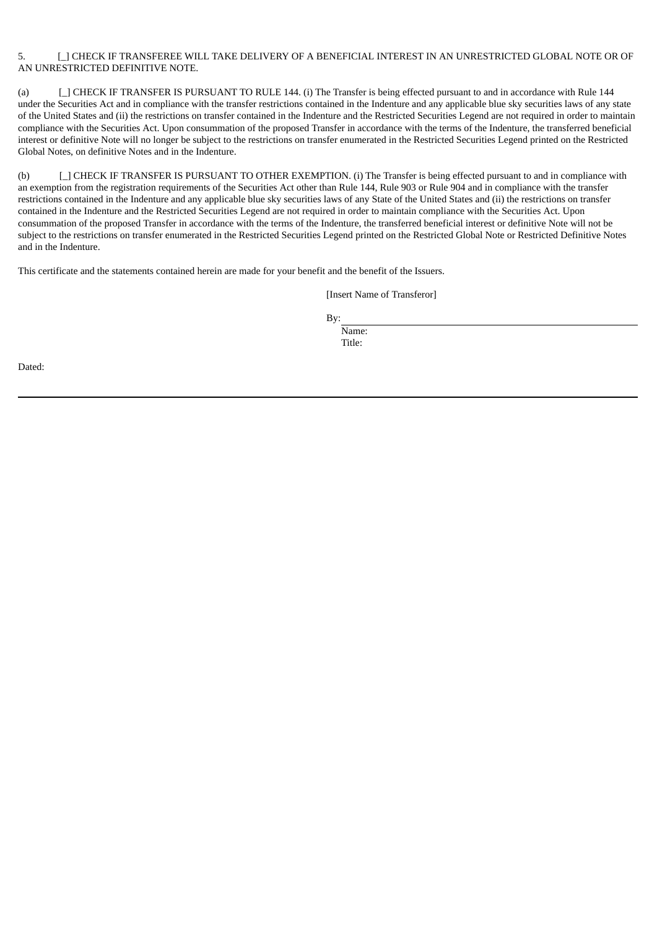## 5. [ ] CHECK IF TRANSFEREE WILL TAKE DELIVERY OF A BENEFICIAL INTEREST IN AN UNRESTRICTED GLOBAL NOTE OR OF AN UNRESTRICTED DEFINITIVE NOTE.

(a) [\_] CHECK IF TRANSFER IS PURSUANT TO RULE 144. (i) The Transfer is being effected pursuant to and in accordance with Rule 144 under the Securities Act and in compliance with the transfer restrictions contained in the Indenture and any applicable blue sky securities laws of any state of the United States and (ii) the restrictions on transfer contained in the Indenture and the Restricted Securities Legend are not required in order to maintain compliance with the Securities Act. Upon consummation of the proposed Transfer in accordance with the terms of the Indenture, the transferred beneficial interest or definitive Note will no longer be subject to the restrictions on transfer enumerated in the Restricted Securities Legend printed on the Restricted Global Notes, on definitive Notes and in the Indenture.

(b) [\_] CHECK IF TRANSFER IS PURSUANT TO OTHER EXEMPTION. (i) The Transfer is being effected pursuant to and in compliance with an exemption from the registration requirements of the Securities Act other than Rule 144, Rule 903 or Rule 904 and in compliance with the transfer restrictions contained in the Indenture and any applicable blue sky securities laws of any State of the United States and (ii) the restrictions on transfer contained in the Indenture and the Restricted Securities Legend are not required in order to maintain compliance with the Securities Act. Upon consummation of the proposed Transfer in accordance with the terms of the Indenture, the transferred beneficial interest or definitive Note will not be subject to the restrictions on transfer enumerated in the Restricted Securities Legend printed on the Restricted Global Note or Restricted Definitive Notes and in the Indenture.

This certificate and the statements contained herein are made for your benefit and the benefit of the Issuers.

[Insert Name of Transferor]

By:

Name: Title:

Dated: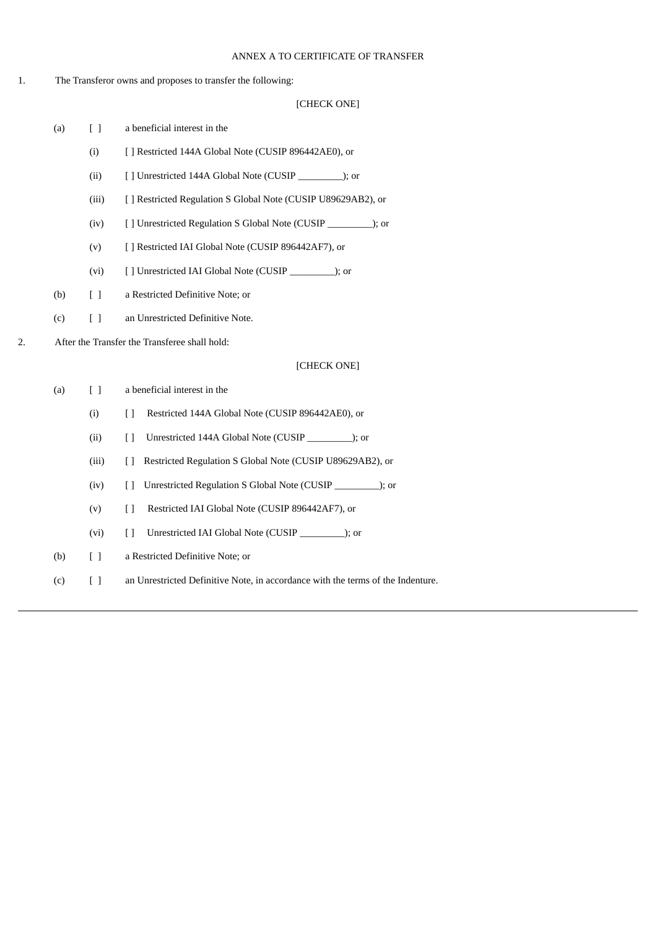## ANNEX A TO CERTIFICATE OF TRANSFER

## 1. The Transferor owns and proposes to transfer the following:

# [CHECK ONE]

- (a) [ ] a beneficial interest in the
	- (i) [ ] Restricted 144A Global Note (CUSIP 896442AE0), or
	- (ii) [ ] Unrestricted 144A Global Note (CUSIP \_\_\_\_\_\_\_\_\_); or
	- (iii) [ ] Restricted Regulation S Global Note (CUSIP U89629AB2), or
	- (iv) [ ] Unrestricted Regulation S Global Note (CUSIP \_\_\_\_\_\_\_\_\_); or
	- (v) [ ] Restricted IAI Global Note (CUSIP 896442AF7), or
	- (vi) [ ] Unrestricted IAI Global Note (CUSIP \_\_\_\_\_\_\_\_\_); or
- (b) [ ] a Restricted Definitive Note; or
- (c) [ ] an Unrestricted Definitive Note.

2. After the Transfer the Transferee shall hold:

## [CHECK ONE]

| (a) | Γl     | a beneficial interest in the                                                    |
|-----|--------|---------------------------------------------------------------------------------|
|     | (i)    | Restricted 144A Global Note (CUSIP 896442AE0), or<br>Ħ                          |
|     | (ii)   | Unrestricted 144A Global Note (CUSIP ); or<br>$\perp$                           |
|     | (iii)  | Restricted Regulation S Global Note (CUSIP U89629AB2), or                       |
|     | (iv)   | Unrestricted Regulation S Global Note (CUSIP ); or<br>$\perp$                   |
|     | (v)    | Restricted IAI Global Note (CUSIP 896442AF7), or<br>$\Box$                      |
|     | (vi)   | Unrestricted IAI Global Note (CUSIP ); or<br>$\Box$                             |
| (b) | $\Box$ | a Restricted Definitive Note; or                                                |
| (c) | $\Box$ | an Unrestricted Definitive Note, in accordance with the terms of the Indenture. |
|     |        |                                                                                 |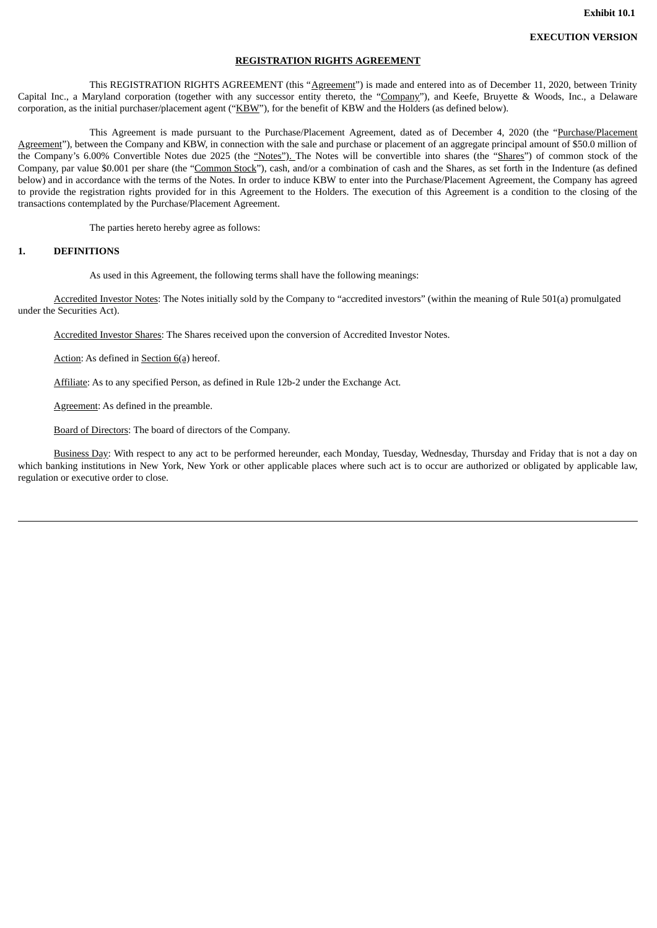**Exhibit 10.1**

#### **REGISTRATION RIGHTS AGREEMENT**

This REGISTRATION RIGHTS AGREEMENT (this "Agreement") is made and entered into as of December 11, 2020, between Trinity Capital Inc., a Maryland corporation (together with any successor entity thereto, the "Company"), and Keefe, Bruyette & Woods, Inc., a Delaware corporation, as the initial purchaser/placement agent ("KBW"), for the benefit of KBW and the Holders (as defined below).

This Agreement is made pursuant to the Purchase/Placement Agreement, dated as of December 4, 2020 (the "Purchase/Placement Agreement"), between the Company and KBW, in connection with the sale and purchase or placement of an aggregate principal amount of \$50.0 million of the Company's 6.00% Convertible Notes due 2025 (the "Notes"). The Notes will be convertible into shares (the "Shares") of common stock of the Company, par value \$0.001 per share (the "Common Stock"), cash, and/or a combination of cash and the Shares, as set forth in the Indenture (as defined below) and in accordance with the terms of the Notes. In order to induce KBW to enter into the Purchase/Placement Agreement, the Company has agreed to provide the registration rights provided for in this Agreement to the Holders. The execution of this Agreement is a condition to the closing of the transactions contemplated by the Purchase/Placement Agreement.

The parties hereto hereby agree as follows:

## **1. DEFINITIONS**

As used in this Agreement, the following terms shall have the following meanings:

Accredited Investor Notes: The Notes initially sold by the Company to "accredited investors" (within the meaning of Rule 501(a) promulgated under the Securities Act).

Accredited Investor Shares: The Shares received upon the conversion of Accredited Investor Notes.

Action: As defined in Section 6(a) hereof.

Affiliate: As to any specified Person, as defined in Rule 12b-2 under the Exchange Act.

Agreement: As defined in the preamble.

Board of Directors: The board of directors of the Company.

Business Day: With respect to any act to be performed hereunder, each Monday, Tuesday, Wednesday, Thursday and Friday that is not a day on which banking institutions in New York, New York or other applicable places where such act is to occur are authorized or obligated by applicable law, regulation or executive order to close.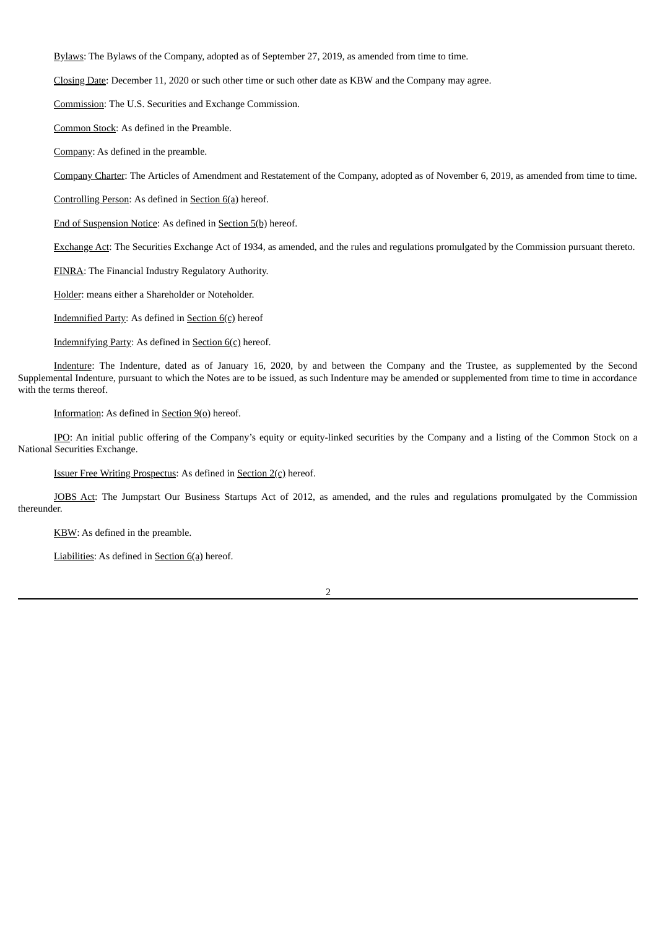Bylaws: The Bylaws of the Company, adopted as of September 27, 2019, as amended from time to time.

Closing Date: December 11, 2020 or such other time or such other date as KBW and the Company may agree.

Commission: The U.S. Securities and Exchange Commission.

Common Stock: As defined in the Preamble.

Company: As defined in the preamble.

Company Charter: The Articles of Amendment and Restatement of the Company, adopted as of November 6, 2019, as amended from time to time.

Controlling Person: As defined in Section 6(a) hereof.

End of Suspension Notice: As defined in Section 5(b) hereof.

Exchange Act: The Securities Exchange Act of 1934, as amended, and the rules and regulations promulgated by the Commission pursuant thereto.

FINRA: The Financial Industry Regulatory Authority.

Holder: means either a Shareholder or Noteholder.

Indemnified Party: As defined in Section 6(c) hereof

Indemnifying Party: As defined in Section 6(c) hereof.

Indenture: The Indenture, dated as of January 16, 2020, by and between the Company and the Trustee, as supplemented by the Second Supplemental Indenture, pursuant to which the Notes are to be issued, as such Indenture may be amended or supplemented from time to time in accordance with the terms thereof.

Information: As defined in Section  $9(0)$  hereof.

IPO: An initial public offering of the Company's equity or equity-linked securities by the Company and a listing of the Common Stock on a National Securities Exchange.

Issuer Free Writing Prospectus: As defined in Section 2(c) hereof.

JOBS Act: The Jumpstart Our Business Startups Act of 2012, as amended, and the rules and regulations promulgated by the Commission thereunder.

KBW: As defined in the preamble.

Liabilities: As defined in Section 6(a) hereof.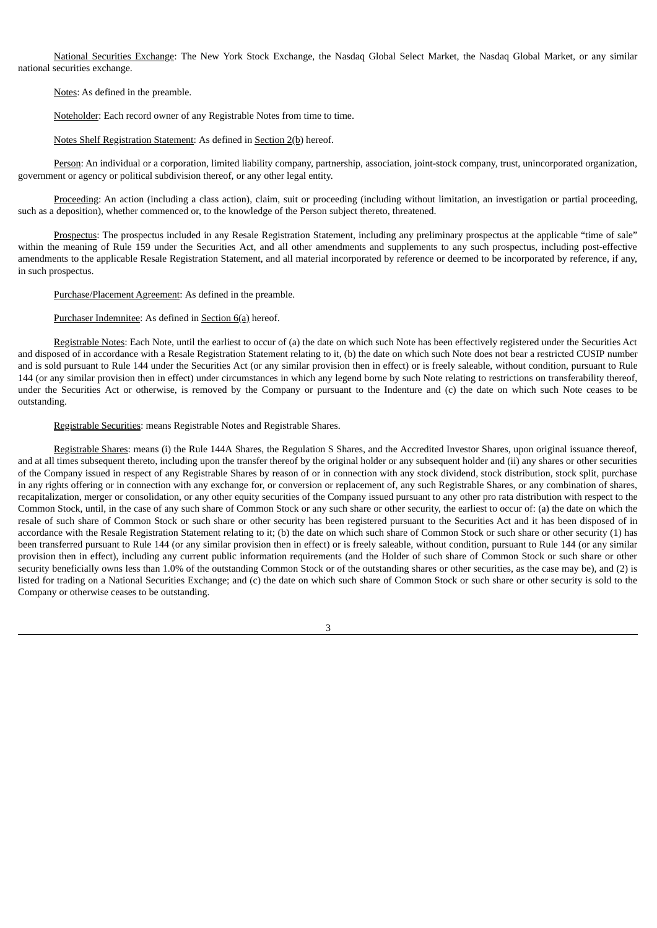National Securities Exchange: The New York Stock Exchange, the Nasdaq Global Select Market, the Nasdaq Global Market, or any similar national securities exchange.

Notes: As defined in the preamble.

Noteholder: Each record owner of any Registrable Notes from time to time.

Notes Shelf Registration Statement: As defined in Section 2(b) hereof.

Person: An individual or a corporation, limited liability company, partnership, association, joint-stock company, trust, unincorporated organization, government or agency or political subdivision thereof, or any other legal entity.

Proceeding: An action (including a class action), claim, suit or proceeding (including without limitation, an investigation or partial proceeding, such as a deposition), whether commenced or, to the knowledge of the Person subject thereto, threatened.

Prospectus: The prospectus included in any Resale Registration Statement, including any preliminary prospectus at the applicable "time of sale" within the meaning of Rule 159 under the Securities Act, and all other amendments and supplements to any such prospectus, including post-effective amendments to the applicable Resale Registration Statement, and all material incorporated by reference or deemed to be incorporated by reference, if any, in such prospectus.

Purchase/Placement Agreement: As defined in the preamble.

### Purchaser Indemnitee: As defined in Section 6(a) hereof.

Registrable Notes: Each Note, until the earliest to occur of (a) the date on which such Note has been effectively registered under the Securities Act and disposed of in accordance with a Resale Registration Statement relating to it, (b) the date on which such Note does not bear a restricted CUSIP number and is sold pursuant to Rule 144 under the Securities Act (or any similar provision then in effect) or is freely saleable, without condition, pursuant to Rule 144 (or any similar provision then in effect) under circumstances in which any legend borne by such Note relating to restrictions on transferability thereof, under the Securities Act or otherwise, is removed by the Company or pursuant to the Indenture and (c) the date on which such Note ceases to be outstanding.

#### Registrable Securities: means Registrable Notes and Registrable Shares.

Registrable Shares: means (i) the Rule 144A Shares, the Regulation S Shares, and the Accredited Investor Shares, upon original issuance thereof, and at all times subsequent thereto, including upon the transfer thereof by the original holder or any subsequent holder and (ii) any shares or other securities of the Company issued in respect of any Registrable Shares by reason of or in connection with any stock dividend, stock distribution, stock split, purchase in any rights offering or in connection with any exchange for, or conversion or replacement of, any such Registrable Shares, or any combination of shares, recapitalization, merger or consolidation, or any other equity securities of the Company issued pursuant to any other pro rata distribution with respect to the Common Stock, until, in the case of any such share of Common Stock or any such share or other security, the earliest to occur of: (a) the date on which the resale of such share of Common Stock or such share or other security has been registered pursuant to the Securities Act and it has been disposed of in accordance with the Resale Registration Statement relating to it; (b) the date on which such share of Common Stock or such share or other security (1) has been transferred pursuant to Rule 144 (or any similar provision then in effect) or is freely saleable, without condition, pursuant to Rule 144 (or any similar provision then in effect), including any current public information requirements (and the Holder of such share of Common Stock or such share or other security beneficially owns less than 1.0% of the outstanding Common Stock or of the outstanding shares or other securities, as the case may be), and (2) is listed for trading on a National Securities Exchange; and (c) the date on which such share of Common Stock or such share or other security is sold to the Company or otherwise ceases to be outstanding.

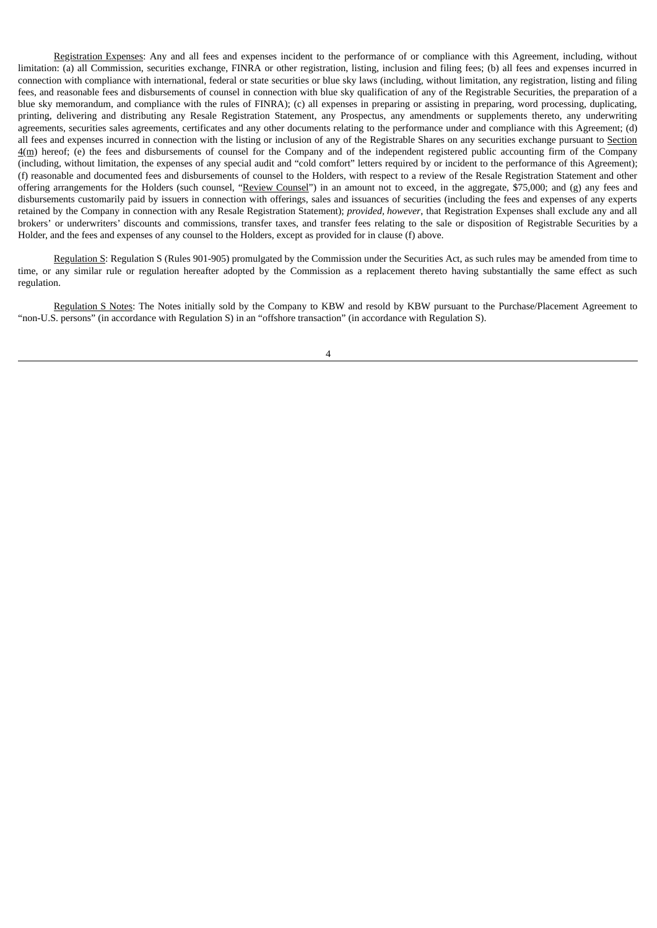Registration Expenses: Any and all fees and expenses incident to the performance of or compliance with this Agreement, including, without limitation: (a) all Commission, securities exchange, FINRA or other registration, listing, inclusion and filing fees; (b) all fees and expenses incurred in connection with compliance with international, federal or state securities or blue sky laws (including, without limitation, any registration, listing and filing fees, and reasonable fees and disbursements of counsel in connection with blue sky qualification of any of the Registrable Securities, the preparation of a blue sky memorandum, and compliance with the rules of FINRA); (c) all expenses in preparing or assisting in preparing, word processing, duplicating, printing, delivering and distributing any Resale Registration Statement, any Prospectus, any amendments or supplements thereto, any underwriting agreements, securities sales agreements, certificates and any other documents relating to the performance under and compliance with this Agreement; (d) all fees and expenses incurred in connection with the listing or inclusion of any of the Registrable Shares on any securities exchange pursuant to Section 4(m) hereof; (e) the fees and disbursements of counsel for the Company and of the independent registered public accounting firm of the Company (including, without limitation, the expenses of any special audit and "cold comfort" letters required by or incident to the performance of this Agreement); (f) reasonable and documented fees and disbursements of counsel to the Holders, with respect to a review of the Resale Registration Statement and other offering arrangements for the Holders (such counsel, "Review Counsel") in an amount not to exceed, in the aggregate, \$75,000; and (g) any fees and disbursements customarily paid by issuers in connection with offerings, sales and issuances of securities (including the fees and expenses of any experts retained by the Company in connection with any Resale Registration Statement); *provided, however*, that Registration Expenses shall exclude any and all brokers' or underwriters' discounts and commissions, transfer taxes, and transfer fees relating to the sale or disposition of Registrable Securities by a Holder, and the fees and expenses of any counsel to the Holders, except as provided for in clause (f) above.

Regulation S: Regulation S (Rules 901-905) promulgated by the Commission under the Securities Act, as such rules may be amended from time to time, or any similar rule or regulation hereafter adopted by the Commission as a replacement thereto having substantially the same effect as such regulation.

Regulation S Notes: The Notes initially sold by the Company to KBW and resold by KBW pursuant to the Purchase/Placement Agreement to "non-U.S. persons" (in accordance with Regulation S) in an "offshore transaction" (in accordance with Regulation S).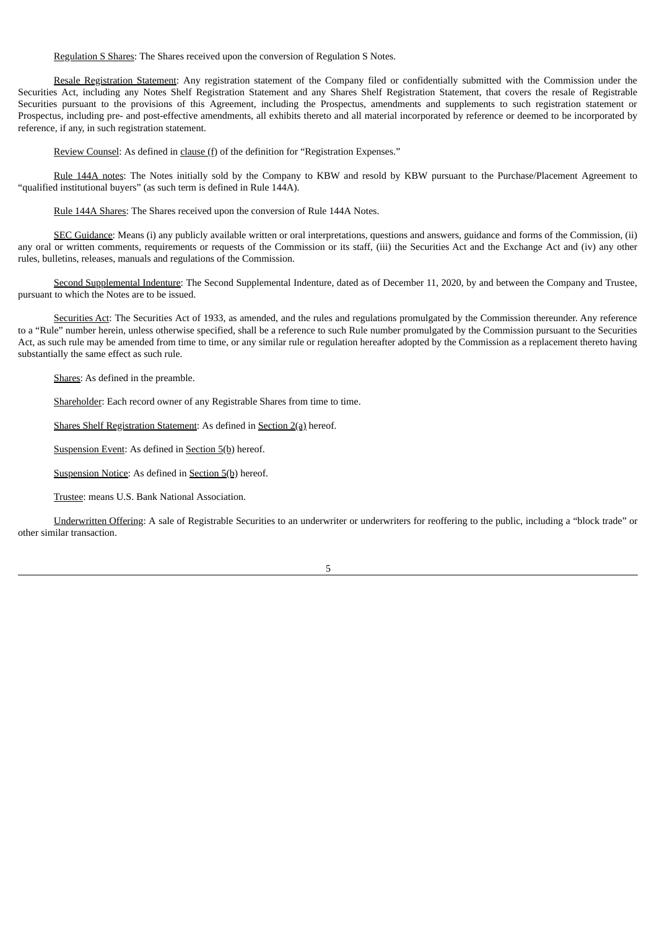Regulation S Shares: The Shares received upon the conversion of Regulation S Notes.

Resale Registration Statement: Any registration statement of the Company filed or confidentially submitted with the Commission under the Securities Act, including any Notes Shelf Registration Statement and any Shares Shelf Registration Statement, that covers the resale of Registrable Securities pursuant to the provisions of this Agreement, including the Prospectus, amendments and supplements to such registration statement or Prospectus, including pre- and post-effective amendments, all exhibits thereto and all material incorporated by reference or deemed to be incorporated by reference, if any, in such registration statement.

Review Counsel: As defined in clause (f) of the definition for "Registration Expenses."

Rule 144A notes: The Notes initially sold by the Company to KBW and resold by KBW pursuant to the Purchase/Placement Agreement to "qualified institutional buyers" (as such term is defined in Rule 144A).

Rule 144A Shares: The Shares received upon the conversion of Rule 144A Notes.

SEC Guidance: Means (i) any publicly available written or oral interpretations, questions and answers, guidance and forms of the Commission, (ii) any oral or written comments, requirements or requests of the Commission or its staff, (iii) the Securities Act and the Exchange Act and (iv) any other rules, bulletins, releases, manuals and regulations of the Commission.

Second Supplemental Indenture: The Second Supplemental Indenture, dated as of December 11, 2020, by and between the Company and Trustee, pursuant to which the Notes are to be issued.

Securities Act: The Securities Act of 1933, as amended, and the rules and regulations promulgated by the Commission thereunder. Any reference to a "Rule" number herein, unless otherwise specified, shall be a reference to such Rule number promulgated by the Commission pursuant to the Securities Act, as such rule may be amended from time to time, or any similar rule or regulation hereafter adopted by the Commission as a replacement thereto having substantially the same effect as such rule.

Shares: As defined in the preamble.

Shareholder: Each record owner of any Registrable Shares from time to time.

Shares Shelf Registration Statement: As defined in Section 2(a) hereof.

Suspension Event: As defined in Section 5(b) hereof.

Suspension Notice: As defined in Section 5(b) hereof.

Trustee: means U.S. Bank National Association.

Underwritten Offering: A sale of Registrable Securities to an underwriter or underwriters for reoffering to the public, including a "block trade" or other similar transaction.

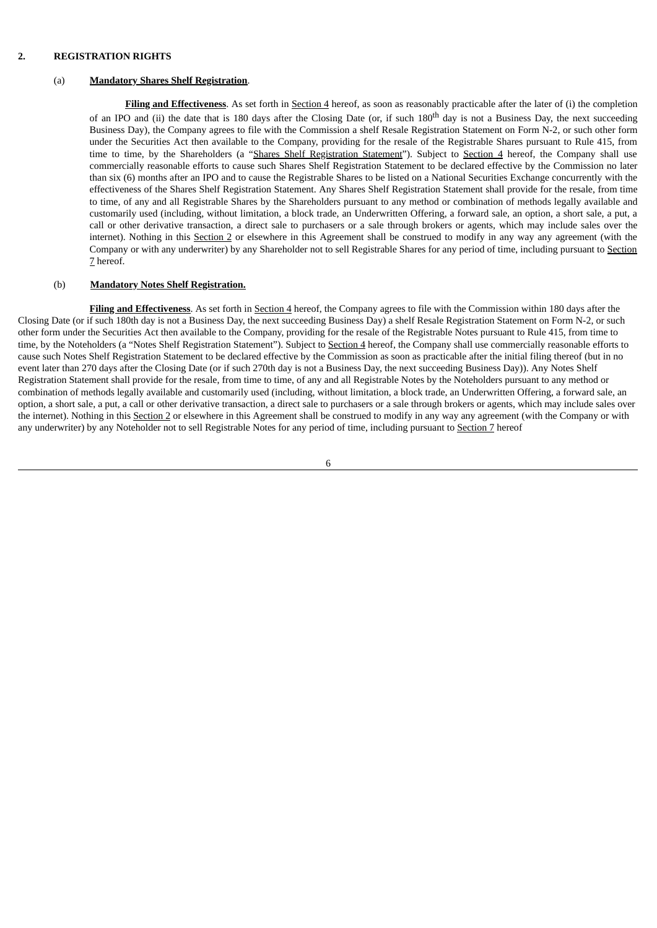## **2. REGISTRATION RIGHTS**

#### (a) **Mandatory Shares Shelf Registration**.

Filing and Effectiveness. As set forth in Section 4 hereof, as soon as reasonably practicable after the later of (i) the completion of an IPO and (ii) the date that is 180 days after the Closing Date (or, if such 180<sup>th</sup> day is not a Business Day, the next succeeding Business Day), the Company agrees to file with the Commission a shelf Resale Registration Statement on Form N-2, or such other form under the Securities Act then available to the Company, providing for the resale of the Registrable Shares pursuant to Rule 415, from time to time, by the Shareholders (a "Shares Shelf Registration Statement"). Subject to Section 4 hereof, the Company shall use commercially reasonable efforts to cause such Shares Shelf Registration Statement to be declared effective by the Commission no later than six (6) months after an IPO and to cause the Registrable Shares to be listed on a National Securities Exchange concurrently with the effectiveness of the Shares Shelf Registration Statement. Any Shares Shelf Registration Statement shall provide for the resale, from time to time, of any and all Registrable Shares by the Shareholders pursuant to any method or combination of methods legally available and customarily used (including, without limitation, a block trade, an Underwritten Offering, a forward sale, an option, a short sale, a put, a call or other derivative transaction, a direct sale to purchasers or a sale through brokers or agents, which may include sales over the internet). Nothing in this Section 2 or elsewhere in this Agreement shall be construed to modify in any way any agreement (with the Company or with any underwriter) by any Shareholder not to sell Registrable Shares for any period of time, including pursuant to Section 7 hereof.

## (b) **Mandatory Notes Shelf Registration.**

**Filing and Effectiveness**. As set forth in Section 4 hereof, the Company agrees to file with the Commission within 180 days after the Closing Date (or if such 180th day is not a Business Day, the next succeeding Business Day) a shelf Resale Registration Statement on Form N-2, or such other form under the Securities Act then available to the Company, providing for the resale of the Registrable Notes pursuant to Rule 415, from time to time, by the Noteholders (a "Notes Shelf Registration Statement"). Subject to Section 4 hereof, the Company shall use commercially reasonable efforts to cause such Notes Shelf Registration Statement to be declared effective by the Commission as soon as practicable after the initial filing thereof (but in no event later than 270 days after the Closing Date (or if such 270th day is not a Business Day, the next succeeding Business Day)). Any Notes Shelf Registration Statement shall provide for the resale, from time to time, of any and all Registrable Notes by the Noteholders pursuant to any method or combination of methods legally available and customarily used (including, without limitation, a block trade, an Underwritten Offering, a forward sale, an option, a short sale, a put, a call or other derivative transaction, a direct sale to purchasers or a sale through brokers or agents, which may include sales over the internet). Nothing in this Section 2 or elsewhere in this Agreement shall be construed to modify in any way any agreement (with the Company or with any underwriter) by any Noteholder not to sell Registrable Notes for any period of time, including pursuant to Section 7 hereof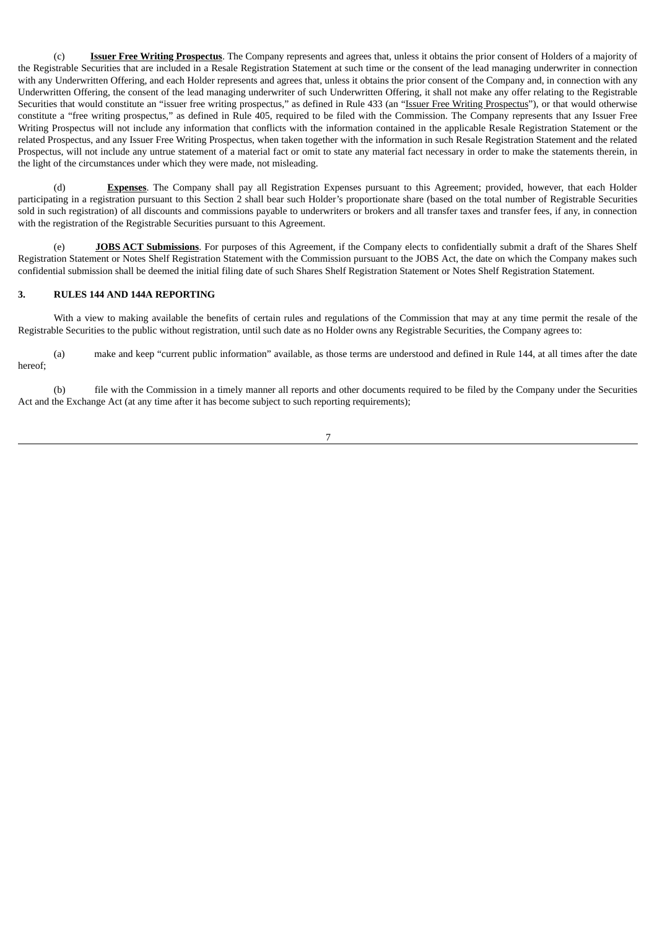(c) **Issuer Free Writing Prospectus**. The Company represents and agrees that, unless it obtains the prior consent of Holders of a majority of the Registrable Securities that are included in a Resale Registration Statement at such time or the consent of the lead managing underwriter in connection with any Underwritten Offering, and each Holder represents and agrees that, unless it obtains the prior consent of the Company and, in connection with any Underwritten Offering, the consent of the lead managing underwriter of such Underwritten Offering, it shall not make any offer relating to the Registrable Securities that would constitute an "issuer free writing prospectus," as defined in Rule 433 (an "Issuer Free Writing Prospectus"), or that would otherwise constitute a "free writing prospectus," as defined in Rule 405, required to be filed with the Commission. The Company represents that any Issuer Free Writing Prospectus will not include any information that conflicts with the information contained in the applicable Resale Registration Statement or the related Prospectus, and any Issuer Free Writing Prospectus, when taken together with the information in such Resale Registration Statement and the related Prospectus, will not include any untrue statement of a material fact or omit to state any material fact necessary in order to make the statements therein, in the light of the circumstances under which they were made, not misleading.

(d) **Expenses**. The Company shall pay all Registration Expenses pursuant to this Agreement; provided, however, that each Holder participating in a registration pursuant to this Section 2 shall bear such Holder's proportionate share (based on the total number of Registrable Securities sold in such registration) of all discounts and commissions payable to underwriters or brokers and all transfer taxes and transfer fees, if any, in connection with the registration of the Registrable Securities pursuant to this Agreement.

(e) **JOBS ACT Submissions**. For purposes of this Agreement, if the Company elects to confidentially submit a draft of the Shares Shelf Registration Statement or Notes Shelf Registration Statement with the Commission pursuant to the JOBS Act, the date on which the Company makes such confidential submission shall be deemed the initial filing date of such Shares Shelf Registration Statement or Notes Shelf Registration Statement.

### **3. RULES 144 AND 144A REPORTING**

With a view to making available the benefits of certain rules and regulations of the Commission that may at any time permit the resale of the Registrable Securities to the public without registration, until such date as no Holder owns any Registrable Securities, the Company agrees to:

(a) make and keep "current public information" available, as those terms are understood and defined in Rule 144, at all times after the date hereof;

(b) file with the Commission in a timely manner all reports and other documents required to be filed by the Company under the Securities Act and the Exchange Act (at any time after it has become subject to such reporting requirements);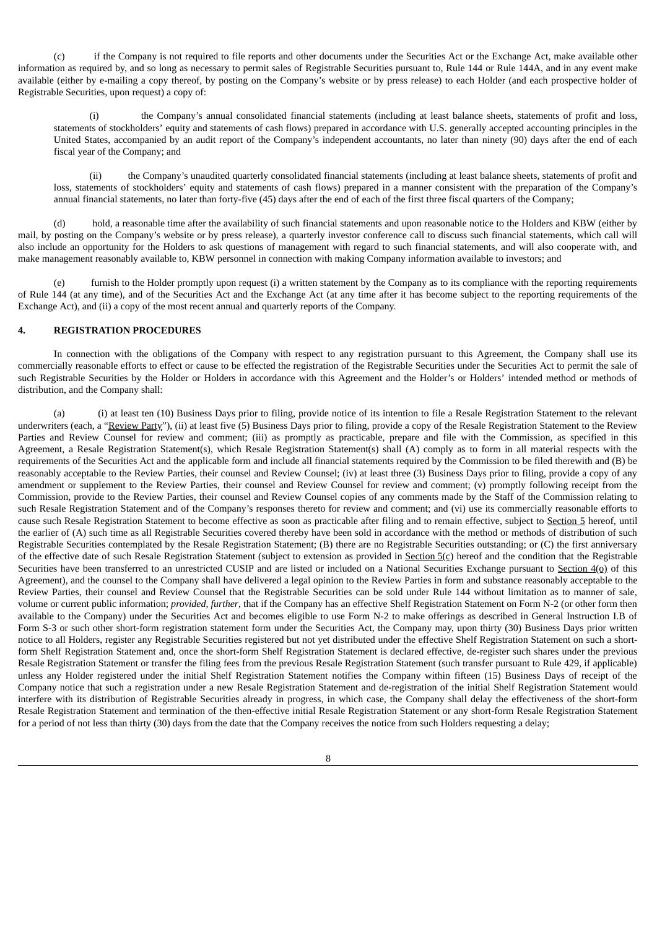(c) if the Company is not required to file reports and other documents under the Securities Act or the Exchange Act, make available other information as required by, and so long as necessary to permit sales of Registrable Securities pursuant to, Rule 144 or Rule 144A, and in any event make available (either by e-mailing a copy thereof, by posting on the Company's website or by press release) to each Holder (and each prospective holder of Registrable Securities, upon request) a copy of:

(i) the Company's annual consolidated financial statements (including at least balance sheets, statements of profit and loss, statements of stockholders' equity and statements of cash flows) prepared in accordance with U.S. generally accepted accounting principles in the United States, accompanied by an audit report of the Company's independent accountants, no later than ninety (90) days after the end of each fiscal year of the Company; and

(ii) the Company's unaudited quarterly consolidated financial statements (including at least balance sheets, statements of profit and loss, statements of stockholders' equity and statements of cash flows) prepared in a manner consistent with the preparation of the Company's annual financial statements, no later than forty-five (45) days after the end of each of the first three fiscal quarters of the Company;

(d) hold, a reasonable time after the availability of such financial statements and upon reasonable notice to the Holders and KBW (either by mail, by posting on the Company's website or by press release), a quarterly investor conference call to discuss such financial statements, which call will also include an opportunity for the Holders to ask questions of management with regard to such financial statements, and will also cooperate with, and make management reasonably available to, KBW personnel in connection with making Company information available to investors; and

(e) furnish to the Holder promptly upon request (i) a written statement by the Company as to its compliance with the reporting requirements of Rule 144 (at any time), and of the Securities Act and the Exchange Act (at any time after it has become subject to the reporting requirements of the Exchange Act), and (ii) a copy of the most recent annual and quarterly reports of the Company.

#### **4. REGISTRATION PROCEDURES**

In connection with the obligations of the Company with respect to any registration pursuant to this Agreement, the Company shall use its commercially reasonable efforts to effect or cause to be effected the registration of the Registrable Securities under the Securities Act to permit the sale of such Registrable Securities by the Holder or Holders in accordance with this Agreement and the Holder's or Holders' intended method or methods of distribution, and the Company shall:

(a) (i) at least ten (10) Business Days prior to filing, provide notice of its intention to file a Resale Registration Statement to the relevant underwriters (each, a "Review Party"), (ii) at least five (5) Business Days prior to filing, provide a copy of the Resale Registration Statement to the Review Parties and Review Counsel for review and comment; (iii) as promptly as practicable, prepare and file with the Commission, as specified in this Agreement, a Resale Registration Statement(s), which Resale Registration Statement(s) shall (A) comply as to form in all material respects with the requirements of the Securities Act and the applicable form and include all financial statements required by the Commission to be filed therewith and (B) be reasonably acceptable to the Review Parties, their counsel and Review Counsel; (iv) at least three (3) Business Days prior to filing, provide a copy of any amendment or supplement to the Review Parties, their counsel and Review Counsel for review and comment; (v) promptly following receipt from the Commission, provide to the Review Parties, their counsel and Review Counsel copies of any comments made by the Staff of the Commission relating to such Resale Registration Statement and of the Company's responses thereto for review and comment; and (vi) use its commercially reasonable efforts to cause such Resale Registration Statement to become effective as soon as practicable after filing and to remain effective, subject to Section 5 hereof, until the earlier of (A) such time as all Registrable Securities covered thereby have been sold in accordance with the method or methods of distribution of such Registrable Securities contemplated by the Resale Registration Statement; (B) there are no Registrable Securities outstanding; or (C) the first anniversary of the effective date of such Resale Registration Statement (subject to extension as provided in Section  $5(c)$  hereof and the condition that the Registrable Securities have been transferred to an unrestricted CUSIP and are listed or included on a National Securities Exchange pursuant to Section  $4$ ( $q$ ) of this Agreement), and the counsel to the Company shall have delivered a legal opinion to the Review Parties in form and substance reasonably acceptable to the Review Parties, their counsel and Review Counsel that the Registrable Securities can be sold under Rule 144 without limitation as to manner of sale, volume or current public information; *provided, further*, that if the Company has an effective Shelf Registration Statement on Form N-2 (or other form then available to the Company) under the Securities Act and becomes eligible to use Form N-2 to make offerings as described in General Instruction I.B of Form S-3 or such other short-form registration statement form under the Securities Act, the Company may, upon thirty (30) Business Days prior written notice to all Holders, register any Registrable Securities registered but not yet distributed under the effective Shelf Registration Statement on such a shortform Shelf Registration Statement and, once the short-form Shelf Registration Statement is declared effective, de-register such shares under the previous Resale Registration Statement or transfer the filing fees from the previous Resale Registration Statement (such transfer pursuant to Rule 429, if applicable) unless any Holder registered under the initial Shelf Registration Statement notifies the Company within fifteen (15) Business Days of receipt of the Company notice that such a registration under a new Resale Registration Statement and de-registration of the initial Shelf Registration Statement would interfere with its distribution of Registrable Securities already in progress, in which case, the Company shall delay the effectiveness of the short-form Resale Registration Statement and termination of the then-effective initial Resale Registration Statement or any short-form Resale Registration Statement for a period of not less than thirty (30) days from the date that the Company receives the notice from such Holders requesting a delay;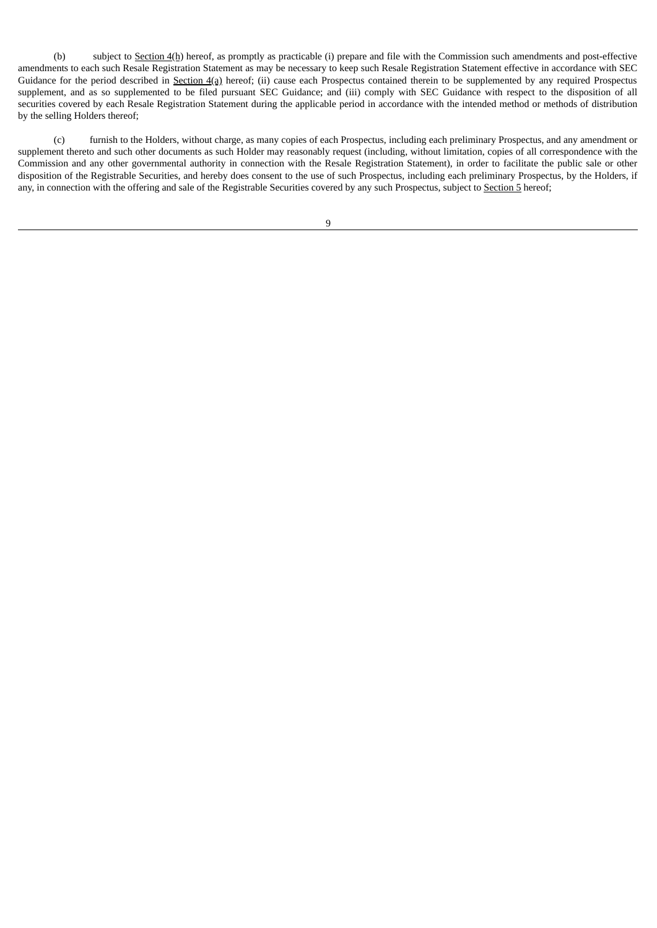(b) subject to Section 4(h) hereof, as promptly as practicable (i) prepare and file with the Commission such amendments and post-effective amendments to each such Resale Registration Statement as may be necessary to keep such Resale Registration Statement effective in accordance with SEC Guidance for the period described in Section 4(a) hereof; (ii) cause each Prospectus contained therein to be supplemented by any required Prospectus supplement, and as so supplemented to be filed pursuant SEC Guidance; and (iii) comply with SEC Guidance with respect to the disposition of all securities covered by each Resale Registration Statement during the applicable period in accordance with the intended method or methods of distribution by the selling Holders thereof;

(c) furnish to the Holders, without charge, as many copies of each Prospectus, including each preliminary Prospectus, and any amendment or supplement thereto and such other documents as such Holder may reasonably request (including, without limitation, copies of all correspondence with the Commission and any other governmental authority in connection with the Resale Registration Statement), in order to facilitate the public sale or other disposition of the Registrable Securities, and hereby does consent to the use of such Prospectus, including each preliminary Prospectus, by the Holders, if any, in connection with the offering and sale of the Registrable Securities covered by any such Prospectus, subject to Section 5 hereof;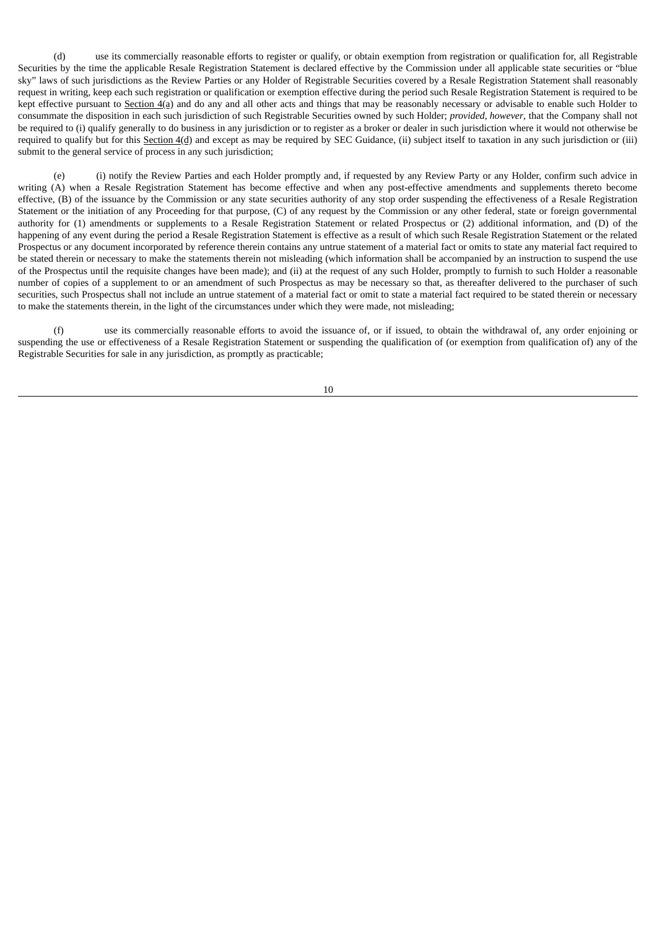(d) use its commercially reasonable efforts to register or qualify, or obtain exemption from registration or qualification for, all Registrable Securities by the time the applicable Resale Registration Statement is declared effective by the Commission under all applicable state securities or "blue sky" laws of such jurisdictions as the Review Parties or any Holder of Registrable Securities covered by a Resale Registration Statement shall reasonably request in writing, keep each such registration or qualification or exemption effective during the period such Resale Registration Statement is required to be kept effective pursuant to Section 4(a) and do any and all other acts and things that may be reasonably necessary or advisable to enable such Holder to consummate the disposition in each such jurisdiction of such Registrable Securities owned by such Holder; *provided, however*, that the Company shall not be required to (i) qualify generally to do business in any jurisdiction or to register as a broker or dealer in such jurisdiction where it would not otherwise be required to qualify but for this Section  $4(d)$  and except as may be required by SEC Guidance, (ii) subject itself to taxation in any such jurisdiction or (iii) submit to the general service of process in any such jurisdiction;

(e) (i) notify the Review Parties and each Holder promptly and, if requested by any Review Party or any Holder, confirm such advice in writing (A) when a Resale Registration Statement has become effective and when any post-effective amendments and supplements thereto become effective, (B) of the issuance by the Commission or any state securities authority of any stop order suspending the effectiveness of a Resale Registration Statement or the initiation of any Proceeding for that purpose, (C) of any request by the Commission or any other federal, state or foreign governmental authority for (1) amendments or supplements to a Resale Registration Statement or related Prospectus or (2) additional information, and (D) of the happening of any event during the period a Resale Registration Statement is effective as a result of which such Resale Registration Statement or the related Prospectus or any document incorporated by reference therein contains any untrue statement of a material fact or omits to state any material fact required to be stated therein or necessary to make the statements therein not misleading (which information shall be accompanied by an instruction to suspend the use of the Prospectus until the requisite changes have been made); and (ii) at the request of any such Holder, promptly to furnish to such Holder a reasonable number of copies of a supplement to or an amendment of such Prospectus as may be necessary so that, as thereafter delivered to the purchaser of such securities, such Prospectus shall not include an untrue statement of a material fact or omit to state a material fact required to be stated therein or necessary to make the statements therein, in the light of the circumstances under which they were made, not misleading;

(f) use its commercially reasonable efforts to avoid the issuance of, or if issued, to obtain the withdrawal of, any order enjoining or suspending the use or effectiveness of a Resale Registration Statement or suspending the qualification of (or exemption from qualification of) any of the Registrable Securities for sale in any jurisdiction, as promptly as practicable;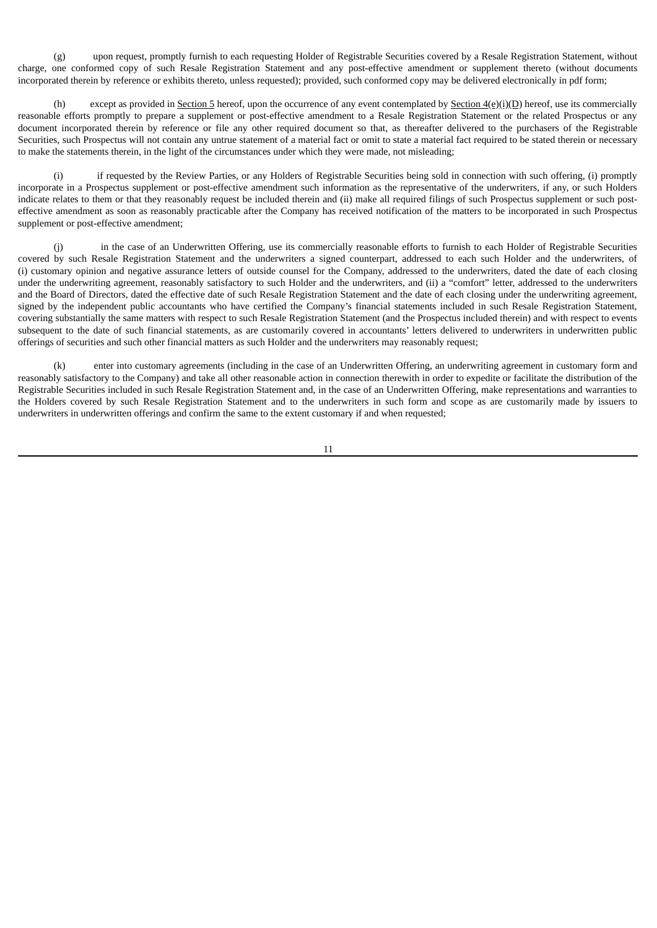(g) upon request, promptly furnish to each requesting Holder of Registrable Securities covered by a Resale Registration Statement, without charge, one conformed copy of such Resale Registration Statement and any post-effective amendment or supplement thereto (without documents incorporated therein by reference or exhibits thereto, unless requested); provided, such conformed copy may be delivered electronically in pdf form;

(h) except as provided in Section 5 hereof, upon the occurrence of any event contemplated by Section  $4(\frac{e}{i})$ (i)(D) hereof, use its commercially reasonable efforts promptly to prepare a supplement or post-effective amendment to a Resale Registration Statement or the related Prospectus or any document incorporated therein by reference or file any other required document so that, as thereafter delivered to the purchasers of the Registrable Securities, such Prospectus will not contain any untrue statement of a material fact or omit to state a material fact required to be stated therein or necessary to make the statements therein, in the light of the circumstances under which they were made, not misleading;

(i) if requested by the Review Parties, or any Holders of Registrable Securities being sold in connection with such offering, (i) promptly incorporate in a Prospectus supplement or post-effective amendment such information as the representative of the underwriters, if any, or such Holders indicate relates to them or that they reasonably request be included therein and (ii) make all required filings of such Prospectus supplement or such posteffective amendment as soon as reasonably practicable after the Company has received notification of the matters to be incorporated in such Prospectus supplement or post-effective amendment;

(j) in the case of an Underwritten Offering, use its commercially reasonable efforts to furnish to each Holder of Registrable Securities covered by such Resale Registration Statement and the underwriters a signed counterpart, addressed to each such Holder and the underwriters, of (i) customary opinion and negative assurance letters of outside counsel for the Company, addressed to the underwriters, dated the date of each closing under the underwriting agreement, reasonably satisfactory to such Holder and the underwriters, and (ii) a "comfort" letter, addressed to the underwriters and the Board of Directors, dated the effective date of such Resale Registration Statement and the date of each closing under the underwriting agreement, signed by the independent public accountants who have certified the Company's financial statements included in such Resale Registration Statement, covering substantially the same matters with respect to such Resale Registration Statement (and the Prospectus included therein) and with respect to events subsequent to the date of such financial statements, as are customarily covered in accountants' letters delivered to underwriters in underwritten public offerings of securities and such other financial matters as such Holder and the underwriters may reasonably request;

(k) enter into customary agreements (including in the case of an Underwritten Offering, an underwriting agreement in customary form and reasonably satisfactory to the Company) and take all other reasonable action in connection therewith in order to expedite or facilitate the distribution of the Registrable Securities included in such Resale Registration Statement and, in the case of an Underwritten Offering, make representations and warranties to the Holders covered by such Resale Registration Statement and to the underwriters in such form and scope as are customarily made by issuers to underwriters in underwritten offerings and confirm the same to the extent customary if and when requested;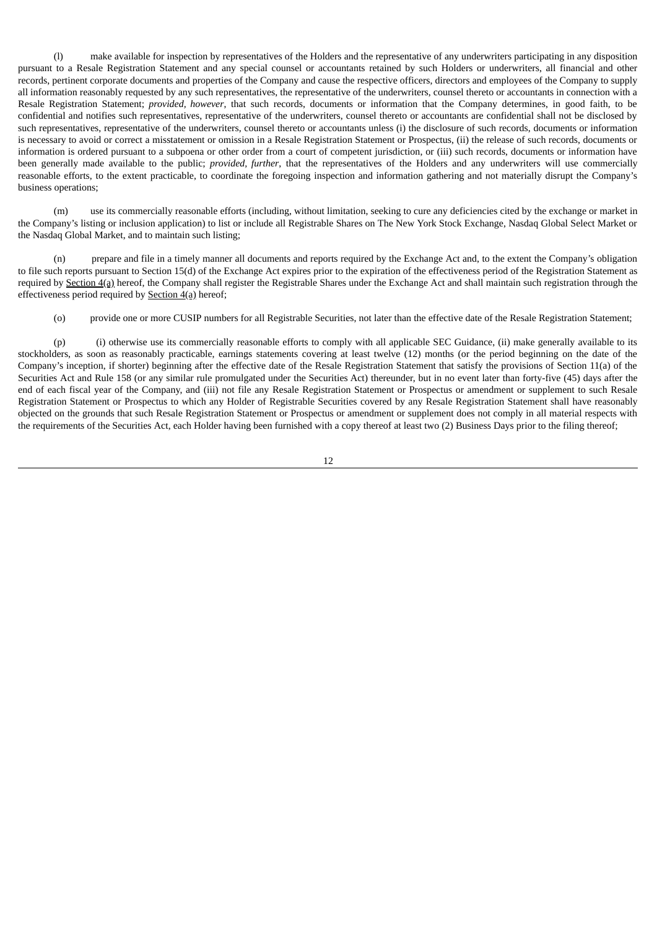(l) make available for inspection by representatives of the Holders and the representative of any underwriters participating in any disposition pursuant to a Resale Registration Statement and any special counsel or accountants retained by such Holders or underwriters, all financial and other records, pertinent corporate documents and properties of the Company and cause the respective officers, directors and employees of the Company to supply all information reasonably requested by any such representatives, the representative of the underwriters, counsel thereto or accountants in connection with a Resale Registration Statement; *provided, however*, that such records, documents or information that the Company determines, in good faith, to be confidential and notifies such representatives, representative of the underwriters, counsel thereto or accountants are confidential shall not be disclosed by such representatives, representative of the underwriters, counsel thereto or accountants unless (i) the disclosure of such records, documents or information is necessary to avoid or correct a misstatement or omission in a Resale Registration Statement or Prospectus, (ii) the release of such records, documents or information is ordered pursuant to a subpoena or other order from a court of competent jurisdiction, or (iii) such records, documents or information have been generally made available to the public; *provided, further*, that the representatives of the Holders and any underwriters will use commercially reasonable efforts, to the extent practicable, to coordinate the foregoing inspection and information gathering and not materially disrupt the Company's business operations;

(m) use its commercially reasonable efforts (including, without limitation, seeking to cure any deficiencies cited by the exchange or market in the Company's listing or inclusion application) to list or include all Registrable Shares on The New York Stock Exchange, Nasdaq Global Select Market or the Nasdaq Global Market, and to maintain such listing;

(n) prepare and file in a timely manner all documents and reports required by the Exchange Act and, to the extent the Company's obligation to file such reports pursuant to Section 15(d) of the Exchange Act expires prior to the expiration of the effectiveness period of the Registration Statement as required by Section 4(a) hereof, the Company shall register the Registrable Shares under the Exchange Act and shall maintain such registration through the effectiveness period required by Section 4(a) hereof;

(o) provide one or more CUSIP numbers for all Registrable Securities, not later than the effective date of the Resale Registration Statement;

(p) (i) otherwise use its commercially reasonable efforts to comply with all applicable SEC Guidance, (ii) make generally available to its stockholders, as soon as reasonably practicable, earnings statements covering at least twelve (12) months (or the period beginning on the date of the Company's inception, if shorter) beginning after the effective date of the Resale Registration Statement that satisfy the provisions of Section 11(a) of the Securities Act and Rule 158 (or any similar rule promulgated under the Securities Act) thereunder, but in no event later than forty-five (45) days after the end of each fiscal year of the Company, and (iii) not file any Resale Registration Statement or Prospectus or amendment or supplement to such Resale Registration Statement or Prospectus to which any Holder of Registrable Securities covered by any Resale Registration Statement shall have reasonably objected on the grounds that such Resale Registration Statement or Prospectus or amendment or supplement does not comply in all material respects with the requirements of the Securities Act, each Holder having been furnished with a copy thereof at least two (2) Business Days prior to the filing thereof;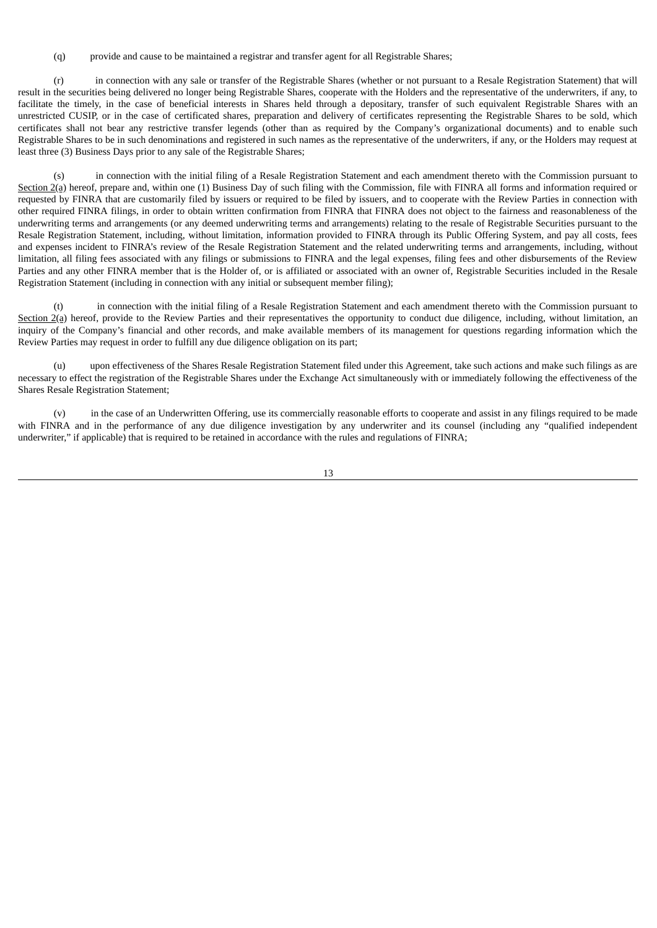(q) provide and cause to be maintained a registrar and transfer agent for all Registrable Shares;

(r) in connection with any sale or transfer of the Registrable Shares (whether or not pursuant to a Resale Registration Statement) that will result in the securities being delivered no longer being Registrable Shares, cooperate with the Holders and the representative of the underwriters, if any, to facilitate the timely, in the case of beneficial interests in Shares held through a depositary, transfer of such equivalent Registrable Shares with an unrestricted CUSIP, or in the case of certificated shares, preparation and delivery of certificates representing the Registrable Shares to be sold, which certificates shall not bear any restrictive transfer legends (other than as required by the Company's organizational documents) and to enable such Registrable Shares to be in such denominations and registered in such names as the representative of the underwriters, if any, or the Holders may request at least three (3) Business Days prior to any sale of the Registrable Shares;

(s) in connection with the initial filing of a Resale Registration Statement and each amendment thereto with the Commission pursuant to Section  $2(a)$  hereof, prepare and, within one (1) Business Day of such filing with the Commission, file with FINRA all forms and information required or requested by FINRA that are customarily filed by issuers or required to be filed by issuers, and to cooperate with the Review Parties in connection with other required FINRA filings, in order to obtain written confirmation from FINRA that FINRA does not object to the fairness and reasonableness of the underwriting terms and arrangements (or any deemed underwriting terms and arrangements) relating to the resale of Registrable Securities pursuant to the Resale Registration Statement, including, without limitation, information provided to FINRA through its Public Offering System, and pay all costs, fees and expenses incident to FINRA's review of the Resale Registration Statement and the related underwriting terms and arrangements, including, without limitation, all filing fees associated with any filings or submissions to FINRA and the legal expenses, filing fees and other disbursements of the Review Parties and any other FINRA member that is the Holder of, or is affiliated or associated with an owner of, Registrable Securities included in the Resale Registration Statement (including in connection with any initial or subsequent member filing);

(t) in connection with the initial filing of a Resale Registration Statement and each amendment thereto with the Commission pursuant to Section  $2(a)$  hereof, provide to the Review Parties and their representatives the opportunity to conduct due diligence, including, without limitation, an inquiry of the Company's financial and other records, and make available members of its management for questions regarding information which the Review Parties may request in order to fulfill any due diligence obligation on its part;

(u) upon effectiveness of the Shares Resale Registration Statement filed under this Agreement, take such actions and make such filings as are necessary to effect the registration of the Registrable Shares under the Exchange Act simultaneously with or immediately following the effectiveness of the Shares Resale Registration Statement;

(v) in the case of an Underwritten Offering, use its commercially reasonable efforts to cooperate and assist in any filings required to be made with FINRA and in the performance of any due diligence investigation by any underwriter and its counsel (including any "qualified independent underwriter," if applicable) that is required to be retained in accordance with the rules and regulations of FINRA;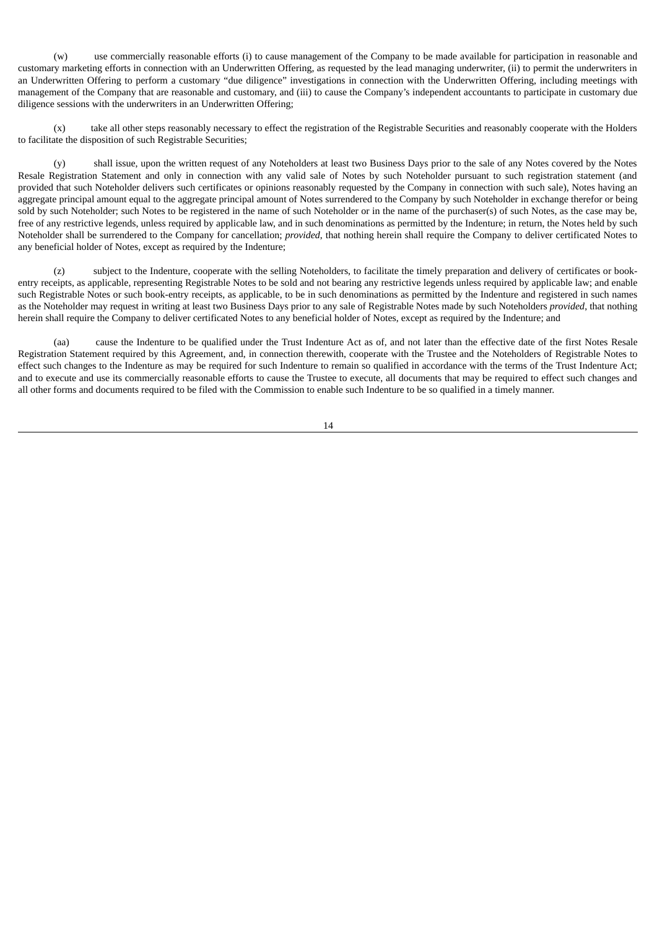(w) use commercially reasonable efforts (i) to cause management of the Company to be made available for participation in reasonable and customary marketing efforts in connection with an Underwritten Offering, as requested by the lead managing underwriter, (ii) to permit the underwriters in an Underwritten Offering to perform a customary "due diligence" investigations in connection with the Underwritten Offering, including meetings with management of the Company that are reasonable and customary, and (iii) to cause the Company's independent accountants to participate in customary due diligence sessions with the underwriters in an Underwritten Offering;

(x) take all other steps reasonably necessary to effect the registration of the Registrable Securities and reasonably cooperate with the Holders to facilitate the disposition of such Registrable Securities;

(y) shall issue, upon the written request of any Noteholders at least two Business Days prior to the sale of any Notes covered by the Notes Resale Registration Statement and only in connection with any valid sale of Notes by such Noteholder pursuant to such registration statement (and provided that such Noteholder delivers such certificates or opinions reasonably requested by the Company in connection with such sale), Notes having an aggregate principal amount equal to the aggregate principal amount of Notes surrendered to the Company by such Noteholder in exchange therefor or being sold by such Noteholder; such Notes to be registered in the name of such Noteholder or in the name of the purchaser(s) of such Notes, as the case may be, free of any restrictive legends, unless required by applicable law, and in such denominations as permitted by the Indenture; in return, the Notes held by such Noteholder shall be surrendered to the Company for cancellation; *provided*, that nothing herein shall require the Company to deliver certificated Notes to any beneficial holder of Notes, except as required by the Indenture;

(z) subject to the Indenture, cooperate with the selling Noteholders, to facilitate the timely preparation and delivery of certificates or bookentry receipts, as applicable, representing Registrable Notes to be sold and not bearing any restrictive legends unless required by applicable law; and enable such Registrable Notes or such book-entry receipts, as applicable, to be in such denominations as permitted by the Indenture and registered in such names as the Noteholder may request in writing at least two Business Days prior to any sale of Registrable Notes made by such Noteholders *provided*, that nothing herein shall require the Company to deliver certificated Notes to any beneficial holder of Notes, except as required by the Indenture; and

(aa) cause the Indenture to be qualified under the Trust Indenture Act as of, and not later than the effective date of the first Notes Resale Registration Statement required by this Agreement, and, in connection therewith, cooperate with the Trustee and the Noteholders of Registrable Notes to effect such changes to the Indenture as may be required for such Indenture to remain so qualified in accordance with the terms of the Trust Indenture Act; and to execute and use its commercially reasonable efforts to cause the Trustee to execute, all documents that may be required to effect such changes and all other forms and documents required to be filed with the Commission to enable such Indenture to be so qualified in a timely manner.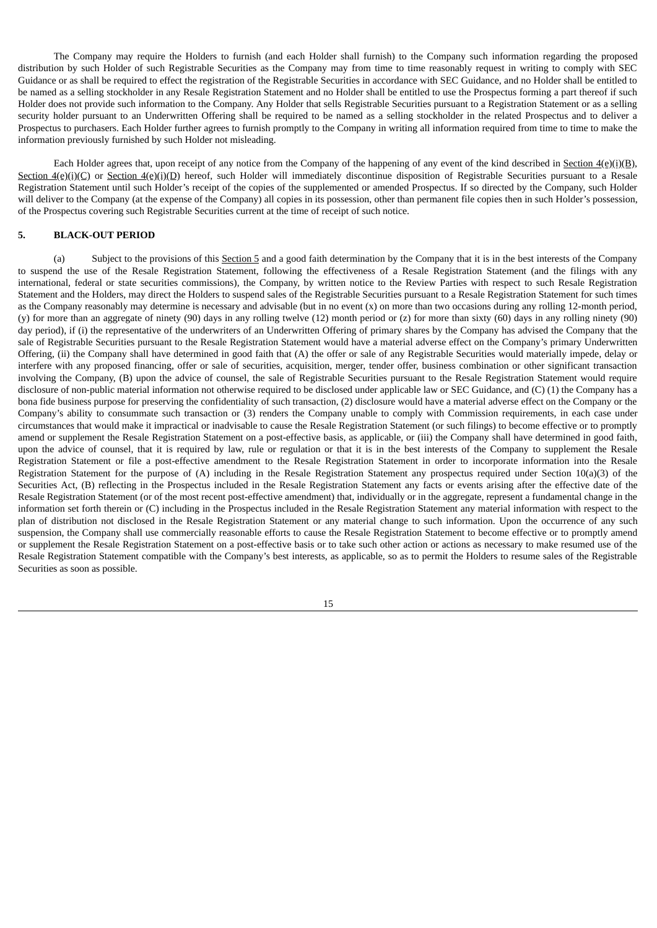The Company may require the Holders to furnish (and each Holder shall furnish) to the Company such information regarding the proposed distribution by such Holder of such Registrable Securities as the Company may from time to time reasonably request in writing to comply with SEC Guidance or as shall be required to effect the registration of the Registrable Securities in accordance with SEC Guidance, and no Holder shall be entitled to be named as a selling stockholder in any Resale Registration Statement and no Holder shall be entitled to use the Prospectus forming a part thereof if such Holder does not provide such information to the Company. Any Holder that sells Registrable Securities pursuant to a Registration Statement or as a selling security holder pursuant to an Underwritten Offering shall be required to be named as a selling stockholder in the related Prospectus and to deliver a Prospectus to purchasers. Each Holder further agrees to furnish promptly to the Company in writing all information required from time to time to make the information previously furnished by such Holder not misleading.

Each Holder agrees that, upon receipt of any notice from the Company of the happening of any event of the kind described in Section  $4(e)(i)(B)$ , Section  $4(e)(i)(C)$  or Section  $4(e)(i)(D)$  hereof, such Holder will immediately discontinue disposition of Registrable Securities pursuant to a Resale Registration Statement until such Holder's receipt of the copies of the supplemented or amended Prospectus. If so directed by the Company, such Holder will deliver to the Company (at the expense of the Company) all copies in its possession, other than permanent file copies then in such Holder's possession, of the Prospectus covering such Registrable Securities current at the time of receipt of such notice.

## **5. BLACK-OUT PERIOD**

(a) Subject to the provisions of this Section 5 and a good faith determination by the Company that it is in the best interests of the Company to suspend the use of the Resale Registration Statement, following the effectiveness of a Resale Registration Statement (and the filings with any international, federal or state securities commissions), the Company, by written notice to the Review Parties with respect to such Resale Registration Statement and the Holders, may direct the Holders to suspend sales of the Registrable Securities pursuant to a Resale Registration Statement for such times as the Company reasonably may determine is necessary and advisable (but in no event  $(x)$  on more than two occasions during any rolling 12-month period, (y) for more than an aggregate of ninety (90) days in any rolling twelve (12) month period or (z) for more than sixty (60) days in any rolling ninety (90) day period), if (i) the representative of the underwriters of an Underwritten Offering of primary shares by the Company has advised the Company that the sale of Registrable Securities pursuant to the Resale Registration Statement would have a material adverse effect on the Company's primary Underwritten Offering, (ii) the Company shall have determined in good faith that (A) the offer or sale of any Registrable Securities would materially impede, delay or interfere with any proposed financing, offer or sale of securities, acquisition, merger, tender offer, business combination or other significant transaction involving the Company, (B) upon the advice of counsel, the sale of Registrable Securities pursuant to the Resale Registration Statement would require disclosure of non-public material information not otherwise required to be disclosed under applicable law or SEC Guidance, and (C) (1) the Company has a bona fide business purpose for preserving the confidentiality of such transaction, (2) disclosure would have a material adverse effect on the Company or the Company's ability to consummate such transaction or (3) renders the Company unable to comply with Commission requirements, in each case under circumstances that would make it impractical or inadvisable to cause the Resale Registration Statement (or such filings) to become effective or to promptly amend or supplement the Resale Registration Statement on a post-effective basis, as applicable, or (iii) the Company shall have determined in good faith, upon the advice of counsel, that it is required by law, rule or regulation or that it is in the best interests of the Company to supplement the Resale Registration Statement or file a post-effective amendment to the Resale Registration Statement in order to incorporate information into the Resale Registration Statement for the purpose of (A) including in the Resale Registration Statement any prospectus required under Section 10(a)(3) of the Securities Act, (B) reflecting in the Prospectus included in the Resale Registration Statement any facts or events arising after the effective date of the Resale Registration Statement (or of the most recent post-effective amendment) that, individually or in the aggregate, represent a fundamental change in the information set forth therein or (C) including in the Prospectus included in the Resale Registration Statement any material information with respect to the plan of distribution not disclosed in the Resale Registration Statement or any material change to such information. Upon the occurrence of any such suspension, the Company shall use commercially reasonable efforts to cause the Resale Registration Statement to become effective or to promptly amend or supplement the Resale Registration Statement on a post-effective basis or to take such other action or actions as necessary to make resumed use of the Resale Registration Statement compatible with the Company's best interests, as applicable, so as to permit the Holders to resume sales of the Registrable Securities as soon as possible.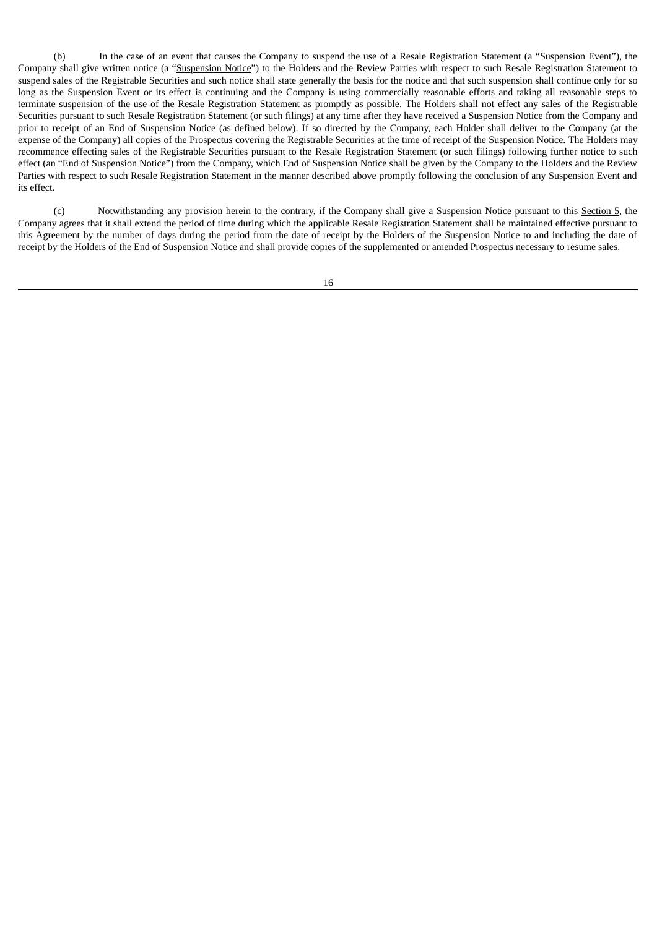(b) In the case of an event that causes the Company to suspend the use of a Resale Registration Statement (a "Suspension Event"), the Company shall give written notice (a "Suspension Notice") to the Holders and the Review Parties with respect to such Resale Registration Statement to suspend sales of the Registrable Securities and such notice shall state generally the basis for the notice and that such suspension shall continue only for so long as the Suspension Event or its effect is continuing and the Company is using commercially reasonable efforts and taking all reasonable steps to terminate suspension of the use of the Resale Registration Statement as promptly as possible. The Holders shall not effect any sales of the Registrable Securities pursuant to such Resale Registration Statement (or such filings) at any time after they have received a Suspension Notice from the Company and prior to receipt of an End of Suspension Notice (as defined below). If so directed by the Company, each Holder shall deliver to the Company (at the expense of the Company) all copies of the Prospectus covering the Registrable Securities at the time of receipt of the Suspension Notice. The Holders may recommence effecting sales of the Registrable Securities pursuant to the Resale Registration Statement (or such filings) following further notice to such effect (an "End of Suspension Notice") from the Company, which End of Suspension Notice shall be given by the Company to the Holders and the Review Parties with respect to such Resale Registration Statement in the manner described above promptly following the conclusion of any Suspension Event and its effect.

(c) Notwithstanding any provision herein to the contrary, if the Company shall give a Suspension Notice pursuant to this Section 5, the Company agrees that it shall extend the period of time during which the applicable Resale Registration Statement shall be maintained effective pursuant to this Agreement by the number of days during the period from the date of receipt by the Holders of the Suspension Notice to and including the date of receipt by the Holders of the End of Suspension Notice and shall provide copies of the supplemented or amended Prospectus necessary to resume sales.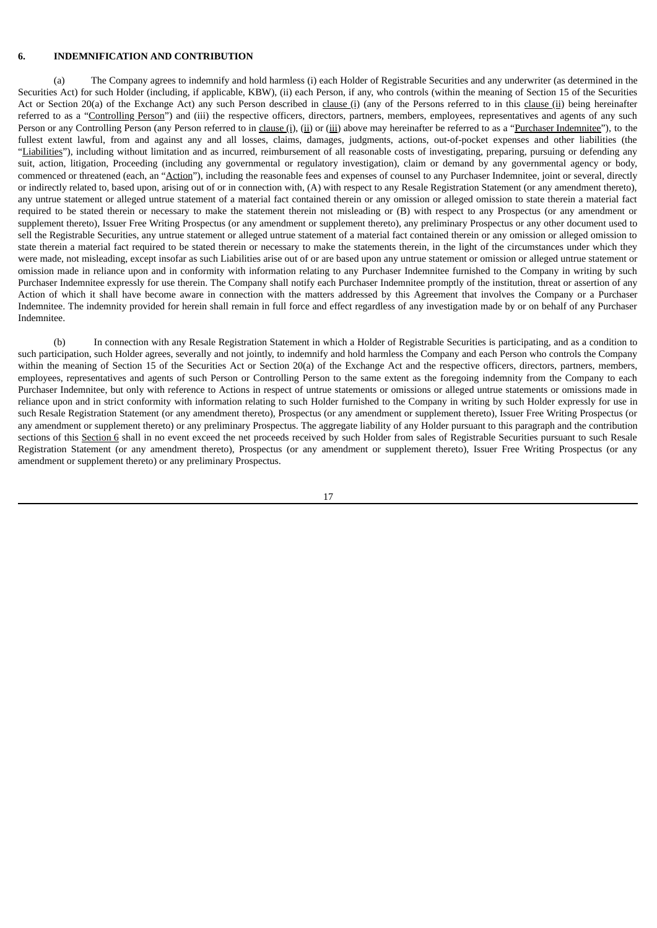#### **6. INDEMNIFICATION AND CONTRIBUTION**

(a) The Company agrees to indemnify and hold harmless (i) each Holder of Registrable Securities and any underwriter (as determined in the Securities Act) for such Holder (including, if applicable, KBW), (ii) each Person, if any, who controls (within the meaning of Section 15 of the Securities Act or Section 20(a) of the Exchange Act) any such Person described in clause (i) (any of the Persons referred to in this clause (ii) being hereinafter referred to as a "Controlling Person") and (iii) the respective officers, directors, partners, members, employees, representatives and agents of any such Person or any Controlling Person (any Person referred to in clause (i), (ii) or (iii) above may hereinafter be referred to as a "Purchaser Indemnitee"), to the fullest extent lawful, from and against any and all losses, claims, damages, judgments, actions, out-of-pocket expenses and other liabilities (the "Liabilities"), including without limitation and as incurred, reimbursement of all reasonable costs of investigating, preparing, pursuing or defending any suit, action, litigation, Proceeding (including any governmental or regulatory investigation), claim or demand by any governmental agency or body, commenced or threatened (each, an "Action"), including the reasonable fees and expenses of counsel to any Purchaser Indemnitee, joint or several, directly or indirectly related to, based upon, arising out of or in connection with, (A) with respect to any Resale Registration Statement (or any amendment thereto), any untrue statement or alleged untrue statement of a material fact contained therein or any omission or alleged omission to state therein a material fact required to be stated therein or necessary to make the statement therein not misleading or (B) with respect to any Prospectus (or any amendment or supplement thereto), Issuer Free Writing Prospectus (or any amendment or supplement thereto), any preliminary Prospectus or any other document used to sell the Registrable Securities, any untrue statement or alleged untrue statement of a material fact contained therein or any omission or alleged omission to state therein a material fact required to be stated therein or necessary to make the statements therein, in the light of the circumstances under which they were made, not misleading, except insofar as such Liabilities arise out of or are based upon any untrue statement or omission or alleged untrue statement or omission made in reliance upon and in conformity with information relating to any Purchaser Indemnitee furnished to the Company in writing by such Purchaser Indemnitee expressly for use therein. The Company shall notify each Purchaser Indemnitee promptly of the institution, threat or assertion of any Action of which it shall have become aware in connection with the matters addressed by this Agreement that involves the Company or a Purchaser Indemnitee. The indemnity provided for herein shall remain in full force and effect regardless of any investigation made by or on behalf of any Purchaser Indemnitee.

(b) In connection with any Resale Registration Statement in which a Holder of Registrable Securities is participating, and as a condition to such participation, such Holder agrees, severally and not jointly, to indemnify and hold harmless the Company and each Person who controls the Company within the meaning of Section 15 of the Securities Act or Section 20(a) of the Exchange Act and the respective officers, directors, partners, members, employees, representatives and agents of such Person or Controlling Person to the same extent as the foregoing indemnity from the Company to each Purchaser Indemnitee, but only with reference to Actions in respect of untrue statements or omissions or alleged untrue statements or omissions made in reliance upon and in strict conformity with information relating to such Holder furnished to the Company in writing by such Holder expressly for use in such Resale Registration Statement (or any amendment thereto), Prospectus (or any amendment or supplement thereto), Issuer Free Writing Prospectus (or any amendment or supplement thereto) or any preliminary Prospectus. The aggregate liability of any Holder pursuant to this paragraph and the contribution sections of this Section 6 shall in no event exceed the net proceeds received by such Holder from sales of Registrable Securities pursuant to such Resale Registration Statement (or any amendment thereto), Prospectus (or any amendment or supplement thereto), Issuer Free Writing Prospectus (or any amendment or supplement thereto) or any preliminary Prospectus.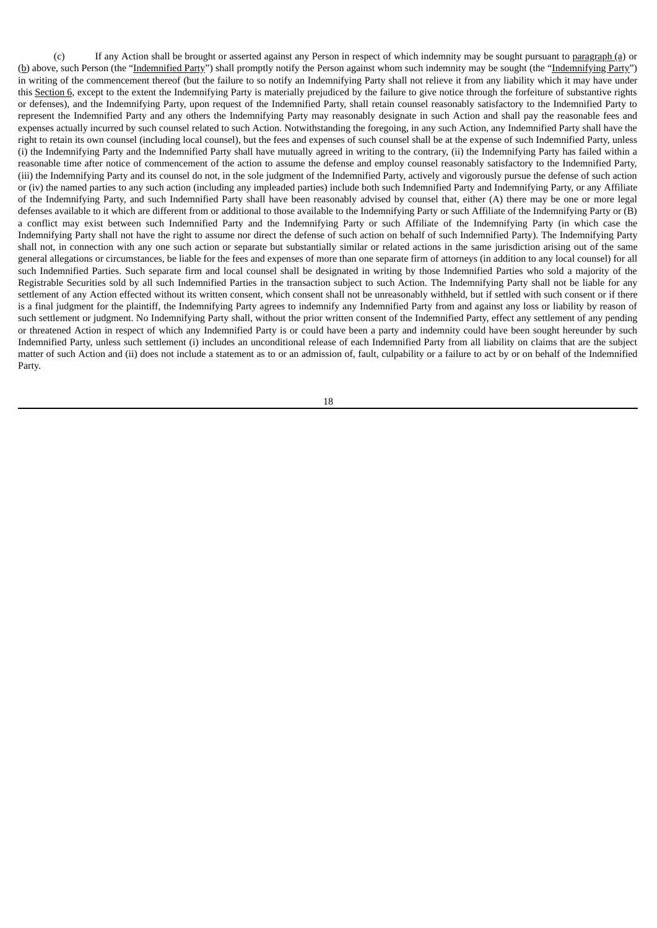(c) If any Action shall be brought or asserted against any Person in respect of which indemnity may be sought pursuant to paragraph (a) or (b) above, such Person (the "Indemnified Party") shall promptly notify the Person against whom such indemnity may be sought (the "Indemnifying Party") in writing of the commencement thereof (but the failure to so notify an Indemnifying Party shall not relieve it from any liability which it may have under this Section 6, except to the extent the Indemnifying Party is materially prejudiced by the failure to give notice through the forfeiture of substantive rights or defenses), and the Indemnifying Party, upon request of the Indemnified Party, shall retain counsel reasonably satisfactory to the Indemnified Party to represent the Indemnified Party and any others the Indemnifying Party may reasonably designate in such Action and shall pay the reasonable fees and expenses actually incurred by such counsel related to such Action. Notwithstanding the foregoing, in any such Action, any Indemnified Party shall have the right to retain its own counsel (including local counsel), but the fees and expenses of such counsel shall be at the expense of such Indemnified Party, unless (i) the Indemnifying Party and the Indemnified Party shall have mutually agreed in writing to the contrary, (ii) the Indemnifying Party has failed within a reasonable time after notice of commencement of the action to assume the defense and employ counsel reasonably satisfactory to the Indemnified Party, (iii) the Indemnifying Party and its counsel do not, in the sole judgment of the Indemnified Party, actively and vigorously pursue the defense of such action or (iv) the named parties to any such action (including any impleaded parties) include both such Indemnified Party and Indemnifying Party, or any Affiliate of the Indemnifying Party, and such Indemnified Party shall have been reasonably advised by counsel that, either (A) there may be one or more legal defenses available to it which are different from or additional to those available to the Indemnifying Party or such Affiliate of the Indemnifying Party or (B) a conflict may exist between such Indemnified Party and the Indemnifying Party or such Affiliate of the Indemnifying Party (in which case the Indemnifying Party shall not have the right to assume nor direct the defense of such action on behalf of such Indemnified Party). The Indemnifying Party shall not, in connection with any one such action or separate but substantially similar or related actions in the same jurisdiction arising out of the same general allegations or circumstances, be liable for the fees and expenses of more than one separate firm of attorneys (in addition to any local counsel) for all such Indemnified Parties. Such separate firm and local counsel shall be designated in writing by those Indemnified Parties who sold a majority of the Registrable Securities sold by all such Indemnified Parties in the transaction subject to such Action. The Indemnifying Party shall not be liable for any settlement of any Action effected without its written consent, which consent shall not be unreasonably withheld, but if settled with such consent or if there is a final judgment for the plaintiff, the Indemnifying Party agrees to indemnify any Indemnified Party from and against any loss or liability by reason of such settlement or judgment. No Indemnifying Party shall, without the prior written consent of the Indemnified Party, effect any settlement of any pending or threatened Action in respect of which any Indemnified Party is or could have been a party and indemnity could have been sought hereunder by such Indemnified Party, unless such settlement (i) includes an unconditional release of each Indemnified Party from all liability on claims that are the subject matter of such Action and (ii) does not include a statement as to or an admission of, fault, culpability or a failure to act by or on behalf of the Indemnified Party.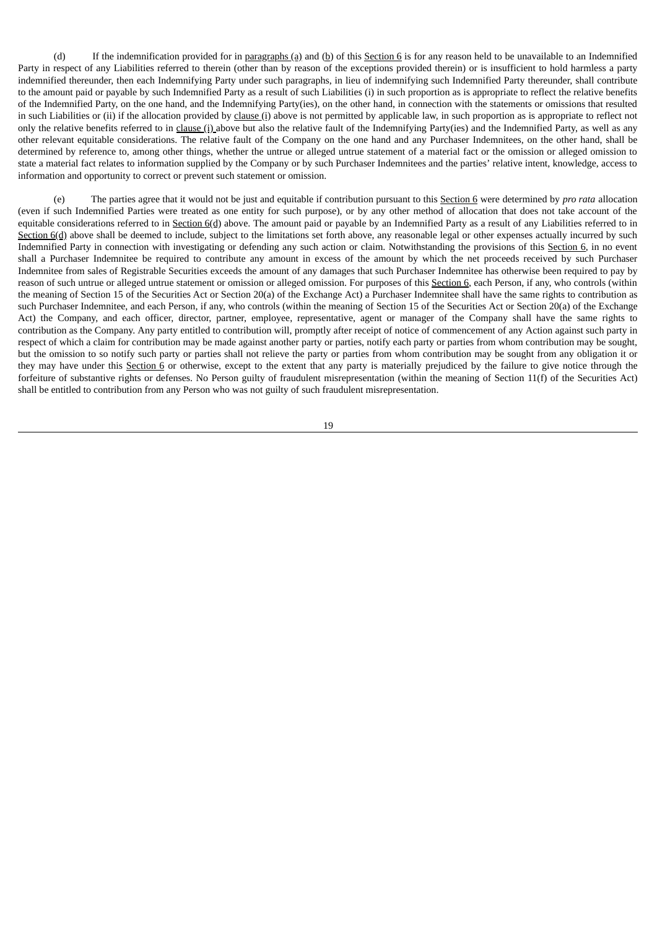(d) If the indemnification provided for in paragraphs (a) and (b) of this Section 6 is for any reason held to be unavailable to an Indemnified Party in respect of any Liabilities referred to therein (other than by reason of the exceptions provided therein) or is insufficient to hold harmless a party indemnified thereunder, then each Indemnifying Party under such paragraphs, in lieu of indemnifying such Indemnified Party thereunder, shall contribute to the amount paid or payable by such Indemnified Party as a result of such Liabilities (i) in such proportion as is appropriate to reflect the relative benefits of the Indemnified Party, on the one hand, and the Indemnifying Party(ies), on the other hand, in connection with the statements or omissions that resulted in such Liabilities or (ii) if the allocation provided by clause (i) above is not permitted by applicable law, in such proportion as is appropriate to reflect not only the relative benefits referred to in clause (i) above but also the relative fault of the Indemnifying Party(ies) and the Indemnified Party, as well as any other relevant equitable considerations. The relative fault of the Company on the one hand and any Purchaser Indemnitees, on the other hand, shall be determined by reference to, among other things, whether the untrue or alleged untrue statement of a material fact or the omission or alleged omission to state a material fact relates to information supplied by the Company or by such Purchaser Indemnitees and the parties' relative intent, knowledge, access to information and opportunity to correct or prevent such statement or omission.

(e) The parties agree that it would not be just and equitable if contribution pursuant to this Section 6 were determined by *pro rata* allocation (even if such Indemnified Parties were treated as one entity for such purpose), or by any other method of allocation that does not take account of the equitable considerations referred to in Section  $6(d)$  above. The amount paid or payable by an Indemnified Party as a result of any Liabilities referred to in Section 6(d) above shall be deemed to include, subject to the limitations set forth above, any reasonable legal or other expenses actually incurred by such Indemnified Party in connection with investigating or defending any such action or claim. Notwithstanding the provisions of this Section 6, in no event shall a Purchaser Indemnitee be required to contribute any amount in excess of the amount by which the net proceeds received by such Purchaser Indemnitee from sales of Registrable Securities exceeds the amount of any damages that such Purchaser Indemnitee has otherwise been required to pay by reason of such untrue or alleged untrue statement or omission or alleged omission. For purposes of this Section 6, each Person, if any, who controls (within the meaning of Section 15 of the Securities Act or Section 20(a) of the Exchange Act) a Purchaser Indemnitee shall have the same rights to contribution as such Purchaser Indemnitee, and each Person, if any, who controls (within the meaning of Section 15 of the Securities Act or Section 20(a) of the Exchange Act) the Company, and each officer, director, partner, employee, representative, agent or manager of the Company shall have the same rights to contribution as the Company. Any party entitled to contribution will, promptly after receipt of notice of commencement of any Action against such party in respect of which a claim for contribution may be made against another party or parties, notify each party or parties from whom contribution may be sought, but the omission to so notify such party or parties shall not relieve the party or parties from whom contribution may be sought from any obligation it or they may have under this Section 6 or otherwise, except to the extent that any party is materially prejudiced by the failure to give notice through the forfeiture of substantive rights or defenses. No Person guilty of fraudulent misrepresentation (within the meaning of Section 11(f) of the Securities Act) shall be entitled to contribution from any Person who was not guilty of such fraudulent misrepresentation.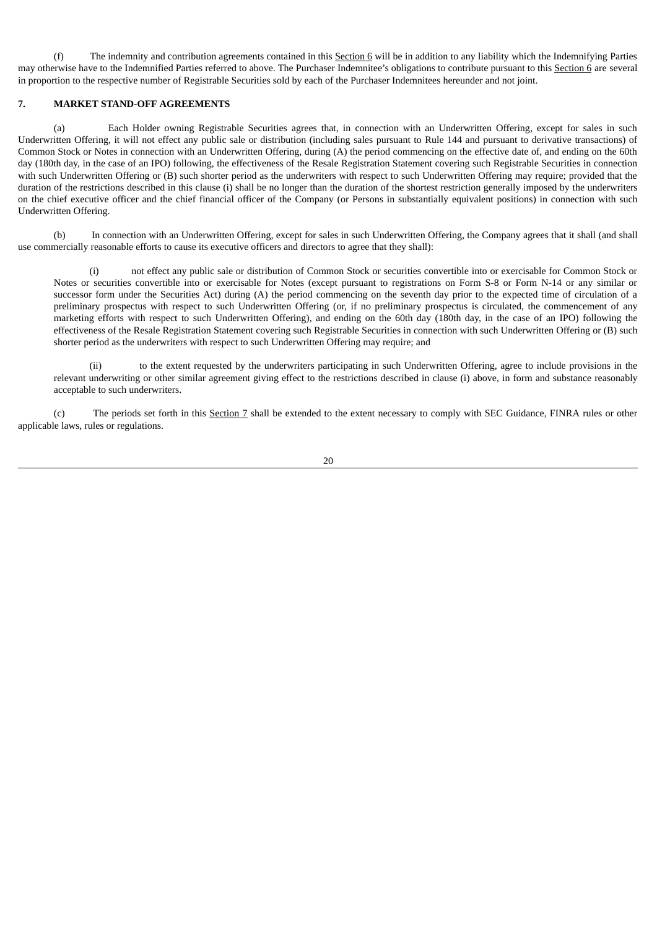(f) The indemnity and contribution agreements contained in this Section 6 will be in addition to any liability which the Indemnifying Parties may otherwise have to the Indemnified Parties referred to above. The Purchaser Indemnitee's obligations to contribute pursuant to this Section 6 are several in proportion to the respective number of Registrable Securities sold by each of the Purchaser Indemnitees hereunder and not joint.

## **7. MARKET STAND-OFF AGREEMENTS**

(a) Each Holder owning Registrable Securities agrees that, in connection with an Underwritten Offering, except for sales in such Underwritten Offering, it will not effect any public sale or distribution (including sales pursuant to Rule 144 and pursuant to derivative transactions) of Common Stock or Notes in connection with an Underwritten Offering, during (A) the period commencing on the effective date of, and ending on the 60th day (180th day, in the case of an IPO) following, the effectiveness of the Resale Registration Statement covering such Registrable Securities in connection with such Underwritten Offering or (B) such shorter period as the underwriters with respect to such Underwritten Offering may require; provided that the duration of the restrictions described in this clause (i) shall be no longer than the duration of the shortest restriction generally imposed by the underwriters on the chief executive officer and the chief financial officer of the Company (or Persons in substantially equivalent positions) in connection with such Underwritten Offering.

(b) In connection with an Underwritten Offering, except for sales in such Underwritten Offering, the Company agrees that it shall (and shall use commercially reasonable efforts to cause its executive officers and directors to agree that they shall):

not effect any public sale or distribution of Common Stock or securities convertible into or exercisable for Common Stock or Notes or securities convertible into or exercisable for Notes (except pursuant to registrations on Form S-8 or Form N-14 or any similar or successor form under the Securities Act) during (A) the period commencing on the seventh day prior to the expected time of circulation of a preliminary prospectus with respect to such Underwritten Offering (or, if no preliminary prospectus is circulated, the commencement of any marketing efforts with respect to such Underwritten Offering), and ending on the 60th day (180th day, in the case of an IPO) following the effectiveness of the Resale Registration Statement covering such Registrable Securities in connection with such Underwritten Offering or (B) such shorter period as the underwriters with respect to such Underwritten Offering may require; and

(ii) to the extent requested by the underwriters participating in such Underwritten Offering, agree to include provisions in the relevant underwriting or other similar agreement giving effect to the restrictions described in clause (i) above, in form and substance reasonably acceptable to such underwriters.

(c) The periods set forth in this Section 7 shall be extended to the extent necessary to comply with SEC Guidance, FINRA rules or other applicable laws, rules or regulations.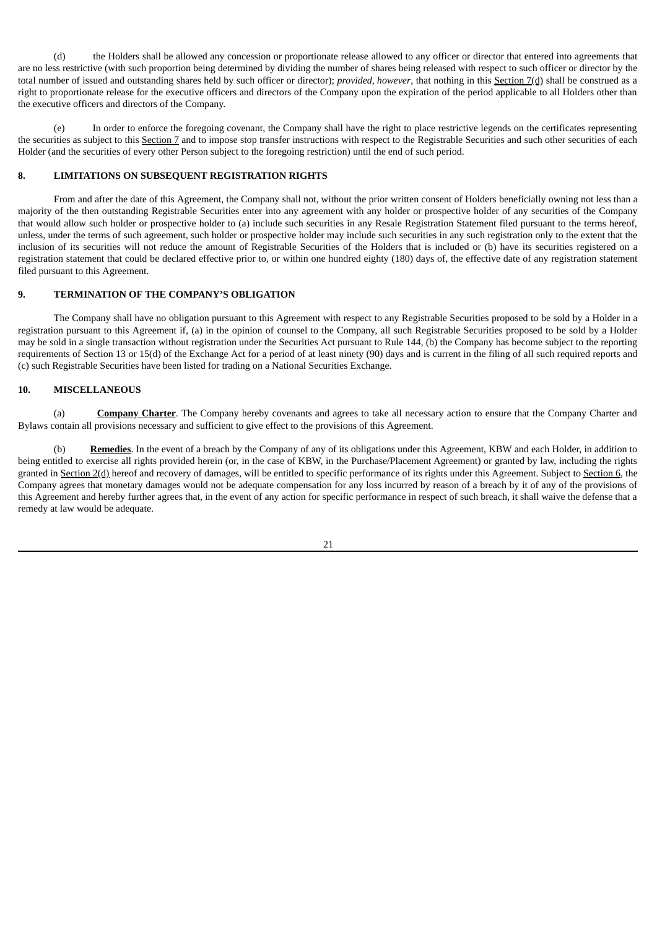(d) the Holders shall be allowed any concession or proportionate release allowed to any officer or director that entered into agreements that are no less restrictive (with such proportion being determined by dividing the number of shares being released with respect to such officer or director by the total number of issued and outstanding shares held by such officer or director); *provided, however*, that nothing in this Section 7(d) shall be construed as a right to proportionate release for the executive officers and directors of the Company upon the expiration of the period applicable to all Holders other than the executive officers and directors of the Company.

(e) In order to enforce the foregoing covenant, the Company shall have the right to place restrictive legends on the certificates representing the securities as subject to this Section 7 and to impose stop transfer instructions with respect to the Registrable Securities and such other securities of each Holder (and the securities of every other Person subject to the foregoing restriction) until the end of such period.

## **8. LIMITATIONS ON SUBSEQUENT REGISTRATION RIGHTS**

From and after the date of this Agreement, the Company shall not, without the prior written consent of Holders beneficially owning not less than a majority of the then outstanding Registrable Securities enter into any agreement with any holder or prospective holder of any securities of the Company that would allow such holder or prospective holder to (a) include such securities in any Resale Registration Statement filed pursuant to the terms hereof, unless, under the terms of such agreement, such holder or prospective holder may include such securities in any such registration only to the extent that the inclusion of its securities will not reduce the amount of Registrable Securities of the Holders that is included or (b) have its securities registered on a registration statement that could be declared effective prior to, or within one hundred eighty (180) days of, the effective date of any registration statement filed pursuant to this Agreement.

## **9. TERMINATION OF THE COMPANY'S OBLIGATION**

The Company shall have no obligation pursuant to this Agreement with respect to any Registrable Securities proposed to be sold by a Holder in a registration pursuant to this Agreement if, (a) in the opinion of counsel to the Company, all such Registrable Securities proposed to be sold by a Holder may be sold in a single transaction without registration under the Securities Act pursuant to Rule 144, (b) the Company has become subject to the reporting requirements of Section 13 or 15(d) of the Exchange Act for a period of at least ninety (90) days and is current in the filing of all such required reports and (c) such Registrable Securities have been listed for trading on a National Securities Exchange.

### **10. MISCELLANEOUS**

(a) **Company Charter**. The Company hereby covenants and agrees to take all necessary action to ensure that the Company Charter and Bylaws contain all provisions necessary and sufficient to give effect to the provisions of this Agreement.

(b) **Remedies**. In the event of a breach by the Company of any of its obligations under this Agreement, KBW and each Holder, in addition to being entitled to exercise all rights provided herein (or, in the case of KBW, in the Purchase/Placement Agreement) or granted by law, including the rights granted in Section 2(d) hereof and recovery of damages, will be entitled to specific performance of its rights under this Agreement. Subject to Section 6, the Company agrees that monetary damages would not be adequate compensation for any loss incurred by reason of a breach by it of any of the provisions of this Agreement and hereby further agrees that, in the event of any action for specific performance in respect of such breach, it shall waive the defense that a remedy at law would be adequate.

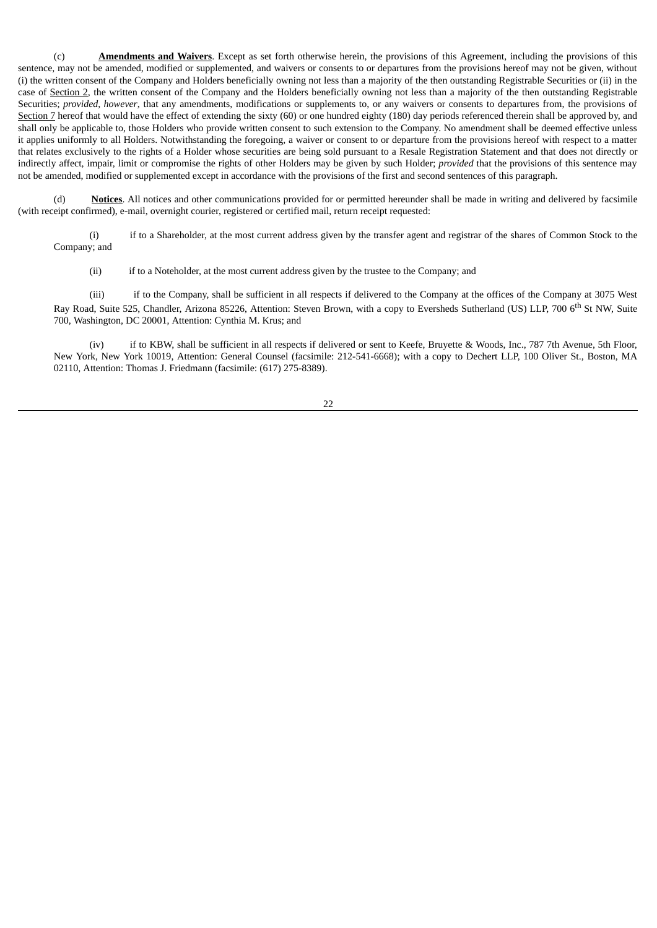(c) **Amendments and Waivers**. Except as set forth otherwise herein, the provisions of this Agreement, including the provisions of this sentence, may not be amended, modified or supplemented, and waivers or consents to or departures from the provisions hereof may not be given, without (i) the written consent of the Company and Holders beneficially owning not less than a majority of the then outstanding Registrable Securities or (ii) in the case of Section 2, the written consent of the Company and the Holders beneficially owning not less than a majority of the then outstanding Registrable Securities; *provided, however*, that any amendments, modifications or supplements to, or any waivers or consents to departures from, the provisions of Section 7 hereof that would have the effect of extending the sixty (60) or one hundred eighty (180) day periods referenced therein shall be approved by, and shall only be applicable to, those Holders who provide written consent to such extension to the Company. No amendment shall be deemed effective unless it applies uniformly to all Holders. Notwithstanding the foregoing, a waiver or consent to or departure from the provisions hereof with respect to a matter that relates exclusively to the rights of a Holder whose securities are being sold pursuant to a Resale Registration Statement and that does not directly or indirectly affect, impair, limit or compromise the rights of other Holders may be given by such Holder; *provided* that the provisions of this sentence may not be amended, modified or supplemented except in accordance with the provisions of the first and second sentences of this paragraph.

(d) **Notices**. All notices and other communications provided for or permitted hereunder shall be made in writing and delivered by facsimile (with receipt confirmed), e-mail, overnight courier, registered or certified mail, return receipt requested:

(i) if to a Shareholder, at the most current address given by the transfer agent and registrar of the shares of Common Stock to the Company; and

(ii) if to a Noteholder, at the most current address given by the trustee to the Company; and

(iii) if to the Company, shall be sufficient in all respects if delivered to the Company at the offices of the Company at 3075 West Ray Road, Suite 525, Chandler, Arizona 85226, Attention: Steven Brown, with a copy to Eversheds Sutherland (US) LLP, 700 6<sup>th</sup> St NW, Suite 700, Washington, DC 20001, Attention: Cynthia M. Krus; and

(iv) if to KBW, shall be sufficient in all respects if delivered or sent to Keefe, Bruyette & Woods, Inc., 787 7th Avenue, 5th Floor, New York, New York 10019, Attention: General Counsel (facsimile: 212-541-6668); with a copy to Dechert LLP, 100 Oliver St., Boston, MA 02110, Attention: Thomas J. Friedmann (facsimile: (617) 275-8389).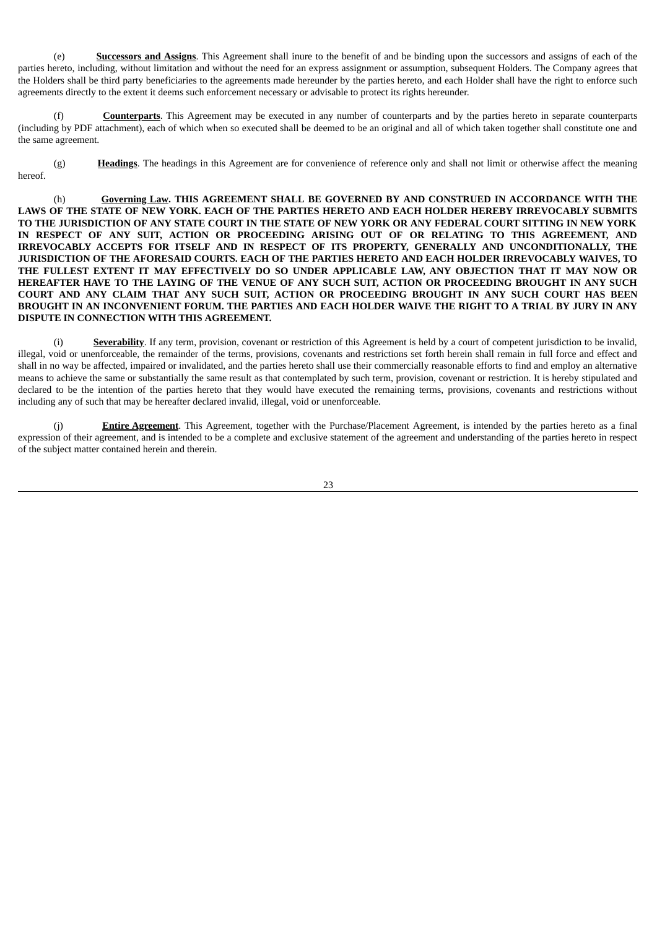(e) **Successors and Assigns**. This Agreement shall inure to the benefit of and be binding upon the successors and assigns of each of the parties hereto, including, without limitation and without the need for an express assignment or assumption, subsequent Holders. The Company agrees that the Holders shall be third party beneficiaries to the agreements made hereunder by the parties hereto, and each Holder shall have the right to enforce such agreements directly to the extent it deems such enforcement necessary or advisable to protect its rights hereunder.

(f) **Counterparts**. This Agreement may be executed in any number of counterparts and by the parties hereto in separate counterparts (including by PDF attachment), each of which when so executed shall be deemed to be an original and all of which taken together shall constitute one and the same agreement.

(g) **Headings**. The headings in this Agreement are for convenience of reference only and shall not limit or otherwise affect the meaning hereof.

(h) **Governing Law. THIS AGREEMENT SHALL BE GOVERNED BY AND CONSTRUED IN ACCORDANCE WITH THE** LAWS OF THE STATE OF NEW YORK. EACH OF THE PARTIES HERETO AND EACH HOLDER HEREBY IRREVOCABLY SUBMITS TO THE JURISDICTION OF ANY STATE COURT IN THE STATE OF NEW YORK OR ANY FEDERAL COURT SITTING IN NEW YORK **IN RESPECT OF ANY SUIT, ACTION OR PROCEEDING ARISING OUT OF OR RELATING TO THIS AGREEMENT, AND IRREVOCABLY ACCEPTS FOR ITSELF AND IN RESPECT OF ITS PROPERTY, GENERALLY AND UNCONDITIONALLY, THE JURISDICTION OF THE AFORESAID COURTS. EACH OF THE PARTIES HERETO AND EACH HOLDER IRREVOCABLY WAIVES, TO THE FULLEST EXTENT IT MAY EFFECTIVELY DO SO UNDER APPLICABLE LAW, ANY OBJECTION THAT IT MAY NOW OR** HEREAFTER HAVE TO THE LAYING OF THE VENUE OF ANY SUCH SUIT, ACTION OR PROCEEDING BROUGHT IN ANY SUCH **COURT AND ANY CLAIM THAT ANY SUCH SUIT, ACTION OR PROCEEDING BROUGHT IN ANY SUCH COURT HAS BEEN** BROUGHT IN AN INCONVENIENT FORUM. THE PARTIES AND EACH HOLDER WAIVE THE RIGHT TO A TRIAL BY JURY IN ANY **DISPUTE IN CONNECTION WITH THIS AGREEMENT.**

(i) **Severability**. If any term, provision, covenant or restriction of this Agreement is held by a court of competent jurisdiction to be invalid, illegal, void or unenforceable, the remainder of the terms, provisions, covenants and restrictions set forth herein shall remain in full force and effect and shall in no way be affected, impaired or invalidated, and the parties hereto shall use their commercially reasonable efforts to find and employ an alternative means to achieve the same or substantially the same result as that contemplated by such term, provision, covenant or restriction. It is hereby stipulated and declared to be the intention of the parties hereto that they would have executed the remaining terms, provisions, covenants and restrictions without including any of such that may be hereafter declared invalid, illegal, void or unenforceable.

**Entire Agreement**. This Agreement, together with the Purchase/Placement Agreement, is intended by the parties hereto as a final expression of their agreement, and is intended to be a complete and exclusive statement of the agreement and understanding of the parties hereto in respect of the subject matter contained herein and therein.

23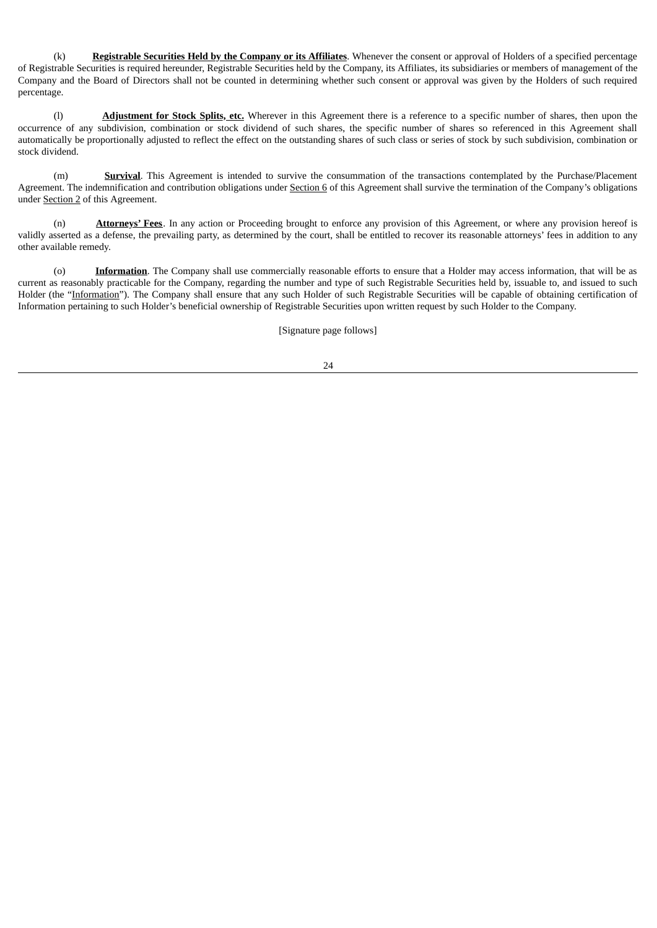(k) **Registrable Securities Held by the Company or its Affiliates**. Whenever the consent or approval of Holders of a specified percentage of Registrable Securities is required hereunder, Registrable Securities held by the Company, its Affiliates, its subsidiaries or members of management of the Company and the Board of Directors shall not be counted in determining whether such consent or approval was given by the Holders of such required percentage.

(l) **Adjustment for Stock Splits, etc.** Wherever in this Agreement there is a reference to a specific number of shares, then upon the occurrence of any subdivision, combination or stock dividend of such shares, the specific number of shares so referenced in this Agreement shall automatically be proportionally adjusted to reflect the effect on the outstanding shares of such class or series of stock by such subdivision, combination or stock dividend.

(m) **Survival**. This Agreement is intended to survive the consummation of the transactions contemplated by the Purchase/Placement Agreement. The indemnification and contribution obligations under Section 6 of this Agreement shall survive the termination of the Company's obligations under Section 2 of this Agreement.

(n) **Attorneys' Fees**. In any action or Proceeding brought to enforce any provision of this Agreement, or where any provision hereof is validly asserted as a defense, the prevailing party, as determined by the court, shall be entitled to recover its reasonable attorneys' fees in addition to any other available remedy.

(o) **Information**. The Company shall use commercially reasonable efforts to ensure that a Holder may access information, that will be as current as reasonably practicable for the Company, regarding the number and type of such Registrable Securities held by, issuable to, and issued to such Holder (the "Information"). The Company shall ensure that any such Holder of such Registrable Securities will be capable of obtaining certification of Information pertaining to such Holder's beneficial ownership of Registrable Securities upon written request by such Holder to the Company.

[Signature page follows]

24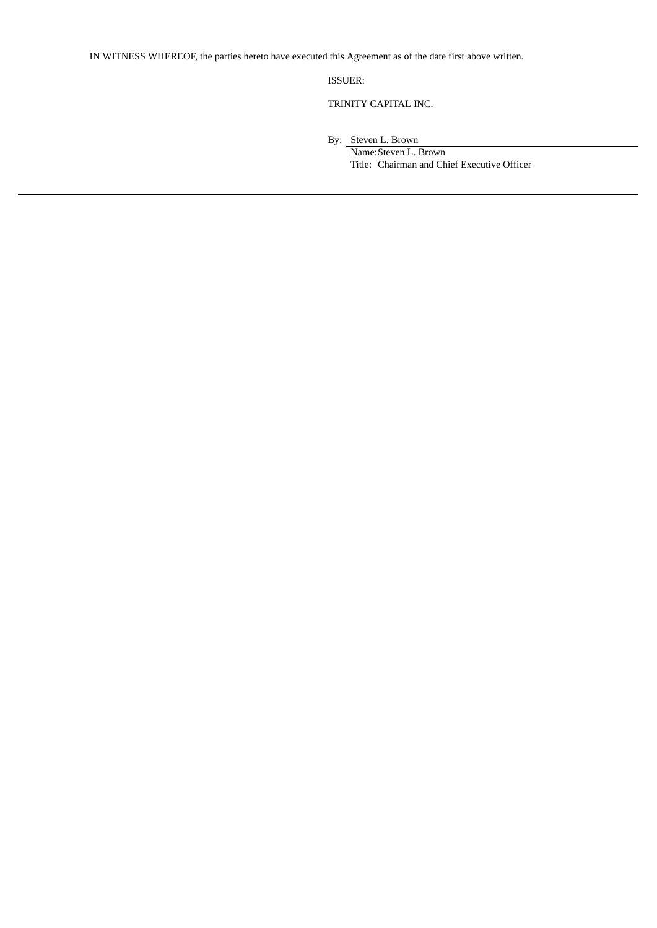IN WITNESS WHEREOF, the parties hereto have executed this Agreement as of the date first above written.

ISSUER:

TRINITY CAPITAL INC.

By: Steven L. Brown

Name:Steven L. Brown Title: Chairman and Chief Executive Officer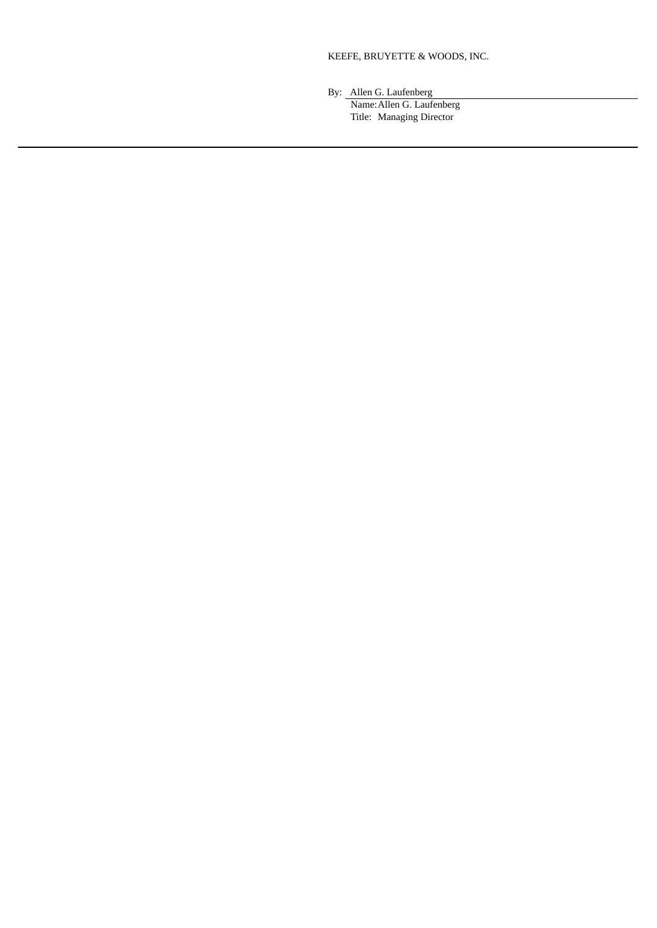### KEEFE, BRUYETTE & WOODS, INC.

By: Allen G. Laufenberg

Name:Allen G. Laufenberg Title: Managing Director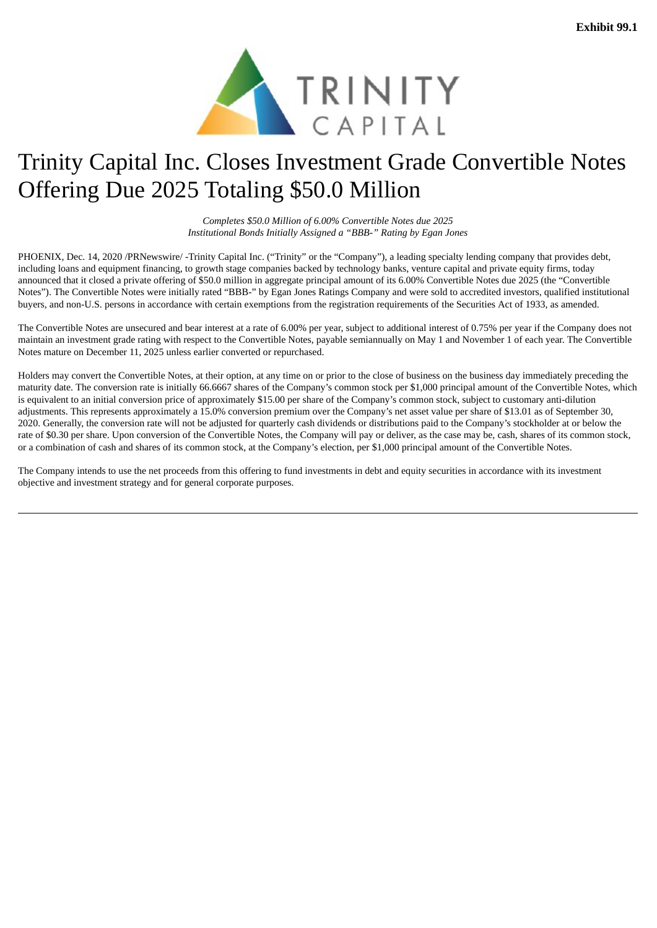

# Trinity Capital Inc. Closes Investment Grade Convertible Notes Offering Due 2025 Totaling \$50.0 Million

*Completes \$50.0 Million of 6.00% Convertible Notes due 2025 Institutional Bonds Initially Assigned a "BBB-" Rating by Egan Jones*

PHOENIX, Dec. 14, 2020 /PRNewswire/ -Trinity Capital Inc. ("Trinity" or the "Company"), a leading specialty lending company that provides debt, including loans and equipment financing, to growth stage companies backed by technology banks, venture capital and private equity firms, today announced that it closed a private offering of \$50.0 million in aggregate principal amount of its 6.00% Convertible Notes due 2025 (the "Convertible Notes"). The Convertible Notes were initially rated "BBB-" by Egan Jones Ratings Company and were sold to accredited investors, qualified institutional buyers, and non-U.S. persons in accordance with certain exemptions from the registration requirements of the Securities Act of 1933, as amended.

The Convertible Notes are unsecured and bear interest at a rate of 6.00% per year, subject to additional interest of 0.75% per year if the Company does not maintain an investment grade rating with respect to the Convertible Notes, payable semiannually on May 1 and November 1 of each year. The Convertible Notes mature on December 11, 2025 unless earlier converted or repurchased.

Holders may convert the Convertible Notes, at their option, at any time on or prior to the close of business on the business day immediately preceding the maturity date. The conversion rate is initially 66.6667 shares of the Company's common stock per \$1,000 principal amount of the Convertible Notes, which is equivalent to an initial conversion price of approximately \$15.00 per share of the Company's common stock, subject to customary anti-dilution adjustments. This represents approximately a 15.0% conversion premium over the Company's net asset value per share of \$13.01 as of September 30, 2020. Generally, the conversion rate will not be adjusted for quarterly cash dividends or distributions paid to the Company's stockholder at or below the rate of \$0.30 per share. Upon conversion of the Convertible Notes, the Company will pay or deliver, as the case may be, cash, shares of its common stock, or a combination of cash and shares of its common stock, at the Company's election, per \$1,000 principal amount of the Convertible Notes.

The Company intends to use the net proceeds from this offering to fund investments in debt and equity securities in accordance with its investment objective and investment strategy and for general corporate purposes.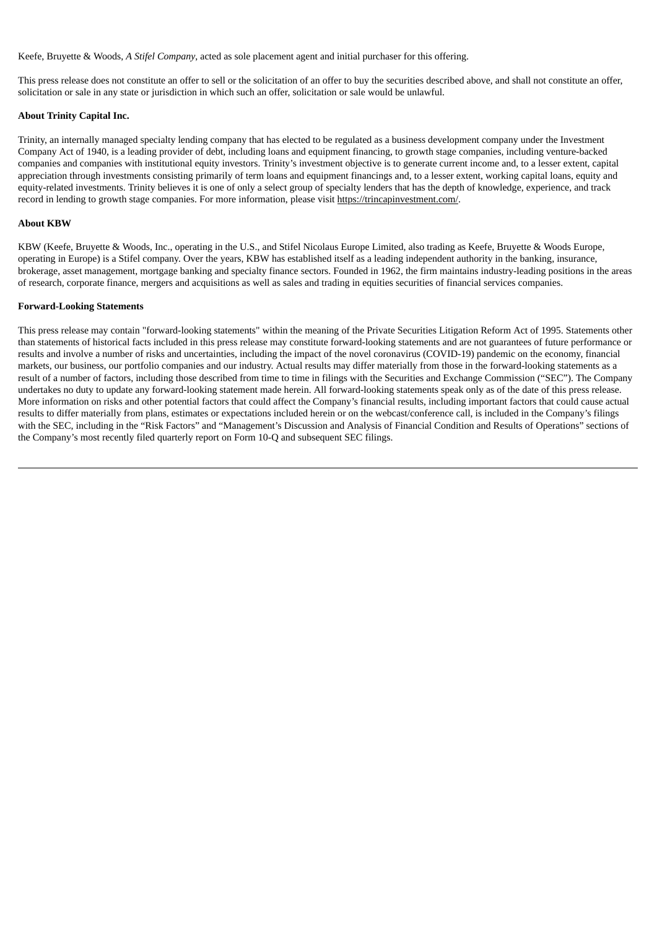Keefe, Bruyette & Woods, *A Stifel Company*, acted as sole placement agent and initial purchaser for this offering.

This press release does not constitute an offer to sell or the solicitation of an offer to buy the securities described above, and shall not constitute an offer, solicitation or sale in any state or jurisdiction in which such an offer, solicitation or sale would be unlawful.

#### **About Trinity Capital Inc.**

Trinity, an internally managed specialty lending company that has elected to be regulated as a business development company under the Investment Company Act of 1940, is a leading provider of debt, including loans and equipment financing, to growth stage companies, including venture-backed companies and companies with institutional equity investors. Trinity's investment objective is to generate current income and, to a lesser extent, capital appreciation through investments consisting primarily of term loans and equipment financings and, to a lesser extent, working capital loans, equity and equity-related investments. Trinity believes it is one of only a select group of specialty lenders that has the depth of knowledge, experience, and track record in lending to growth stage companies. For more information, please visit https://trincapinvestment.com/.

#### **About KBW**

KBW (Keefe, Bruyette & Woods, Inc., operating in the U.S., and Stifel Nicolaus Europe Limited, also trading as Keefe, Bruyette & Woods Europe, operating in Europe) is a Stifel company. Over the years, KBW has established itself as a leading independent authority in the banking, insurance, brokerage, asset management, mortgage banking and specialty finance sectors. Founded in 1962, the firm maintains industry-leading positions in the areas of research, corporate finance, mergers and acquisitions as well as sales and trading in equities securities of financial services companies.

#### **Forward-Looking Statements**

This press release may contain "forward-looking statements" within the meaning of the Private Securities Litigation Reform Act of 1995. Statements other than statements of historical facts included in this press release may constitute forward-looking statements and are not guarantees of future performance or results and involve a number of risks and uncertainties, including the impact of the novel coronavirus (COVID-19) pandemic on the economy, financial markets, our business, our portfolio companies and our industry. Actual results may differ materially from those in the forward-looking statements as a result of a number of factors, including those described from time to time in filings with the Securities and Exchange Commission ("SEC"). The Company undertakes no duty to update any forward-looking statement made herein. All forward-looking statements speak only as of the date of this press release. More information on risks and other potential factors that could affect the Company's financial results, including important factors that could cause actual results to differ materially from plans, estimates or expectations included herein or on the webcast/conference call, is included in the Company's filings with the SEC, including in the "Risk Factors" and "Management's Discussion and Analysis of Financial Condition and Results of Operations" sections of the Company's most recently filed quarterly report on Form 10-Q and subsequent SEC filings.